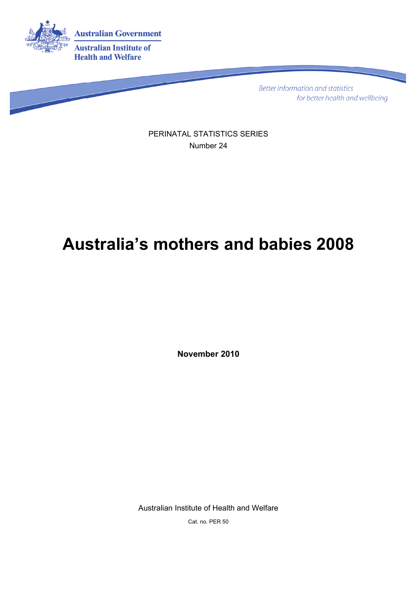

Better information and statistics for better health and wellbeing

PERINATAL STATISTICS SERIES Number 24

# **Australia's mothers and babies 2008**

**November 2010** 

Australian Institute of Health and Welfare

Cat. no. PER 50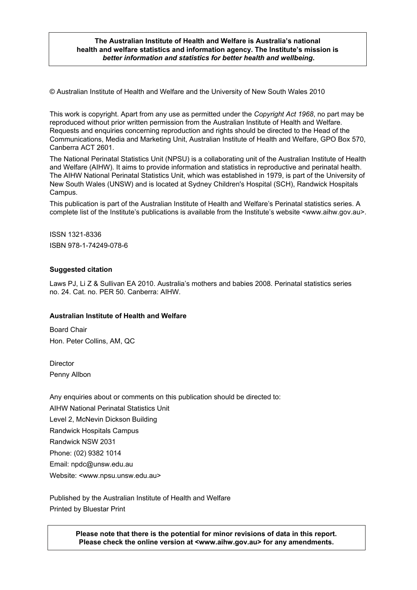#### **The Australian Institute of Health and Welfare is Australia's national health and welfare statistics and information agency. The Institute's mission is**  *better information and statistics for better health and wellbeing***.**

© Australian Institute of Health and Welfare and the University of New South Wales 2010

This work is copyright. Apart from any use as permitted under the *Copyright Act 1968*, no part may be reproduced without prior written permission from the Australian Institute of Health and Welfare. Requests and enquiries concerning reproduction and rights should be directed to the Head of the Communications, Media and Marketing Unit, Australian Institute of Health and Welfare, GPO Box 570, Canberra ACT 2601.

The National Perinatal Statistics Unit (NPSU) is a collaborating unit of the [Australian Institute of Health](http://www.aihw.gov.au/)  [and Welfare \(AIHW\)](http://www.aihw.gov.au/). It aims to provide information and statistics in reproductive and perinatal health. The AIHW National Perinatal Statistics Unit, which was established in 1979, is part of the [University of](http://www.unsw.edu.au/)  [New South Wales \(UNSW\)](http://www.unsw.edu.au/) and is located at [Sydney Children's Hospital \(SCH\),](http://www.sch.edu.au/) Randwick Hospitals Campus.

This publication is part of the Australian Institute of Health and Welfare's Perinatal statistics series. A complete list of the Institute's publications is available from the Institute's website <www.aihw.gov.au>.

ISSN 1321-8336 ISBN 978-1-74249-078-6

#### **Suggested citation**

Laws PJ, Li Z & Sullivan EA 2010. Australia's mothers and babies 2008. Perinatal statistics series no. 24. Cat. no. PER 50. Canberra: AIHW.

#### **Australian Institute of Health and Welfare**

Board Chair Hon. Peter Collins, AM, QC

**Director** Penny Allbon

Any enquiries about or comments on this publication should be directed to: AIHW National Perinatal Statistics Unit Level 2, McNevin Dickson Building Randwick Hospitals Campus Randwick NSW 2031 Phone: (02) 9382 1014 Email: npdc@unsw.edu.au Website: <www.npsu.unsw.edu.au>

Published by the Australian Institute of Health and Welfare Printed by Bluestar Print

> **Please note that there is the potential for minor revisions of data in this report. Please check the online version at <www.aihw.gov.au> for any amendments.**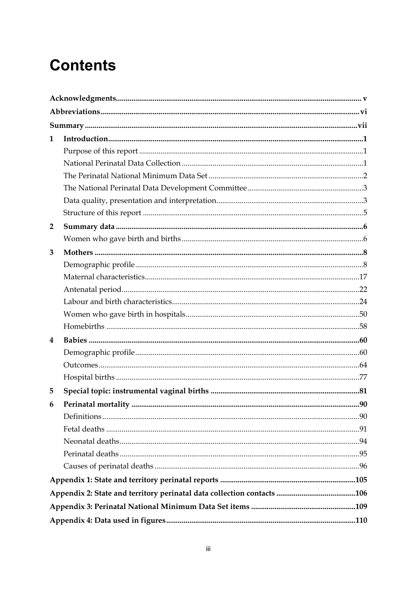# **Contents**

| 1              |  |
|----------------|--|
|                |  |
|                |  |
|                |  |
|                |  |
|                |  |
|                |  |
| $\overline{2}$ |  |
|                |  |
| 3              |  |
|                |  |
|                |  |
|                |  |
|                |  |
|                |  |
|                |  |
| 4              |  |
|                |  |
|                |  |
|                |  |
| 5              |  |
| 6              |  |
|                |  |
|                |  |
|                |  |
|                |  |
|                |  |
|                |  |
|                |  |
|                |  |
|                |  |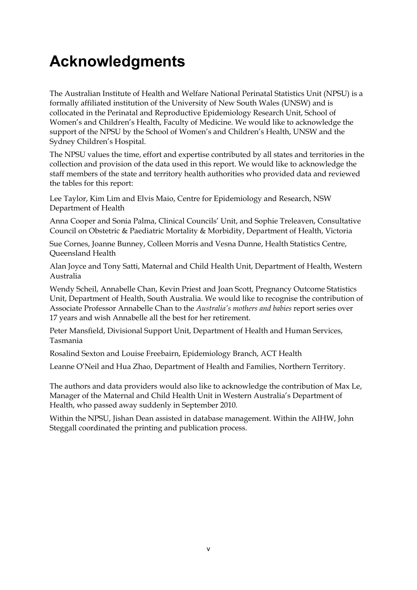# <span id="page-4-0"></span>**Acknowledgments**

The Australian Institute of Health and Welfare National Perinatal Statistics Unit (NPSU) is a formally affiliated institution of the University of New South Wales (UNSW) and is collocated in the Perinatal and Reproductive Epidemiology Research Unit, School of Women's and Children's Health, Faculty of Medicine. We would like to acknowledge the support of the NPSU by the School of Women's and Children's Health, UNSW and the Sydney Children's Hospital.

The NPSU values the time, effort and expertise contributed by all states and territories in the collection and provision of the data used in this report. We would like to acknowledge the staff members of the state and territory health authorities who provided data and reviewed the tables for this report:

Lee Taylor, Kim Lim and Elvis Maio, Centre for Epidemiology and Research, NSW Department of Health

Anna Cooper and Sonia Palma, Clinical Councils' Unit, and Sophie Treleaven, Consultative Council on Obstetric & Paediatric Mortality & Morbidity, Department of Health, Victoria

Sue Cornes, Joanne Bunney, Colleen Morris and Vesna Dunne, Health Statistics Centre, Queensland Health

Alan Joyce and Tony Satti, Maternal and Child Health Unit, Department of Health, Western Australia

Wendy Scheil, Annabelle Chan, Kevin Priest and Joan Scott, Pregnancy Outcome Statistics Unit, Department of Health, South Australia. We would like to recognise the contribution of Associate Professor Annabelle Chan to the *Australia's mothers and babies* report series over 17 years and wish Annabelle all the best for her retirement.

Peter Mansfield, Divisional Support Unit, Department of Health and Human Services, Tasmania

Rosalind Sexton and Louise Freebairn, Epidemiology Branch, ACT Health

Leanne O'Neil and Hua Zhao, Department of Health and Families, Northern Territory.

The authors and data providers would also like to acknowledge the contribution of Max Le, Manager of the Maternal and Child Health Unit in Western Australia's Department of Health, who passed away suddenly in September 2010.

Within the NPSU, Jishan Dean assisted in database management. Within the AIHW, John Steggall coordinated the printing and publication process.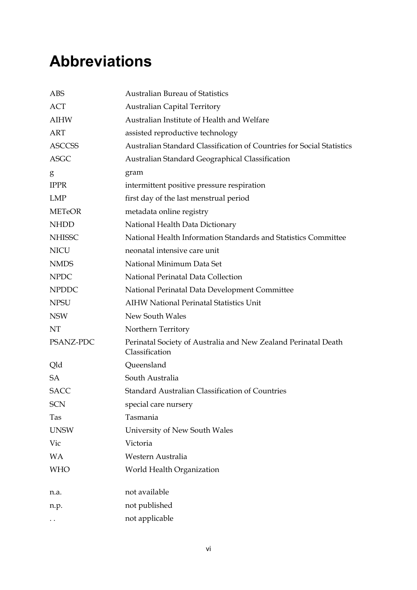# <span id="page-5-0"></span>**Abbreviations**

| <b>ABS</b>    | <b>Australian Bureau of Statistics</b>                                           |
|---------------|----------------------------------------------------------------------------------|
| <b>ACT</b>    | <b>Australian Capital Territory</b>                                              |
| <b>AIHW</b>   | Australian Institute of Health and Welfare                                       |
| <b>ART</b>    | assisted reproductive technology                                                 |
| <b>ASCCSS</b> | Australian Standard Classification of Countries for Social Statistics            |
| <b>ASGC</b>   | Australian Standard Geographical Classification                                  |
| g             | gram                                                                             |
| <b>IPPR</b>   | intermittent positive pressure respiration                                       |
| <b>LMP</b>    | first day of the last menstrual period                                           |
| <b>METeOR</b> | metadata online registry                                                         |
| <b>NHDD</b>   | National Health Data Dictionary                                                  |
| <b>NHISSC</b> | National Health Information Standards and Statistics Committee                   |
| <b>NICU</b>   | neonatal intensive care unit                                                     |
| <b>NMDS</b>   | National Minimum Data Set                                                        |
| <b>NPDC</b>   | National Perinatal Data Collection                                               |
| <b>NPDDC</b>  | National Perinatal Data Development Committee                                    |
| <b>NPSU</b>   | <b>AIHW National Perinatal Statistics Unit</b>                                   |
| <b>NSW</b>    | New South Wales                                                                  |
| NT            | Northern Territory                                                               |
| PSANZ-PDC     | Perinatal Society of Australia and New Zealand Perinatal Death<br>Classification |
| Qld           | Queensland                                                                       |
| <b>SA</b>     | South Australia                                                                  |
| <b>SACC</b>   | <b>Standard Australian Classification of Countries</b>                           |
| <b>SCN</b>    | special care nursery                                                             |
| Tas           | Tasmania                                                                         |
| <b>UNSW</b>   | University of New South Wales                                                    |
| Vic           | Victoria                                                                         |
| <b>WA</b>     | Western Australia                                                                |
| <b>WHO</b>    | World Health Organization                                                        |
| n.a.          | not available                                                                    |
| n.p.          | not published                                                                    |
| $\ddotsc$     | not applicable                                                                   |
|               |                                                                                  |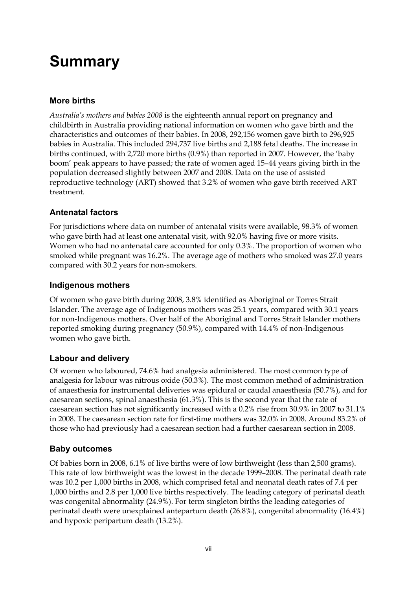# <span id="page-6-0"></span>**Summary**

### **More births**

*Australia's mothers and babies 2008* is the eighteenth annual report on pregnancy and childbirth in Australia providing national information on women who gave birth and the characteristics and outcomes of their babies. In 2008, 292,156 women gave birth to 296,925 babies in Australia. This included 294,737 live births and 2,188 fetal deaths. The increase in births continued, with 2,720 more births (0.9%) than reported in 2007. However, the 'baby boom' peak appears to have passed; the rate of women aged 15–44 years giving birth in the population decreased slightly between 2007 and 2008. Data on the use of assisted reproductive technology (ART) showed that 3.2% of women who gave birth received ART treatment.

#### **Antenatal factors**

For jurisdictions where data on number of antenatal visits were available, 98.3% of women who gave birth had at least one antenatal visit, with 92.0% having five or more visits. Women who had no antenatal care accounted for only 0.3%. The proportion of women who smoked while pregnant was 16.2%. The average age of mothers who smoked was 27.0 years compared with 30.2 years for non-smokers.

#### **Indigenous mothers**

Of women who gave birth during 2008, 3.8% identified as Aboriginal or Torres Strait Islander. The average age of Indigenous mothers was 25.1 years, compared with 30.1 years for non-Indigenous mothers. Over half of the Aboriginal and Torres Strait Islander mothers reported smoking during pregnancy (50.9%), compared with 14.4% of non-Indigenous women who gave birth.

#### **Labour and delivery**

Of women who laboured, 74.6% had analgesia administered. The most common type of analgesia for labour was nitrous oxide (50.3%). The most common method of administration of anaesthesia for instrumental deliveries was epidural or caudal anaesthesia (50.7%), and for caesarean sections, spinal anaesthesia (61.3%). This is the second year that the rate of caesarean section has not significantly increased with a 0.2% rise from 30.9% in 2007 to 31.1% in 2008. The caesarean section rate for first-time mothers was 32.0% in 2008. Around 83.2% of those who had previously had a caesarean section had a further caesarean section in 2008.

#### **Baby outcomes**

Of babies born in 2008, 6.1% of live births were of low birthweight (less than 2,500 grams). This rate of low birthweight was the lowest in the decade 1999–2008. The perinatal death rate was 10.2 per 1,000 births in 2008, which comprised fetal and neonatal death rates of 7.4 per 1,000 births and 2.8 per 1,000 live births respectively. The leading category of perinatal death was congenital abnormality (24.9%). For term singleton births the leading categories of perinatal death were unexplained antepartum death (26.8%), congenital abnormality (16.4%) and hypoxic peripartum death (13.2%).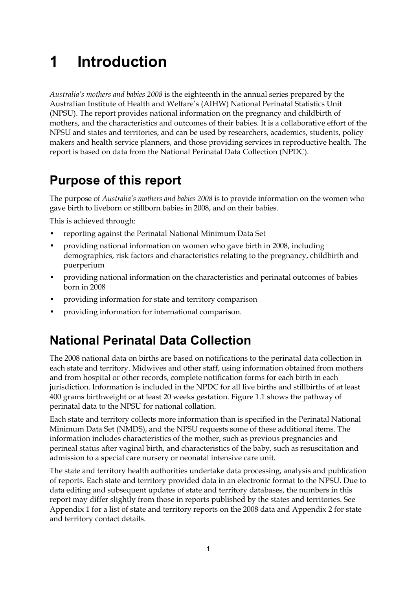# <span id="page-8-0"></span>**1 Introduction**

*Australia's mothers and babies 2008* is the eighteenth in the annual series prepared by the Australian Institute of Health and Welfare's (AIHW) National Perinatal Statistics Unit (NPSU). The report provides national information on the pregnancy and childbirth of mothers, and the characteristics and outcomes of their babies. It is a collaborative effort of the NPSU and states and territories, and can be used by researchers, academics, students, policy makers and health service planners, and those providing services in reproductive health. The report is based on data from the National Perinatal Data Collection (NPDC).

# <span id="page-8-1"></span>**Purpose of this report**

The purpose of *Australia's mothers and babies 2008* is to provide information on the women who gave birth to liveborn or stillborn babies in 2008, and on their babies.

This is achieved through:

- reporting against the Perinatal National Minimum Data Set
- providing national information on women who gave birth in 2008, including demographics, risk factors and characteristics relating to the pregnancy, childbirth and puerperium
- providing national information on the characteristics and perinatal outcomes of babies born in 2008
- providing information for state and territory comparison
- providing information for international comparison.

# <span id="page-8-2"></span>**National Perinatal Data Collection**

The 2008 national data on births are based on notifications to the perinatal data collection in each state and territory. Midwives and other staff, using information obtained from mothers and from hospital or other records, complete notification forms for each birth in each jurisdiction. Information is included in the NPDC for all live births and stillbirths of at least 400 grams birthweight or at least 20 weeks gestation. Figure 1.1 shows the pathway of perinatal data to the NPSU for national collation.

Each state and territory collects more information than is specified in the Perinatal National Minimum Data Set (NMDS), and the NPSU requests some of these additional items. The information includes characteristics of the mother, such as previous pregnancies and perineal status after vaginal birth, and characteristics of the baby, such as resuscitation and admission to a special care nursery or neonatal intensive care unit.

The state and territory health authorities undertake data processing, analysis and publication of reports. Each state and territory provided data in an electronic format to the NPSU. Due to data editing and subsequent updates of state and territory databases, the numbers in this report may differ slightly from those in reports published by the states and territories. See Appendix 1 for a list of state and territory reports on the 2008 data and Appendix 2 for state and territory contact details.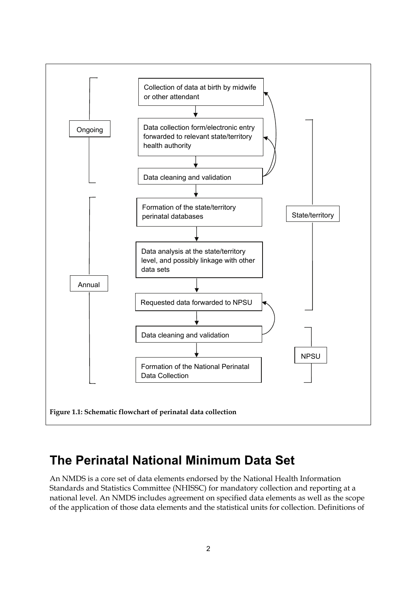

## <span id="page-9-0"></span>**The Perinatal National Minimum Data Set**

An NMDS is a core set of data elements endorsed by the National Health Information Standards and Statistics Committee (NHISSC) for mandatory collection and reporting at a national level. An NMDS includes agreement on specified data elements as well as the scope of the application of those data elements and the statistical units for collection. Definitions of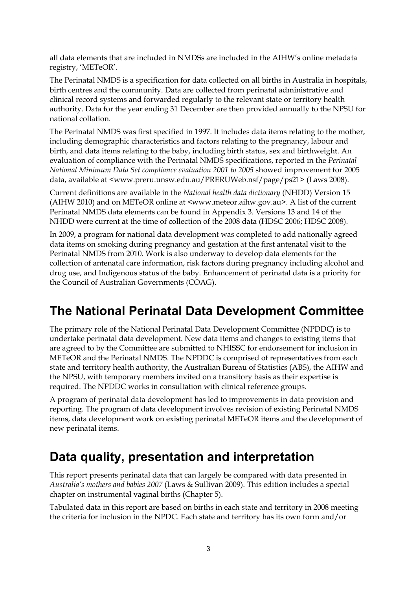all data elements that are included in NMDSs are included in the AIHW's online metadata registry, 'METeOR'.

The Perinatal NMDS is a specification for data collected on all births in Australia in hospitals, birth centres and the community. Data are collected from perinatal administrative and clinical record systems and forwarded regularly to the relevant state or territory health authority. Data for the year ending 31 December are then provided annually to the NPSU for national collation.

The Perinatal NMDS was first specified in 1997. It includes data items relating to the mother, including demographic characteristics and factors relating to the pregnancy, labour and birth, and data items relating to the baby, including birth status, sex and birthweight. An evaluation of compliance with the Perinatal NMDS specifications, reported in the *Perinatal National Minimum Data Set compliance evaluation 2001 to 2005* showed improvement for 2005 data, available at <www.preru.unsw.edu.au/PRERUWeb.nsf/page/ps21> (Laws 2008).

Current definitions are available in the *National health data dictionary* (NHDD) Version 15 (AIHW 2010) and on METeOR online at <www.meteor.aihw.gov.au>. A list of the current Perinatal NMDS data elements can be found in Appendix 3. Versions 13 and 14 of the NHDD were current at the time of collection of the 2008 data (HDSC 2006; HDSC 2008).

In 2009, a program for national data development was completed to add nationally agreed data items on smoking during pregnancy and gestation at the first antenatal visit to the Perinatal NMDS from 2010. Work is also underway to develop data elements for the collection of antenatal care information, risk factors during pregnancy including alcohol and drug use, and Indigenous status of the baby. Enhancement of perinatal data is a priority for the Council of Australian Governments (COAG).

# <span id="page-10-0"></span>**The National Perinatal Data Development Committee**

The primary role of the National Perinatal Data Development Committee (NPDDC) is to undertake perinatal data development. New data items and changes to existing items that are agreed to by the Committee are submitted to NHISSC for endorsement for inclusion in METeOR and the Perinatal NMDS. The NPDDC is comprised of representatives from each state and territory health authority, the Australian Bureau of Statistics (ABS), the AIHW and the NPSU, with temporary members invited on a transitory basis as their expertise is required. The NPDDC works in consultation with clinical reference groups.

A program of perinatal data development has led to improvements in data provision and reporting. The program of data development involves revision of existing Perinatal NMDS items, data development work on existing perinatal METeOR items and the development of new perinatal items.

# <span id="page-10-1"></span>**Data quality, presentation and interpretation**

This report presents perinatal data that can largely be compared with data presented in *Australia's mothers and babies 2007* (Laws & Sullivan 2009). This edition includes a special chapter on instrumental vaginal births (Chapter 5).

Tabulated data in this report are based on births in each state and territory in 2008 meeting the criteria for inclusion in the NPDC. Each state and territory has its own form and/or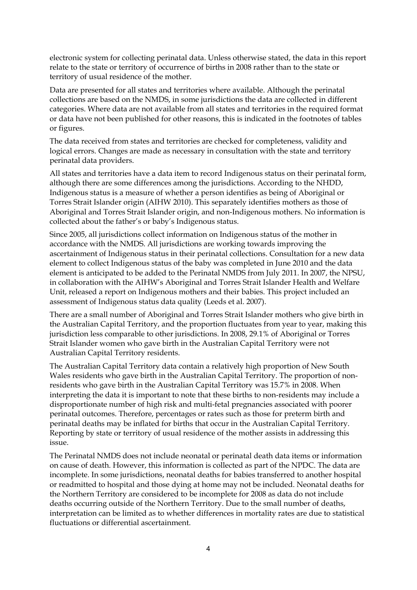electronic system for collecting perinatal data. Unless otherwise stated, the data in this report relate to the state or territory of occurrence of births in 2008 rather than to the state or territory of usual residence of the mother.

Data are presented for all states and territories where available. Although the perinatal collections are based on the NMDS, in some jurisdictions the data are collected in different categories. Where data are not available from all states and territories in the required format or data have not been published for other reasons, this is indicated in the footnotes of tables or figures.

The data received from states and territories are checked for completeness, validity and logical errors. Changes are made as necessary in consultation with the state and territory perinatal data providers.

All states and territories have a data item to record Indigenous status on their perinatal form, although there are some differences among the jurisdictions. According to the NHDD, Indigenous status is a measure of whether a person identifies as being of Aboriginal or Torres Strait Islander origin (AIHW 2010). This separately identifies mothers as those of Aboriginal and Torres Strait Islander origin, and non-Indigenous mothers. No information is collected about the father's or baby's Indigenous status.

Since 2005, all jurisdictions collect information on Indigenous status of the mother in accordance with the NMDS. All jurisdictions are working towards improving the ascertainment of Indigenous status in their perinatal collections. Consultation for a new data element to collect Indigenous status of the baby was completed in June 2010 and the data element is anticipated to be added to the Perinatal NMDS from July 2011. In 2007, the NPSU, in collaboration with the AIHW's Aboriginal and Torres Strait Islander Health and Welfare Unit, released a report on Indigenous mothers and their babies. This project included an assessment of Indigenous status data quality (Leeds et al. 2007).

There are a small number of Aboriginal and Torres Strait Islander mothers who give birth in the Australian Capital Territory, and the proportion fluctuates from year to year, making this jurisdiction less comparable to other jurisdictions. In 2008, 29.1% of Aboriginal or Torres Strait Islander women who gave birth in the Australian Capital Territory were not Australian Capital Territory residents.

The Australian Capital Territory data contain a relatively high proportion of New South Wales residents who gave birth in the Australian Capital Territory. The proportion of nonresidents who gave birth in the Australian Capital Territory was 15.7% in 2008. When interpreting the data it is important to note that these births to non-residents may include a disproportionate number of high risk and multi-fetal pregnancies associated with poorer perinatal outcomes. Therefore, percentages or rates such as those for preterm birth and perinatal deaths may be inflated for births that occur in the Australian Capital Territory. Reporting by state or territory of usual residence of the mother assists in addressing this issue.

The Perinatal NMDS does not include neonatal or perinatal death data items or information on cause of death. However, this information is collected as part of the NPDC. The data are incomplete. In some jurisdictions, neonatal deaths for babies transferred to another hospital or readmitted to hospital and those dying at home may not be included. Neonatal deaths for the Northern Territory are considered to be incomplete for 2008 as data do not include deaths occurring outside of the Northern Territory. Due to the small number of deaths, interpretation can be limited as to whether differences in mortality rates are due to statistical fluctuations or differential ascertainment.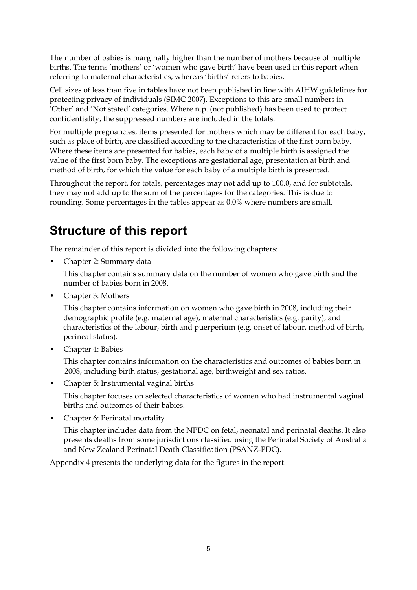The number of babies is marginally higher than the number of mothers because of multiple births. The terms 'mothers' or 'women who gave birth' have been used in this report when referring to maternal characteristics, whereas 'births' refers to babies.

Cell sizes of less than five in tables have not been published in line with AIHW guidelines for protecting privacy of individuals (SIMC 2007). Exceptions to this are small numbers in 'Other' and 'Not stated' categories. Where n.p. (not published) has been used to protect confidentiality, the suppressed numbers are included in the totals.

For multiple pregnancies, items presented for mothers which may be different for each baby, such as place of birth, are classified according to the characteristics of the first born baby. Where these items are presented for babies, each baby of a multiple birth is assigned the value of the first born baby. The exceptions are gestational age, presentation at birth and method of birth, for which the value for each baby of a multiple birth is presented.

Throughout the report, for totals, percentages may not add up to 100.0, and for subtotals, they may not add up to the sum of the percentages for the categories. This is due to rounding. Some percentages in the tables appear as 0.0% where numbers are small.

# <span id="page-12-0"></span>**Structure of this report**

The remainder of this report is divided into the following chapters:

• Chapter 2: Summary data

This chapter contains summary data on the number of women who gave birth and the number of babies born in 2008.

• Chapter 3: Mothers

This chapter contains information on women who gave birth in 2008, including their demographic profile (e.g. maternal age), maternal characteristics (e.g. parity), and characteristics of the labour, birth and puerperium (e.g. onset of labour, method of birth, perineal status).

• Chapter 4: Babies

This chapter contains information on the characteristics and outcomes of babies born in 2008, including birth status, gestational age, birthweight and sex ratios.

• Chapter 5: Instrumental vaginal births

This chapter focuses on selected characteristics of women who had instrumental vaginal births and outcomes of their babies.

• Chapter 6: Perinatal mortality

This chapter includes data from the NPDC on fetal, neonatal and perinatal deaths. It also presents deaths from some jurisdictions classified using the Perinatal Society of Australia and New Zealand Perinatal Death Classification (PSANZ-PDC).

Appendix 4 presents the underlying data for the figures in the report.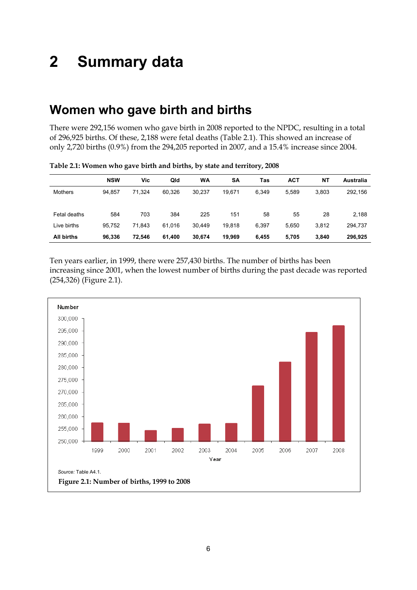# <span id="page-13-0"></span>**2 Summary data**

## <span id="page-13-1"></span>**Women who gave birth and births**

There were 292,156 women who gave birth in 2008 reported to the NPDC, resulting in a total of 296,925 births. Of these, 2,188 were fetal deaths (Table 2.1). This showed an increase of only 2,720 births (0.9%) from the 294,205 reported in 2007, and a 15.4% increase since 2004.

|                | <b>NSW</b> | Vic    | Qld    | WA     | <b>SA</b> | Tas   | <b>ACT</b> | NT    | Australia |
|----------------|------------|--------|--------|--------|-----------|-------|------------|-------|-----------|
| <b>Mothers</b> | 94.857     | 71.324 | 60.326 | 30.237 | 19.671    | 6.349 | 5.589      | 3.803 | 292,156   |
| Fetal deaths   | 584        | 703    | 384    | 225    | 151       | 58    | 55         | 28    | 2,188     |
| Live births    | 95.752     | 71.843 | 61.016 | 30.449 | 19.818    | 6,397 | 5.650      | 3,812 | 294,737   |
| All births     | 96,336     | 72,546 | 61,400 | 30,674 | 19,969    | 6,455 | 5,705      | 3,840 | 296,925   |

**Table 2.1: Women who gave birth and births, by state and territory, 2008** 

Ten years earlier, in 1999, there were 257,430 births. The number of births has been increasing since 2001, when the lowest number of births during the past decade was reported (254,326) (Figure 2.1).

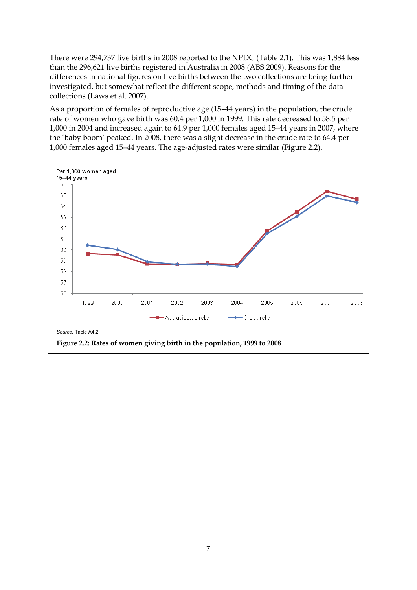There were 294,737 live births in 2008 reported to the NPDC (Table 2.1). This was 1,884 less than the 296,621 live births registered in Australia in 2008 (ABS 2009). Reasons for the differences in national figures on live births between the two collections are being further investigated, but somewhat reflect the different scope, methods and timing of the data collections (Laws et al. 2007).

As a proportion of females of reproductive age (15–44 years) in the population, the crude rate of women who gave birth was 60.4 per 1,000 in 1999. This rate decreased to 58.5 per 1,000 in 2004 and increased again to 64.9 per 1,000 females aged 15–44 years in 2007, where the 'baby boom' peaked. In 2008, there was a slight decrease in the crude rate to 64.4 per 1,000 females aged 15–44 years. The age-adjusted rates were similar (Figure 2.2).

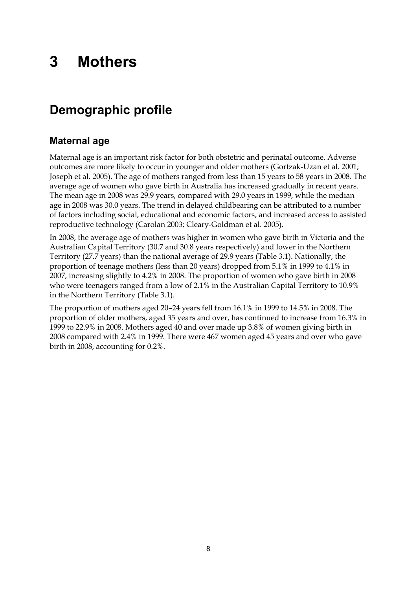# <span id="page-15-0"></span>**3 Mothers**

# <span id="page-15-1"></span>**Demographic profile**

### **Maternal age**

Maternal age is an important risk factor for both obstetric and perinatal outcome. Adverse outcomes are more likely to occur in younger and older mothers (Gortzak-Uzan et al. 2001; Joseph et al. 2005). The age of mothers ranged from less than 15 years to 58 years in 2008. The average age of women who gave birth in Australia has increased gradually in recent years. The mean age in 2008 was 29.9 years, compared with 29.0 years in 1999, while the median age in 2008 was 30.0 years. The trend in delayed childbearing can be attributed to a number of factors including social, educational and economic factors, and increased access to assisted reproductive technology (Carolan 2003; Cleary-Goldman et al. 2005).

In 2008, the average age of mothers was higher in women who gave birth in Victoria and the Australian Capital Territory (30.7 and 30.8 years respectively) and lower in the Northern Territory (27.7 years) than the national average of 29.9 years (Table 3.1). Nationally, the proportion of teenage mothers (less than 20 years) dropped from 5.1% in 1999 to 4.1% in 2007, increasing slightly to 4.2% in 2008. The proportion of women who gave birth in 2008 who were teenagers ranged from a low of 2.1% in the Australian Capital Territory to 10.9% in the Northern Territory (Table 3.1).

The proportion of mothers aged 20–24 years fell from 16.1% in 1999 to 14.5% in 2008. The proportion of older mothers, aged 35 years and over, has continued to increase from 16.3% in 1999 to 22.9% in 2008. Mothers aged 40 and over made up 3.8% of women giving birth in 2008 compared with 2.4% in 1999. There were 467 women aged 45 years and over who gave birth in 2008, accounting for 0.2%.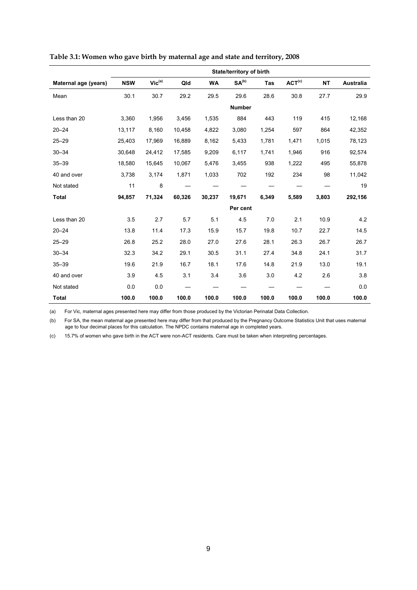|                      | State/territory of birth |             |        |           |                   |       |                    |           |           |
|----------------------|--------------------------|-------------|--------|-----------|-------------------|-------|--------------------|-----------|-----------|
| Maternal age (years) | <b>NSW</b>               | $Vic^{(a)}$ | Qld    | <b>WA</b> | SA <sup>(b)</sup> | Tas   | ACT <sup>(c)</sup> | <b>NT</b> | Australia |
| Mean                 | 30.1                     | 30.7        | 29.2   | 29.5      | 29.6              | 28.6  | 30.8               | 27.7      | 29.9      |
|                      |                          |             |        |           | <b>Number</b>     |       |                    |           |           |
| Less than 20         | 3,360                    | 1,956       | 3,456  | 1,535     | 884               | 443   | 119                | 415       | 12,168    |
| $20 - 24$            | 13,117                   | 8,160       | 10,458 | 4,822     | 3,080             | 1,254 | 597                | 864       | 42,352    |
| $25 - 29$            | 25,403                   | 17,969      | 16,889 | 8,162     | 5,433             | 1,781 | 1,471              | 1,015     | 78,123    |
| $30 - 34$            | 30,648                   | 24,412      | 17,585 | 9,209     | 6,117             | 1,741 | 1,946              | 916       | 92,574    |
| $35 - 39$            | 18,580                   | 15,645      | 10,067 | 5,476     | 3,455             | 938   | 1,222              | 495       | 55,878    |
| 40 and over          | 3,738                    | 3,174       | 1,871  | 1,033     | 702               | 192   | 234                | 98        | 11,042    |
| Not stated           | 11                       | 8           |        |           |                   |       |                    |           | 19        |
| <b>Total</b>         | 94,857                   | 71,324      | 60,326 | 30,237    | 19,671            | 6,349 | 5,589              | 3,803     | 292,156   |
|                      |                          |             |        |           | Per cent          |       |                    |           |           |
| Less than 20         | 3.5                      | 2.7         | 5.7    | 5.1       | 4.5               | 7.0   | 2.1                | 10.9      | 4.2       |
| $20 - 24$            | 13.8                     | 11.4        | 17.3   | 15.9      | 15.7              | 19.8  | 10.7               | 22.7      | 14.5      |
| $25 - 29$            | 26.8                     | 25.2        | 28.0   | 27.0      | 27.6              | 28.1  | 26.3               | 26.7      | 26.7      |
| $30 - 34$            | 32.3                     | 34.2        | 29.1   | 30.5      | 31.1              | 27.4  | 34.8               | 24.1      | 31.7      |
| $35 - 39$            | 19.6                     | 21.9        | 16.7   | 18.1      | 17.6              | 14.8  | 21.9               | 13.0      | 19.1      |
| 40 and over          | 3.9                      | 4.5         | 3.1    | 3.4       | 3.6               | 3.0   | 4.2                | 2.6       | 3.8       |
| Not stated           | 0.0                      | 0.0         |        |           |                   |       |                    |           | 0.0       |
| <b>Total</b>         | 100.0                    | 100.0       | 100.0  | 100.0     | 100.0             | 100.0 | 100.0              | 100.0     | 100.0     |

|  | Table 3.1: Women who gave birth by maternal age and state and territory, 2008 |  |  |  |
|--|-------------------------------------------------------------------------------|--|--|--|
|--|-------------------------------------------------------------------------------|--|--|--|

(a) For Vic, maternal ages presented here may differ from those produced by the Victorian Perinatal Data Collection.

(b) For SA, the mean maternal age presented here may differ from that produced by the Pregnancy Outcome Statistics Unit that uses maternal age to four decimal places for this calculation. The NPDC contains maternal age in completed years.

(c) 15.7% of women who gave birth in the ACT were non-ACT residents. Care must be taken when interpreting percentages.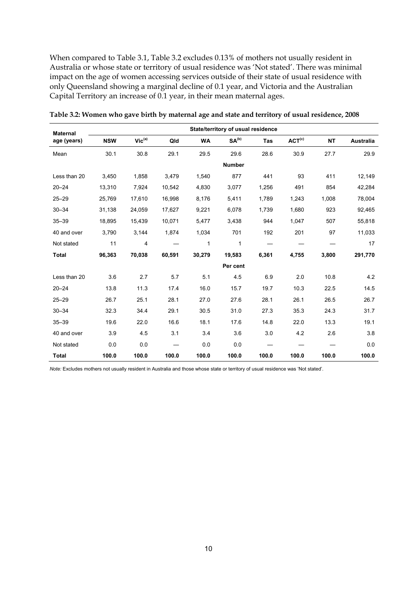When compared to Table 3.1, Table 3.2 excludes 0.13% of mothers not usually resident in Australia or whose state or territory of usual residence was 'Not stated'. There was minimal impact on the age of women accessing services outside of their state of usual residence with only Queensland showing a marginal decline of 0.1 year, and Victoria and the Australian Capital Territory an increase of 0.1 year, in their mean maternal ages.

| <b>Maternal</b> |            |                             |        |           | State/territory of usual residence |       |                    |           |           |
|-----------------|------------|-----------------------------|--------|-----------|------------------------------------|-------|--------------------|-----------|-----------|
| age (years)     | <b>NSW</b> | $\mathsf{Vic}^\mathsf{(a)}$ | Qld    | <b>WA</b> | SA <sup>(b)</sup>                  | Tas   | ACT <sup>(c)</sup> | <b>NT</b> | Australia |
| Mean            | 30.1       | 30.8                        | 29.1   | 29.5      | 29.6                               | 28.6  | 30.9               | 27.7      | 29.9      |
|                 |            |                             |        |           | <b>Number</b>                      |       |                    |           |           |
| Less than 20    | 3,450      | 1,858                       | 3,479  | 1,540     | 877                                | 441   | 93                 | 411       | 12,149    |
| $20 - 24$       | 13,310     | 7,924                       | 10,542 | 4,830     | 3,077                              | 1,256 | 491                | 854       | 42,284    |
| $25 - 29$       | 25,769     | 17,610                      | 16,998 | 8,176     | 5,411                              | 1,789 | 1,243              | 1,008     | 78,004    |
| $30 - 34$       | 31,138     | 24,059                      | 17,627 | 9,221     | 6,078                              | 1,739 | 1,680              | 923       | 92,465    |
| $35 - 39$       | 18,895     | 15,439                      | 10,071 | 5,477     | 3,438                              | 944   | 1,047              | 507       | 55,818    |
| 40 and over     | 3,790      | 3,144                       | 1,874  | 1,034     | 701                                | 192   | 201                | 97        | 11,033    |
| Not stated      | 11         | 4                           |        | 1         | 1                                  |       |                    |           | 17        |
| <b>Total</b>    | 96,363     | 70,038                      | 60,591 | 30,279    | 19,583                             | 6,361 | 4,755              | 3,800     | 291,770   |
|                 |            |                             |        |           | Per cent                           |       |                    |           |           |
| Less than 20    | 3.6        | 2.7                         | 5.7    | 5.1       | 4.5                                | 6.9   | 2.0                | 10.8      | 4.2       |
| $20 - 24$       | 13.8       | 11.3                        | 17.4   | 16.0      | 15.7                               | 19.7  | 10.3               | 22.5      | 14.5      |
| $25 - 29$       | 26.7       | 25.1                        | 28.1   | 27.0      | 27.6                               | 28.1  | 26.1               | 26.5      | 26.7      |
| $30 - 34$       | 32.3       | 34.4                        | 29.1   | 30.5      | 31.0                               | 27.3  | 35.3               | 24.3      | 31.7      |
| $35 - 39$       | 19.6       | 22.0                        | 16.6   | 18.1      | 17.6                               | 14.8  | 22.0               | 13.3      | 19.1      |
| 40 and over     | 3.9        | 4.5                         | 3.1    | 3.4       | 3.6                                | 3.0   | 4.2                | 2.6       | 3.8       |
| Not stated      | 0.0        | 0.0                         |        | 0.0       | 0.0                                |       |                    |           | 0.0       |
| <b>Total</b>    | 100.0      | 100.0                       | 100.0  | 100.0     | 100.0                              | 100.0 | 100.0              | 100.0     | 100.0     |

**Table 3.2: Women who gave birth by maternal age and state and territory of usual residence, 2008** 

*Note:* Excludes mothers not usually resident in Australia and those whose state or territory of usual residence was 'Not stated'.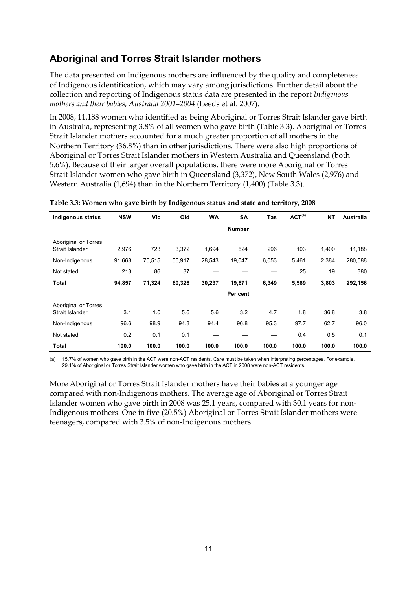## **Aboriginal and Torres Strait Islander mothers**

The data presented on Indigenous mothers are influenced by the quality and completeness of Indigenous identification, which may vary among jurisdictions. Further detail about the collection and reporting of Indigenous status data are presented in the report *Indigenous mothers and their babies, Australia 2001–2004* (Leeds et al. 2007).

In 2008, 11,188 women who identified as being Aboriginal or Torres Strait Islander gave birth in Australia, representing 3.8% of all women who gave birth (Table 3.3). Aboriginal or Torres Strait Islander mothers accounted for a much greater proportion of all mothers in the Northern Territory (36.8%) than in other jurisdictions. There were also high proportions of Aboriginal or Torres Strait Islander mothers in Western Australia and Queensland (both 5.6%). Because of their larger overall populations, there were more Aboriginal or Torres Strait Islander women who gave birth in Queensland (3,372), New South Wales (2,976) and Western Australia (1,694) than in the Northern Territory (1,400) (Table 3.3).

| Indigenous status                              | <b>NSW</b> | Vic    | Qld    | <b>WA</b> | <b>SA</b>     | Tas   | ACT <sup>(a)</sup> | <b>NT</b> | <b>Australia</b> |
|------------------------------------------------|------------|--------|--------|-----------|---------------|-------|--------------------|-----------|------------------|
|                                                |            |        |        |           | <b>Number</b> |       |                    |           |                  |
| Aboriginal or Torres<br>Strait Islander        | 2,976      | 723    | 3,372  | 1,694     | 624           | 296   | 103                | 1,400     | 11,188           |
| Non-Indigenous                                 | 91,668     | 70,515 | 56,917 | 28,543    | 19,047        | 6,053 | 5,461              | 2,384     | 280,588          |
| Not stated                                     | 213        | 86     | 37     |           |               |       | 25                 | 19        | 380              |
| <b>Total</b>                                   | 94,857     | 71,324 | 60,326 | 30,237    | 19,671        | 6,349 | 5,589              | 3,803     | 292,156          |
|                                                |            |        |        |           | Per cent      |       |                    |           |                  |
| <b>Aboriginal or Torres</b><br>Strait Islander | 3.1        | 1.0    | 5.6    | 5.6       | 3.2           | 4.7   | 1.8                | 36.8      | 3.8              |
| Non-Indigenous                                 | 96.6       | 98.9   | 94.3   | 94.4      | 96.8          | 95.3  | 97.7               | 62.7      | 96.0             |
| Not stated                                     | 0.2        | 0.1    | 0.1    |           |               |       | 0.4                | 0.5       | 0.1              |
| Total                                          | 100.0      | 100.0  | 100.0  | 100.0     | 100.0         | 100.0 | 100.0              | 100.0     | 100.0            |

**Table 3.3: Women who gave birth by Indigenous status and state and territory, 2008** 

(a) 15.7% of women who gave birth in the ACT were non-ACT residents. Care must be taken when interpreting percentages. For example, 29.1% of Aboriginal or Torres Strait Islander women who gave birth in the ACT in 2008 were non-ACT residents.

More Aboriginal or Torres Strait Islander mothers have their babies at a younger age compared with non-Indigenous mothers. The average age of Aboriginal or Torres Strait Islander women who gave birth in 2008 was 25.1 years, compared with 30.1 years for non-Indigenous mothers. One in five (20.5%) Aboriginal or Torres Strait Islander mothers were teenagers, compared with 3.5% of non-Indigenous mothers.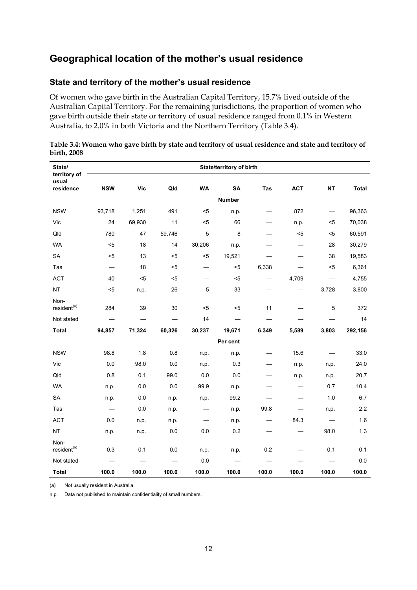### **Geographical location of the mother's usual residence**

#### **State and territory of the mother's usual residence**

Of women who gave birth in the Australian Capital Territory, 15.7% lived outside of the Australian Capital Territory. For the remaining jurisdictions, the proportion of women who gave birth outside their state or territory of usual residence ranged from 0.1% in Western Australia, to 2.0% in both Victoria and the Northern Territory (Table 3.4).

| State/<br>territory of          |                                  |        |        |                                  | <b>State/territory of birth</b> |                          |            |           |              |
|---------------------------------|----------------------------------|--------|--------|----------------------------------|---------------------------------|--------------------------|------------|-----------|--------------|
| usual<br>residence              | <b>NSW</b>                       | Vic    | Qld    | <b>WA</b>                        | SA                              | Tas                      | <b>ACT</b> | <b>NT</b> | <b>Total</b> |
|                                 |                                  |        |        |                                  | <b>Number</b>                   |                          |            |           |              |
| <b>NSW</b>                      | 93,718                           | 1,251  | 491    | $5$                              | n.p.                            |                          | 872        |           | 96,363       |
| Vic                             | 24                               | 69,930 | 11     | $5$                              | 66                              | $\overline{\phantom{0}}$ | n.p.       | $5$       | 70,038       |
| Qld                             | 780                              | 47     | 59,746 | 5                                | 8                               |                          | $5$        | $5$       | 60,591       |
| <b>WA</b>                       | $5$                              | 18     | 14     | 30,206                           | n.p.                            |                          |            | 28        | 30,279       |
| SA                              | $5$                              | 13     | $5$    | $5$                              | 19,521                          |                          |            | 38        | 19,583       |
| Tas                             | $\overbrace{\phantom{12321111}}$ | 18     | $5$    |                                  | $5$                             | 6,338                    |            | $5$       | 6,361        |
| <b>ACT</b>                      | 40                               | $5$    | $5$    |                                  | $5$                             |                          | 4,709      |           | 4,755        |
| <b>NT</b>                       | $5$                              | n.p.   | 26     | 5                                | 33                              |                          |            | 3,728     | 3,800        |
| Non-<br>resident <sup>(a)</sup> | 284                              | 39     | 30     | $5$                              | $5$                             | 11                       |            | 5         | 372          |
| Not stated                      |                                  |        |        | 14                               |                                 |                          |            |           | 14           |
| <b>Total</b>                    | 94,857                           | 71,324 | 60,326 | 30,237                           | 19,671                          | 6,349                    | 5,589      | 3,803     | 292,156      |
|                                 |                                  |        |        |                                  | Per cent                        |                          |            |           |              |
| <b>NSW</b>                      | 98.8                             | 1.8    | 0.8    | n.p.                             | n.p.                            |                          | 15.6       |           | 33.0         |
| Vic                             | 0.0                              | 98.0   | 0.0    | n.p.                             | 0.3                             |                          | n.p.       | n p.      | 24.0         |
| Qld                             | 0.8                              | 0.1    | 99.0   | 0.0                              | 0.0                             |                          | n.p.       | n.p.      | 20.7         |
| <b>WA</b>                       | n.p.                             | 0.0    | 0.0    | 99.9                             | n.p.                            |                          |            | 0.7       | 10.4         |
| SA                              | n.p.                             | 0.0    | n.p.   | n.p.                             | 99.2                            |                          |            | 1.0       | 6.7          |
| Tas                             | $\overline{\phantom{m}}$         | 0.0    | n.p.   | $\overbrace{\phantom{12321111}}$ | n.p.                            | 99.8                     |            | n.p.      | 2.2          |
| <b>ACT</b>                      | 0.0                              | n.p.   | n.p.   |                                  | n.p.                            |                          | 84.3       |           | 1.6          |
| NT                              | n.p.                             | n.p.   | 0.0    | 0.0                              | 0.2                             |                          |            | 98.0      | 1.3          |
| Non-<br>resident <sup>(a)</sup> | 0.3                              | 0.1    | 0.0    | n.p.                             | n.p.                            | 0.2                      |            | 0.1       | 0.1          |
| Not stated                      |                                  |        |        | 0.0                              |                                 |                          |            |           | 0.0          |
| <b>Total</b>                    | 100.0                            | 100.0  | 100.0  | 100.0                            | 100.0                           | 100.0                    | 100.0      | 100.0     | 100.0        |

#### **Table 3.4: Women who gave birth by state and territory of usual residence and state and territory of birth, 2008**

(a) Not usually resident in Australia.

n.p. Data not published to maintain confidentiality of small numbers.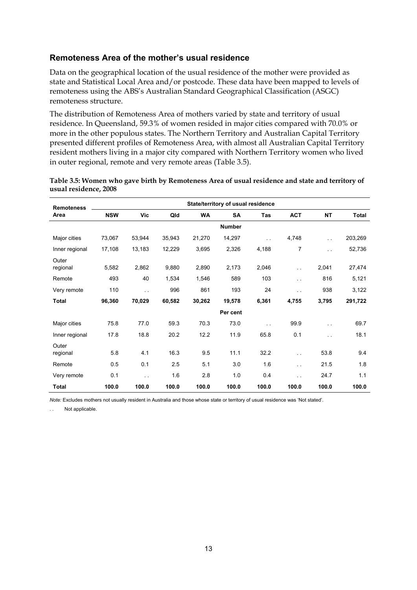#### **Remoteness Area of the mother's usual residence**

Data on the geographical location of the usual residence of the mother were provided as state and Statistical Local Area and/or postcode. These data have been mapped to levels of remoteness using the ABS's Australian Standard Geographical Classification (ASGC) remoteness structure.

The distribution of Remoteness Area of mothers varied by state and territory of usual residence. In Queensland, 59.3% of women resided in major cities compared with 70.0% or more in the other populous states. The Northern Territory and Australian Capital Territory presented different profiles of Remoteness Area, with almost all Australian Capital Territory resident mothers living in a major city compared with Northern Territory women who lived in outer regional, remote and very remote areas (Table 3.5).

| <b>Remoteness</b> |            |                      |        |           | State/territory of usual residence |                       |                      |                      |         |
|-------------------|------------|----------------------|--------|-----------|------------------------------------|-----------------------|----------------------|----------------------|---------|
| Area              | <b>NSW</b> | Vic                  | Qld    | <b>WA</b> | SA                                 | Tas                   | <b>ACT</b>           | <b>NT</b>            | Total   |
|                   |            |                      |        |           | <b>Number</b>                      |                       |                      |                      |         |
| Major cities      | 73,067     | 53,944               | 35,943 | 21,270    | 14,297                             | $\bar{L}$ , $\bar{L}$ | 4,748                | $\ddotsc$            | 203,269 |
| Inner regional    | 17,108     | 13,183               | 12,229 | 3,695     | 2,326                              | 4,188                 | $\overline{7}$       | $\ddot{\phantom{a}}$ | 52,736  |
| Outer<br>regional | 5,582      | 2,862                | 9,880  | 2,890     | 2,173                              | 2,046                 | $\sim$ $\sim$        | 2,041                | 27,474  |
| Remote            | 493        | 40                   | 1,534  | 1,546     | 589                                | 103                   | $\ddotsc$            | 816                  | 5,121   |
| Very remote       | 110        | $\ddot{\phantom{a}}$ | 996    | 861       | 193                                | 24                    | $\sim$ $\sim$        | 938                  | 3,122   |
| Total             | 96,360     | 70,029               | 60,582 | 30,262    | 19,578                             | 6,361                 | 4,755                | 3,795                | 291,722 |
|                   |            |                      |        |           | Per cent                           |                       |                      |                      |         |
| Major cities      | 75.8       | 77.0                 | 59.3   | 70.3      | 73.0                               | $\ddot{\phantom{a}}$  | 99.9                 | $\ddotsc$            | 69.7    |
| Inner regional    | 17.8       | 18.8                 | 20.2   | 12.2      | 11.9                               | 65.8                  | 0.1                  | $\ddot{\phantom{a}}$ | 18.1    |
| Outer<br>regional | 5.8        | 4.1                  | 16.3   | 9.5       | 11.1                               | 32.2                  | $\ddot{\phantom{a}}$ | 53.8                 | 9.4     |
| Remote            | 0.5        | 0.1                  | 2.5    | 5.1       | 3.0                                | 1.6                   | $\ddotsc$            | 21.5                 | 1.8     |
| Very remote       | 0.1        | $\ddot{\phantom{1}}$ | 1.6    | 2.8       | 1.0                                | 0.4                   | $\ddotsc$            | 24.7                 | 1.1     |
| <b>Total</b>      | 100.0      | 100.0                | 100.0  | 100.0     | 100.0                              | 100.0                 | 100.0                | 100.0                | 100.0   |

| Table 3.5: Women who gave birth by Remoteness Area of usual residence and state and territory of |  |
|--------------------------------------------------------------------------------------------------|--|
| usual residence, 2008                                                                            |  |

*Note:* Excludes mothers not usually resident in Australia and those whose state or territory of usual residence was 'Not stated'.

. . Not applicable.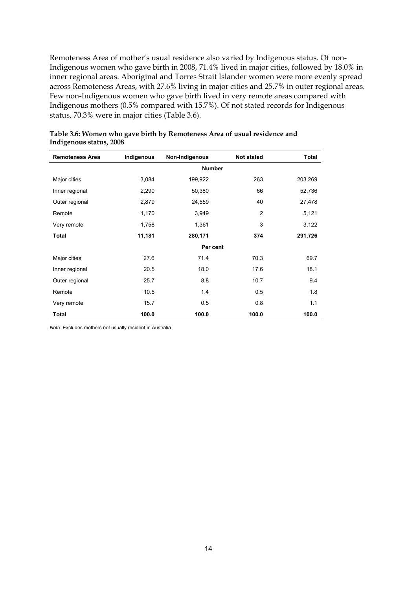Remoteness Area of mother's usual residence also varied by Indigenous status. Of non-Indigenous women who gave birth in 2008, 71.4% lived in major cities, followed by 18.0% in inner regional areas. Aboriginal and Torres Strait Islander women were more evenly spread across Remoteness Areas, with 27.6% living in major cities and 25.7% in outer regional areas. Few non-Indigenous women who gave birth lived in very remote areas compared with Indigenous mothers (0.5% compared with 15.7%). Of not stated records for Indigenous status, 70.3% were in major cities (Table 3.6).

| <b>Remoteness Area</b> | Indigenous | Non-Indigenous | <b>Not stated</b> | <b>Total</b> |
|------------------------|------------|----------------|-------------------|--------------|
|                        |            |                | <b>Number</b>     |              |
| Major cities           | 3,084      | 199,922        | 263               | 203,269      |
| Inner regional         | 2,290      | 50,380         | 66                | 52,736       |
| Outer regional         | 2,879      | 24,559         | 40                | 27,478       |
| Remote                 | 1,170      | 3,949          | $\overline{2}$    | 5,121        |
| Very remote            | 1,758      | 1,361          | 3                 | 3,122        |
| Total                  | 11,181     | 280,171        | 374               | 291,726      |
|                        |            |                | Per cent          |              |
| Major cities           | 27.6       | 71.4           | 70.3              | 69.7         |
| Inner regional         | 20.5       | 18.0           | 17.6              | 18.1         |
| Outer regional         | 25.7       | 8.8            | 10.7              | 9.4          |
| Remote                 | 10.5       | 1.4            | 0.5               | 1.8          |
| Very remote            | 15.7       | 0.5            | 0.8               | 1.1          |
| Total                  | 100.0      | 100.0          | 100.0             | 100.0        |

| Table 3.6: Women who gave birth by Remoteness Area of usual residence and |  |  |  |
|---------------------------------------------------------------------------|--|--|--|
| Indigenous status, 2008                                                   |  |  |  |

*Note:* Excludes mothers not usually resident in Australia.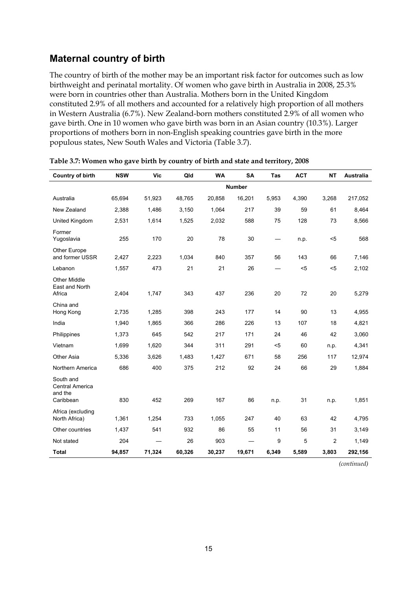### **Maternal country of birth**

The country of birth of the mother may be an important risk factor for outcomes such as low birthweight and perinatal mortality. Of women who gave birth in Australia in 2008, 25.3% were born in countries other than Australia. Mothers born in the United Kingdom constituted 2.9% of all mothers and accounted for a relatively high proportion of all mothers in Western Australia (6.7%). New Zealand-born mothers constituted 2.9% of all women who gave birth. One in 10 women who gave birth was born in an Asian country (10.3%). Larger proportions of mothers born in non-English speaking countries gave birth in the more populous states, New South Wales and Victoria (Table 3.7).

| <b>Country of birth</b>                                     | <b>NSW</b> | <b>Vic</b> | Qld    | <b>WA</b> | <b>SA</b>     | <b>Tas</b> | <b>ACT</b> | <b>NT</b>      | Australia |
|-------------------------------------------------------------|------------|------------|--------|-----------|---------------|------------|------------|----------------|-----------|
|                                                             |            |            |        |           | <b>Number</b> |            |            |                |           |
| Australia                                                   | 65,694     | 51,923     | 48,765 | 20,858    | 16,201        | 5,953      | 4,390      | 3,268          | 217,052   |
| New Zealand                                                 | 2,388      | 1.486      | 3,150  | 1,064     | 217           | 39         | 59         | 61             | 8,464     |
| United Kingdom                                              | 2,531      | 1,614      | 1,525  | 2,032     | 588           | 75         | 128        | 73             | 8,566     |
| Former<br>Yugoslavia                                        | 255        | 170        | 20     | 78        | 30            |            | n.p.       | $5$            | 568       |
| Other Europe<br>and former USSR                             | 2,427      | 2,223      | 1,034  | 840       | 357           | 56         | 143        | 66             | 7,146     |
| Lebanon                                                     | 1,557      | 473        | 21     | 21        | 26            |            | $5$        | $5$            | 2,102     |
| <b>Other Middle</b><br>East and North<br>Africa             | 2,404      | 1,747      | 343    | 437       | 236           | 20         | 72         | 20             | 5,279     |
| China and<br>Hong Kong                                      | 2,735      | 1,285      | 398    | 243       | 177           | 14         | 90         | 13             | 4,955     |
| India                                                       | 1,940      | 1,865      | 366    | 286       | 226           | 13         | 107        | 18             | 4,821     |
| Philippines                                                 | 1,373      | 645        | 542    | 217       | 171           | 24         | 46         | 42             | 3,060     |
| Vietnam                                                     | 1,699      | 1,620      | 344    | 311       | 291           | $5$        | 60         | n.p.           | 4,341     |
| Other Asia                                                  | 5,336      | 3,626      | 1,483  | 1,427     | 671           | 58         | 256        | 117            | 12,974    |
| Northern America                                            | 686        | 400        | 375    | 212       | 92            | 24         | 66         | 29             | 1,884     |
| South and<br><b>Central America</b><br>and the<br>Caribbean | 830        | 452        | 269    | 167       | 86            | n.p.       | 31         | n.p.           | 1,851     |
| Africa (excluding<br>North Africa)                          | 1,361      | 1,254      | 733    | 1,055     | 247           | 40         | 63         | 42             | 4,795     |
| Other countries                                             | 1,437      | 541        | 932    | 86        | 55            | 11         | 56         | 31             | 3,149     |
| Not stated                                                  | 204        |            | 26     | 903       |               | 9          | 5          | $\overline{c}$ | 1,149     |
| <b>Total</b>                                                | 94,857     | 71,324     | 60,326 | 30,237    | 19,671        | 6,349      | 5,589      | 3,803          | 292,156   |

|  |  | Table 3.7: Women who gave birth by country of birth and state and territory, 2008 |
|--|--|-----------------------------------------------------------------------------------|
|--|--|-----------------------------------------------------------------------------------|

*(continued)*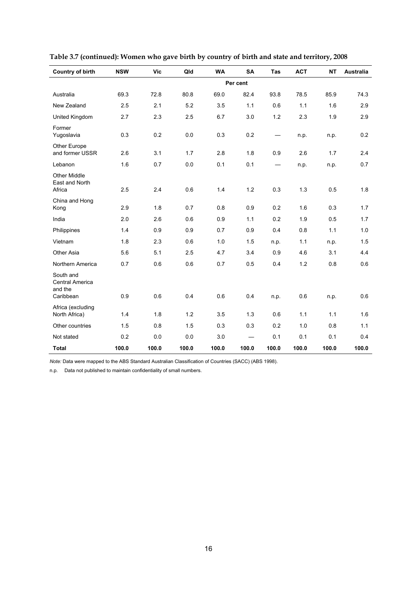| <b>Country of birth</b>                              | <b>NSW</b> | <b>Vic</b> | Qld   | <b>WA</b> | SA       | <b>Tas</b> | <b>ACT</b> | <b>NT</b> | <b>Australia</b> |
|------------------------------------------------------|------------|------------|-------|-----------|----------|------------|------------|-----------|------------------|
|                                                      |            |            |       |           | Per cent |            |            |           |                  |
| Australia                                            | 69.3       | 72.8       | 80.8  | 69.0      | 82.4     | 93.8       | 78.5       | 85.9      | 74.3             |
| New Zealand                                          | 2.5        | 2.1        | 5.2   | 3.5       | 1.1      | 0.6        | 1.1        | 1.6       | 2.9              |
| United Kingdom                                       | 2.7        | 2.3        | 2.5   | 6.7       | 3.0      | 1.2        | 2.3        | 1.9       | 2.9              |
| Former<br>Yugoslavia                                 | 0.3        | 0.2        | 0.0   | 0.3       | 0.2      |            | n.p.       | n.p.      | 0.2              |
| Other Europe<br>and former USSR                      | 2.6        | 3.1        | 1.7   | 2.8       | 1.8      | 0.9        | 2.6        | 1.7       | 2.4              |
| Lebanon                                              | 1.6        | 0.7        | 0.0   | 0.1       | 0.1      |            | n.p.       | n.p.      | 0.7              |
| <b>Other Middle</b><br>East and North<br>Africa      | 2.5        | 2.4        | 0.6   | 1.4       | 1.2      | 0.3        | 1.3        | 0.5       | 1.8              |
| China and Hong<br>Kong                               | 2.9        | 1.8        | 0.7   | 0.8       | 0.9      | 0.2        | 1.6        | 0.3       | 1.7              |
| India                                                | 2.0        | 2.6        | 0.6   | 0.9       | 1.1      | 0.2        | 1.9        | 0.5       | 1.7              |
| Philippines                                          | 1.4        | 0.9        | 0.9   | 0.7       | 0.9      | 0.4        | 0.8        | 1.1       | 1.0              |
| Vietnam                                              | 1.8        | 2.3        | 0.6   | 1.0       | 1.5      | n.p.       | 1.1        | n.p.      | 1.5              |
| Other Asia                                           | 5.6        | 5.1        | 2.5   | 4.7       | 3.4      | 0.9        | 4.6        | 3.1       | 4.4              |
| Northern America                                     | 0.7        | 0.6        | 0.6   | 0.7       | 0.5      | 0.4        | 1.2        | 0.8       | 0.6              |
| South and<br>Central America<br>and the<br>Caribbean | 0.9        | 0.6        | 0.4   | 0.6       | 0.4      | n.p.       | 0.6        | n.p.      | 0.6              |
| Africa (excluding<br>North Africa)                   | 1.4        | 1.8        | 1.2   | 3.5       | 1.3      | 0.6        | 1.1        | 1.1       | 1.6              |
| Other countries                                      | 1.5        | 0.8        | 1.5   | 0.3       | 0.3      | 0.2        | 1.0        | 0.8       | 1.1              |
| Not stated                                           | 0.2        | 0.0        | 0.0   | 3.0       |          | 0.1        | 0.1        | 0.1       | 0.4              |
| <b>Total</b>                                         | 100.0      | 100.0      | 100.0 | 100.0     | 100.0    | 100.0      | 100.0      | 100.0     | 100.0            |

**Table 3.7 (continued): Women who gave birth by country of birth and state and territory, 2008** 

*Note:* Data were mapped to the ABS Standard Australian Classification of Countries (SACC) (ABS 1998).

n.p. Data not published to maintain confidentiality of small numbers.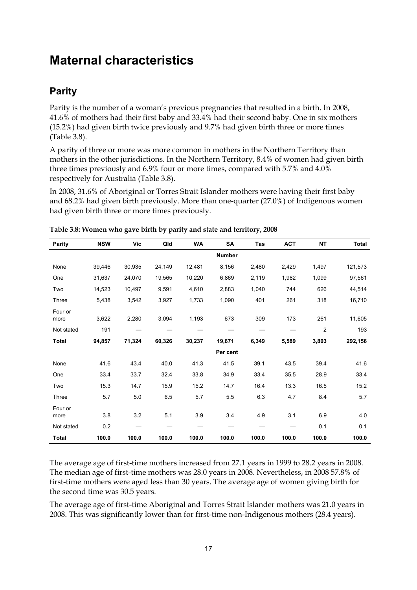## <span id="page-24-0"></span>**Maternal characteristics**

## **Parity**

Parity is the number of a woman's previous pregnancies that resulted in a birth. In 2008, 41.6% of mothers had their first baby and 33.4% had their second baby. One in six mothers (15.2%) had given birth twice previously and 9.7% had given birth three or more times (Table 3.8).

A parity of three or more was more common in mothers in the Northern Territory than mothers in the other jurisdictions. In the Northern Territory, 8.4% of women had given birth three times previously and 6.9% four or more times, compared with 5.7% and 4.0% respectively for Australia (Table 3.8).

In 2008, 31.6% of Aboriginal or Torres Strait Islander mothers were having their first baby and 68.2% had given birth previously. More than one-quarter (27.0%) of Indigenous women had given birth three or more times previously.

| Parity          | <b>NSW</b> | Vic    | Qld    | <b>WA</b> | <b>SA</b>     | Tas   | <b>ACT</b> | <b>NT</b>      | <b>Total</b> |
|-----------------|------------|--------|--------|-----------|---------------|-------|------------|----------------|--------------|
|                 |            |        |        |           | <b>Number</b> |       |            |                |              |
| None            | 39,446     | 30,935 | 24,149 | 12,481    | 8,156         | 2,480 | 2,429      | 1,497          | 121,573      |
| One             | 31,637     | 24,070 | 19,565 | 10,220    | 6,869         | 2,119 | 1,982      | 1,099          | 97,561       |
| Two             | 14,523     | 10,497 | 9,591  | 4,610     | 2,883         | 1,040 | 744        | 626            | 44,514       |
| Three           | 5,438      | 3,542  | 3,927  | 1,733     | 1,090         | 401   | 261        | 318            | 16,710       |
| Four or<br>more | 3,622      | 2,280  | 3,094  | 1,193     | 673           | 309   | 173        | 261            | 11,605       |
| Not stated      | 191        |        |        |           |               |       |            | $\overline{c}$ | 193          |
| <b>Total</b>    | 94,857     | 71,324 | 60,326 | 30,237    | 19,671        | 6,349 | 5,589      | 3,803          | 292,156      |
|                 |            |        |        |           | Per cent      |       |            |                |              |
| None            | 41.6       | 43.4   | 40.0   | 41.3      | 41.5          | 39.1  | 43.5       | 39.4           | 41.6         |
| One             | 33.4       | 33.7   | 32.4   | 33.8      | 34.9          | 33.4  | 35.5       | 28.9           | 33.4         |
| Two             | 15.3       | 14.7   | 15.9   | 15.2      | 14.7          | 16.4  | 13.3       | 16.5           | 15.2         |
| Three           | 5.7        | 5.0    | 6.5    | 5.7       | 5.5           | 6.3   | 4.7        | 8.4            | 5.7          |
| Four or<br>more | 3.8        | 3.2    | 5.1    | 3.9       | 3.4           | 4.9   | 3.1        | 6.9            | 4.0          |
| Not stated      | 0.2        |        |        |           |               |       |            | 0.1            | 0.1          |
| <b>Total</b>    | 100.0      | 100.0  | 100.0  | 100.0     | 100.0         | 100.0 | 100.0      | 100.0          | 100.0        |

**Table 3.8: Women who gave birth by parity and state and territory, 2008** 

The average age of first-time mothers increased from 27.1 years in 1999 to 28.2 years in 2008. The median age of first-time mothers was 28.0 years in 2008. Nevertheless, in 2008 57.8% of first-time mothers were aged less than 30 years. The average age of women giving birth for the second time was 30.5 years.

The average age of first-time Aboriginal and Torres Strait Islander mothers was 21.0 years in 2008. This was significantly lower than for first-time non-Indigenous mothers (28.4 years).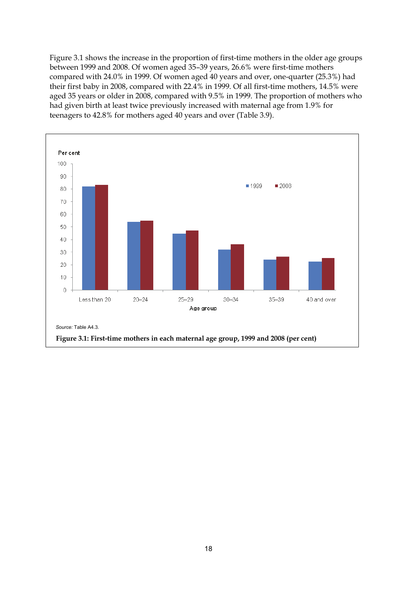Figure 3.1 shows the increase in the proportion of first-time mothers in the older age groups between 1999 and 2008. Of women aged 35–39 years, 26.6% were first-time mothers compared with 24.0% in 1999. Of women aged 40 years and over, one-quarter (25.3%) had their first baby in 2008, compared with 22.4% in 1999. Of all first-time mothers, 14.5% were aged 35 years or older in 2008, compared with 9.5% in 1999. The proportion of mothers who had given birth at least twice previously increased with maternal age from 1.9% for teenagers to 42.8% for mothers aged 40 years and over (Table 3.9).

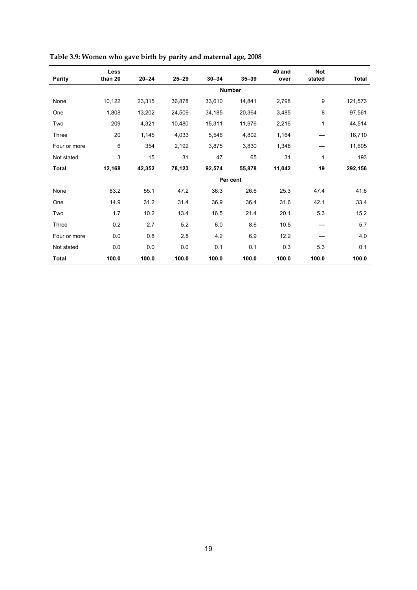|              | Less    |           |           |           |               | 40 and | <b>Not</b> |              |
|--------------|---------|-----------|-----------|-----------|---------------|--------|------------|--------------|
| Parity       | than 20 | $20 - 24$ | $25 - 29$ | $30 - 34$ | $35 - 39$     | over   | stated     | <b>Total</b> |
|              |         |           |           |           | <b>Number</b> |        |            |              |
| None         | 10,122  | 23,315    | 36,878    | 33,610    | 14,841        | 2,798  | 9          | 121,573      |
| One          | 1,808   | 13,202    | 24,509    | 34,185    | 20,364        | 3,485  | 8          | 97,561       |
| Two          | 209     | 4,321     | 10,480    | 15,311    | 11,976        | 2,216  | 1          | 44,514       |
| Three        | 20      | 1,145     | 4,033     | 5,546     | 4,802         | 1,164  |            | 16,710       |
| Four or more | 6       | 354       | 2,192     | 3,875     | 3,830         | 1,348  |            | 11,605       |
| Not stated   | 3       | 15        | 31        | 47        | 65            | 31     | 1          | 193          |
| <b>Total</b> | 12,168  | 42,352    | 78,123    | 92,574    | 55,878        | 11,042 | 19         | 292,156      |
|              |         |           |           |           | Per cent      |        |            |              |
| None         | 83.2    | 55.1      | 47.2      | 36.3      | 26.6          | 25.3   | 47.4       | 41.6         |
| One          | 14.9    | 31.2      | 31.4      | 36.9      | 36.4          | 31.6   | 42.1       | 33.4         |
| Two          | 1.7     | 10.2      | 13.4      | 16.5      | 21.4          | 20.1   | 5.3        | 15.2         |
| Three        | 0.2     | 2.7       | 5.2       | 6.0       | 8.6           | 10.5   |            | 5.7          |
| Four or more | 0.0     | 0.8       | 2.8       | 4.2       | 6.9           | 12.2   |            | 4.0          |
| Not stated   | 0.0     | 0.0       | 0.0       | 0.1       | 0.1           | 0.3    | 5.3        | 0.1          |
| <b>Total</b> | 100.0   | 100.0     | 100.0     | 100.0     | 100.0         | 100.0  | 100.0      | 100.0        |

**Table 3.9: Women who gave birth by parity and maternal age, 2008**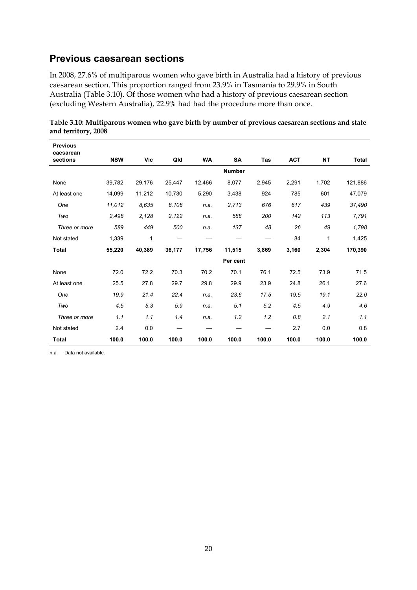### **Previous caesarean sections**

In 2008, 27.6% of multiparous women who gave birth in Australia had a history of previous caesarean section. This proportion ranged from 23.9% in Tasmania to 29.9% in South Australia (Table 3.10). Of those women who had a history of previous caesarean section (excluding Western Australia), 22.9% had had the procedure more than once.

| Table 3.10: Multiparous women who gave birth by number of previous caesarean sections and state |  |  |
|-------------------------------------------------------------------------------------------------|--|--|
| and territory, 2008                                                                             |  |  |

| <b>Previous</b><br>caesarean |            |        |        |           |               |            |            |           |              |
|------------------------------|------------|--------|--------|-----------|---------------|------------|------------|-----------|--------------|
| sections                     | <b>NSW</b> | Vic    | Qld    | <b>WA</b> | <b>SA</b>     | <b>Tas</b> | <b>ACT</b> | <b>NT</b> | <b>Total</b> |
|                              |            |        |        |           | <b>Number</b> |            |            |           |              |
| None                         | 39,782     | 29,176 | 25,447 | 12,466    | 8,077         | 2,945      | 2,291      | 1,702     | 121,886      |
| At least one                 | 14,099     | 11,212 | 10,730 | 5,290     | 3,438         | 924        | 785        | 601       | 47,079       |
| One                          | 11,012     | 8.635  | 8,108  | n.a.      | 2,713         | 676        | 617        | 439       | 37,490       |
| Two                          | 2,498      | 2,128  | 2,122  | n.a.      | 588           | 200        | 142        | 113       | 7,791        |
| Three or more                | 589        | 449    | 500    | n.a.      | 137           | 48         | 26         | 49        | 1,798        |
| Not stated                   | 1,339      | 1      |        |           |               |            | 84         | 1         | 1,425        |
| <b>Total</b>                 | 55,220     | 40,389 | 36,177 | 17,756    | 11,515        | 3,869      | 3,160      | 2,304     | 170,390      |
|                              |            |        |        |           | Per cent      |            |            |           |              |
| None                         | 72.0       | 72.2   | 70.3   | 70.2      | 70.1          | 76.1       | 72.5       | 73.9      | 71.5         |
| At least one                 | 25.5       | 27.8   | 29.7   | 29.8      | 29.9          | 23.9       | 24.8       | 26.1      | 27.6         |
| One                          | 19.9       | 21.4   | 22.4   | n.a.      | 23.6          | 17.5       | 19.5       | 19.1      | 22.0         |
| Two                          | 4.5        | 5.3    | 5.9    | n.a.      | 5.1           | 5.2        | 4.5        | 4.9       | 4.6          |
| Three or more                | 1.1        | 1.1    | 1.4    | n.a.      | 1.2           | 1.2        | 0.8        | 2.1       | 1.1          |
| Not stated                   | 2.4        | 0.0    |        |           |               |            | 2.7        | 0.0       | 0.8          |
| <b>Total</b>                 | 100.0      | 100.0  | 100.0  | 100.0     | 100.0         | 100.0      | 100.0      | 100.0     | 100.0        |

n.a. Data not available.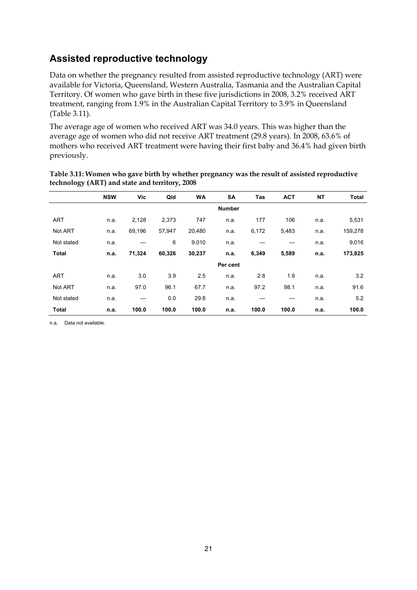### **Assisted reproductive technology**

Data on whether the pregnancy resulted from assisted reproductive technology (ART) were available for Victoria, Queensland, Western Australia, Tasmania and the Australian Capital Territory. Of women who gave birth in these five jurisdictions in 2008, 3.2% received ART treatment, ranging from 1.9% in the Australian Capital Territory to 3.9% in Queensland (Table 3.11).

The average age of women who received ART was 34.0 years. This was higher than the average age of women who did not receive ART treatment (29.8 years). In 2008, 63.6% of mothers who received ART treatment were having their first baby and 36.4% had given birth previously.

|              | <b>NSW</b> | Vic    | Qld    | <b>WA</b> | <b>SA</b>     | Tas   | <b>ACT</b> | <b>NT</b> | <b>Total</b> |
|--------------|------------|--------|--------|-----------|---------------|-------|------------|-----------|--------------|
|              |            |        |        |           | <b>Number</b> |       |            |           |              |
| <b>ART</b>   | n.a.       | 2,128  | 2,373  | 747       | n.a.          | 177   | 106        | n.a.      | 5,531        |
| Not ART      | n.a.       | 69,196 | 57,947 | 20,480    | n.a.          | 6,172 | 5,483      | n.a.      | 159,278      |
| Not stated   | n.a.       |        | 6      | 9,010     | n.a.          |       |            | n.a.      | 9,016        |
| <b>Total</b> | n.a.       | 71,324 | 60,326 | 30,237    | n.a.          | 6,349 | 5,589      | n.a.      | 173,825      |
|              |            |        |        |           | Per cent      |       |            |           |              |
| <b>ART</b>   | n.a.       | 3.0    | 3.9    | 2.5       | n.a.          | 2.8   | 1.9        | n.a.      | 3.2          |
| Not ART      | n.a.       | 97.0   | 96.1   | 67.7      | n.a.          | 97.2  | 98.1       | n.a.      | 91.6         |
| Not stated   | n.a.       |        | 0.0    | 29.8      | n.a.          |       |            | n.a.      | 5.2          |
| <b>Total</b> | n.a.       | 100.0  | 100.0  | 100.0     | n.a.          | 100.0 | 100.0      | n.a.      | 100.0        |

#### **Table 3.11: Women who gave birth by whether pregnancy was the result of assisted reproductive technology (ART) and state and territory, 2008**

n.a. Data not available.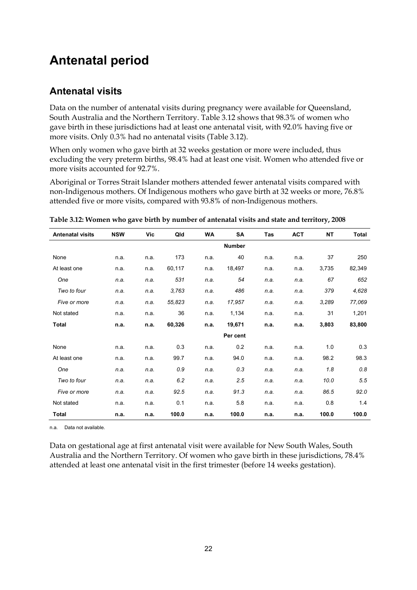# <span id="page-29-0"></span>**Antenatal period**

### **Antenatal visits**

Data on the number of antenatal visits during pregnancy were available for Queensland, South Australia and the Northern Territory. Table 3.12 shows that 98.3% of women who gave birth in these jurisdictions had at least one antenatal visit, with 92.0% having five or more visits. Only 0.3% had no antenatal visits (Table 3.12).

When only women who gave birth at 32 weeks gestation or more were included, thus excluding the very preterm births, 98.4% had at least one visit. Women who attended five or more visits accounted for 92.7%.

Aboriginal or Torres Strait Islander mothers attended fewer antenatal visits compared with non-Indigenous mothers. Of Indigenous mothers who gave birth at 32 weeks or more, 76.8% attended five or more visits, compared with 93.8% of non-Indigenous mothers.

| <b>Antenatal visits</b> | <b>NSW</b> | Vic  | Qld    | <b>WA</b> | SA            | Tas  | <b>ACT</b> | <b>NT</b> | Total  |
|-------------------------|------------|------|--------|-----------|---------------|------|------------|-----------|--------|
|                         |            |      |        |           | <b>Number</b> |      |            |           |        |
| None                    | n.a.       | n.a. | 173    | n.a.      | 40            | n.a. | n.a.       | 37        | 250    |
| At least one            | n.a.       | n.a. | 60,117 | n.a.      | 18,497        | n.a. | n.a.       | 3,735     | 82,349 |
| One                     | n.a.       | n.a. | 531    | n.a.      | 54            | n.a. | n.a.       | 67        | 652    |
| Two to four             | n.a.       | n.a. | 3,763  | n.a.      | 486           | n.a. | n.a.       | 379       | 4,628  |
| Five or more            | n.a.       | n.a. | 55,823 | n.a.      | 17,957        | n.a. | n.a.       | 3,289     | 77,069 |
| Not stated              | n.a.       | n.a. | 36     | n.a.      | 1,134         | n.a. | n.a.       | 31        | 1,201  |
| Total                   | n.a.       | n.a. | 60,326 | n.a.      | 19,671        | n.a. | n.a.       | 3,803     | 83,800 |
|                         |            |      |        |           | Per cent      |      |            |           |        |
| None                    | n.a.       | n.a. | 0.3    | n.a.      | 0.2           | n.a. | n.a.       | 1.0       | 0.3    |
| At least one            | n.a.       | n.a. | 99.7   | n.a.      | 94.0          | n.a. | n.a.       | 98.2      | 98.3   |
| One                     | n.a.       | n.a. | 0.9    | n.a.      | 0.3           | n.a. | n.a.       | 1.8       | 0.8    |
| Two to four             | n.a.       | n.a. | 6.2    | n.a.      | 2.5           | n.a. | n.a.       | 10.0      | 5.5    |
| Five or more            | n.a.       | n.a. | 92.5   | n.a.      | 91.3          | n.a. | n.a.       | 86.5      | 92.0   |
| Not stated              | n.a.       | n.a. | 0.1    | n.a.      | 5.8           | n.a. | n.a.       | 0.8       | 1.4    |
| <b>Total</b>            | n.a.       | n.a. | 100.0  | n.a.      | 100.0         | n.a. | n.a.       | 100.0     | 100.0  |

**Table 3.12: Women who gave birth by number of antenatal visits and state and territory, 2008** 

n.a. Data not available.

Data on gestational age at first antenatal visit were available for New South Wales, South Australia and the Northern Territory. Of women who gave birth in these jurisdictions, 78.4% attended at least one antenatal visit in the first trimester (before 14 weeks gestation).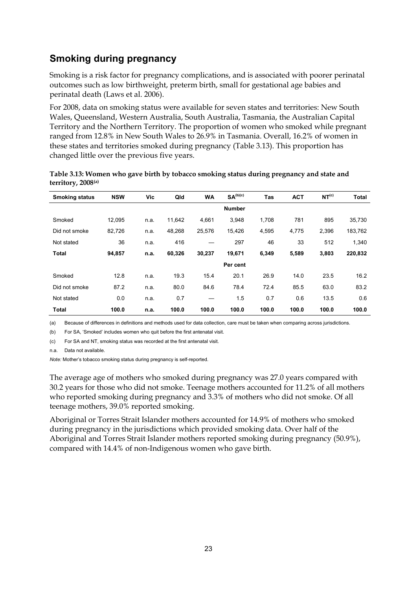### **Smoking during pregnancy**

Smoking is a risk factor for pregnancy complications, and is associated with poorer perinatal outcomes such as low birthweight, preterm birth, small for gestational age babies and perinatal death (Laws et al. 2006).

For 2008, data on smoking status were available for seven states and territories: New South Wales, Queensland, Western Australia, South Australia, Tasmania, the Australian Capital Territory and the Northern Territory. The proportion of women who smoked while pregnant ranged from 12.8% in New South Wales to 26.9% in Tasmania. Overall, 16.2% of women in these states and territories smoked during pregnancy (Table 3.13). This proportion has changed little over the previous five years.

| <b>Smoking status</b> | <b>NSW</b> | Vic  | Qld    | <b>WA</b> | SA <sup>(b)(c)</sup> | <b>Tas</b> | <b>ACT</b> | NT <sup>(c)</sup> | <b>Total</b> |
|-----------------------|------------|------|--------|-----------|----------------------|------------|------------|-------------------|--------------|
|                       |            |      |        |           | <b>Number</b>        |            |            |                   |              |
| Smoked                | 12,095     | n.a. | 11,642 | 4,661     | 3,948                | 1,708      | 781        | 895               | 35,730       |
| Did not smoke         | 82,726     | n.a. | 48,268 | 25,576    | 15,426               | 4,595      | 4,775      | 2,396             | 183,762      |
| Not stated            | 36         | n.a. | 416    |           | 297                  | 46         | 33         | 512               | 1,340        |
| <b>Total</b>          | 94,857     | n.a. | 60,326 | 30,237    | 19,671               | 6,349      | 5,589      | 3,803             | 220,832      |
|                       |            |      |        |           | Per cent             |            |            |                   |              |
| Smoked                | 12.8       | n.a. | 19.3   | 15.4      | 20.1                 | 26.9       | 14.0       | 23.5              | 16.2         |
| Did not smoke         | 87.2       | n.a. | 80.0   | 84.6      | 78.4                 | 72.4       | 85.5       | 63.0              | 83.2         |
| Not stated            | 0.0        | n.a. | 0.7    | —         | 1.5                  | 0.7        | 0.6        | 13.5              | 0.6          |
| <b>Total</b>          | 100.0      | n.a. | 100.0  | 100.0     | 100.0                | 100.0      | 100.0      | 100.0             | 100.0        |

**Table 3.13: Women who gave birth by tobacco smoking status during pregnancy and state and territory, 2008(a)**

(a) Because of differences in definitions and methods used for data collection, care must be taken when comparing across jurisdictions.

(b) For SA, 'Smoked' includes women who quit before the first antenatal visit.

(c) For SA and NT, smoking status was recorded at the first antenatal visit.

n.a. Data not available.

*Note:* Mother's tobacco smoking status during pregnancy is self-reported.

The average age of mothers who smoked during pregnancy was 27.0 years compared with 30.2 years for those who did not smoke. Teenage mothers accounted for 11.2% of all mothers who reported smoking during pregnancy and 3.3% of mothers who did not smoke. Of all teenage mothers, 39.0% reported smoking.

Aboriginal or Torres Strait Islander mothers accounted for 14.9% of mothers who smoked during pregnancy in the jurisdictions which provided smoking data. Over half of the Aboriginal and Torres Strait Islander mothers reported smoking during pregnancy (50.9%), compared with 14.4% of non-Indigenous women who gave birth.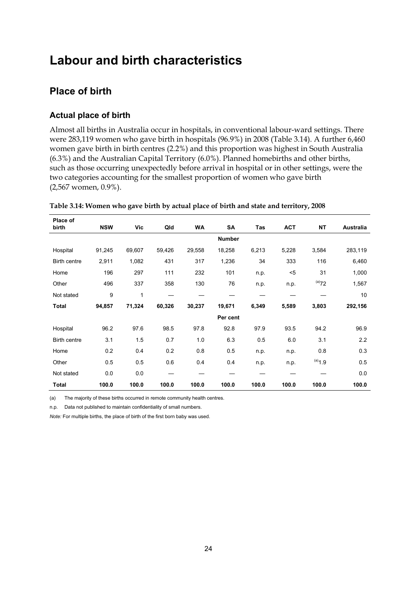## <span id="page-31-0"></span>**Labour and birth characteristics**

## **Place of birth**

#### **Actual place of birth**

Almost all births in Australia occur in hospitals, in conventional labour-ward settings. There were 283,119 women who gave birth in hospitals (96.9%) in 2008 (Table 3.14). A further 6,460 women gave birth in birth centres (2.2%) and this proportion was highest in South Australia (6.3%) and the Australian Capital Territory (6.0%). Planned homebirths and other births, such as those occurring unexpectedly before arrival in hospital or in other settings, were the two categories accounting for the smallest proportion of women who gave birth (2,567 women, 0.9%).

| Place of<br>birth | <b>NSW</b> | Vic    | Qld    | <b>WA</b> | SA            | Tas   | <b>ACT</b> | <b>NT</b>   | Australia |
|-------------------|------------|--------|--------|-----------|---------------|-------|------------|-------------|-----------|
|                   |            |        |        |           | <b>Number</b> |       |            |             |           |
| Hospital          | 91,245     | 69,607 | 59,426 | 29,558    | 18,258        | 6,213 | 5,228      | 3,584       | 283,119   |
| Birth centre      | 2,911      | 1,082  | 431    | 317       | 1,236         | 34    | 333        | 116         | 6,460     |
| Home              | 196        | 297    | 111    | 232       | 101           | n.p.  | $5$        | 31          | 1,000     |
| Other             | 496        | 337    | 358    | 130       | 76            | n.p.  | n.p.       | $(a)$ 72    | 1,567     |
| Not stated        | 9          | 1      |        |           |               |       |            |             | 10        |
| Total             | 94,857     | 71,324 | 60,326 | 30,237    | 19,671        | 6,349 | 5,589      | 3,803       | 292,156   |
|                   |            |        |        |           | Per cent      |       |            |             |           |
| Hospital          | 96.2       | 97.6   | 98.5   | 97.8      | 92.8          | 97.9  | 93.5       | 94.2        | 96.9      |
| Birth centre      | 3.1        | 1.5    | 0.7    | 1.0       | 6.3           | 0.5   | 6.0        | 3.1         | 2.2       |
| Home              | 0.2        | 0.4    | 0.2    | 0.8       | 0.5           | n.p.  | n.p.       | 0.8         | 0.3       |
| Other             | 0.5        | 0.5    | 0.6    | 0.4       | 0.4           | n.p.  | n.p.       | $^{(a)}1.9$ | 0.5       |
| Not stated        | 0.0        | 0.0    |        |           |               |       |            |             | 0.0       |
| Total             | 100.0      | 100.0  | 100.0  | 100.0     | 100.0         | 100.0 | 100.0      | 100.0       | 100.0     |

| Table 3.14: Women who gave birth by actual place of birth and state and territory, 2008 |  |  |  |
|-----------------------------------------------------------------------------------------|--|--|--|
|                                                                                         |  |  |  |

(a) The majority of these births occurred in remote community health centres.

n.p. Data not published to maintain confidentiality of small numbers.

*Note:* For multiple births, the place of birth of the first born baby was used.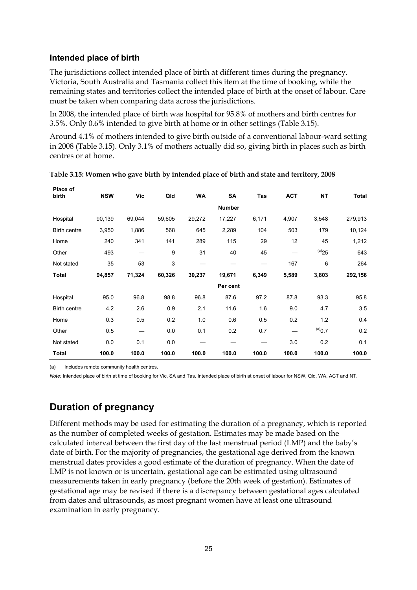#### **Intended place of birth**

The jurisdictions collect intended place of birth at different times during the pregnancy. Victoria, South Australia and Tasmania collect this item at the time of booking, while the remaining states and territories collect the intended place of birth at the onset of labour. Care must be taken when comparing data across the jurisdictions.

In 2008, the intended place of birth was hospital for 95.8% of mothers and birth centres for 3.5%. Only 0.6% intended to give birth at home or in other settings (Table 3.15).

Around 4.1% of mothers intended to give birth outside of a conventional labour-ward setting in 2008 (Table 3.15). Only 3.1% of mothers actually did so, giving birth in places such as birth centres or at home.

| Place of<br>birth | <b>NSW</b> | Vic           | Qld    | <b>WA</b> | SA       | Tas   | <b>ACT</b> | NΤ          | <b>Total</b> |  |
|-------------------|------------|---------------|--------|-----------|----------|-------|------------|-------------|--------------|--|
|                   |            | <b>Number</b> |        |           |          |       |            |             |              |  |
| Hospital          | 90,139     | 69,044        | 59,605 | 29,272    | 17,227   | 6,171 | 4,907      | 3,548       | 279,913      |  |
| Birth centre      | 3,950      | 1,886         | 568    | 645       | 2,289    | 104   | 503        | 179         | 10,124       |  |
| Home              | 240        | 341           | 141    | 289       | 115      | 29    | 12         | 45          | 1,212        |  |
| Other             | 493        | —             | 9      | 31        | 40       | 45    |            | $^{(a)}25$  | 643          |  |
| Not stated        | 35         | 53            | 3      | —         |          |       | 167        | 6           | 264          |  |
| <b>Total</b>      | 94,857     | 71,324        | 60,326 | 30,237    | 19,671   | 6,349 | 5,589      | 3,803       | 292,156      |  |
|                   |            |               |        |           | Per cent |       |            |             |              |  |
| Hospital          | 95.0       | 96.8          | 98.8   | 96.8      | 87.6     | 97.2  | 87.8       | 93.3        | 95.8         |  |
| Birth centre      | 4.2        | 2.6           | 0.9    | 2.1       | 11.6     | 1.6   | 9.0        | 4.7         | 3.5          |  |
| Home              | 0.3        | 0.5           | 0.2    | 1.0       | 0.6      | 0.5   | 0.2        | 1.2         | 0.4          |  |
| Other             | 0.5        | —             | 0.0    | 0.1       | 0.2      | 0.7   |            | $^{(a)}0.7$ | 0.2          |  |
| Not stated        | 0.0        | 0.1           | 0.0    |           |          |       | 3.0        | 0.2         | 0.1          |  |
| <b>Total</b>      | 100.0      | 100.0         | 100.0  | 100.0     | 100.0    | 100.0 | 100.0      | 100.0       | 100.0        |  |

(a) Includes remote community health centres.

*Note:* Intended place of birth at time of booking for Vic, SA and Tas. Intended place of birth at onset of labour for NSW, Qld, WA, ACT and NT.

### **Duration of pregnancy**

Different methods may be used for estimating the duration of a pregnancy, which is reported as the number of completed weeks of gestation. Estimates may be made based on the calculated interval between the first day of the last menstrual period (LMP) and the baby's date of birth. For the majority of pregnancies, the gestational age derived from the known menstrual dates provides a good estimate of the duration of pregnancy. When the date of LMP is not known or is uncertain, gestational age can be estimated using ultrasound measurements taken in early pregnancy (before the 20th week of gestation). Estimates of gestational age may be revised if there is a discrepancy between gestational ages calculated from dates and ultrasounds, as most pregnant women have at least one ultrasound examination in early pregnancy.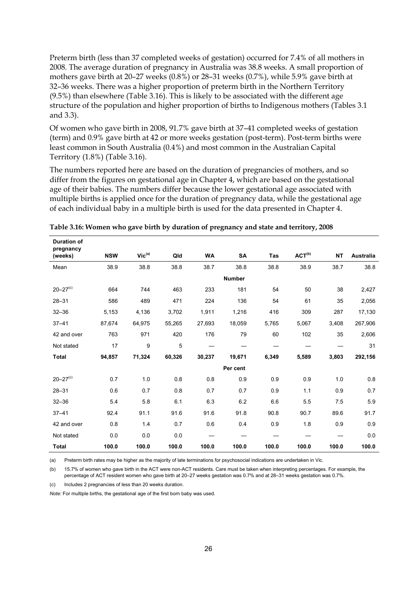Preterm birth (less than 37 completed weeks of gestation) occurred for 7.4% of all mothers in 2008. The average duration of pregnancy in Australia was 38.8 weeks. A small proportion of mothers gave birth at 20–27 weeks (0.8%) or 28–31 weeks (0.7%), while 5.9% gave birth at 32–36 weeks. There was a higher proportion of preterm birth in the Northern Territory (9.5%) than elsewhere (Table 3.16). This is likely to be associated with the different age structure of the population and higher proportion of births to Indigenous mothers (Tables 3.1 and 3.3).

Of women who gave birth in 2008, 91.7% gave birth at 37–41 completed weeks of gestation (term) and 0.9% gave birth at 42 or more weeks gestation (post-term). Post-term births were least common in South Australia (0.4%) and most common in the Australian Capital Territory (1.8%) (Table 3.16).

The numbers reported here are based on the duration of pregnancies of mothers, and so differ from the figures on gestational age in Chapter 4, which are based on the gestational age of their babies. The numbers differ because the lower gestational age associated with multiple births is applied once for the duration of pregnancy data, while the gestational age of each individual baby in a multiple birth is used for the data presented in Chapter 4.

| <b>Duration of</b><br>pregnancy |            |                             |        |           |               |            |                    |           |                  |
|---------------------------------|------------|-----------------------------|--------|-----------|---------------|------------|--------------------|-----------|------------------|
| (weeks)                         | <b>NSW</b> | $\mathsf{Vic}^\mathsf{(a)}$ | Qld    | <b>WA</b> | <b>SA</b>     | <b>Tas</b> | ACT <sup>(b)</sup> | <b>NT</b> | <b>Australia</b> |
| Mean                            | 38.9       | 38.8                        | 38.8   | 38.7      | 38.8          | 38.8       | 38.9               | 38.7      | 38.8             |
|                                 |            |                             |        |           | <b>Number</b> |            |                    |           |                  |
| $20 - 27$ <sup>(c)</sup>        | 664        | 744                         | 463    | 233       | 181           | 54         | 50                 | 38        | 2,427            |
| $28 - 31$                       | 586        | 489                         | 471    | 224       | 136           | 54         | 61                 | 35        | 2,056            |
| $32 - 36$                       | 5,153      | 4,136                       | 3,702  | 1,911     | 1,216         | 416        | 309                | 287       | 17,130           |
| $37 - 41$                       | 87,674     | 64,975                      | 55,265 | 27,693    | 18,059        | 5,765      | 5,067              | 3,408     | 267,906          |
| 42 and over                     | 763        | 971                         | 420    | 176       | 79            | 60         | 102                | 35        | 2,606            |
| Not stated                      | 17         | 9                           | 5      |           |               |            |                    |           | 31               |
| <b>Total</b>                    | 94,857     | 71,324                      | 60,326 | 30,237    | 19,671        | 6,349      | 5,589              | 3,803     | 292,156          |
|                                 |            |                             |        |           | Per cent      |            |                    |           |                  |
| $20 - 27$ <sup>(c)</sup>        | 0.7        | 1.0                         | 0.8    | 0.8       | 0.9           | 0.9        | 0.9                | 1.0       | 0.8              |
| $28 - 31$                       | 0.6        | 0.7                         | 0.8    | 0.7       | 0.7           | 0.9        | 1.1                | 0.9       | 0.7              |
| $32 - 36$                       | 5.4        | 5.8                         | 6.1    | 6.3       | 6.2           | 6.6        | 5.5                | 7.5       | 5.9              |
| $37 - 41$                       | 92.4       | 91.1                        | 91.6   | 91.6      | 91.8          | 90.8       | 90.7               | 89.6      | 91.7             |
| 42 and over                     | 0.8        | 1.4                         | 0.7    | 0.6       | 0.4           | 0.9        | 1.8                | 0.9       | 0.9              |
| Not stated                      | 0.0        | 0.0                         | 0.0    |           |               |            |                    |           | 0.0              |
| <b>Total</b>                    | 100.0      | 100.0                       | 100.0  | 100.0     | 100.0         | 100.0      | 100.0              | 100.0     | 100.0            |

**Table 3.16: Women who gave birth by duration of pregnancy and state and territory, 2008** 

(a) Preterm birth rates may be higher as the majority of late terminations for psychosocial indications are undertaken in Vic.

(b) 15.7% of women who gave birth in the ACT were non-ACT residents. Care must be taken when interpreting percentages. For example, the percentage of ACT resident women who gave birth at 20–27 weeks gestation was 0.7% and at 28–31 weeks gestation was 0.7%.

(c) Includes 2 pregnancies of less than 20 weeks duration.

*Note:* For multiple births, the gestational age of the first born baby was used.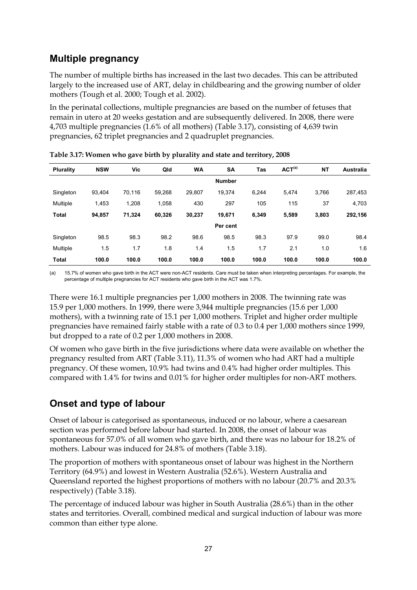## **Multiple pregnancy**

The number of multiple births has increased in the last two decades. This can be attributed largely to the increased use of ART, delay in childbearing and the growing number of older mothers (Tough et al. 2000; Tough et al. 2002).

In the perinatal collections, multiple pregnancies are based on the number of fetuses that remain in utero at 20 weeks gestation and are subsequently delivered. In 2008, there were 4,703 multiple pregnancies (1.6% of all mothers) (Table 3.17), consisting of 4,639 twin pregnancies, 62 triplet pregnancies and 2 quadruplet pregnancies.

| <b>Plurality</b> | <b>NSW</b> | Vic    | Qld    | <b>WA</b> | <b>SA</b>     | <b>Tas</b> | ACT <sup>(a)</sup> | <b>NT</b> | <b>Australia</b> |
|------------------|------------|--------|--------|-----------|---------------|------------|--------------------|-----------|------------------|
|                  |            |        |        |           | <b>Number</b> |            |                    |           |                  |
| Singleton        | 93.404     | 70.116 | 59,268 | 29.807    | 19.374        | 6.244      | 5,474              | 3.766     | 287,453          |
| Multiple         | 1.453      | 1.208  | 1,058  | 430       | 297           | 105        | 115                | 37        | 4,703            |
| <b>Total</b>     | 94,857     | 71,324 | 60,326 | 30,237    | 19,671        | 6,349      | 5,589              | 3.803     | 292,156          |
|                  |            |        |        |           | Per cent      |            |                    |           |                  |
| Singleton        | 98.5       | 98.3   | 98.2   | 98.6      | 98.5          | 98.3       | 97.9               | 99.0      | 98.4             |
| Multiple         | 1.5        | 1.7    | 1.8    | 1.4       | 1.5           | 1.7        | 2.1                | 1.0       | 1.6              |
| <b>Total</b>     | 100.0      | 100.0  | 100.0  | 100.0     | 100.0         | 100.0      | 100.0              | 100.0     | 100.0            |

|  |  | Table 3.17: Women who gave birth by plurality and state and territory, 2008 |
|--|--|-----------------------------------------------------------------------------|
|--|--|-----------------------------------------------------------------------------|

(a) 15.7% of women who gave birth in the ACT were non-ACT residents. Care must be taken when interpreting percentages. For example, the percentage of multiple pregnancies for ACT residents who gave birth in the ACT was 1.7%.

There were 16.1 multiple pregnancies per 1,000 mothers in 2008. The twinning rate was 15.9 per 1,000 mothers. In 1999, there were 3,944 multiple pregnancies (15.6 per 1,000 mothers), with a twinning rate of 15.1 per 1,000 mothers. Triplet and higher order multiple pregnancies have remained fairly stable with a rate of 0.3 to 0.4 per 1,000 mothers since 1999, but dropped to a rate of 0.2 per 1,000 mothers in 2008.

Of women who gave birth in the five jurisdictions where data were available on whether the pregnancy resulted from ART (Table 3.11), 11.3% of women who had ART had a multiple pregnancy. Of these women, 10.9% had twins and 0.4% had higher order multiples. This compared with 1.4% for twins and 0.01% for higher order multiples for non-ART mothers.

## **Onset and type of labour**

Onset of labour is categorised as spontaneous, induced or no labour, where a caesarean section was performed before labour had started. In 2008, the onset of labour was spontaneous for 57.0% of all women who gave birth, and there was no labour for 18.2% of mothers. Labour was induced for 24.8% of mothers (Table 3.18).

The proportion of mothers with spontaneous onset of labour was highest in the Northern Territory (64.9%) and lowest in Western Australia (52.6%). Western Australia and Queensland reported the highest proportions of mothers with no labour (20.7% and 20.3% respectively) (Table 3.18).

The percentage of induced labour was higher in South Australia (28.6%) than in the other states and territories. Overall, combined medical and surgical induction of labour was more common than either type alone.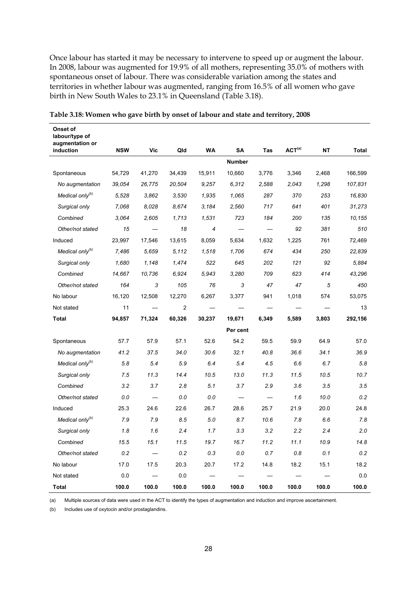Once labour has started it may be necessary to intervene to speed up or augment the labour. In 2008, labour was augmented for 19.9% of all mothers, representing 35.0% of mothers with spontaneous onset of labour. There was considerable variation among the states and territories in whether labour was augmented, ranging from 16.5% of all women who gave birth in New South Wales to 23.1% in Queensland (Table 3.18).

| labour/type of<br>augmentation or<br>induction | <b>NSW</b> | <b>Vic</b> | Qld            | WA     | SA            | Tas   | ACT <sup>(a)</sup> | <b>NT</b> | Total   |
|------------------------------------------------|------------|------------|----------------|--------|---------------|-------|--------------------|-----------|---------|
|                                                |            |            |                |        | <b>Number</b> |       |                    |           |         |
| Spontaneous                                    | 54,729     | 41,270     | 34,439         | 15,911 | 10,660        | 3,776 | 3,346              | 2,468     | 166,599 |
| No augmentation                                | 39,054     | 26,775     | 20,504         | 9,257  | 6,312         | 2,588 | 2,043              | 1,298     | 107,831 |
| Medical only <sup>(b)</sup>                    | 5,528      | 3,862      | 3,530          | 1,935  | 1,065         | 287   | 370                | 253       | 16,830  |
| Surgical only                                  | 7,068      | 8,028      | 8.674          | 3,184  | 2,560         | 717   | 641                | 401       | 31,273  |
| Combined                                       | 3.064      | 2,605      | 1,713          | 1,531  | 723           | 184   | 200                | 135       | 10,155  |
| Other/not stated                               | 15         |            | 18             | 4      |               |       | 92                 | 381       | 510     |
| Induced                                        | 23,997     | 17,546     | 13,615         | 8,059  | 5,634         | 1,632 | 1,225              | 761       | 72,469  |
| Medical only <sup>(b)</sup>                    | 7.486      | 5.659      |                |        |               |       | 434                |           |         |
|                                                |            |            | 5,112          | 1,518  | 1,706         | 674   |                    | 250       | 22,839  |
| Surgical only                                  | 1,680      | 1,148      | 1,474          | 522    | 645           | 202   | 121                | 92        | 5,884   |
| Combined                                       | 14,667     | 10,736     | 6.924          | 5,943  | 3,280         | 709   | 623                | 414       | 43,296  |
| Other/not stated                               | 164        | 3          | 105            | 76     | 3             | 47    | 47                 | 5         | 450     |
| No labour                                      | 16,120     | 12,508     | 12,270         | 6,267  | 3,377         | 941   | 1,018              | 574       | 53,075  |
| Not stated                                     | 11         |            | $\overline{2}$ |        |               |       |                    |           | 13      |
| Total                                          | 94,857     | 71,324     | 60,326         | 30,237 | 19,671        | 6,349 | 5,589              | 3,803     | 292,156 |
|                                                |            |            |                |        | Per cent      |       |                    |           |         |
| Spontaneous                                    | 57.7       | 57.9       | 57.1           | 52.6   | 54.2          | 59.5  | 59.9               | 64.9      | 57.0    |
| No augmentation                                | 41.2       | 37.5       | 34.0           | 30.6   | 32.1          | 40.8  | 36.6               | 34.1      | 36.9    |
| Medical only <sup>(b)</sup>                    | 5.8        | 5.4        | 5.9            | 6.4    | 5.4           | 4.5   | 6.6                | 6.7       | 5.8     |
| Surgical only                                  | 7.5        | 11.3       | 14.4           | 10.5   | 13.0          | 11.3  | 11.5               | 10.5      | 10.7    |
| Combined                                       | 3.2        | 3.7        | 2.8            | 5.1    | 3.7           | 2.9   | 3.6                | 3.5       | 3.5     |
| Other/not stated                               | 0.0        |            | 0.0            | 0.0    |               |       | 1.6                | 10.0      | 0.2     |
| Induced                                        | 25.3       | 24.6       | 22.6           | 26.7   | 28.6          | 25.7  | 21.9               | 20.0      | 24.8    |
| Medical only <sup>(b)</sup>                    | 7.9        | 7.9        | 8.5            | 5.0    | 8.7           | 10.6  | 7.8                | 6.6       | 7.8     |
| Surgical only                                  | 1.8        | 1.6        | 2.4            | 1.7    | 3.3           | 3.2   | 2.2                | 2.4       | 2.0     |
| Combined                                       | 15.5       | 15.1       | 11.5           | 19.7   | 16.7          | 11.2  | 11.1               | 10.9      | 14.8    |
| Other/not stated                               | 0.2        |            | 0.2            | 0.3    | 0.0           | 0.7   | 0.8                | 0.1       | 0.2     |
| No labour                                      | 17.0       | 17.5       | 20.3           | 20.7   | 17.2          | 14.8  | 18.2               | 15.1      | 18.2    |
| Not stated                                     | 0.0        |            | 0.0            |        |               |       |                    |           | 0.0     |
| Total                                          | 100.0      | 100.0      | 100.0          | 100.0  | 100.0         | 100.0 | 100.0              | 100.0     | 100.0   |

**Table 3.18: Women who gave birth by onset of labour and state and territory, 2008** 

**Onset of** 

(a) Multiple sources of data were used in the ACT to identify the types of augmentation and induction and improve ascertainment.

(b) Includes use of oxytocin and/or prostaglandins.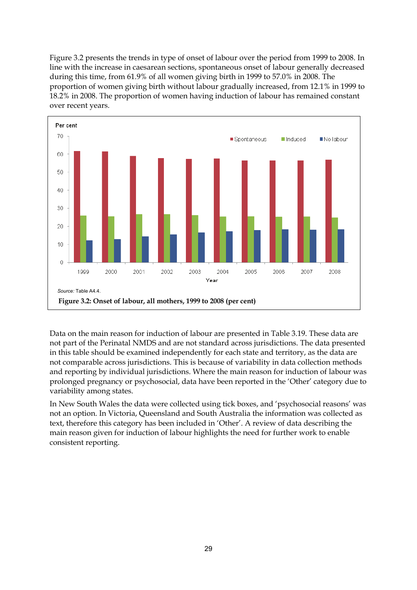Figure 3.2 presents the trends in type of onset of labour over the period from 1999 to 2008. In line with the increase in caesarean sections, spontaneous onset of labour generally decreased during this time, from 61.9% of all women giving birth in 1999 to 57.0% in 2008. The proportion of women giving birth without labour gradually increased, from 12.1% in 1999 to 18.2% in 2008. The proportion of women having induction of labour has remained constant over recent years.



Data on the main reason for induction of labour are presented in Table 3.19. These data are not part of the Perinatal NMDS and are not standard across jurisdictions. The data presented in this table should be examined independently for each state and territory, as the data are not comparable across jurisdictions. This is because of variability in data collection methods and reporting by individual jurisdictions. Where the main reason for induction of labour was prolonged pregnancy or psychosocial, data have been reported in the 'Other' category due to variability among states.

In New South Wales the data were collected using tick boxes, and 'psychosocial reasons' was not an option. In Victoria, Queensland and South Australia the information was collected as text, therefore this category has been included in 'Other'. A review of data describing the main reason given for induction of labour highlights the need for further work to enable consistent reporting.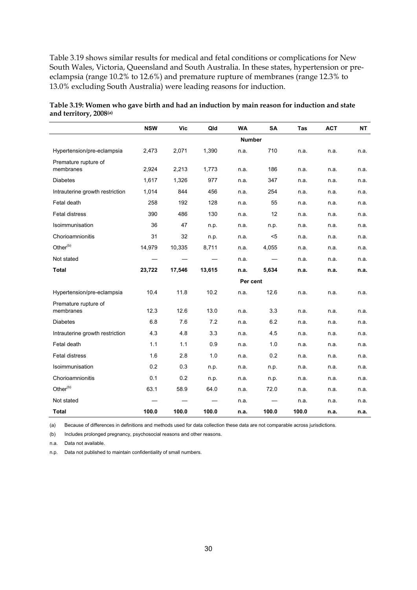Table 3.19 shows similar results for medical and fetal conditions or complications for New South Wales, Victoria, Queensland and South Australia. In these states, hypertension or preeclampsia (range 10.2% to 12.6%) and premature rupture of membranes (range 12.3% to 13.0% excluding South Australia) were leading reasons for induction.

|                                   | <b>NSW</b> | <b>Vic</b> | Qld    | <b>WA</b>     | SA    | Tas   | <b>ACT</b> | <b>NT</b> |
|-----------------------------------|------------|------------|--------|---------------|-------|-------|------------|-----------|
|                                   |            |            |        | <b>Number</b> |       |       |            |           |
| Hypertension/pre-eclampsia        | 2,473      | 2,071      | 1,390  | n.a.          | 710   | n.a.  | n.a.       | n.a.      |
| Premature rupture of<br>membranes | 2,924      | 2,213      | 1,773  | n.a.          | 186   | n.a.  | n.a.       | n.a.      |
| <b>Diabetes</b>                   | 1,617      | 1,326      | 977    | n.a.          | 347   | n.a.  | n.a.       | n.a.      |
| Intrauterine growth restriction   | 1,014      | 844        | 456    | n.a.          | 254   | n.a.  | n.a.       | n.a.      |
| Fetal death                       | 258        | 192        | 128    | n.a.          | 55    | n.a.  | n.a.       | n.a.      |
| <b>Fetal distress</b>             | 390        | 486        | 130    | n.a.          | 12    | n.a.  | n.a.       | n.a.      |
| Isoimmunisation                   | 36         | 47         | n.p.   | n.a.          | n.p.  | n.a.  | n.a.       | n.a.      |
| Chorioamnionitis                  | 31         | 32         | n.p.   | n.a.          | $5$   | n.a.  | n.a.       | n.a.      |
| Other <sup>(b)</sup>              | 14,979     | 10,335     | 8,711  | n.a.          | 4,055 | n.a.  | n.a.       | n.a.      |
| Not stated                        |            |            |        | n.a.          |       | n.a.  | n.a.       | n.a.      |
| <b>Total</b>                      | 23,722     | 17,546     | 13,615 | n.a.          | 5,634 | n.a.  | n.a.       | n.a.      |
|                                   |            |            |        | Per cent      |       |       |            |           |
| Hypertension/pre-eclampsia        | 10.4       | 11.8       | 10.2   | n.a.          | 12.6  | n.a.  | n.a.       | n.a.      |
| Premature rupture of<br>membranes | 12.3       | 12.6       | 13.0   | n.a.          | 3.3   | n.a.  | n.a.       | n.a.      |
| <b>Diabetes</b>                   | 6.8        | 7.6        | 7.2    | n.a.          | 6.2   | n.a.  | n.a.       | n.a.      |
| Intrauterine growth restriction   | 4.3        | 4.8        | 3.3    | n.a.          | 4.5   | n.a.  | n.a.       | n.a.      |
| Fetal death                       | 1.1        | 1.1        | 0.9    | n.a.          | 1.0   | n.a.  | n.a.       | n.a.      |
| <b>Fetal distress</b>             | 1.6        | 2.8        | 1.0    | n.a.          | 0.2   | n.a.  | n.a.       | n.a.      |
| Isoimmunisation                   | 0.2        | 0.3        | n.p.   | n.a.          | n.p.  | n.a.  | n.a.       | n.a.      |
| Chorioamnionitis                  | 0.1        | 0.2        | n.p.   | n.a.          | n.p.  | n.a.  | n.a.       | n.a.      |
| Other <sup>(b)</sup>              | 63.1       | 58.9       | 64.0   | n.a.          | 72.0  | n.a.  | n.a.       | n.a.      |
| Not stated                        |            |            |        | n.a.          |       | n.a.  | n.a.       | n.a.      |
| Total                             | 100.0      | 100.0      | 100.0  | n.a.          | 100.0 | 100.0 | n.a.       | n.a.      |

| Table 3.19: Women who gave birth and had an induction by main reason for induction and state |  |  |
|----------------------------------------------------------------------------------------------|--|--|
| and territory, 2008(a)                                                                       |  |  |

(a) Because of differences in definitions and methods used for data collection these data are not comparable across jurisdictions.

(b) Includes prolonged pregnancy, psychosocial reasons and other reasons.

n.a. Data not available.

n.p. Data not published to maintain confidentiality of small numbers.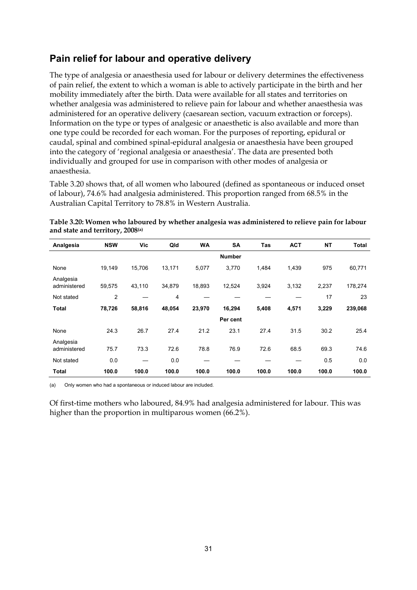#### **Pain relief for labour and operative delivery**

The type of analgesia or anaesthesia used for labour or delivery determines the effectiveness of pain relief, the extent to which a woman is able to actively participate in the birth and her mobility immediately after the birth. Data were available for all states and territories on whether analgesia was administered to relieve pain for labour and whether anaesthesia was administered for an operative delivery (caesarean section, vacuum extraction or forceps). Information on the type or types of analgesic or anaesthetic is also available and more than one type could be recorded for each woman. For the purposes of reporting, epidural or caudal, spinal and combined spinal-epidural analgesia or anaesthesia have been grouped into the category of 'regional analgesia or anaesthesia'. The data are presented both individually and grouped for use in comparison with other modes of analgesia or anaesthesia.

Table 3.20 shows that, of all women who laboured (defined as spontaneous or induced onset of labour), 74.6% had analgesia administered. This proportion ranged from 68.5% in the Australian Capital Territory to 78.8% in Western Australia.

| Table 3.20: Women who laboured by whether analgesia was administered to relieve pain for labour |  |
|-------------------------------------------------------------------------------------------------|--|
| and state and territory, 2008(a)                                                                |  |

| Analgesia                 | <b>NSW</b>     | Vic    | Qld    | <b>WA</b> | <b>SA</b>     | Tas   | <b>ACT</b> | <b>NT</b> | Total   |
|---------------------------|----------------|--------|--------|-----------|---------------|-------|------------|-----------|---------|
|                           |                |        |        |           | <b>Number</b> |       |            |           |         |
| None                      | 19,149         | 15,706 | 13,171 | 5,077     | 3,770         | 1,484 | 1,439      | 975       | 60,771  |
| Analgesia<br>administered | 59,575         | 43,110 | 34,879 | 18,893    | 12,524        | 3,924 | 3,132      | 2,237     | 178,274 |
| Not stated                | $\overline{2}$ |        | 4      |           |               |       |            | 17        | 23      |
| <b>Total</b>              | 78,726         | 58,816 | 48,054 | 23,970    | 16,294        | 5,408 | 4,571      | 3,229     | 239,068 |
|                           |                |        |        |           | Per cent      |       |            |           |         |
| None                      | 24.3           | 26.7   | 27.4   | 21.2      | 23.1          | 27.4  | 31.5       | 30.2      | 25.4    |
| Analgesia<br>administered | 75.7           | 73.3   | 72.6   | 78.8      | 76.9          | 72.6  | 68.5       | 69.3      | 74.6    |
| Not stated                | 0.0            | —      | 0.0    |           |               |       |            | 0.5       | 0.0     |
| <b>Total</b>              | 100.0          | 100.0  | 100.0  | 100.0     | 100.0         | 100.0 | 100.0      | 100.0     | 100.0   |

(a) Only women who had a spontaneous or induced labour are included.

Of first-time mothers who laboured, 84.9% had analgesia administered for labour. This was higher than the proportion in multiparous women (66.2%).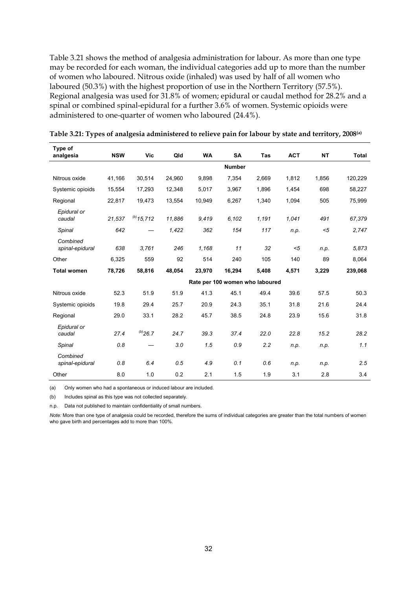Table 3.21 shows the method of analgesia administration for labour. As more than one type may be recorded for each woman, the individual categories add up to more than the number of women who laboured. Nitrous oxide (inhaled) was used by half of all women who laboured (50.3%) with the highest proportion of use in the Northern Territory (57.5%). Regional analgesia was used for 31.8% of women; epidural or caudal method for 28.2% and a spinal or combined spinal-epidural for a further 3.6% of women. Systemic opioids were administered to one-quarter of women who laboured (24.4%).

| Type of<br>analgesia        | <b>NSW</b> | Vic             | Qld    | <b>WA</b> | <b>SA</b>                       | <b>Tas</b> | <b>ACT</b> | <b>NT</b> | <b>Total</b> |
|-----------------------------|------------|-----------------|--------|-----------|---------------------------------|------------|------------|-----------|--------------|
|                             |            |                 |        |           | <b>Number</b>                   |            |            |           |              |
| Nitrous oxide               | 41,166     | 30,514          | 24,960 | 9,898     | 7,354                           | 2,669      | 1,812      | 1,856     | 120,229      |
| Systemic opioids            | 15,554     | 17,293          | 12,348 | 5,017     | 3,967                           | 1,896      | 1,454      | 698       | 58,227       |
| Regional                    | 22,817     | 19,473          | 13,554 | 10,949    | 6,267                           | 1,340      | 1,094      | 505       | 75,999       |
| Epidural or<br>caudal       | 21,537     | $^{(b)}$ 15,712 | 11,886 | 9,419     | 6,102                           | 1,191      | 1,041      | 491       | 67,379       |
| Spinal                      | 642        |                 | 1,422  | 362       | 154                             | 117        | n.p.       | $5$       | 2,747        |
| Combined<br>spinal-epidural | 638        | 3,761           | 246    | 1,168     | 11                              | 32         | $5$        | n.p.      | 5,873        |
| Other                       | 6,325      | 559             | 92     | 514       | 240                             | 105        | 140        | 89        | 8,064        |
| <b>Total women</b>          | 78,726     | 58,816          | 48,054 | 23,970    | 16,294                          | 5,408      | 4,571      | 3,229     | 239,068      |
|                             |            |                 |        |           | Rate per 100 women who laboured |            |            |           |              |
| Nitrous oxide               | 52.3       | 51.9            | 51.9   | 41.3      | 45.1                            | 49.4       | 39.6       | 57.5      | 50.3         |
| Systemic opioids            | 19.8       | 29.4            | 25.7   | 20.9      | 24.3                            | 35.1       | 31.8       | 21.6      | 24.4         |
| Regional                    | 29.0       | 33.1            | 28.2   | 45.7      | 38.5                            | 24.8       | 23.9       | 15.6      | 31.8         |
| Epidural or<br>caudal       | 27.4       | $^{(b)}$ 26.7   | 24.7   | 39.3      | 37.4                            | 22.0       | 22.8       | 15.2      | 28.2         |
| Spinal                      | 0.8        |                 | 3.0    | 1.5       | 0.9                             | 2.2        | n.p.       | n.p.      | 1.1          |
| Combined<br>spinal-epidural | 0.8        | 6.4             | 0.5    | 4.9       | 0.1                             | 0.6        | n.p.       | n.p.      | 2.5          |
| Other                       | 8.0        | 1.0             | 0.2    | 2.1       | 1.5                             | 1.9        | 3.1        | 2.8       | 3.4          |

**Table 3.21: Types of analgesia administered to relieve pain for labour by state and territory, 2008(a)**

(a) Only women who had a spontaneous or induced labour are included.

(b) Includes spinal as this type was not collected separately.

n.p. Data not published to maintain confidentiality of small numbers.

*Note:* More than one type of analgesia could be recorded, therefore the sums of individual categories are greater than the total numbers of women who gave birth and percentages add to more than 100%.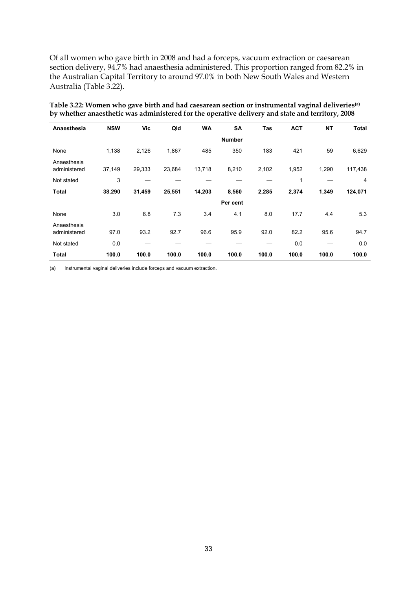Of all women who gave birth in 2008 and had a forceps, vacuum extraction or caesarean section delivery, 94.7% had anaesthesia administered. This proportion ranged from 82.2% in the Australian Capital Territory to around 97.0% in both New South Wales and Western Australia (Table 3.22).

| Table 3.22: Women who gave birth and had caesarean section or instrumental vaginal deliveries <sup>(a)</sup> |
|--------------------------------------------------------------------------------------------------------------|
| by whether anaesthetic was administered for the operative delivery and state and territory, 2008             |

| Anaesthesia                 | <b>NSW</b> | Vic    | Qld    | <b>WA</b> | <b>SA</b>     | <b>Tas</b> | <b>ACT</b> | <b>NT</b> | <b>Total</b>   |
|-----------------------------|------------|--------|--------|-----------|---------------|------------|------------|-----------|----------------|
|                             |            |        |        |           | <b>Number</b> |            |            |           |                |
| None                        | 1,138      | 2,126  | 1,867  | 485       | 350           | 183        | 421        | 59        | 6,629          |
| Anaesthesia<br>administered | 37,149     | 29,333 | 23,684 | 13,718    | 8,210         | 2,102      | 1,952      | 1,290     | 117,438        |
| Not stated                  | 3          |        |        |           |               |            | 1          |           | $\overline{4}$ |
| <b>Total</b>                | 38,290     | 31,459 | 25,551 | 14,203    | 8,560         | 2,285      | 2,374      | 1,349     | 124,071        |
|                             |            |        |        |           | Per cent      |            |            |           |                |
| None                        | 3.0        | 6.8    | 7.3    | 3.4       | 4.1           | 8.0        | 17.7       | 4.4       | 5.3            |
| Anaesthesia<br>administered | 97.0       | 93.2   | 92.7   | 96.6      | 95.9          | 92.0       | 82.2       | 95.6      | 94.7           |
| Not stated                  | 0.0        |        |        |           |               |            | 0.0        |           | 0.0            |
| <b>Total</b>                | 100.0      | 100.0  | 100.0  | 100.0     | 100.0         | 100.0      | 100.0      | 100.0     | 100.0          |

(a) Instrumental vaginal deliveries include forceps and vacuum extraction.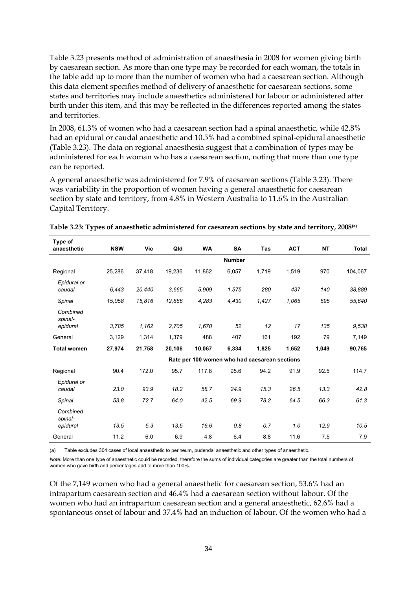Table 3.23 presents method of administration of anaesthesia in 2008 for women giving birth by caesarean section. As more than one type may be recorded for each woman, the totals in the table add up to more than the number of women who had a caesarean section. Although this data element specifies method of delivery of anaesthetic for caesarean sections, some states and territories may include anaesthetics administered for labour or administered after birth under this item, and this may be reflected in the differences reported among the states and territories.

In 2008, 61.3% of women who had a caesarean section had a spinal anaesthetic, while 42.8% had an epidural or caudal anaesthetic and 10.5% had a combined spinal-epidural anaesthetic (Table 3.23). The data on regional anaesthesia suggest that a combination of types may be administered for each woman who has a caesarean section, noting that more than one type can be reported.

A general anaesthetic was administered for 7.9% of caesarean sections (Table 3.23). There was variability in the proportion of women having a general anaesthetic for caesarean section by state and territory, from 4.8% in Western Australia to 11.6% in the Australian Capital Territory.

| Type of<br>anaesthetic          | <b>NSW</b> | <b>Vic</b> | Qld    | <b>WA</b>                                     | <b>SA</b>     | <b>Tas</b> | <b>ACT</b> | <b>NT</b> | <b>Total</b> |
|---------------------------------|------------|------------|--------|-----------------------------------------------|---------------|------------|------------|-----------|--------------|
|                                 |            |            |        |                                               | <b>Number</b> |            |            |           |              |
| Regional                        | 25,286     | 37,418     | 19,236 | 11,862                                        | 6,057         | 1,719      | 1,519      | 970       | 104,067      |
| Epidural or<br>caudal           | 6,443      | 20,440     | 3.665  | 5,909                                         | 1,575         | 280        | 437        | 140       | 38,889       |
| Spinal                          | 15,058     | 15,816     | 12,866 | 4,283                                         | 4,430         | 1,427      | 1,065      | 695       | 55,640       |
| Combined<br>spinal-<br>epidural | 3.785      | 1,162      | 2.705  | 1.670                                         | 52            | 12         | 17         | 135       | 9,538        |
| General                         | 3,129      | 1,314      | 1,379  | 488                                           | 407           | 161        | 192        | 79        | 7,149        |
| <b>Total women</b>              | 27,974     | 21,758     | 20,106 | 10,067                                        | 6,334         | 1,825      | 1,652      | 1,049     | 90,765       |
|                                 |            |            |        | Rate per 100 women who had caesarean sections |               |            |            |           |              |
| Regional                        | 90.4       | 172.0      | 95.7   | 117.8                                         | 95.6          | 94.2       | 91.9       | 92.5      | 114.7        |
| Epidural or<br>caudal           | 23.0       | 93.9       | 18.2   | 58.7                                          | 24.9          | 15.3       | 26.5       | 13.3      | 42.8         |
| Spinal                          | 53.8       | 72.7       | 64.0   | 42.5                                          | 69.9          | 78.2       | 64.5       | 66.3      | 61.3         |
| Combined<br>spinal-<br>epidural | 13.5       | 5.3        | 13.5   | 16.6                                          | 0.8           | 0.7        | 1.0        | 12.9      | 10.5         |
| General                         | 11.2       | 6.0        | 6.9    | 4.8                                           | 6.4           | 8.8        | 11.6       | 7.5       | 7.9          |

**Table 3.23: Types of anaesthetic administered for caesarean sections by state and territory, 2008(a)** 

(a) Table excludes 304 cases of local anaesthetic to perineum, pudendal anaesthetic and other types of anaesthetic.

*Note:* More than one type of anaesthetic could be recorded, therefore the sums of individual categories are greater than the total numbers of women who gave birth and percentages add to more than 100%.

Of the 7,149 women who had a general anaesthetic for caesarean section, 53.6% had an intrapartum caesarean section and 46.4% had a caesarean section without labour. Of the women who had an intrapartum caesarean section and a general anaesthetic, 62.6% had a spontaneous onset of labour and 37.4% had an induction of labour. Of the women who had a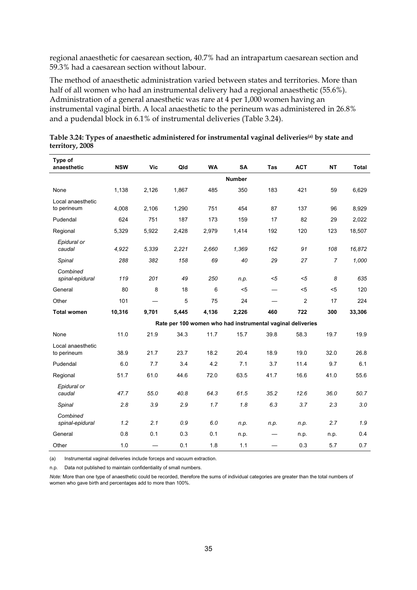regional anaesthetic for caesarean section, 40.7% had an intrapartum caesarean section and 59.3% had a caesarean section without labour.

The method of anaesthetic administration varied between states and territories. More than half of all women who had an instrumental delivery had a regional anaesthetic (55.6%). Administration of a general anaesthetic was rare at 4 per 1,000 women having an instrumental vaginal birth. A local anaesthetic to the perineum was administered in 26.8% and a pudendal block in 6.1% of instrumental deliveries (Table 3.24).

| Type of<br>anaesthetic           | <b>NSW</b> | <b>Vic</b> | Qld   | <b>WA</b> | <b>SA</b>                                                  | Tas  | <b>ACT</b>     | <b>NT</b>      | <b>Total</b> |
|----------------------------------|------------|------------|-------|-----------|------------------------------------------------------------|------|----------------|----------------|--------------|
|                                  |            |            |       |           | <b>Number</b>                                              |      |                |                |              |
|                                  |            |            | 1,867 | 485       | 350                                                        | 183  | 421            | 59             |              |
| None                             | 1,138      | 2,126      |       |           |                                                            |      |                |                | 6,629        |
| Local anaesthetic<br>to perineum | 4,008      | 2,106      | 1,290 | 751       | 454                                                        | 87   | 137            | 96             | 8,929        |
| Pudendal                         | 624        | 751        | 187   | 173       | 159                                                        | 17   | 82             | 29             | 2,022        |
| Regional                         | 5,329      | 5,922      | 2,428 | 2,979     | 1,414                                                      | 192  | 120            | 123            | 18,507       |
| Epidural or<br>caudal            | 4,922      | 5.339      | 2,221 | 2,660     | 1,369                                                      | 162  | 91             | 108            | 16,872       |
| Spinal                           | 288        | 382        | 158   | 69        | 40                                                         | 29   | 27             | $\overline{7}$ | 1,000        |
| Combined<br>spinal-epidural      | 119        | 201        | 49    | 250       | n.p.                                                       | $5$  | $<$ 5          | 8              | 635          |
| General                          | 80         | 8          | 18    | 6         | $5$                                                        |      | $5$            | $5$            | 120          |
| Other                            | 101        |            | 5     | 75        | 24                                                         |      | $\overline{c}$ | 17             | 224          |
| <b>Total women</b>               | 10,316     | 9,701      | 5,445 | 4,136     | 2,226                                                      | 460  | 722            | 300            | 33,306       |
|                                  |            |            |       |           | Rate per 100 women who had instrumental vaginal deliveries |      |                |                |              |
| None                             | 11.0       | 21.9       | 34.3  | 11.7      | 15.7                                                       | 39.8 | 58.3           | 19.7           | 19.9         |
| Local anaesthetic<br>to perineum | 38.9       | 21.7       | 23.7  | 18.2      | 20.4                                                       | 18.9 | 19.0           | 32.0           | 26.8         |
| Pudendal                         | 6.0        | 7.7        | 3.4   | 4.2       | 7.1                                                        | 3.7  | 11.4           | 9.7            | 6.1          |
| Regional                         | 51.7       | 61.0       | 44.6  | 72.0      | 63.5                                                       | 41.7 | 16.6           | 41.0           | 55.6         |
| Epidural or<br>caudal            | 47.7       | 55.0       | 40.8  | 64.3      | 61.5                                                       | 35.2 | 12.6           | 36.0           | 50.7         |
| Spinal                           | 2.8        | 3.9        | 2.9   | 1.7       | 1.8                                                        | 6.3  | 3.7            | 2.3            | 3.0          |
| Combined<br>spinal-epidural      | 1.2        | 2.1        | 0.9   | 6.0       | n.p.                                                       | n.p. | n.p.           | 2.7            | 1.9          |
| General                          | 0.8        | 0.1        | 0.3   | 0.1       | n.p.                                                       |      | n.p.           | n.p.           | 0.4          |
| Other                            | 1.0        |            | 0.1   | 1.8       | 1.1                                                        |      | 0.3            | 5.7            | 0.7          |

**Table 3.24: Types of anaesthetic administered for instrumental vaginal deliveries(a) by state and territory, 2008** 

(a) Instrumental vaginal deliveries include forceps and vacuum extraction.

n.p. Data not published to maintain confidentiality of small numbers.

*Note:* More than one type of anaesthetic could be recorded, therefore the sums of individual categories are greater than the total numbers of women who gave birth and percentages add to more than 100%.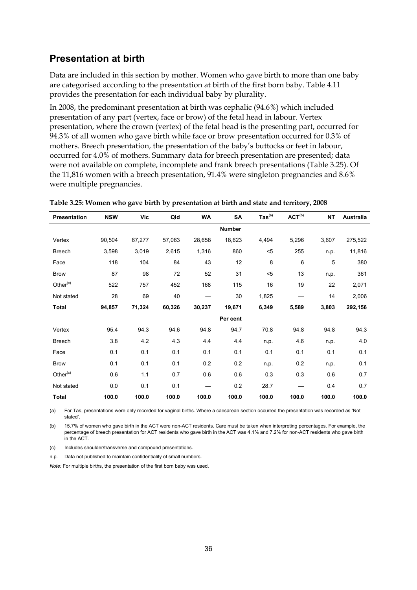### **Presentation at birth**

Data are included in this section by mother. Women who gave birth to more than one baby are categorised according to the presentation at birth of the first born baby. Table 4.11 provides the presentation for each individual baby by plurality.

In 2008, the predominant presentation at birth was cephalic (94.6%) which included presentation of any part (vertex, face or brow) of the fetal head in labour. Vertex presentation, where the crown (vertex) of the fetal head is the presenting part, occurred for 94.3% of all women who gave birth while face or brow presentation occurred for 0.3% of mothers. Breech presentation, the presentation of the baby's buttocks or feet in labour, occurred for 4.0% of mothers. Summary data for breech presentation are presented; data were not available on complete, incomplete and frank breech presentations (Table 3.25). Of the 11,816 women with a breech presentation, 91.4% were singleton pregnancies and 8.6% were multiple pregnancies.

| Presentation  | <b>NSW</b> | Vic    | Qld    | <b>WA</b> | SA            | $\mathsf{ Tas}^\mathsf{(a)}$ | ACT <sup>(b)</sup> | <b>NT</b> | <b>Australia</b> |
|---------------|------------|--------|--------|-----------|---------------|------------------------------|--------------------|-----------|------------------|
|               |            |        |        |           | <b>Number</b> |                              |                    |           |                  |
| Vertex        | 90,504     | 67,277 | 57,063 | 28,658    | 18,623        | 4,494                        | 5,296              | 3,607     | 275,522          |
| <b>Breech</b> | 3,598      | 3,019  | 2,615  | 1,316     | 860           | $5$                          | 255                | n.p.      | 11,816           |
| Face          | 118        | 104    | 84     | 43        | 12            | 8                            | 6                  | 5         | 380              |
| <b>Brow</b>   | 87         | 98     | 72     | 52        | 31            | $5$                          | 13                 | n.p.      | 361              |
| Other $(c)$   | 522        | 757    | 452    | 168       | 115           | 16                           | 19                 | 22        | 2,071            |
| Not stated    | 28         | 69     | 40     |           | 30            | 1,825                        |                    | 14        | 2,006            |
| <b>Total</b>  | 94,857     | 71,324 | 60,326 | 30,237    | 19,671        | 6,349                        | 5,589              | 3,803     | 292,156          |
|               |            |        |        |           | Per cent      |                              |                    |           |                  |
| Vertex        | 95.4       | 94.3   | 94.6   | 94.8      | 94.7          | 70.8                         | 94.8               | 94.8      | 94.3             |
| <b>Breech</b> | 3.8        | 4.2    | 4.3    | 4.4       | 4.4           | n.p.                         | 4.6                | n.p.      | 4.0              |
| Face          | 0.1        | 0.1    | 0.1    | 0.1       | 0.1           | 0.1                          | 0.1                | 0.1       | 0.1              |
| <b>Brow</b>   | 0.1        | 0.1    | 0.1    | 0.2       | 0.2           | n.p.                         | 0.2                | n.p.      | 0.1              |
| Other $(c)$   | 0.6        | 1.1    | 0.7    | 0.6       | 0.6           | 0.3                          | 0.3                | 0.6       | 0.7              |
| Not stated    | 0.0        | 0.1    | 0.1    |           | 0.2           | 28.7                         |                    | 0.4       | 0.7              |
| <b>Total</b>  | 100.0      | 100.0  | 100.0  | 100.0     | 100.0         | 100.0                        | 100.0              | 100.0     | 100.0            |

|  |  | Table 3.25: Women who gave birth by presentation at birth and state and territory, 2008 |
|--|--|-----------------------------------------------------------------------------------------|
|--|--|-----------------------------------------------------------------------------------------|

(a) For Tas, presentations were only recorded for vaginal births. Where a caesarean section occurred the presentation was recorded as 'Not stated'.

(b) 15.7% of women who gave birth in the ACT were non-ACT residents. Care must be taken when interpreting percentages. For example, the percentage of breech presentation for ACT residents who gave birth in the ACT was 4.1% and 7.2% for non-ACT residents who gave birth in the ACT.

(c) Includes shoulder/transverse and compound presentations.

n.p. Data not published to maintain confidentiality of small numbers.

*Note:* For multiple births, the presentation of the first born baby was used.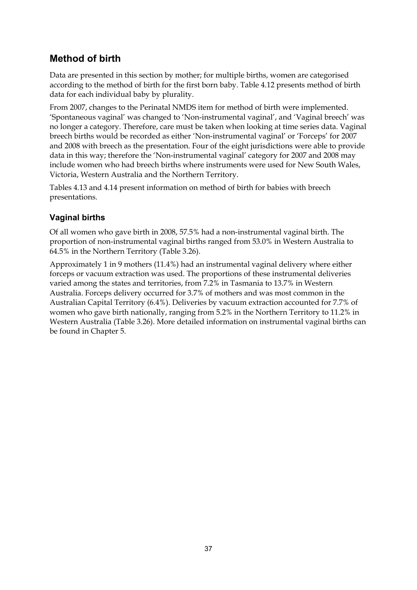# **Method of birth**

Data are presented in this section by mother; for multiple births, women are categorised according to the method of birth for the first born baby. Table 4.12 presents method of birth data for each individual baby by plurality.

From 2007, changes to the Perinatal NMDS item for method of birth were implemented. 'Spontaneous vaginal' was changed to 'Non-instrumental vaginal', and 'Vaginal breech' was no longer a category. Therefore, care must be taken when looking at time series data. Vaginal breech births would be recorded as either 'Non-instrumental vaginal' or 'Forceps' for 2007 and 2008 with breech as the presentation. Four of the eight jurisdictions were able to provide data in this way; therefore the 'Non-instrumental vaginal' category for 2007 and 2008 may include women who had breech births where instruments were used for New South Wales, Victoria, Western Australia and the Northern Territory.

Tables 4.13 and 4.14 present information on method of birth for babies with breech presentations.

#### **Vaginal births**

Of all women who gave birth in 2008, 57.5% had a non-instrumental vaginal birth. The proportion of non-instrumental vaginal births ranged from 53.0% in Western Australia to 64.5% in the Northern Territory (Table 3.26).

Approximately 1 in 9 mothers (11.4%) had an instrumental vaginal delivery where either forceps or vacuum extraction was used. The proportions of these instrumental deliveries varied among the states and territories, from 7.2% in Tasmania to 13.7% in Western Australia. Forceps delivery occurred for 3.7% of mothers and was most common in the Australian Capital Territory (6.4%). Deliveries by vacuum extraction accounted for 7.7% of women who gave birth nationally, ranging from 5.2% in the Northern Territory to 11.2% in Western Australia (Table 3.26). More detailed information on instrumental vaginal births can be found in Chapter 5.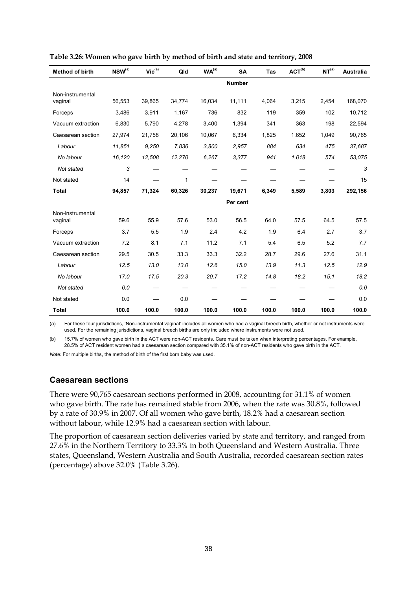| <b>Method of birth</b> | $NSW^{(a)}$ | $Vic^{(a)}$ | Qld    | WA <sup>(a)</sup> | <b>SA</b>     | <b>Tas</b> | ACT <sup>(b)</sup> | NT <sup>(a)</sup> | <b>Australia</b> |
|------------------------|-------------|-------------|--------|-------------------|---------------|------------|--------------------|-------------------|------------------|
|                        |             |             |        |                   | <b>Number</b> |            |                    |                   |                  |
| Non-instrumental       |             |             |        |                   |               |            |                    |                   |                  |
| vaginal                | 56,553      | 39,865      | 34,774 | 16,034            | 11,111        | 4,064      | 3,215              | 2,454             | 168,070          |
| Forceps                | 3,486       | 3,911       | 1,167  | 736               | 832           | 119        | 359                | 102               | 10,712           |
| Vacuum extraction      | 6,830       | 5,790       | 4,278  | 3,400             | 1,394         | 341        | 363                | 198               | 22,594           |
| Caesarean section      | 27,974      | 21,758      | 20,106 | 10,067            | 6,334         | 1,825      | 1,652              | 1,049             | 90,765           |
| Labour                 | 11,851      | 9,250       | 7,836  | 3,800             | 2,957         | 884        | 634                | 475               | 37,687           |
| No labour              | 16,120      | 12,508      | 12,270 | 6,267             | 3,377         | 941        | 1,018              | 574               | 53,075           |
| Not stated             | 3           |             |        |                   |               |            |                    |                   | 3                |
| Not stated             | 14          |             | 1      |                   |               |            |                    |                   | 15               |
| <b>Total</b>           | 94,857      | 71,324      | 60,326 | 30,237            | 19,671        | 6,349      | 5,589              | 3,803             | 292,156          |
|                        |             |             |        |                   | Per cent      |            |                    |                   |                  |
| Non-instrumental       |             |             |        |                   |               |            |                    |                   |                  |
| vaginal                | 59.6        | 55.9        | 57.6   | 53.0              | 56.5          | 64.0       | 57.5               | 64.5              | 57.5             |
| Forceps                | 3.7         | 5.5         | 1.9    | 2.4               | 4.2           | 1.9        | 6.4                | 2.7               | 3.7              |
| Vacuum extraction      | 7.2         | 8.1         | 7.1    | 11.2              | 7.1           | 5.4        | 6.5                | 5.2               | 7.7              |
| Caesarean section      | 29.5        | 30.5        | 33.3   | 33.3              | 32.2          | 28.7       | 29.6               | 27.6              | 31.1             |
| Labour                 | 12.5        | 13.0        | 13.0   | 12.6              | 15.0          | 13.9       | 11.3               | 12.5              | 12.9             |
| No labour              | 17.0        | 17.5        | 20.3   | 20.7              | 17.2          | 14.8       | 18.2               | 15.1              | 18.2             |
| Not stated             | 0.0         |             |        |                   |               |            |                    |                   | 0.0              |
| Not stated             | 0.0         |             | 0.0    |                   |               |            |                    |                   | 0.0              |
| <b>Total</b>           | 100.0       | 100.0       | 100.0  | 100.0             | 100.0         | 100.0      | 100.0              | 100.0             | 100.0            |

|  | Table 3.26: Women who gave birth by method of birth and state and territory, 2008 |  |  |
|--|-----------------------------------------------------------------------------------|--|--|
|--|-----------------------------------------------------------------------------------|--|--|

(a) For these four jurisdictions, 'Non-instrumental vaginal' includes all women who had a vaginal breech birth, whether or not instruments were used. For the remaining jurisdictions, vaginal breech births are only included where instruments were not used.

(b) 15.7% of women who gave birth in the ACT were non-ACT residents. Care must be taken when interpreting percentages. For example, 28.5% of ACT resident women had a caesarean section compared with 35.1% of non-ACT residents who gave birth in the ACT.

*Note:* For multiple births, the method of birth of the first born baby was used.

#### **Caesarean sections**

There were 90,765 caesarean sections performed in 2008, accounting for 31.1% of women who gave birth. The rate has remained stable from 2006, when the rate was 30.8%, followed by a rate of 30.9% in 2007. Of all women who gave birth, 18.2% had a caesarean section without labour, while 12.9% had a caesarean section with labour.

The proportion of caesarean section deliveries varied by state and territory, and ranged from 27.6% in the Northern Territory to 33.3% in both Queensland and Western Australia. Three states, Queensland, Western Australia and South Australia, recorded caesarean section rates (percentage) above 32.0% (Table 3.26).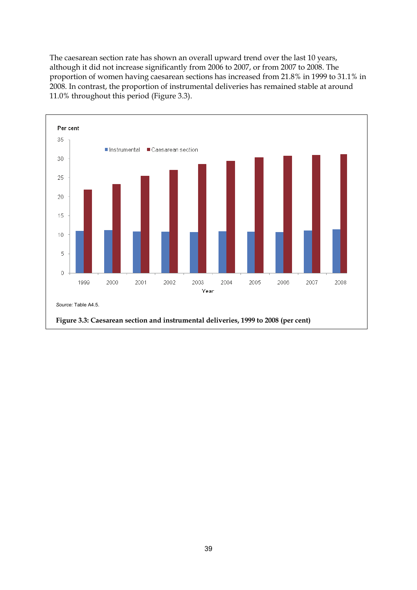The caesarean section rate has shown an overall upward trend over the last 10 years, although it did not increase significantly from 2006 to 2007, or from 2007 to 2008. The proportion of women having caesarean sections has increased from 21.8% in 1999 to 31.1% in 2008. In contrast, the proportion of instrumental deliveries has remained stable at around 11.0% throughout this period (Figure 3.3).

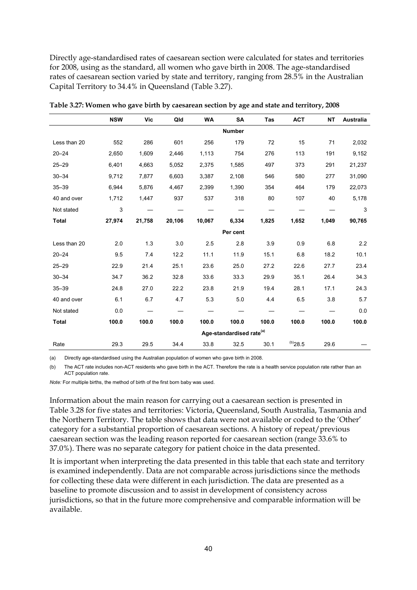Directly age-standardised rates of caesarean section were calculated for states and territories for 2008, using as the standard, all women who gave birth in 2008. The age-standardised rates of caesarean section varied by state and territory, ranging from 28.5% in the Australian Capital Territory to 34.4% in Queensland (Table 3.27).

|              | <b>NSW</b> | <b>Vic</b>                           | Qld    | <b>WA</b> | <b>SA</b>     | Tas   | <b>ACT</b>   | <b>NT</b> | <b>Australia</b> |
|--------------|------------|--------------------------------------|--------|-----------|---------------|-------|--------------|-----------|------------------|
|              |            |                                      |        |           | <b>Number</b> |       |              |           |                  |
| Less than 20 | 552        | 286                                  | 601    | 256       | 179           | 72    | 15           | 71        | 2,032            |
| $20 - 24$    | 2,650      | 1,609                                | 2,446  | 1,113     | 754           | 276   | 113          | 191       | 9,152            |
| $25 - 29$    | 6,401      | 4,663                                | 5,052  | 2,375     | 1,585         | 497   | 373          | 291       | 21,237           |
| $30 - 34$    | 9,712      | 7,877                                | 6,603  | 3,387     | 2,108         | 546   | 580          | 277       | 31,090           |
| $35 - 39$    | 6,944      | 5,876                                | 4,467  | 2,399     | 1,390         | 354   | 464          | 179       | 22,073           |
| 40 and over  | 1,712      | 1,447                                | 937    | 537       | 318           | 80    | 107          | 40        | 5,178            |
| Not stated   | 3          |                                      |        |           |               |       |              |           | 3                |
| <b>Total</b> | 27,974     | 21,758                               | 20,106 | 10,067    | 6,334         | 1,825 | 1,652        | 1,049     | 90,765           |
|              |            |                                      |        |           | Per cent      |       |              |           |                  |
| Less than 20 | 2.0        | 1.3                                  | 3.0    | 2.5       | 2.8           | 3.9   | 0.9          | 6.8       | 2.2              |
| $20 - 24$    | 9.5        | 7.4                                  | 12.2   | 11.1      | 11.9          | 15.1  | 6.8          | 18.2      | 10.1             |
| $25 - 29$    | 22.9       | 21.4                                 | 25.1   | 23.6      | 25.0          | 27.2  | 22.6         | 27.7      | 23.4             |
| $30 - 34$    | 34.7       | 36.2                                 | 32.8   | 33.6      | 33.3          | 29.9  | 35.1         | 26.4      | 34.3             |
| $35 - 39$    | 24.8       | 27.0                                 | 22.2   | 23.8      | 21.9          | 19.4  | 28.1         | 17.1      | 24.3             |
| 40 and over  | 6.1        | 6.7                                  | 4.7    | 5.3       | 5.0           | 4.4   | 6.5          | 3.8       | 5.7              |
| Not stated   | 0.0        |                                      |        |           |               |       |              |           | 0.0              |
| <b>Total</b> | 100.0      | 100.0                                | 100.0  | 100.0     | 100.0         | 100.0 | 100.0        | 100.0     | 100.0            |
|              |            | Age-standardised rate <sup>(a)</sup> |        |           |               |       |              |           |                  |
| Rate         | 29.3       | 29.5                                 | 34.4   | 33.8      | 32.5          | 30.1  | $^{(b)}28.5$ | 29.6      |                  |

**Table 3.27: Women who gave birth by caesarean section by age and state and territory, 2008** 

(a) Directly age-standardised using the Australian population of women who gave birth in 2008.

(b) The ACT rate includes non-ACT residents who gave birth in the ACT. Therefore the rate is a health service population rate rather than an ACT population rate.

*Note:* For multiple births, the method of birth of the first born baby was used.

Information about the main reason for carrying out a caesarean section is presented in Table 3.28 for five states and territories: Victoria, Queensland, South Australia, Tasmania and the Northern Territory. The table shows that data were not available or coded to the 'Other' category for a substantial proportion of caesarean sections. A history of repeat/previous caesarean section was the leading reason reported for caesarean section (range 33.6% to 37.0%). There was no separate category for patient choice in the data presented.

It is important when interpreting the data presented in this table that each state and territory is examined independently. Data are not comparable across jurisdictions since the methods for collecting these data were different in each jurisdiction. The data are presented as a baseline to promote discussion and to assist in development of consistency across jurisdictions, so that in the future more comprehensive and comparable information will be available.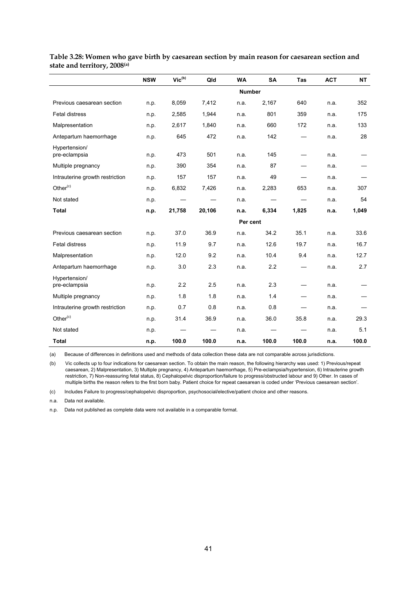|                                 | <b>NSW</b> | $Vic^{(b)}$ | Qld    | <b>WA</b> | <b>SA</b>     | <b>Tas</b>               | <b>ACT</b> | <b>NT</b> |
|---------------------------------|------------|-------------|--------|-----------|---------------|--------------------------|------------|-----------|
|                                 |            |             |        |           | <b>Number</b> |                          |            |           |
| Previous caesarean section      | n.p.       | 8,059       | 7,412  | n.a.      | 2,167         | 640                      | n.a.       | 352       |
| Fetal distress                  | n.p.       | 2,585       | 1,944  | n.a.      | 801           | 359                      | n.a.       | 175       |
| Malpresentation                 | n.p.       | 2,617       | 1,840  | n.a.      | 660           | 172                      | n.a.       | 133       |
| Antepartum haemorrhage          | n.p.       | 645         | 472    | n.a.      | 142           |                          | n.a.       | 28        |
| Hypertension/<br>pre-eclampsia  | n.p.       | 473         | 501    | n.a.      | 145           |                          | n.a.       |           |
| Multiple pregnancy              | n.p.       | 390         | 354    | n.a.      | 87            |                          | n.a.       |           |
| Intrauterine growth restriction | n.p.       | 157         | 157    | n.a.      | 49            |                          | n.a.       |           |
| Other <sup>(c)</sup>            | n.p.       | 6,832       | 7,426  | n.a.      | 2,283         | 653                      | n.a.       | 307       |
| Not stated                      | n.p.       |             |        | n.a.      |               |                          | n.a.       | 54        |
| <b>Total</b>                    | n.p.       | 21,758      | 20,106 | n.a.      | 6,334         | 1,825                    | n.a.       | 1,049     |
|                                 |            |             |        |           | Per cent      |                          |            |           |
| Previous caesarean section      | n.p.       | 37.0        | 36.9   | n.a.      | 34.2          | 35.1                     | n.a.       | 33.6      |
| <b>Fetal distress</b>           | n.p.       | 11.9        | 9.7    | n.a.      | 12.6          | 19.7                     | n.a.       | 16.7      |
| Malpresentation                 | n.p.       | 12.0        | 9.2    | n.a.      | 10.4          | 9.4                      | n.a.       | 12.7      |
| Antepartum haemorrhage          | n.p.       | 3.0         | 2.3    | n.a.      | 2.2           | $\overline{\phantom{0}}$ | n.a.       | 2.7       |
| Hypertension/<br>pre-eclampsia  | n.p.       | 2.2         | 2.5    | n.a.      | 2.3           |                          | n.a.       |           |
| Multiple pregnancy              | n.p.       | 1.8         | 1.8    | n.a.      | 1.4           |                          | n.a.       |           |
| Intrauterine growth restriction | n.p.       | 0.7         | 0.8    | n.a.      | 0.8           |                          | n.a.       |           |
| Other $(c)$                     | n.p.       | 31.4        | 36.9   | n.a.      | 36.0          | 35.8                     | n.a.       | 29.3      |
| Not stated                      | n.p.       |             |        | n.a.      |               |                          | n.a.       | 5.1       |
| <b>Total</b>                    | n.p.       | 100.0       | 100.0  | n.a.      | 100.0         | 100.0                    | n.a.       | 100.0     |

**Table 3.28: Women who gave birth by caesarean section by main reason for caesarean section and state and territory, 2008(a)**

(a) Because of differences in definitions used and methods of data collection these data are not comparable across jurisdictions.

(b) Vic collects up to four indications for caesarean section. To obtain the main reason, the following hierarchy was used: 1) Previous/repeat caesarean, 2) Malpresentation, 3) Multiple pregnancy, 4) Antepartum haemorrhage, 5) Pre-eclampsia/hypertension, 6) Intrauterine growth restriction, 7) Non-reassuring fetal status, 8) Cephalopelvic disproportion/failure to progress/obstructed labour and 9) Other. In cases of multiple births the reason refers to the first born baby. Patient choice for repeat caesarean is coded under 'Previous caesarean section'.

(c) Includes Failure to progress/cephalopelvic disproportion, psychosocial/elective/patient choice and other reasons.

n.a. Data not available.

n.p. Data not published as complete data were not available in a comparable format.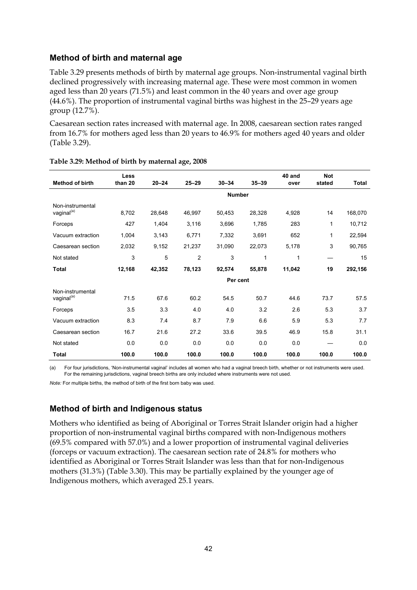#### **Method of birth and maternal age**

Table 3.29 presents methods of birth by maternal age groups. Non-instrumental vaginal birth declined progressively with increasing maternal age. These were most common in women aged less than 20 years (71.5%) and least common in the 40 years and over age group (44.6%). The proportion of instrumental vaginal births was highest in the 25–29 years age group (12.7%).

Caesarean section rates increased with maternal age. In 2008, caesarean section rates ranged from 16.7% for mothers aged less than 20 years to 46.9% for mothers aged 40 years and older (Table 3.29).

|                                            | Less    |           |                |               |           | 40 and | <b>Not</b> |              |
|--------------------------------------------|---------|-----------|----------------|---------------|-----------|--------|------------|--------------|
| <b>Method of birth</b>                     | than 20 | $20 - 24$ | $25 - 29$      | $30 - 34$     | $35 - 39$ | over   | stated     | <b>Total</b> |
|                                            |         |           |                | <b>Number</b> |           |        |            |              |
| Non-instrumental<br>vaginal <sup>(a)</sup> | 8,702   | 28,648    | 46,997         | 50,453        | 28,328    | 4,928  | 14         | 168,070      |
| Forceps                                    | 427     | 1,404     | 3,116          | 3,696         | 1,785     | 283    | 1          | 10,712       |
| Vacuum extraction                          | 1,004   | 3,143     | 6,771          | 7,332         | 3,691     | 652    | 1          | 22,594       |
| Caesarean section                          | 2,032   | 9,152     | 21,237         | 31,090        | 22,073    | 5,178  | 3          | 90,765       |
| Not stated                                 | 3       | 5         | $\overline{2}$ | 3             | 1         | 1      |            | 15           |
| <b>Total</b>                               | 12,168  | 42,352    | 78,123         | 92,574        | 55,878    | 11,042 | 19         | 292,156      |
|                                            |         |           |                | Per cent      |           |        |            |              |
| Non-instrumental                           |         |           |                |               |           |        |            |              |
| vaginal <sup>(a)</sup>                     | 71.5    | 67.6      | 60.2           | 54.5          | 50.7      | 44.6   | 73.7       | 57.5         |
| Forceps                                    | 3.5     | 3.3       | 4.0            | 4.0           | 3.2       | 2.6    | 5.3        | 3.7          |
| Vacuum extraction                          | 8.3     | 7.4       | 8.7            | 7.9           | 6.6       | 5.9    | 5.3        | 7.7          |
| Caesarean section                          | 16.7    | 21.6      | 27.2           | 33.6          | 39.5      | 46.9   | 15.8       | 31.1         |
| Not stated                                 | 0.0     | 0.0       | 0.0            | 0.0           | 0.0       | 0.0    |            | 0.0          |
| <b>Total</b>                               | 100.0   | 100.0     | 100.0          | 100.0         | 100.0     | 100.0  | 100.0      | 100.0        |

#### **Table 3.29: Method of birth by maternal age, 2008**

(a) For four jurisdictions, 'Non-instrumental vaginal' includes all women who had a vaginal breech birth, whether or not instruments were used. For the remaining jurisdictions, vaginal breech births are only included where instruments were not used.

*Note:* For multiple births, the method of birth of the first born baby was used.

#### **Method of birth and Indigenous status**

Mothers who identified as being of Aboriginal or Torres Strait Islander origin had a higher proportion of non-instrumental vaginal births compared with non-Indigenous mothers (69.5% compared with 57.0%) and a lower proportion of instrumental vaginal deliveries (forceps or vacuum extraction). The caesarean section rate of 24.8% for mothers who identified as Aboriginal or Torres Strait Islander was less than that for non-Indigenous mothers (31.3%) (Table 3.30). This may be partially explained by the younger age of Indigenous mothers, which averaged 25.1 years.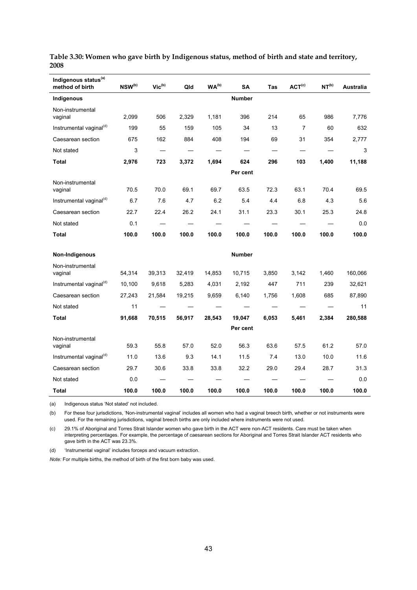| Indigenous status <sup>(a)</sup><br>method of birth | $NSW^{(b)}$ | $\mathsf{Vic}^\mathsf{(b)}$ | Qld    | WA <sup>(b)</sup> | <b>SA</b>     | Tas   | ACT <sup>(c)</sup> | NT <sup>(b)</sup> | <b>Australia</b> |
|-----------------------------------------------------|-------------|-----------------------------|--------|-------------------|---------------|-------|--------------------|-------------------|------------------|
| Indigenous                                          |             |                             |        |                   | <b>Number</b> |       |                    |                   |                  |
| Non-instrumental<br>vaginal                         | 2,099       | 506                         | 2,329  | 1,181             | 396           | 214   | 65                 | 986               | 7,776            |
| Instrumental vaginal <sup>(d)</sup>                 | 199         | 55                          | 159    | 105               | 34            | 13    | $\overline{7}$     | 60                | 632              |
| Caesarean section                                   | 675         | 162                         | 884    | 408               | 194           | 69    | 31                 | 354               | 2,777            |
| Not stated                                          | 3           |                             |        |                   |               |       |                    |                   | 3                |
| Total                                               | 2,976       | 723                         | 3,372  | 1,694             | 624           | 296   | 103                | 1,400             | 11,188           |
|                                                     |             |                             |        |                   | Per cent      |       |                    |                   |                  |
| Non-instrumental<br>vaginal                         | 70.5        | 70.0                        | 69.1   | 69.7              | 63.5          | 72.3  | 63.1               | 70.4              | 69.5             |
| Instrumental vaginal <sup>(d)</sup>                 | 6.7         | 7.6                         | 4.7    | 6.2               | 5.4           | 4.4   | 6.8                | 4.3               | 5.6              |
| Caesarean section                                   | 22.7        | 22.4                        | 26.2   | 24.1              | 31.1          | 23.3  | 30.1               | 25.3              | 24.8             |
| Not stated                                          | 0.1         |                             |        |                   |               |       |                    |                   | 0.0              |
| Total                                               | 100.0       | 100.0                       | 100.0  | 100.0             | 100.0         | 100.0 | 100.0              | 100.0             | 100.0            |
|                                                     |             |                             |        |                   |               |       |                    |                   |                  |
| Non-Indigenous                                      |             |                             |        |                   | <b>Number</b> |       |                    |                   |                  |
| Non-instrumental<br>vaginal                         | 54,314      | 39,313                      | 32,419 | 14,853            | 10,715        | 3,850 | 3,142              | 1,460             | 160,066          |
| Instrumental vaginal <sup>(d)</sup>                 | 10,100      | 9,618                       | 5,283  | 4,031             | 2,192         | 447   | 711                | 239               | 32,621           |
| Caesarean section                                   | 27,243      | 21,584                      | 19,215 | 9,659             | 6,140         | 1,756 | 1,608              | 685               | 87,890           |
| Not stated                                          | 11          |                             |        |                   |               |       |                    |                   | 11               |
| Total                                               | 91,668      | 70,515                      | 56,917 | 28,543            | 19,047        | 6,053 | 5,461              | 2,384             | 280,588          |
|                                                     |             |                             |        |                   | Per cent      |       |                    |                   |                  |
| Non-instrumental<br>vaginal                         | 59.3        | 55.8                        | 57.0   | 52.0              | 56.3          | 63.6  | 57.5               | 61.2              | 57.0             |
| Instrumental vaginal <sup>(d)</sup>                 | 11.0        | 13.6                        | 9.3    | 14.1              | 11.5          | 7.4   | 13.0               | 10.0              | 11.6             |
| Caesarean section                                   | 29.7        | 30.6                        | 33.8   | 33.8              | 32.2          | 29.0  | 29.4               | 28.7              | 31.3             |
| Not stated                                          | 0.0         |                             |        |                   |               |       |                    |                   | 0.0              |
| Total                                               | 100.0       | 100.0                       | 100.0  | 100.0             | 100.0         | 100.0 | 100.0              | 100.0             | 100.0            |

**Table 3.30: Women who gave birth by Indigenous status, method of birth and state and territory, 2008** 

(a) Indigenous status 'Not stated' not included.

(b) For these four jurisdictions, 'Non-instrumental vaginal' includes all women who had a vaginal breech birth, whether or not instruments were used. For the remaining jurisdictions, vaginal breech births are only included where instruments were not used.

(c) 29.1% of Aboriginal and Torres Strait Islander women who gave birth in the ACT were non-ACT residents. Care must be taken when interpreting percentages. For example, the percentage of caesarean sections for Aboriginal and Torres Strait Islander ACT residents who gave birth in the ACT was 23.3%.

(d) 'Instrumental vaginal' includes forceps and vacuum extraction.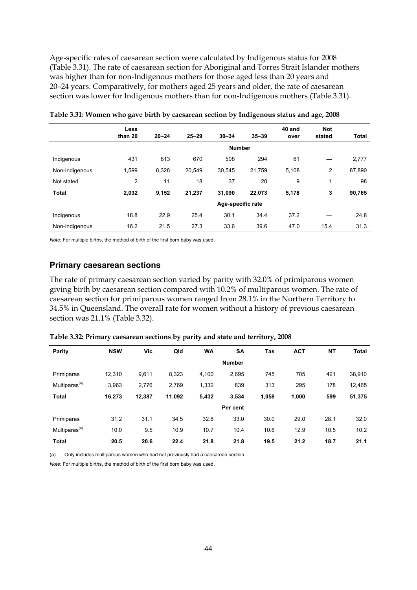Age-specific rates of caesarean section were calculated by Indigenous status for 2008 (Table 3.31). The rate of caesarean section for Aboriginal and Torres Strait Islander mothers was higher than for non-Indigenous mothers for those aged less than 20 years and 20–24 years. Comparatively, for mothers aged 25 years and older, the rate of caesarean section was lower for Indigenous mothers than for non-Indigenous mothers (Table 3.31).

|                | <b>Less</b><br>than 20 | $20 - 24$ | $25 - 29$ | $30 - 34$         | $35 - 39$ | 40 and<br>over | <b>Not</b><br>stated | <b>Total</b> |
|----------------|------------------------|-----------|-----------|-------------------|-----------|----------------|----------------------|--------------|
|                |                        |           |           | <b>Number</b>     |           |                |                      |              |
| Indigenous     | 431                    | 813       | 670       | 508               | 294       | 61             |                      | 2,777        |
| Non-Indigenous | 1,599                  | 8,328     | 20,549    | 30,545            | 21,759    | 5,108          | 2                    | 87,890       |
| Not stated     | 2                      | 11        | 18        | 37                | 20        | 9              | 1                    | 98           |
| <b>Total</b>   | 2,032                  | 9,152     | 21,237    | 31,090            | 22,073    | 5,178          | 3                    | 90,765       |
|                |                        |           |           | Age-specific rate |           |                |                      |              |
| Indigenous     | 18.8                   | 22.9      | 25.4      | 30.1              | 34.4      | 37.2           |                      | 24.8         |
| Non-Indigenous | 16.2                   | 21.5      | 27.3      | 33.6              | 39.6      | 47.0           | 15.4                 | 31.3         |

**Table 3.31: Women who gave birth by caesarean section by Indigenous status and age, 2008** 

*Note:* For multiple births, the method of birth of the first born baby was used.

#### **Primary caesarean sections**

The rate of primary caesarean section varied by parity with 32.0% of primiparous women giving birth by caesarean section compared with 10.2% of multiparous women. The rate of caesarean section for primiparous women ranged from 28.1% in the Northern Territory to 34.5% in Queensland. The overall rate for women without a history of previous caesarean section was 21.1% (Table 3.32).

| Parity                    | <b>NSW</b> | Vic    | Qld    | <b>WA</b> | <b>SA</b>     | Tas   | <b>ACT</b> | <b>NT</b> | <b>Total</b> |
|---------------------------|------------|--------|--------|-----------|---------------|-------|------------|-----------|--------------|
|                           |            |        |        |           | <b>Number</b> |       |            |           |              |
| Primiparas                | 12,310     | 9,611  | 8,323  | 4,100     | 2,695         | 745   | 705        | 421       | 38,910       |
| Multiparas <sup>(a)</sup> | 3,963      | 2,776  | 2,769  | 1,332     | 839           | 313   | 295        | 178       | 12,465       |
| <b>Total</b>              | 16,273     | 12,387 | 11,092 | 5,432     | 3,534         | 1,058 | 1,000      | 599       | 51,375       |
|                           |            |        |        |           | Per cent      |       |            |           |              |
| Primiparas                | 31.2       | 31.1   | 34.5   | 32.8      | 33.0          | 30.0  | 29.0       | 28.1      | 32.0         |
| Multiparas <sup>(a)</sup> | 10.0       | 9.5    | 10.9   | 10.7      | 10.4          | 10.6  | 12.9       | 10.5      | 10.2         |
| <b>Total</b>              | 20.5       | 20.6   | 22.4   | 21.8      | 21.8          | 19.5  | 21.2       | 18.7      | 21.1         |

**Table 3.32: Primary caesarean sections by parity and state and territory, 2008** 

(a) Only includes multiparous women who had not previously had a caesarean section.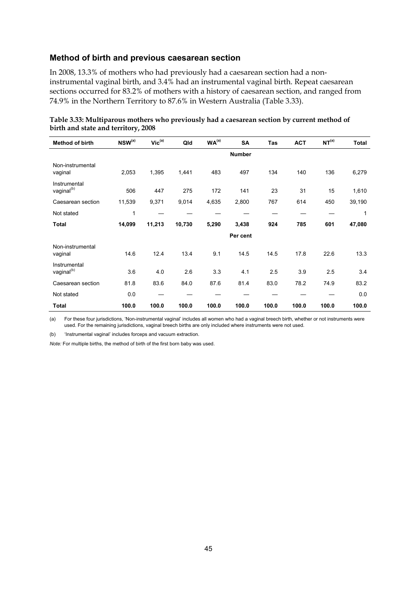#### **Method of birth and previous caesarean section**

In 2008, 13.3% of mothers who had previously had a caesarean section had a noninstrumental vaginal birth, and 3.4% had an instrumental vaginal birth. Repeat caesarean sections occurred for 83.2% of mothers with a history of caesarean section, and ranged from 74.9% in the Northern Territory to 87.6% in Western Australia (Table 3.33).

| <b>Method of birth</b>                 | NSW(a) | $\mathsf{Vic}^\mathsf{(a)}$ | Qld    | WA <sup>(a)</sup> | <b>SA</b>     | Tas   | <b>ACT</b> | NT <sup>(a)</sup> | <b>Total</b> |
|----------------------------------------|--------|-----------------------------|--------|-------------------|---------------|-------|------------|-------------------|--------------|
|                                        |        |                             |        |                   | <b>Number</b> |       |            |                   |              |
| Non-instrumental<br>vaginal            | 2,053  | 1,395                       | 1,441  | 483               | 497           | 134   | 140        | 136               | 6,279        |
| Instrumental<br>vaginal <sup>(b)</sup> | 506    | 447                         | 275    | 172               | 141           | 23    | 31         | 15                | 1,610        |
| Caesarean section                      | 11,539 | 9,371                       | 9,014  | 4,635             | 2,800         | 767   | 614        | 450               | 39,190       |
| Not stated                             | 1      |                             |        |                   |               |       |            |                   | 1            |
| <b>Total</b>                           | 14,099 | 11,213                      | 10,730 | 5,290             | 3,438         | 924   | 785        | 601               | 47,080       |
|                                        |        |                             |        |                   | Per cent      |       |            |                   |              |
| Non-instrumental<br>vaginal            | 14.6   | 12.4                        | 13.4   | 9.1               | 14.5          | 14.5  | 17.8       | 22.6              | 13.3         |
| Instrumental<br>vaginal <sup>(b)</sup> | 3.6    | 4.0                         | 2.6    | 3.3               | 4.1           | 2.5   | 3.9        | 2.5               | 3.4          |
| Caesarean section                      | 81.8   | 83.6                        | 84.0   | 87.6              | 81.4          | 83.0  | 78.2       | 74.9              | 83.2         |
| Not stated                             | 0.0    |                             |        |                   |               |       |            |                   | 0.0          |
| <b>Total</b>                           | 100.0  | 100.0                       | 100.0  | 100.0             | 100.0         | 100.0 | 100.0      | 100.0             | 100.0        |

| Table 3.33: Multiparous mothers who previously had a caesarean section by current method of |  |  |  |
|---------------------------------------------------------------------------------------------|--|--|--|
| birth and state and territory, 2008                                                         |  |  |  |

(a) For these four jurisdictions, 'Non-instrumental vaginal' includes all women who had a vaginal breech birth, whether or not instruments were used. For the remaining jurisdictions, vaginal breech births are only included where instruments were not used.

(b) 'Instrumental vaginal' includes forceps and vacuum extraction.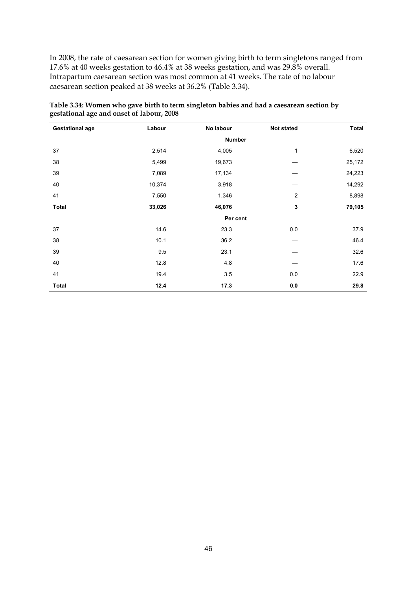In 2008, the rate of caesarean section for women giving birth to term singletons ranged from 17.6% at 40 weeks gestation to 46.4% at 38 weeks gestation, and was 29.8% overall. Intrapartum caesarean section was most common at 41 weeks. The rate of no labour caesarean section peaked at 38 weeks at 36.2% (Table 3.34).

| <b>Gestational age</b> | Labour | No labour     | <b>Not stated</b> | <b>Total</b> |
|------------------------|--------|---------------|-------------------|--------------|
|                        |        | <b>Number</b> |                   |              |
| 37                     | 2,514  | 4,005         | $\mathbf{1}$      | 6,520        |
| 38                     | 5,499  | 19,673        |                   | 25,172       |
| 39                     | 7,089  | 17,134        |                   | 24,223       |
| 40                     | 10,374 | 3,918         |                   | 14,292       |
| 41                     | 7,550  | 1,346         | 2                 | 8,898        |
| <b>Total</b>           | 33,026 | 46,076        | 3                 | 79,105       |
|                        |        | Per cent      |                   |              |
| 37                     | 14.6   | 23.3          | 0.0               | 37.9         |
| 38                     | 10.1   | 36.2          |                   | 46.4         |
| 39                     | 9.5    | 23.1          |                   | 32.6         |
| 40                     | 12.8   | 4.8           |                   | 17.6         |
| 41                     | 19.4   | 3.5           | 0.0               | 22.9         |
| <b>Total</b>           | 12.4   | 17.3          | $0.0\,$           | 29.8         |

**Table 3.34: Women who gave birth to term singleton babies and had a caesarean section by gestational age and onset of labour, 2008**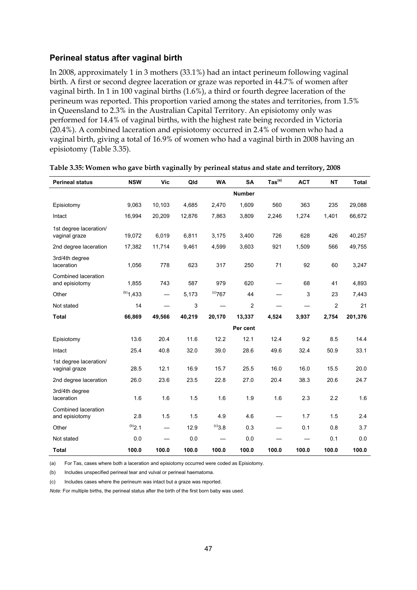#### **Perineal status after vaginal birth**

In 2008, approximately 1 in 3 mothers (33.1%) had an intact perineum following vaginal birth. A first or second degree laceration or graze was reported in 44.7% of women after vaginal birth. In 1 in 100 vaginal births (1.6%), a third or fourth degree laceration of the perineum was reported. This proportion varied among the states and territories, from 1.5% in Queensland to 2.3% in the Australian Capital Territory. An episiotomy only was performed for 14.4% of vaginal births, with the highest rate being recorded in Victoria (20.4%). A combined laceration and episiotomy occurred in 2.4% of women who had a vaginal birth, giving a total of 16.9% of women who had a vaginal birth in 2008 having an episiotomy (Table 3.35).

| <b>Perineal status</b>                  | <b>NSW</b>  | Vic    | Qld    | <b>WA</b>    | <b>SA</b>      | $\mathsf{ Tas}^\mathsf{(a)}$ | <b>ACT</b> | <b>NT</b>      | Total   |
|-----------------------------------------|-------------|--------|--------|--------------|----------------|------------------------------|------------|----------------|---------|
|                                         |             |        |        |              | <b>Number</b>  |                              |            |                |         |
| Episiotomy                              | 9,063       | 10,103 | 4,685  | 2,470        | 1,609          | 560                          | 363        | 235            | 29,088  |
| Intact                                  | 16,994      | 20,209 | 12,876 | 7,863        | 3,809          | 2,246                        | 1,274      | 1,401          | 66,672  |
| 1st degree laceration/<br>vaginal graze | 19,072      | 6,019  | 6,811  | 3,175        | 3,400          | 726                          | 628        | 426            | 40,257  |
| 2nd degree laceration                   | 17,382      | 11,714 | 9,461  | 4,599        | 3,603          | 921                          | 1,509      | 566            | 49,755  |
| 3rd/4th degree<br>laceration            | 1,056       | 778    | 623    | 317          | 250            | 71                           | 92         | 60             | 3,247   |
| Combined laceration<br>and episiotomy   | 1,855       | 743    | 587    | 979          | 620            | —                            | 68         | 41             | 4,893   |
| Other                                   | $(b)$ 1,433 |        | 5,173  | $^{(c)}$ 767 | 44             |                              | 3          | 23             | 7,443   |
| Not stated                              | 14          |        | 3      |              | $\overline{2}$ |                              |            | $\overline{2}$ | 21      |
| <b>Total</b>                            | 66,869      | 49,566 | 40,219 | 20,170       | 13,337         | 4,524                        | 3,937      | 2,754          | 201,376 |
|                                         |             |        |        |              | Per cent       |                              |            |                |         |
| Episiotomy                              | 13.6        | 20.4   | 11.6   | 12.2         | 12.1           | 12.4                         | 9.2        | 8.5            | 14.4    |
| Intact                                  | 25.4        | 40.8   | 32.0   | 39.0         | 28.6           | 49.6                         | 32.4       | 50.9           | 33.1    |
| 1st degree laceration/<br>vaginal graze | 28.5        | 12.1   | 16.9   | 15.7         | 25.5           | 16.0                         | 16.0       | 15.5           | 20.0    |
| 2nd degree laceration                   | 26.0        | 23.6   | 23.5   | 22.8         | 27.0           | 20.4                         | 38.3       | 20.6           | 24.7    |
| 3rd/4th degree<br>laceration            | 1.6         | 1.6    | 1.5    | 1.6          | 1.9            | 1.6                          | 2.3        | 2.2            | 1.6     |
| Combined laceration<br>and episiotomy   | 2.8         | 1.5    | 1.5    | 4.9          | 4.6            | —                            | 1.7        | 1.5            | 2.4     |
| Other                                   | (b)2.1      |        | 12.9   | $^{(c)}3.8$  | 0.3            |                              | 0.1        | 0.8            | 3.7     |
| Not stated                              | 0.0         |        | 0.0    |              | 0.0            |                              |            | 0.1            | 0.0     |
| <b>Total</b>                            | 100.0       | 100.0  | 100.0  | 100.0        | 100.0          | 100.0                        | 100.0      | 100.0          | 100.0   |

#### **Table 3.35: Women who gave birth vaginally by perineal status and state and territory, 2008**

(a) For Tas, cases where both a laceration and episiotomy occurred were coded as Episiotomy.

(b) Includes unspecified perineal tear and vulval or perineal haematoma.

(c) Includes cases where the perineum was intact but a graze was reported.

*Note:* For multiple births, the perineal status after the birth of the first born baby was used.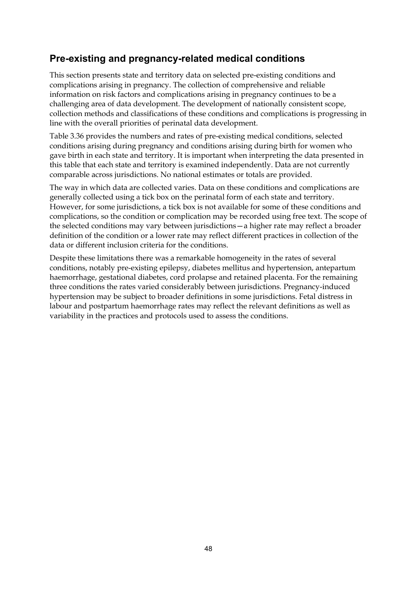## **Pre-existing and pregnancy-related medical conditions**

This section presents state and territory data on selected pre-existing conditions and complications arising in pregnancy. The collection of comprehensive and reliable information on risk factors and complications arising in pregnancy continues to be a challenging area of data development. The development of nationally consistent scope, collection methods and classifications of these conditions and complications is progressing in line with the overall priorities of perinatal data development.

Table 3.36 provides the numbers and rates of pre-existing medical conditions, selected conditions arising during pregnancy and conditions arising during birth for women who gave birth in each state and territory. It is important when interpreting the data presented in this table that each state and territory is examined independently. Data are not currently comparable across jurisdictions. No national estimates or totals are provided.

The way in which data are collected varies. Data on these conditions and complications are generally collected using a tick box on the perinatal form of each state and territory. However, for some jurisdictions, a tick box is not available for some of these conditions and complications, so the condition or complication may be recorded using free text. The scope of the selected conditions may vary between jurisdictions—a higher rate may reflect a broader definition of the condition or a lower rate may reflect different practices in collection of the data or different inclusion criteria for the conditions.

Despite these limitations there was a remarkable homogeneity in the rates of several conditions, notably pre-existing epilepsy, diabetes mellitus and hypertension, antepartum haemorrhage, gestational diabetes, cord prolapse and retained placenta. For the remaining three conditions the rates varied considerably between jurisdictions. Pregnancy-induced hypertension may be subject to broader definitions in some jurisdictions. Fetal distress in labour and postpartum haemorrhage rates may reflect the relevant definitions as well as variability in the practices and protocols used to assess the conditions.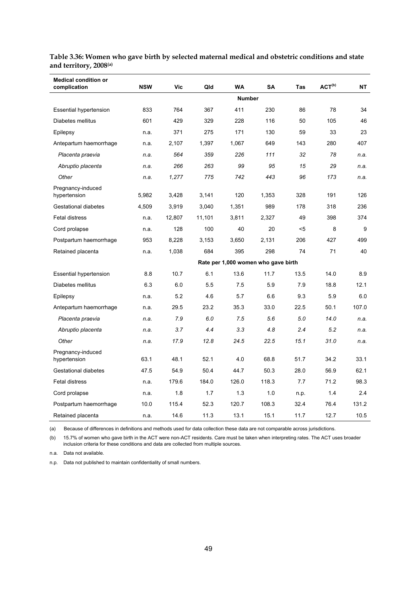| <b>Medical condition or</b><br>complication | <b>NSW</b> | Vic    | Qld    | <b>WA</b> | <b>SA</b>                           | Tas  | ACT <sup>(b)</sup> | <b>NT</b> |
|---------------------------------------------|------------|--------|--------|-----------|-------------------------------------|------|--------------------|-----------|
|                                             |            |        |        |           | <b>Number</b>                       |      |                    |           |
| <b>Essential hypertension</b>               | 833        | 764    | 367    | 411       | 230                                 | 86   | 78                 | 34        |
| Diabetes mellitus                           | 601        | 429    | 329    | 228       | 116                                 | 50   | 105                | 46        |
| Epilepsy                                    | n.a.       | 371    | 275    | 171       | 130                                 | 59   | 33                 | 23        |
| Antepartum haemorrhage                      | n.a.       | 2,107  | 1,397  | 1,067     | 649                                 | 143  | 280                | 407       |
| Placenta praevia                            | n.a.       | 564    | 359    | 226       | 111                                 | 32   | 78                 | n.a.      |
| Abruptio placenta                           | n.a.       | 266    | 263    | 99        | 95                                  | 15   | 29                 | n.a.      |
| Other                                       | n.a.       | 1,277  | 775    | 742       | 443                                 | 96   | 173                | n.a.      |
| Pregnancy-induced<br>hypertension           | 5,982      | 3,428  | 3,141  | 120       | 1,353                               | 328  | 191                | 126       |
| Gestational diabetes                        | 4,509      | 3,919  | 3,040  | 1,351     | 989                                 | 178  | 318                | 236       |
| <b>Fetal distress</b>                       | n.a.       | 12,807 | 11,101 | 3,811     | 2,327                               | 49   | 398                | 374       |
| Cord prolapse                               | n.a.       | 128    | 100    | 40        | 20                                  | $5$  | 8                  | 9         |
| Postpartum haemorrhage                      | 953        | 8.228  | 3.153  | 3,650     | 2,131                               | 206  | 427                | 499       |
| Retained placenta                           | n.a.       | 1,038  | 684    | 395       | 298                                 | 74   | 71                 | 40        |
|                                             |            |        |        |           | Rate per 1,000 women who gave birth |      |                    |           |
| <b>Essential hypertension</b>               | 8.8        | 10.7   | 6.1    | 13.6      | 11.7                                | 13.5 | 14.0               | 8.9       |
| Diabetes mellitus                           | 6.3        | 6.0    | 5.5    | 7.5       | 5.9                                 | 7.9  | 18.8               | 12.1      |
| Epilepsy                                    | n.a.       | 5.2    | 4.6    | 5.7       | 6.6                                 | 9.3  | 5.9                | 6.0       |
| Antepartum haemorrhage                      | n.a.       | 29.5   | 23.2   | 35.3      | 33.0                                | 22.5 | 50.1               | 107.0     |
| Placenta praevia                            | n.a.       | 7.9    | 6.0    | 7.5       | 5.6                                 | 5.0  | 14.0               | n.a.      |
| Abruptio placenta                           | n.a.       | 3.7    | 4.4    | 3.3       | 4.8                                 | 2.4  | 5.2                | n.a.      |
| Other                                       | n.a.       | 17.9   | 12.8   | 24.5      | 22.5                                | 15.1 | 31.0               | n.a.      |
| Pregnancy-induced<br>hypertension           | 63.1       | 48.1   | 52.1   | 4.0       | 68.8                                | 51.7 | 34.2               | 33.1      |
| Gestational diabetes                        | 47.5       | 54.9   | 50.4   | 44.7      | 50.3                                | 28.0 | 56.9               | 62.1      |
| Fetal distress                              | n.a.       | 179.6  | 184.0  | 126.0     | 118.3                               | 7.7  | 71.2               | 98.3      |
| Cord prolapse                               | n.a.       | 1.8    | 1.7    | 1.3       | 1.0                                 | n.p. | 1.4                | 2.4       |
| Postpartum haemorrhage                      | 10.0       | 115.4  | 52.3   | 120.7     | 108.3                               | 32.4 | 76.4               | 131.2     |
| Retained placenta                           | n.a.       | 14.6   | 11.3   | 13.1      | 15.1                                | 11.7 | 12.7               | 10.5      |

**Table 3.36: Women who gave birth by selected maternal medical and obstetric conditions and state and territory, 2008(a)**

(a) Because of differences in definitions and methods used for data collection these data are not comparable across jurisdictions.

(b) 15.7% of women who gave birth in the ACT were non-ACT residents. Care must be taken when interpreting rates. The ACT uses broader inclusion criteria for these conditions and data are collected from multiple sources.

n.a. Data not available.

n.p. Data not published to maintain confidentiality of small numbers.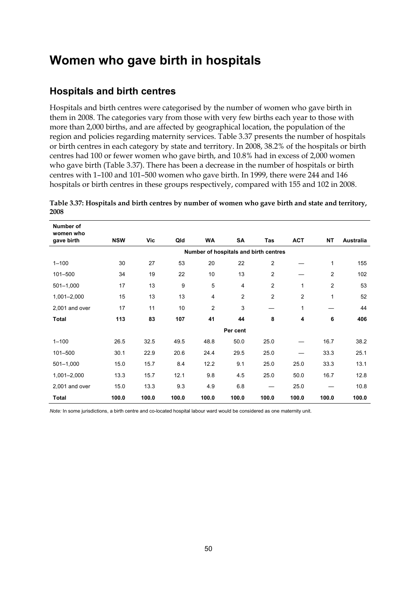# **Women who gave birth in hospitals**

## **Hospitals and birth centres**

Hospitals and birth centres were categorised by the number of women who gave birth in them in 2008. The categories vary from those with very few births each year to those with more than 2,000 births, and are affected by geographical location, the population of the region and policies regarding maternity services. Table 3.37 presents the number of hospitals or birth centres in each category by state and territory. In 2008, 38.2% of the hospitals or birth centres had 100 or fewer women who gave birth, and 10.8% had in excess of 2,000 women who gave birth (Table 3.37). There has been a decrease in the number of hospitals or birth centres with 1–100 and 101–500 women who gave birth. In 1999, there were 244 and 146 hospitals or birth centres in these groups respectively, compared with 155 and 102 in 2008.

| Number of               |                                       |       |       |                |                |                |                |                |                  |  |  |
|-------------------------|---------------------------------------|-------|-------|----------------|----------------|----------------|----------------|----------------|------------------|--|--|
| women who<br>gave birth | <b>NSW</b>                            | Vic   | Qld   | <b>WA</b>      | SA             | Tas            | <b>ACT</b>     | <b>NT</b>      | <b>Australia</b> |  |  |
|                         | Number of hospitals and birth centres |       |       |                |                |                |                |                |                  |  |  |
| $1 - 100$               | 30                                    | 27    | 53    | 20             | 22             | $\overline{2}$ |                | 1              | 155              |  |  |
| 101-500                 | 34                                    | 19    | 22    | 10             | 13             | $\overline{2}$ |                | $\overline{2}$ | 102              |  |  |
| $501 - 1,000$           | 17                                    | 13    | 9     | 5              | 4              | $\overline{c}$ | 1              | $\overline{2}$ | 53               |  |  |
| 1,001-2,000             | 15                                    | 13    | 13    | 4              | $\overline{c}$ | $\overline{2}$ | $\overline{c}$ | 1              | 52               |  |  |
| 2,001 and over          | 17                                    | 11    | 10    | $\overline{2}$ | 3              |                | 1              |                | 44               |  |  |
| <b>Total</b>            | 113                                   | 83    | 107   | 41             | 44             | 8              | 4              | 6              | 406              |  |  |
|                         |                                       |       |       |                | Per cent       |                |                |                |                  |  |  |
| $1 - 100$               | 26.5                                  | 32.5  | 49.5  | 48.8           | 50.0           | 25.0           |                | 16.7           | 38.2             |  |  |
| 101-500                 | 30.1                                  | 22.9  | 20.6  | 24.4           | 29.5           | 25.0           |                | 33.3           | 25.1             |  |  |
| $501 - 1,000$           | 15.0                                  | 15.7  | 8.4   | 12.2           | 9.1            | 25.0           | 25.0           | 33.3           | 13.1             |  |  |
| 1,001-2,000             | 13.3                                  | 15.7  | 12.1  | 9.8            | 4.5            | 25.0           | 50.0           | 16.7           | 12.8             |  |  |
| 2,001 and over          | 15.0                                  | 13.3  | 9.3   | 4.9            | 6.8            |                | 25.0           |                | 10.8             |  |  |
| <b>Total</b>            | 100.0                                 | 100.0 | 100.0 | 100.0          | 100.0          | 100.0          | 100.0          | 100.0          | 100.0            |  |  |

**Table 3.37: Hospitals and birth centres by number of women who gave birth and state and territory, 2008** 

*Note:* In some jurisdictions, a birth centre and co-located hospital labour ward would be considered as one maternity unit.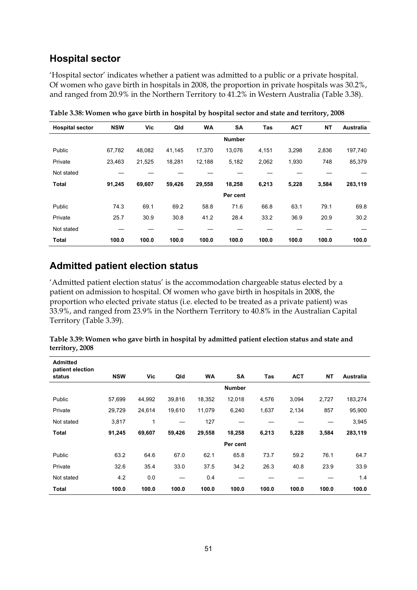### **Hospital sector**

'Hospital sector' indicates whether a patient was admitted to a public or a private hospital. Of women who gave birth in hospitals in 2008, the proportion in private hospitals was 30.2%, and ranged from 20.9% in the Northern Territory to 41.2% in Western Australia (Table 3.38).

| <b>Hospital sector</b> | <b>NSW</b> | Vic    | Qld    | <b>WA</b> | SA            | Tas   | <b>ACT</b> | <b>NT</b> | <b>Australia</b> |
|------------------------|------------|--------|--------|-----------|---------------|-------|------------|-----------|------------------|
|                        |            |        |        |           | <b>Number</b> |       |            |           |                  |
| Public                 | 67,782     | 48,082 | 41,145 | 17,370    | 13,076        | 4,151 | 3,298      | 2,836     | 197,740          |
| Private                | 23,463     | 21,525 | 18,281 | 12,188    | 5,182         | 2,062 | 1,930      | 748       | 85,379           |
| Not stated             |            |        |        |           |               |       |            |           |                  |
| <b>Total</b>           | 91,245     | 69,607 | 59,426 | 29,558    | 18,258        | 6,213 | 5,228      | 3,584     | 283,119          |
|                        |            |        |        |           | Per cent      |       |            |           |                  |
| Public                 | 74.3       | 69.1   | 69.2   | 58.8      | 71.6          | 66.8  | 63.1       | 79.1      | 69.8             |
| Private                | 25.7       | 30.9   | 30.8   | 41.2      | 28.4          | 33.2  | 36.9       | 20.9      | 30.2             |
| Not stated             |            |        |        |           |               |       |            |           |                  |
| <b>Total</b>           | 100.0      | 100.0  | 100.0  | 100.0     | 100.0         | 100.0 | 100.0      | 100.0     | 100.0            |

**Table 3.38: Women who gave birth in hospital by hospital sector and state and territory, 2008** 

### **Admitted patient election status**

'Admitted patient election status' is the accommodation chargeable status elected by a patient on admission to hospital. Of women who gave birth in hospitals in 2008, the proportion who elected private status (i.e. elected to be treated as a private patient) was 33.9%, and ranged from 23.9% in the Northern Territory to 40.8% in the Australian Capital Territory (Table 3.39).

| Table 3.39: Women who gave birth in hospital by admitted patient election status and state and |
|------------------------------------------------------------------------------------------------|
| territory, 2008                                                                                |

| <b>Admitted</b><br>patient election |            |        |        |           |               |       |            |           |           |
|-------------------------------------|------------|--------|--------|-----------|---------------|-------|------------|-----------|-----------|
| status                              | <b>NSW</b> | Vic    | Qld    | <b>WA</b> | SA            | Tas   | <b>ACT</b> | <b>NT</b> | Australia |
|                                     |            |        |        |           | <b>Number</b> |       |            |           |           |
| Public                              | 57,699     | 44,992 | 39,816 | 18,352    | 12,018        | 4,576 | 3,094      | 2,727     | 183,274   |
| Private                             | 29,729     | 24,614 | 19,610 | 11,079    | 6,240         | 1,637 | 2,134      | 857       | 95,900    |
| Not stated                          | 3,817      | 1      |        | 127       |               |       |            |           | 3,945     |
| <b>Total</b>                        | 91,245     | 69,607 | 59,426 | 29,558    | 18,258        | 6,213 | 5,228      | 3,584     | 283,119   |
|                                     |            |        |        |           | Per cent      |       |            |           |           |
| Public                              | 63.2       | 64.6   | 67.0   | 62.1      | 65.8          | 73.7  | 59.2       | 76.1      | 64.7      |
| Private                             | 32.6       | 35.4   | 33.0   | 37.5      | 34.2          | 26.3  | 40.8       | 23.9      | 33.9      |
| Not stated                          | 4.2        | 0.0    |        | 0.4       |               |       |            |           | 1.4       |
| Total                               | 100.0      | 100.0  | 100.0  | 100.0     | 100.0         | 100.0 | 100.0      | 100.0     | 100.0     |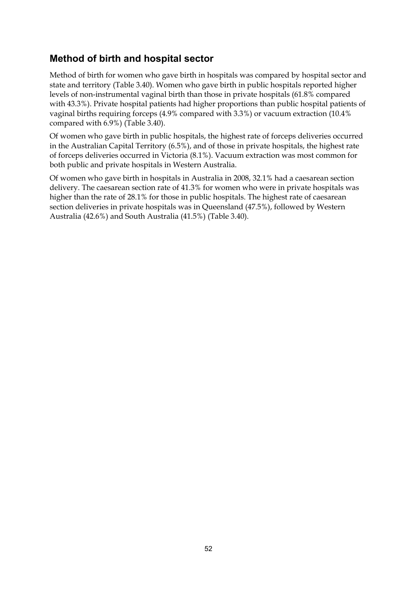## **Method of birth and hospital sector**

Method of birth for women who gave birth in hospitals was compared by hospital sector and state and territory (Table 3.40). Women who gave birth in public hospitals reported higher levels of non-instrumental vaginal birth than those in private hospitals (61.8% compared with 43.3%). Private hospital patients had higher proportions than public hospital patients of vaginal births requiring forceps (4.9% compared with 3.3%) or vacuum extraction (10.4% compared with 6.9%) (Table 3.40).

Of women who gave birth in public hospitals, the highest rate of forceps deliveries occurred in the Australian Capital Territory (6.5%), and of those in private hospitals, the highest rate of forceps deliveries occurred in Victoria (8.1%). Vacuum extraction was most common for both public and private hospitals in Western Australia.

Of women who gave birth in hospitals in Australia in 2008, 32.1% had a caesarean section delivery. The caesarean section rate of 41.3% for women who were in private hospitals was higher than the rate of 28.1% for those in public hospitals. The highest rate of caesarean section deliveries in private hospitals was in Queensland (47.5%), followed by Western Australia (42.6%) and South Australia (41.5%) (Table 3.40).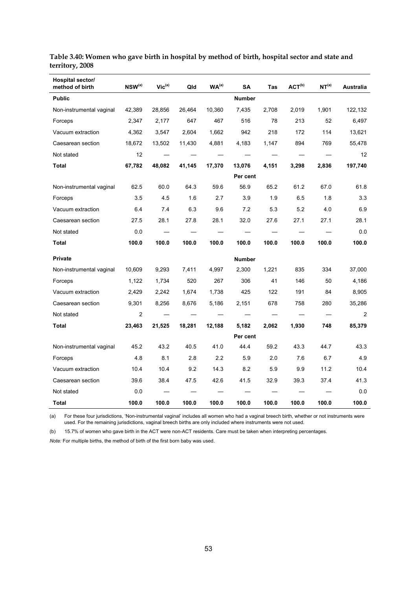| Hospital sector/<br>method of birth | $NSW^{(a)}$ | $Vic^{(a)}$ | Qld    | WA <sup>(a)</sup> | SA                             | Tas   | $ACT^{(b)}$ | NT <sup>(a)</sup> | Australia |
|-------------------------------------|-------------|-------------|--------|-------------------|--------------------------------|-------|-------------|-------------------|-----------|
| <b>Public</b>                       |             |             |        |                   | <b>Number</b>                  |       |             |                   |           |
| Non-instrumental vaginal            | 42,389      | 28,856      | 26,464 | 10,360            | 7,435                          | 2,708 | 2,019       | 1,901             | 122,132   |
| Forceps                             | 2,347       | 2,177       | 647    | 467               | 516                            | 78    | 213         | 52                | 6,497     |
| Vacuum extraction                   | 4,362       | 3,547       | 2,604  | 1,662             | 942                            | 218   | 172         | 114               | 13,621    |
| Caesarean section                   | 18,672      | 13,502      | 11,430 | 4,881             | 4,183                          | 1,147 | 894         | 769               | 55,478    |
| Not stated                          | 12          |             |        |                   |                                |       |             |                   | 12        |
| Total                               | 67,782      | 48,082      | 41,145 | 17,370            | 13,076                         | 4,151 | 3,298       | 2,836             | 197,740   |
|                                     |             |             |        |                   | Per cent                       |       |             |                   |           |
| Non-instrumental vaginal            | 62.5        | 60.0        | 64.3   | 59.6              | 56.9                           | 65.2  | 61.2        | 67.0              | 61.8      |
| Forceps                             | 3.5         | 4.5         | 1.6    | 2.7               | 3.9                            | 1.9   | 6.5         | 1.8               | 3.3       |
| Vacuum extraction                   | 6.4         | 7.4         | 6.3    | 9.6               | 7.2                            | 5.3   | 5.2         | 4.0               | 6.9       |
| Caesarean section                   | 27.5        | 28.1        | 27.8   | 28.1              | 32.0                           | 27.6  | 27.1        | 27.1              | 28.1      |
| Not stated                          | 0.0         |             |        |                   |                                |       |             |                   | 0.0       |
| Total                               | 100.0       | 100.0       | 100.0  | 100.0             | 100.0                          | 100.0 | 100.0       | 100.0             | 100.0     |
| <b>Private</b>                      |             |             |        |                   | <b>Number</b>                  |       |             |                   |           |
| Non-instrumental vaginal            | 10,609      | 9,293       | 7,411  | 4,997             | 2,300                          | 1,221 | 835         | 334               | 37,000    |
| Forceps                             | 1,122       | 1,734       | 520    | 267               | 306                            | 41    | 146         | 50                | 4,186     |
| Vacuum extraction                   | 2,429       | 2,242       | 1,674  | 1,738             | 425                            | 122   | 191         | 84                | 8,905     |
| Caesarean section                   | 9,301       | 8,256       | 8,676  | 5,186             | 2,151                          | 678   | 758         | 280               | 35,286    |
| Not stated                          | 2           |             |        |                   | $\overbrace{\phantom{123321}}$ |       |             |                   | 2         |
| Total                               | 23,463      | 21,525      | 18,281 | 12,188            | 5,182                          | 2,062 | 1,930       | 748               | 85,379    |
|                                     |             |             |        |                   | Per cent                       |       |             |                   |           |
| Non-instrumental vaginal            | 45.2        | 43.2        | 40.5   | 41.0              | 44.4                           | 59.2  | 43.3        | 44.7              | 43.3      |
| Forceps                             | 4.8         | 8.1         | 2.8    | 2.2               | 5.9                            | 2.0   | 7.6         | 6.7               | 4.9       |
| Vacuum extraction                   | 10.4        | 10.4        | 9.2    | 14.3              | 8.2                            | 5.9   | 9.9         | 11.2              | 10.4      |
| Caesarean section                   | 39.6        | 38.4        | 47.5   | 42.6              | 41.5                           | 32.9  | 39.3        | 37.4              | 41.3      |
| Not stated                          | 0.0         |             |        |                   |                                |       |             |                   | 0.0       |
| Total                               | 100.0       | 100.0       | 100.0  | 100.0             | 100.0                          | 100.0 | 100.0       | 100.0             | 100.0     |

**Table 3.40: Women who gave birth in hospital by method of birth, hospital sector and state and territory, 2008** 

(a) For these four jurisdictions, 'Non-instrumental vaginal' includes all women who had a vaginal breech birth, whether or not instruments were used. For the remaining jurisdictions, vaginal breech births are only included where instruments were not used.

(b) 15.7% of women who gave birth in the ACT were non-ACT residents. Care must be taken when interpreting percentages.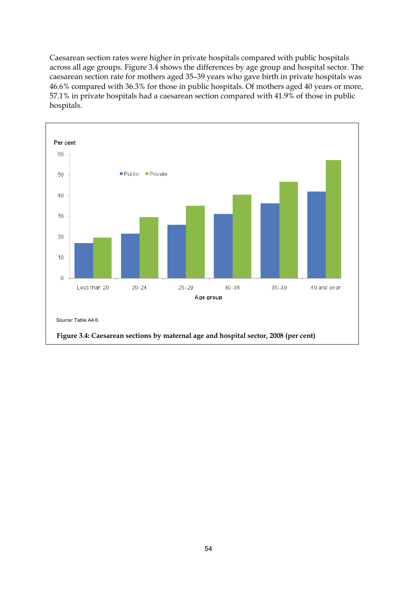Caesarean section rates were higher in private hospitals compared with public hospitals across all age groups. Figure 3.4 shows the differences by age group and hospital sector. The caesarean section rate for mothers aged 35–39 years who gave birth in private hospitals was 46.6% compared with 36.3% for those in public hospitals. Of mothers aged 40 years or more, 57.1% in private hospitals had a caesarean section compared with 41.9% of those in public hospitals.

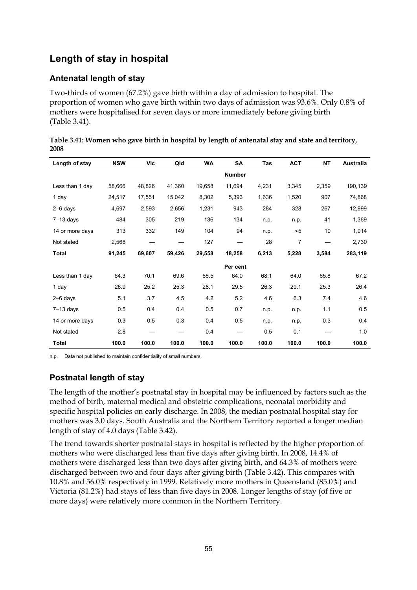# **Length of stay in hospital**

#### **Antenatal length of stay**

Two-thirds of women (67.2%) gave birth within a day of admission to hospital. The proportion of women who gave birth within two days of admission was 93.6%. Only 0.8% of mothers were hospitalised for seven days or more immediately before giving birth (Table 3.41).

| Length of stay  | <b>NSW</b> | Vic    | Qld    | <b>WA</b> | SA            | Tas   | <b>ACT</b> | <b>NT</b> | Australia |
|-----------------|------------|--------|--------|-----------|---------------|-------|------------|-----------|-----------|
|                 |            |        |        |           | <b>Number</b> |       |            |           |           |
| Less than 1 day | 58,666     | 48,826 | 41,360 | 19,658    | 11,694        | 4,231 | 3,345      | 2,359     | 190,139   |
| 1 day           | 24,517     | 17,551 | 15,042 | 8,302     | 5,393         | 1,636 | 1,520      | 907       | 74,868    |
| $2-6$ days      | 4,697      | 2,593  | 2,656  | 1,231     | 943           | 284   | 328        | 267       | 12,999    |
| $7-13$ days     | 484        | 305    | 219    | 136       | 134           | n.p.  | n.p.       | 41        | 1,369     |
| 14 or more days | 313        | 332    | 149    | 104       | 94            | n.p.  | $5$        | 10        | 1,014     |
| Not stated      | 2,568      |        |        | 127       | —             | 28    | 7          |           | 2,730     |
| <b>Total</b>    | 91,245     | 69,607 | 59,426 | 29,558    | 18,258        | 6,213 | 5,228      | 3,584     | 283,119   |
|                 |            |        |        |           | Per cent      |       |            |           |           |
| Less than 1 day | 64.3       | 70.1   | 69.6   | 66.5      | 64.0          | 68.1  | 64.0       | 65.8      | 67.2      |
| 1 day           | 26.9       | 25.2   | 25.3   | 28.1      | 29.5          | 26.3  | 29.1       | 25.3      | 26.4      |
| $2-6$ days      | 5.1        | 3.7    | 4.5    | 4.2       | 5.2           | 4.6   | 6.3        | 7.4       | 4.6       |
| $7-13$ days     | 0.5        | 0.4    | 0.4    | 0.5       | 0.7           | n.p.  | n.p.       | 1.1       | 0.5       |
| 14 or more days | 0.3        | 0.5    | 0.3    | 0.4       | 0.5           | n.p.  | n.p.       | 0.3       | 0.4       |
| Not stated      | 2.8        |        |        | 0.4       |               | 0.5   | 0.1        |           | 1.0       |
| <b>Total</b>    | 100.0      | 100.0  | 100.0  | 100.0     | 100.0         | 100.0 | 100.0      | 100.0     | 100.0     |

| Table 3.41: Women who gave birth in hospital by length of antenatal stay and state and territory, |  |
|---------------------------------------------------------------------------------------------------|--|
| 2008                                                                                              |  |

n.p. Data not published to maintain confidentiality of small numbers.

#### **Postnatal length of stay**

The length of the mother's postnatal stay in hospital may be influenced by factors such as the method of birth, maternal medical and obstetric complications, neonatal morbidity and specific hospital policies on early discharge. In 2008, the median postnatal hospital stay for mothers was 3.0 days. South Australia and the Northern Territory reported a longer median length of stay of 4.0 days (Table 3.42).

The trend towards shorter postnatal stays in hospital is reflected by the higher proportion of mothers who were discharged less than five days after giving birth. In 2008, 14.4% of mothers were discharged less than two days after giving birth, and 64.3% of mothers were discharged between two and four days after giving birth (Table 3.42). This compares with 10.8% and 56.0% respectively in 1999. Relatively more mothers in Queensland (85.0%) and Victoria (81.2%) had stays of less than five days in 2008. Longer lengths of stay (of five or more days) were relatively more common in the Northern Territory.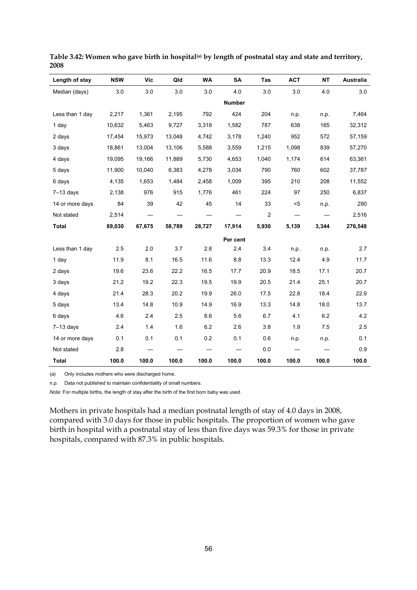| Length of stay  | <b>NSW</b> | Vic    | Qld    | <b>WA</b> | <b>SA</b>     | Tas            | <b>ACT</b>                      | <b>NT</b> | <b>Australia</b> |
|-----------------|------------|--------|--------|-----------|---------------|----------------|---------------------------------|-----------|------------------|
| Median (days)   | 3.0        | 3.0    | 3.0    | 3.0       | 4.0           | 3.0            | 3.0                             | 4.0       | 3.0              |
|                 |            |        |        |           | <b>Number</b> |                |                                 |           |                  |
| Less than 1 day | 2,217      | 1,361  | 2,195  | 792       | 424           | 204            | n.p.                            | n.p.      | 7,464            |
| 1 day           | 10,632     | 5,463  | 9,727  | 3,318     | 1,582         | 787            | 638                             | 165       | 32,312           |
| 2 days          | 17,454     | 15,973 | 13,048 | 4,742     | 3,178         | 1,240          | 952                             | 572       | 57,159           |
| 3 days          | 18,861     | 13,004 | 13,106 | 5,588     | 3,559         | 1,215          | 1,098                           | 839       | 57,270           |
| 4 days          | 19,095     | 19,166 | 11,889 | 5,730     | 4,653         | 1,040          | 1,174                           | 614       | 63,361           |
| 5 days          | 11,900     | 10,040 | 6,383  | 4,278     | 3,034         | 790            | 760                             | 602       | 37,787           |
| 6 days          | 4,135      | 1,653  | 1,484  | 2,458     | 1,009         | 395            | 210                             | 208       | 11,552           |
| $7-13$ days     | 2,138      | 976    | 915    | 1,776     | 461           | 224            | 97                              | 250       | 6,837            |
| 14 or more days | 84         | 39     | 42     | 45        | 14            | 33             | $5$                             | n.p.      | 290              |
| Not stated      | 2,514      |        |        |           |               | $\overline{c}$ | $\hspace{0.1mm}-\hspace{0.1mm}$ |           | 2,516            |
| <b>Total</b>    | 89,030     | 67,675 | 58,789 | 28,727    | 17,914        | 5,930          | 5,139                           | 3,344     | 276,548          |
|                 |            |        |        |           | Per cent      |                |                                 |           |                  |
| Less than 1 day | 2.5        | 2.0    | 3.7    | 2.8       | 2.4           | 3.4            | n.p.                            | n.p.      | 2.7              |
| 1 day           | 11.9       | 8.1    | 16.5   | 11.6      | 8.8           | 13.3           | 12.4                            | 4.9       | 11.7             |
| 2 days          | 19.6       | 23.6   | 22.2   | 16.5      | 17.7          | 20.9           | 18.5                            | 17.1      | 20.7             |
| 3 days          | 21.2       | 19.2   | 22.3   | 19.5      | 19.9          | 20.5           | 21.4                            | 25.1      | 20.7             |
| 4 days          | 21.4       | 28.3   | 20.2   | 19.9      | 26.0          | 17.5           | 22.8                            | 18.4      | 22.9             |
| 5 days          | 13.4       | 14.8   | 10.9   | 14.9      | 16.9          | 13.3           | 14.8                            | 18.0      | 13.7             |
| 6 days          | 4.6        | 2.4    | 2.5    | 8.6       | 5.6           | 6.7            | 4.1                             | 6.2       | 4.2              |
| $7-13$ days     | 2.4        | 1.4    | 1.6    | 6.2       | 2.6           | 3.8            | 1.9                             | 7.5       | 2.5              |
| 14 or more days | 0.1        | 0.1    | 0.1    | 0.2       | 0.1           | 0.6            | n.p.                            | n.p.      | 0.1              |
| Not stated      | 2.8        |        |        |           |               | 0.0            |                                 |           | 0.9              |
| <b>Total</b>    | 100.0      | 100.0  | 100.0  | 100.0     | 100.0         | 100.0          | 100.0                           | 100.0     | 100.0            |

Table 3.42: Women who gave birth in hospital<sup>(a)</sup> by length of postnatal stay and state and territory, **2008** 

(a) Only includes mothers who were discharged home.

n.p. Data not published to maintain confidentiality of small numbers.

*Note:* For multiple births, the length of stay after the birth of the first born baby was used.

Mothers in private hospitals had a median postnatal length of stay of 4.0 days in 2008, compared with 3.0 days for those in public hospitals. The proportion of women who gave birth in hospital with a postnatal stay of less than five days was 59.3% for those in private hospitals, compared with 87.3% in public hospitals.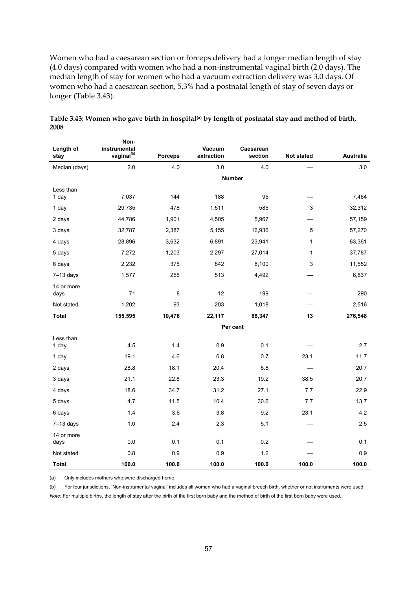Women who had a caesarean section or forceps delivery had a longer median length of stay (4.0 days) compared with women who had a non-instrumental vaginal birth (2.0 days). The median length of stay for women who had a vacuum extraction delivery was 3.0 days. Of women who had a caesarean section, 5.3% had a postnatal length of stay of seven days or longer (Table 3.43).

| Length of          | Non-<br>instrumental   |                | Vacuum     | Caesarean     |              |           |
|--------------------|------------------------|----------------|------------|---------------|--------------|-----------|
| stay               | vaginal <sup>(b)</sup> | <b>Forceps</b> | extraction | section       | Not stated   | Australia |
| Median (days)      | 2.0                    | 4.0            | 3.0        | 4.0           |              | 3.0       |
|                    |                        |                |            | <b>Number</b> |              |           |
| Less than          |                        |                |            |               |              |           |
| 1 day              | 7,037                  | 144            | 188        | 95            |              | 7,464     |
| 1 day              | 29,735                 | 478            | 1,511      | 585           | $\mathsf 3$  | 32,312    |
| 2 days             | 44,786                 | 1,901          | 4,505      | 5,967         |              | 57,159    |
| 3 days             | 32,787                 | 2,387          | 5,155      | 16,936        | 5            | 57,270    |
| 4 days             | 28,896                 | 3,632          | 6,891      | 23,941        | $\mathbf{1}$ | 63,361    |
| 5 days             | 7,272                  | 1,203          | 2,297      | 27,014        | $\mathbf{1}$ | 37,787    |
| 6 days             | 2,232                  | 375            | 842        | 8,100         | 3            | 11,552    |
| $7-13$ days        | 1,577                  | 255            | 513        | 4,492         |              | 6,837     |
| 14 or more         |                        |                |            |               |              |           |
| days               | 71                     | 8              | 12         | 199           |              | 290       |
| Not stated         | 1,202                  | 93             | 203        | 1,018         |              | 2,516     |
| <b>Total</b>       | 155,595                | 10,476         | 22,117     | 88,347        | 13           | 276,548   |
|                    |                        |                |            | Per cent      |              |           |
| Less than<br>1 day | 4.5                    | 1.4            | 0.9        | 0.1           |              | 2.7       |
| 1 day              | 19.1                   | 4.6            | $6.8\,$    | 0.7           | 23.1         | 11.7      |
| 2 days             | 28.8                   | 18.1           | 20.4       | 6.8           |              | 20.7      |
| 3 days             | 21.1                   | 22.8           | 23.3       | 19.2          | 38.5         | 20.7      |
| 4 days             | 18.6                   | 34.7           | 31.2       | 27.1          | 7.7          | 22.9      |
| 5 days             | 4.7                    | 11.5           | 10.4       | 30.6          | 7.7          | 13.7      |
| 6 days             | 1.4                    | 3.6            | 3.8        | 9.2           | 23.1         | 4.2       |
| $7-13$ days        | 1.0                    | 2.4            | 2.3        | 5.1           |              | 2.5       |
| 14 or more<br>days | $0.0\,$                | 0.1            | 0.1        | 0.2           |              | 0.1       |
| Not stated         | 0.8                    | 0.9            | 0.9        | 1.2           |              | 0.9       |
| Total              | 100.0                  | 100.0          | 100.0      | 100.0         | 100.0        | 100.0     |

Table 3.43: Women who gave birth in hospital<sup>(a)</sup> by length of postnatal stay and method of birth, **2008** 

(a) Only includes mothers who were discharged home.

(b) For four jurisdictions, 'Non-instrumental vaginal' includes all women who had a vaginal breech birth, whether or not instruments were used. *Note:* For multiple births, the length of stay after the birth of the first born baby and the method of birth of the first born baby were used.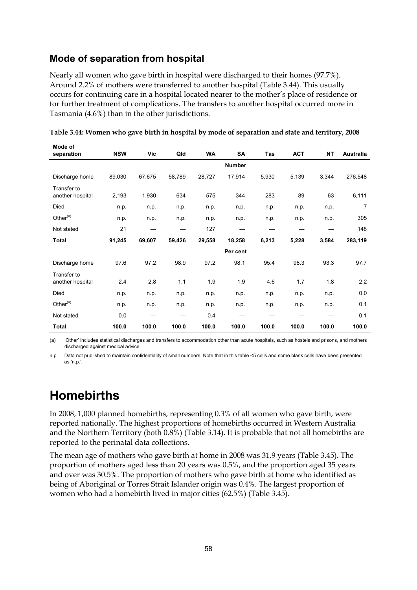## **Mode of separation from hospital**

Nearly all women who gave birth in hospital were discharged to their homes (97.7%). Around 2.2% of mothers were transferred to another hospital (Table 3.44). This usually occurs for continuing care in a hospital located nearer to the mother's place of residence or for further treatment of complications. The transfers to another hospital occurred more in Tasmania (4.6%) than in the other jurisdictions.

| Mode of<br>separation           | <b>NSW</b> | Vic    | Qld    | <b>WA</b> | <b>SA</b>     | Tas   | <b>ACT</b> | <b>NT</b> | <b>Australia</b> |
|---------------------------------|------------|--------|--------|-----------|---------------|-------|------------|-----------|------------------|
|                                 |            |        |        |           | <b>Number</b> |       |            |           |                  |
| Discharge home                  | 89,030     | 67,675 | 58,789 | 28,727    | 17,914        | 5,930 | 5,139      | 3,344     | 276,548          |
| Transfer to<br>another hospital | 2,193      | 1,930  | 634    | 575       | 344           | 283   | 89         | 63        | 6,111            |
| Died                            | n.p.       | n.p.   | n.p.   | n p.      | n.p.          | n.p.  | n.p.       | n.p.      | 7                |
| Other <sup>(a)</sup>            | n.p.       | n.p.   | n.p.   | n.p.      | n.p.          | n.p.  | n.p.       | n.p.      | 305              |
| Not stated                      | 21         |        |        | 127       |               |       |            |           | 148              |
| <b>Total</b>                    | 91,245     | 69,607 | 59,426 | 29,558    | 18,258        | 6,213 | 5,228      | 3,584     | 283,119          |
|                                 |            |        |        |           | Per cent      |       |            |           |                  |
| Discharge home                  | 97.6       | 97.2   | 98.9   | 97.2      | 98.1          | 95.4  | 98.3       | 93.3      | 97.7             |
| Transfer to<br>another hospital | 2.4        | 2.8    | 1.1    | 1.9       | 1.9           | 4.6   | 1.7        | 1.8       | 2.2              |
| Died                            | n p.       | n.p.   | n.p.   | n p.      | n.p.          | n.p.  | n.p.       | n.p.      | 0.0              |
| Other <sup>(a)</sup>            | n.p.       | n.p.   | n.p.   | n.p.      | n.p.          | n.p.  | n.p.       | n.p.      | 0.1              |
| Not stated                      | 0.0        |        |        | 0.4       |               |       |            |           | 0.1              |
| Total                           | 100.0      | 100.0  | 100.0  | 100.0     | 100.0         | 100.0 | 100.0      | 100.0     | 100.0            |

**Table 3.44: Women who gave birth in hospital by mode of separation and state and territory, 2008** 

(a) 'Other' includes statistical discharges and transfers to accommodation other than acute hospitals, such as hostels and prisons, and mothers discharged against medical advice.

n.p. Data not published to maintain confidentiality of small numbers. Note that in this table <5 cells and some blank cells have been presented as 'n.p.'.

# **Homebirths**

In 2008, 1,000 planned homebirths, representing 0.3% of all women who gave birth, were reported nationally. The highest proportions of homebirths occurred in Western Australia and the Northern Territory (both 0.8%) (Table 3.14). It is probable that not all homebirths are reported to the perinatal data collections.

The mean age of mothers who gave birth at home in 2008 was 31.9 years (Table 3.45). The proportion of mothers aged less than 20 years was 0.5%, and the proportion aged 35 years and over was 30.5%. The proportion of mothers who gave birth at home who identified as being of Aboriginal or Torres Strait Islander origin was 0.4%. The largest proportion of women who had a homebirth lived in major cities (62.5%) (Table 3.45).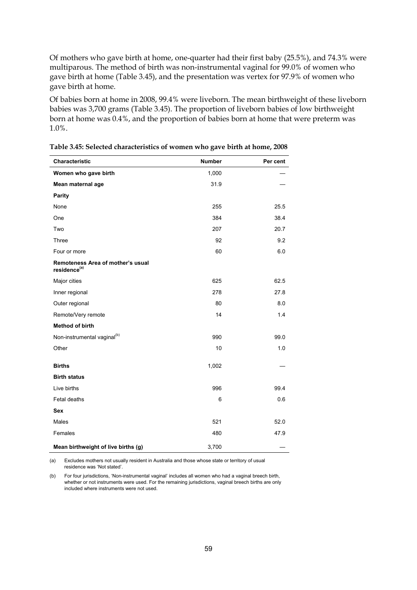Of mothers who gave birth at home, one-quarter had their first baby (25.5%), and 74.3% were multiparous. The method of birth was non-instrumental vaginal for 99.0% of women who gave birth at home (Table 3.45), and the presentation was vertex for 97.9% of women who gave birth at home.

Of babies born at home in 2008, 99.4% were liveborn. The mean birthweight of these liveborn babies was 3,700 grams (Table 3.45). The proportion of liveborn babies of low birthweight born at home was 0.4%, and the proportion of babies born at home that were preterm was 1.0%.

| Characteristic                                                | <b>Number</b> | Per cent |
|---------------------------------------------------------------|---------------|----------|
| Women who gave birth                                          | 1,000         |          |
| Mean maternal age                                             | 31.9          |          |
| <b>Parity</b>                                                 |               |          |
| None                                                          | 255           | 25.5     |
| One                                                           | 384           | 38.4     |
| Two                                                           | 207           | 20.7     |
| Three                                                         | 92            | 9.2      |
| Four or more                                                  | 60            | 6.0      |
| Remoteness Area of mother's usual<br>residence <sup>(a)</sup> |               |          |
| Major cities                                                  | 625           | 62.5     |
| Inner regional                                                | 278           | 27.8     |
| Outer regional                                                | 80            | 8.0      |
| Remote/Very remote                                            | 14            | 1.4      |
| <b>Method of birth</b>                                        |               |          |
| Non-instrumental vaginal <sup>(b)</sup>                       | 990           | 99.0     |
| Other                                                         | 10            | 1.0      |
| <b>Births</b>                                                 | 1,002         |          |
| <b>Birth status</b>                                           |               |          |
| Live births                                                   | 996           | 99.4     |
| Fetal deaths                                                  | 6             | 0.6      |
| Sex                                                           |               |          |
| Males                                                         | 521           | 52.0     |
| Females                                                       | 480           | 47.9     |
| Mean birthweight of live births (g)                           | 3,700         |          |

**Table 3.45: Selected characteristics of women who gave birth at home, 2008** 

(a) Excludes mothers not usually resident in Australia and those whose state or territory of usual residence was 'Not stated'.

(b) For four jurisdictions, 'Non-instrumental vaginal' includes all women who had a vaginal breech birth, whether or not instruments were used. For the remaining jurisdictions, vaginal breech births are only included where instruments were not used.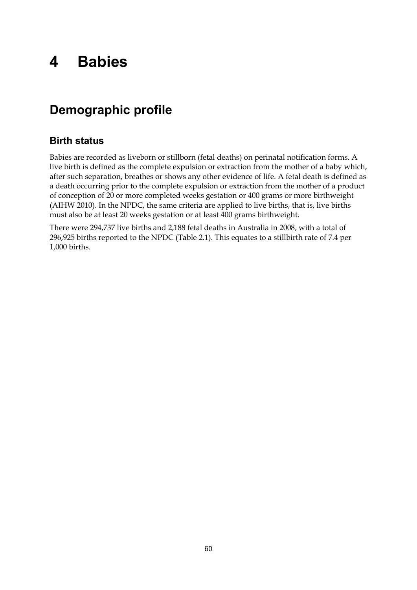# **4 Babies**

# **Demographic profile**

## **Birth status**

Babies are recorded as liveborn or stillborn (fetal deaths) on perinatal notification forms. A live birth is defined as the complete expulsion or extraction from the mother of a baby which, after such separation, breathes or shows any other evidence of life. A fetal death is defined as a death occurring prior to the complete expulsion or extraction from the mother of a product of conception of 20 or more completed weeks gestation or 400 grams or more birthweight (AIHW 2010). In the NPDC, the same criteria are applied to live births, that is, live births must also be at least 20 weeks gestation or at least 400 grams birthweight.

There were 294,737 live births and 2,188 fetal deaths in Australia in 2008, with a total of 296,925 births reported to the NPDC (Table 2.1). This equates to a stillbirth rate of 7.4 per 1,000 births.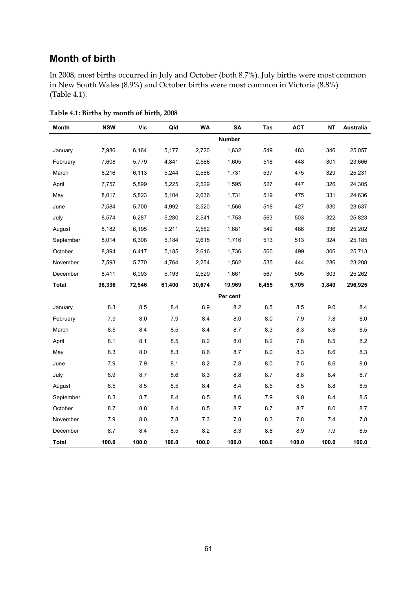## **Month of birth**

In 2008, most births occurred in July and October (both 8.7%). July births were most common in New South Wales (8.9%) and October births were most common in Victoria (8.8%) (Table 4.1).

| <b>Month</b> | <b>NSW</b> | <b>Vic</b> | Qld    | <b>WA</b> | <b>SA</b>     | Tas   | <b>ACT</b> | NΤ    | Australia |
|--------------|------------|------------|--------|-----------|---------------|-------|------------|-------|-----------|
|              |            |            |        |           | <b>Number</b> |       |            |       |           |
| January      | 7,986      | 6,164      | 5,177  | 2,720     | 1,632         | 549   | 483        | 346   | 25,057    |
| February     | 7,608      | 5,779      | 4,841  | 2,566     | 1,605         | 518   | 448        | 301   | 23,666    |
| March        | 8,216      | 6,113      | 5,244  | 2,586     | 1,731         | 537   | 475        | 329   | 25,231    |
| April        | 7,757      | 5,899      | 5,225  | 2,529     | 1,595         | 527   | 447        | 326   | 24,305    |
| May          | 8,017      | 5,823      | 5,104  | 2,636     | 1,731         | 519   | 475        | 331   | 24,636    |
| June         | 7,584      | 5,700      | 4,992  | 2,520     | 1,566         | 518   | 427        | 330   | 23,637    |
| July         | 8,574      | 6,287      | 5,280  | 2,541     | 1,753         | 563   | 503        | 322   | 25,823    |
| August       | 8,182      | 6,195      | 5,211  | 2,562     | 1,681         | 549   | 486        | 336   | 25,202    |
| September    | 8,014      | 6,306      | 5,184  | 2,615     | 1,716         | 513   | 513        | 324   | 25,185    |
| October      | 8,394      | 6,417      | 5,185  | 2,616     | 1,736         | 560   | 499        | 306   | 25,713    |
| November     | 7,593      | 5,770      | 4,764  | 2,254     | 1,562         | 535   | 444        | 286   | 23,208    |
| December     | 8,411      | 6,093      | 5,193  | 2,529     | 1,661         | 567   | 505        | 303   | 25,262    |
| <b>Total</b> | 96,336     | 72,546     | 61,400 | 30,674    | 19,969        | 6,455 | 5,705      | 3,840 | 296,925   |
|              |            |            |        |           | Per cent      |       |            |       |           |
| January      | 8.3        | 8.5        | 8.4    | 8.9       | 8.2           | 8.5   | 8.5        | 9.0   | 8.4       |
| February     | 7.9        | 8.0        | 7.9    | 8.4       | 8.0           | 8.0   | 7.9        | 7.8   | 8.0       |
| March        | 8.5        | 8.4        | 8.5    | 8.4       | 8.7           | 8.3   | 8.3        | 8.6   | 8.5       |
| April        | 8.1        | 8.1        | 8.5    | 8.2       | 8.0           | 8.2   | 7.8        | 8.5   | 8.2       |
| May          | 8.3        | 8.0        | 8.3    | 8.6       | 8.7           | 8.0   | 8.3        | 8.6   | 8.3       |
| June         | 7.9        | 7.9        | 8.1    | 8.2       | 7.8           | 8.0   | 7.5        | 8.6   | 8.0       |
| July         | 8.9        | 8.7        | 8.6    | 8.3       | 8.8           | 8.7   | 8.8        | 8.4   | 8.7       |
| August       | 8.5        | 8.5        | 8.5    | 8.4       | 8.4           | 8.5   | 8.5        | 8.8   | 8.5       |
| September    | 8.3        | 8.7        | 8.4    | 8.5       | 8.6           | 7.9   | 9.0        | 8.4   | 8.5       |
| October      | 8.7        | $8.8\,$    | 8.4    | 8.5       | 8.7           | 8.7   | 8.7        | 8.0   | 8.7       |
| November     | 7.9        | 8.0        | 7.8    | 7.3       | 7.8           | 8.3   | 7.8        | 7.4   | 7.8       |
| December     | 8.7        | 8.4        | 8.5    | 8.2       | 8.3           | 8.8   | 8.9        | 7.9   | 8.5       |
| <b>Total</b> | 100.0      | 100.0      | 100.0  | 100.0     | 100.0         | 100.0 | 100.0      | 100.0 | 100.0     |

**Table 4.1: Births by month of birth, 2008**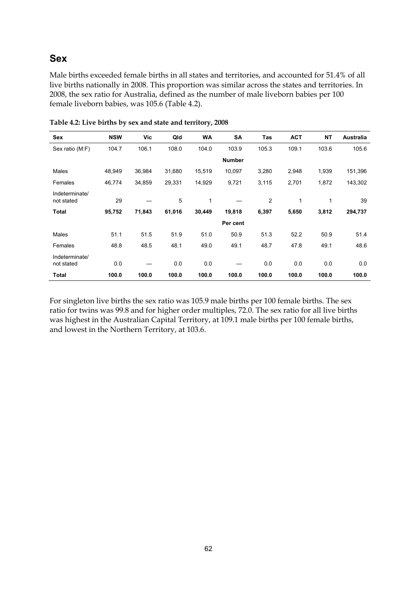#### **Sex**

Male births exceeded female births in all states and territories, and accounted for 51.4% of all live births nationally in 2008. This proportion was similar across the states and territories. In 2008, the sex ratio for Australia, defined as the number of male liveborn babies per 100 female liveborn babies, was 105.6 (Table 4.2).

| Sex                          | <b>NSW</b> | Vic    | Qld    | <b>WA</b>    | SA            | Tas   | <b>ACT</b> | <b>NT</b> | <b>Australia</b> |
|------------------------------|------------|--------|--------|--------------|---------------|-------|------------|-----------|------------------|
| Sex ratio (M:F)              | 104.7      | 106.1  | 108.0  | 104.0        | 103.9         | 105.3 | 109.1      | 103.6     | 105.6            |
|                              |            |        |        |              | <b>Number</b> |       |            |           |                  |
| Males                        | 48,949     | 36,984 | 31,680 | 15,519       | 10,097        | 3,280 | 2,948      | 1,939     | 151,396          |
| Females                      | 46,774     | 34,859 | 29,331 | 14,929       | 9,721         | 3,115 | 2,701      | 1,872     | 143,302          |
| Indeterminate/<br>not stated | 29         |        | 5      | $\mathbf{1}$ |               | 2     | 1          | 1         | 39               |
| <b>Total</b>                 | 95,752     | 71,843 | 61,016 | 30,449       | 19,818        | 6,397 | 5,650      | 3,812     | 294,737          |
|                              |            |        |        |              | Per cent      |       |            |           |                  |
| Males                        | 51.1       | 51.5   | 51.9   | 51.0         | 50.9          | 51.3  | 52.2       | 50.9      | 51.4             |
| Females                      | 48.8       | 48.5   | 48.1   | 49.0         | 49.1          | 48.7  | 47.8       | 49.1      | 48.6             |
| Indeterminate/<br>not stated | 0.0        |        | 0.0    | 0.0          |               | 0.0   | 0.0        | 0.0       | 0.0              |
| <b>Total</b>                 | 100.0      | 100.0  | 100.0  | 100.0        | 100.0         | 100.0 | 100.0      | 100.0     | 100.0            |

**Table 4.2: Live births by sex and state and territory, 2008** 

For singleton live births the sex ratio was 105.9 male births per 100 female births. The sex ratio for twins was 99.8 and for higher order multiples, 72.0. The sex ratio for all live births was highest in the Australian Capital Territory, at 109.1 male births per 100 female births, and lowest in the Northern Territory, at 103.6.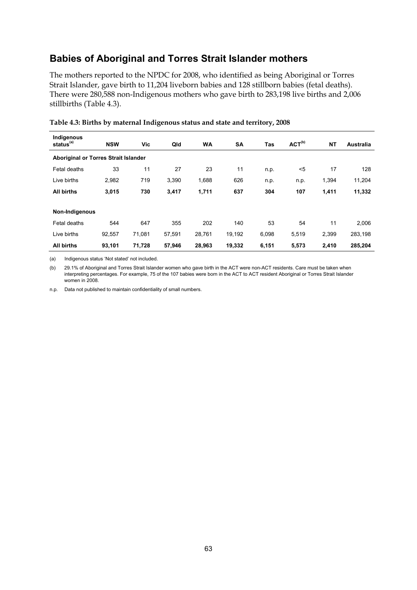### **Babies of Aboriginal and Torres Strait Islander mothers**

The mothers reported to the NPDC for 2008, who identified as being Aboriginal or Torres Strait Islander, gave birth to 11,204 liveborn babies and 128 stillborn babies (fetal deaths). There were 280,588 non-Indigenous mothers who gave birth to 283,198 live births and 2,006 stillbirths (Table 4.3).

| Indigenous<br>status <sup>(a)</sup>  | <b>NSW</b> | Vic    | Qld    | <b>WA</b> | <b>SA</b> | Tas   | ACT <sup>(b)</sup> | <b>NT</b> | <b>Australia</b> |  |  |
|--------------------------------------|------------|--------|--------|-----------|-----------|-------|--------------------|-----------|------------------|--|--|
| Aboriginal or Torres Strait Islander |            |        |        |           |           |       |                    |           |                  |  |  |
| Fetal deaths                         | 33         | 11     | 27     | 23        | 11        | n.p.  | $5$                | 17        | 128              |  |  |
| Live births                          | 2,982      | 719    | 3,390  | 1,688     | 626       | n.p.  | n.p.               | 1,394     | 11,204           |  |  |
| <b>All births</b>                    | 3,015      | 730    | 3,417  | 1,711     | 637       | 304   | 107                | 1,411     | 11,332           |  |  |
| Non-Indigenous                       |            |        |        |           |           |       |                    |           |                  |  |  |
| Fetal deaths                         | 544        | 647    | 355    | 202       | 140       | 53    | 54                 | 11        | 2,006            |  |  |
| Live births                          | 92,557     | 71,081 | 57,591 | 28,761    | 19,192    | 6,098 | 5,519              | 2,399     | 283,198          |  |  |
| <b>All births</b>                    | 93,101     | 71,728 | 57,946 | 28,963    | 19,332    | 6,151 | 5,573              | 2,410     | 285,204          |  |  |

**Table 4.3: Births by maternal Indigenous status and state and territory, 2008** 

(a) Indigenous status 'Not stated' not included.

(b) 29.1% of Aboriginal and Torres Strait Islander women who gave birth in the ACT were non-ACT residents. Care must be taken when interpreting percentages. For example, 75 of the 107 babies were born in the ACT to ACT resident Aboriginal or Torres Strait Islander women in 2008.

n.p. Data not published to maintain confidentiality of small numbers.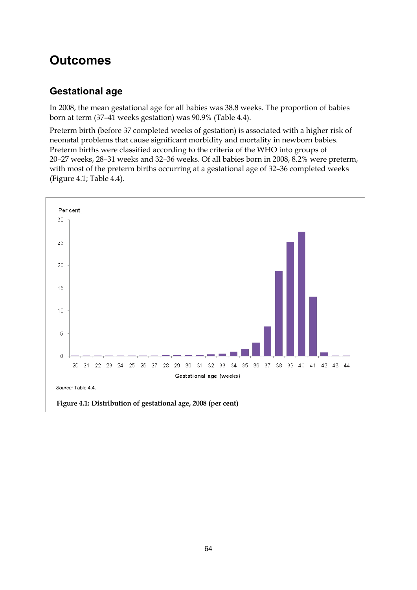# **Outcomes**

# **Gestational age**

In 2008, the mean gestational age for all babies was 38.8 weeks. The proportion of babies born at term (37–41 weeks gestation) was 90.9% (Table 4.4).

Preterm birth (before 37 completed weeks of gestation) is associated with a higher risk of neonatal problems that cause significant morbidity and mortality in newborn babies. Preterm births were classified according to the criteria of the WHO into groups of 20–27 weeks, 28–31 weeks and 32–36 weeks. Of all babies born in 2008, 8.2% were preterm, with most of the preterm births occurring at a gestational age of 32–36 completed weeks (Figure 4.1; Table 4.4).

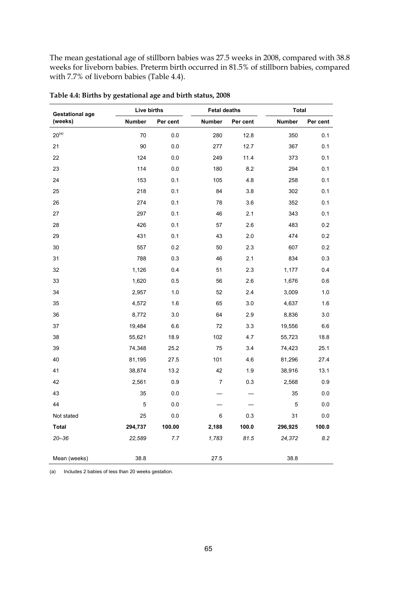The mean gestational age of stillborn babies was 27.5 weeks in 2008, compared with 38.8 weeks for liveborn babies. Preterm birth occurred in 81.5% of stillborn babies, compared with 7.7% of liveborn babies (Table 4.4).

| <b>Gestational age</b> | Live births   |          | <b>Fetal deaths</b> |          | <b>Total</b> |          |
|------------------------|---------------|----------|---------------------|----------|--------------|----------|
| (weeks)                | <b>Number</b> | Per cent | Number              | Per cent | Number       | Per cent |
| $20^{(a)}$             | 70            | 0.0      | 280                 | 12.8     | 350          | 0.1      |
| 21                     | 90            | 0.0      | 277                 | 12.7     | 367          | 0.1      |
| 22                     | 124           | 0.0      | 249                 | 11.4     | 373          | 0.1      |
| 23                     | 114           | 0.0      | 180                 | 8.2      | 294          | 0.1      |
| 24                     | 153           | 0.1      | 105                 | 4.8      | 258          | 0.1      |
| 25                     | 218           | 0.1      | 84                  | 3.8      | 302          | 0.1      |
| 26                     | 274           | 0.1      | 78                  | 3.6      | 352          | 0.1      |
| 27                     | 297           | 0.1      | 46                  | 2.1      | 343          | 0.1      |
| 28                     | 426           | 0.1      | 57                  | 2.6      | 483          | 0.2      |
| 29                     | 431           | 0.1      | 43                  | 2.0      | 474          | 0.2      |
| 30                     | 557           | 0.2      | 50                  | 2.3      | 607          | 0.2      |
| 31                     | 788           | 0.3      | 46                  | 2.1      | 834          | 0.3      |
| 32                     | 1,126         | 0.4      | 51                  | 2.3      | 1,177        | 0.4      |
| 33                     | 1,620         | 0.5      | 56                  | 2.6      | 1,676        | 0.6      |
| 34                     | 2,957         | 1.0      | 52                  | 2.4      | 3,009        | 1.0      |
| 35                     | 4,572         | 1.6      | 65                  | 3.0      | 4,637        | 1.6      |
| 36                     | 8,772         | 3.0      | 64                  | 2.9      | 8,836        | 3.0      |
| 37                     | 19,484        | 6.6      | 72                  | 3.3      | 19,556       | 6.6      |
| 38                     | 55,621        | 18.9     | 102                 | 4.7      | 55,723       | 18.8     |
| 39                     | 74,348        | 25.2     | 75                  | 3.4      | 74,423       | 25.1     |
| 40                     | 81,195        | 27.5     | 101                 | 4.6      | 81,296       | 27.4     |
| 41                     | 38,874        | 13.2     | 42                  | 1.9      | 38,916       | 13.1     |
| 42                     | 2,561         | 0.9      | 7                   | 0.3      | 2,568        | 0.9      |
| 43                     | 35            | 0.0      |                     |          | 35           | 0.0      |
| 44                     | 5             | 0.0      |                     |          | 5            | 0.0      |
| Not stated             | 25            | 0.0      | 6                   | 0.3      | 31           | 0.0      |
| Total                  | 294,737       | 100.00   | 2,188               | 100.0    | 296,925      | 100.0    |
| $20 - 36$              | 22,589        | 7.7      | 1,783               | 81.5     | 24,372       | 8.2      |
| Mean (weeks)           | 38.8          |          | 27.5                |          | 38.8         |          |

**Table 4.4: Births by gestational age and birth status, 2008** 

(a) Includes 2 babies of less than 20 weeks gestation.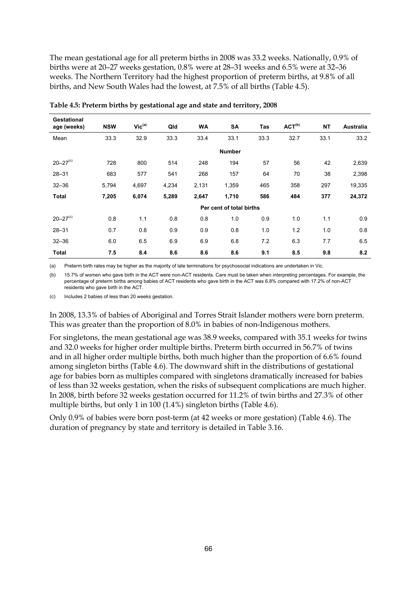The mean gestational age for all preterm births in 2008 was 33.2 weeks. Nationally, 0.9% of births were at 20–27 weeks gestation, 0.8% were at 28–31 weeks and 6.5% were at 32–36 weeks. The Northern Territory had the highest proportion of preterm births, at 9.8% of all births, and New South Wales had the lowest, at 7.5% of all births (Table 4.5).

| <b>Gestational</b><br>age (weeks) | <b>NSW</b> | $Vic^{(a)}$   | Qld   | WA    | SA                       | Tas  | $ACT^{(b)}$ | <b>NT</b> | <b>Australia</b> |  |
|-----------------------------------|------------|---------------|-------|-------|--------------------------|------|-------------|-----------|------------------|--|
| Mean                              | 33.3       | 32.9          | 33.3  | 33.4  | 33.1                     | 33.3 | 32.7        | 33.1      | 33.2             |  |
|                                   |            | <b>Number</b> |       |       |                          |      |             |           |                  |  |
| $20 - 27$ <sup>(c)</sup>          | 728        | 800           | 514   | 248   | 194                      | 57   | 56          | 42        | 2,639            |  |
| $28 - 31$                         | 683        | 577           | 541   | 268   | 157                      | 64   | 70          | 38        | 2,398            |  |
| $32 - 36$                         | 5,794      | 4,697         | 4,234 | 2,131 | 1,359                    | 465  | 358         | 297       | 19,335           |  |
| <b>Total</b>                      | 7,205      | 6,074         | 5,289 | 2,647 | 1,710                    | 586  | 484         | 377       | 24,372           |  |
|                                   |            |               |       |       | Per cent of total births |      |             |           |                  |  |
| $20 - 27$ <sup>(c)</sup>          | 0.8        | 1.1           | 0.8   | 0.8   | 1.0                      | 0.9  | 1.0         | 1.1       | 0.9              |  |
| $28 - 31$                         | 0.7        | 0.8           | 0.9   | 0.9   | 0.8                      | 1.0  | 1.2         | 1.0       | 0.8              |  |
| $32 - 36$                         | 6.0        | 6.5           | 6.9   | 6.9   | 6.8                      | 7.2  | 6.3         | 7.7       | 6.5              |  |
| <b>Total</b>                      | 7.5        | 8.4           | 8.6   | 8.6   | 8.6                      | 9.1  | 8.5         | 9.8       | 8.2              |  |

**Table 4.5: Preterm births by gestational age and state and territory, 2008** 

(a) Preterm birth rates may be higher as the majority of late terminations for psychosocial indications are undertaken in Vic.

(b) 15.7% of women who gave birth in the ACT were non-ACT residents. Care must be taken when interpreting percentages. For example, the percentage of preterm births among babies of ACT residents who gave birth in the ACT was 6.8% compared with 17.2% of non-ACT residents who gave birth in the ACT.

(c) Includes 2 babies of less than 20 weeks gestation.

In 2008, 13.3% of babies of Aboriginal and Torres Strait Islander mothers were born preterm. This was greater than the proportion of 8.0% in babies of non-Indigenous mothers.

For singletons, the mean gestational age was 38.9 weeks, compared with 35.1 weeks for twins and 32.0 weeks for higher order multiple births. Preterm birth occurred in 56.7% of twins and in all higher order multiple births, both much higher than the proportion of 6.6% found among singleton births (Table 4.6). The downward shift in the distributions of gestational age for babies born as multiples compared with singletons dramatically increased for babies of less than 32 weeks gestation, when the risks of subsequent complications are much higher. In 2008, birth before 32 weeks gestation occurred for 11.2% of twin births and 27.3% of other multiple births, but only 1 in 100 (1.4%) singleton births (Table 4.6).

Only 0.9% of babies were born post-term (at 42 weeks or more gestation) (Table 4.6). The duration of pregnancy by state and territory is detailed in Table 3.16.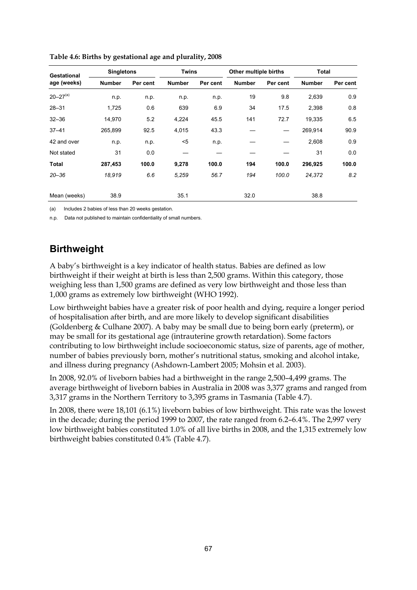| Gestational     | <b>Singletons</b> |          |               | <b>Twins</b> |               | Other multiple births | Total         |          |
|-----------------|-------------------|----------|---------------|--------------|---------------|-----------------------|---------------|----------|
| age (weeks)     | <b>Number</b>     | Per cent | <b>Number</b> | Per cent     | <b>Number</b> | Per cent              | <b>Number</b> | Per cent |
| $20 - 27^{(a)}$ | n.p.              | n.p.     | n.p.          | n.p.         | 19            | 9.8                   | 2,639         | 0.9      |
| $28 - 31$       | 1,725             | 0.6      | 639           | 6.9          | 34            | 17.5                  | 2,398         | 0.8      |
| $32 - 36$       | 14.970            | 5.2      | 4,224         | 45.5         | 141           | 72.7                  | 19,335        | 6.5      |
| $37 - 41$       | 265.899           | 92.5     | 4,015         | 43.3         |               |                       | 269.914       | 90.9     |
| 42 and over     | n.p.              | n.p.     | $<$ 5         | n.p.         |               |                       | 2,608         | 0.9      |
| Not stated      | 31                | 0.0      |               |              |               |                       | 31            | 0.0      |
| Total           | 287,453           | 100.0    | 9,278         | 100.0        | 194           | 100.0                 | 296,925       | 100.0    |
| $20 - 36$       | 18,919            | 6.6      | 5,259         | 56.7         | 194           | 100.0                 | 24,372        | 8.2      |
| Mean (weeks)    | 38.9              |          | 35.1          |              | 32.0          |                       | 38.8          |          |

**Table 4.6: Births by gestational age and plurality, 2008** 

(a) Includes 2 babies of less than 20 weeks gestation.

n.p. Data not published to maintain confidentiality of small numbers.

### **Birthweight**

A baby's birthweight is a key indicator of health status. Babies are defined as low birthweight if their weight at birth is less than 2,500 grams. Within this category, those weighing less than 1,500 grams are defined as very low birthweight and those less than 1,000 grams as extremely low birthweight (WHO 1992).

Low birthweight babies have a greater risk of poor health and dying, require a longer period of hospitalisation after birth, and are more likely to develop significant disabilities (Goldenberg & Culhane 2007). A baby may be small due to being born early (preterm), or may be small for its gestational age (intrauterine growth retardation). Some factors contributing to low birthweight include socioeconomic status, size of parents, age of mother, number of babies previously born, mother's nutritional status, smoking and alcohol intake, and illness during pregnancy (Ashdown-Lambert 2005; Mohsin et al. 2003).

In 2008, 92.0% of liveborn babies had a birthweight in the range 2,500–4,499 grams. The average birthweight of liveborn babies in Australia in 2008 was 3,377 grams and ranged from 3,317 grams in the Northern Territory to 3,395 grams in Tasmania (Table 4.7).

In 2008, there were 18,101 (6.1%) liveborn babies of low birthweight. This rate was the lowest in the decade; during the period 1999 to 2007, the rate ranged from 6.2–6.4%. The 2,997 very low birthweight babies constituted 1.0% of all live births in 2008, and the 1,315 extremely low birthweight babies constituted 0.4% (Table 4.7).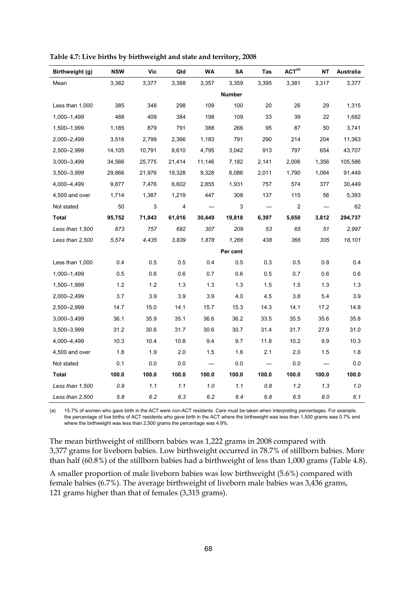| Birthweight (g) | <b>NSW</b> | Vic    | Qld    | <b>WA</b>                | SA            | Tas     | ACT <sup>(a)</sup> | <b>NT</b> | <b>Australia</b> |
|-----------------|------------|--------|--------|--------------------------|---------------|---------|--------------------|-----------|------------------|
| Mean            | 3,382      | 3,377  | 3,388  | 3,357                    | 3,359         | 3,395   | 3,381              | 3,317     | 3,377            |
|                 |            |        |        |                          | <b>Number</b> |         |                    |           |                  |
| Less than 1,000 | 385        | 348    | 298    | 109                      | 100           | 20      | 26                 | 29        | 1,315            |
| 1,000-1,499     | 488        | 409    | 384    | 198                      | 109           | 33      | 39                 | 22        | 1,682            |
| 1,500-1,999     | 1,185      | 879    | 791    | 388                      | 266           | 95      | 87                 | 50        | 3,741            |
| 2,000-2,499     | 3,516      | 2,799  | 2,366  | 1,183                    | 791           | 290     | 214                | 204       | 11,363           |
| 2,500-2,999     | 14,105     | 10,791 | 8,610  | 4,795                    | 3,042         | 913     | 797                | 654       | 43,707           |
| 3,000-3,499     | 34,566     | 25,775 | 21,414 | 11,146                   | 7,182         | 2,141   | 2,006              | 1,356     | 105,586          |
| 3,500-3,999     | 29,866     | 21,976 | 19,328 | 9,328                    | 6,086         | 2,011   | 1,790              | 1,064     | 91,449           |
| 4,000–4,499     | 9,877      | 7,476  | 6,602  | 2,855                    | 1,931         | 757     | 574                | 377       | 30,449           |
| 4,500 and over  | 1,714      | 1,387  | 1,219  | 447                      | 308           | 137     | 115                | 56        | 5,383            |
| Not stated      | 50         | 3      | 4      |                          | 3             |         | $\overline{c}$     |           | 62               |
| Total           | 95,752     | 71,843 | 61,016 | 30,449                   | 19,818        | 6,397   | 5,650              | 3,812     | 294,737          |
| Less than 1,500 | 873        | 757    | 682    | 307                      | 209           | 53      | 65                 | 51        | 2,997            |
| Less than 2,500 | 5,574      | 4,435  | 3.839  | 1,878                    | 1,266         | 438     | 366                | 305       | 18,101           |
|                 |            |        |        |                          | Per cent      |         |                    |           |                  |
| Less than 1,000 | 0.4        | 0.5    | 0.5    | 0.4                      | 0.5           | 0.3     | 0.5                | 0.8       | 0.4              |
| 1,000-1,499     | 0.5        | 0.6    | 0.6    | 0.7                      | 0.6           | 0.5     | 0.7                | 0.6       | 0.6              |
| 1,500-1,999     | 1.2        | 1.2    | 1.3    | 1.3                      | 1.3           | 1.5     | 1.5                | 1.3       | 1.3              |
| 2,000-2,499     | 3.7        | 3.9    | 3.9    | 3.9                      | 4.0           | 4.5     | 3.8                | 5.4       | 3.9              |
| 2,500-2,999     | 14.7       | 15.0   | 14.1   | 15.7                     | 15.3          | 14.3    | 14.1               | 17.2      | 14.8             |
| 3,000-3,499     | 36.1       | 35.9   | 35.1   | 36.6                     | 36.2          | 33.5    | 35.5               | 35.6      | 35.8             |
| 3,500-3,999     | 31.2       | 30.6   | 31.7   | 30.6                     | 30.7          | 31.4    | 31.7               | 27.9      | 31.0             |
| 4,000-4,499     | 10.3       | 10.4   | 10.8   | 9.4                      | 9.7           | 11.8    | 10.2               | 9.9       | 10.3             |
| 4,500 and over  | 1.8        | 1.9    | 2.0    | 1.5                      | 1.6           | 2.1     | 2.0                | 1.5       | 1.8              |
| Not stated      | 0.1        | 0.0    | 0.0    | $\overline{\phantom{0}}$ | 0.0           |         | 0.0                |           | 0.0              |
| Total           | 100.0      | 100.0  | 100.0  | 100.0                    | 100.0         | 100.0   | 100.0              | 100.0     | 100.0            |
| Less than 1,500 | 0.9        | 1.1    | 1.1    | 1.0                      | 1.1           | 0.8     | 1.2                | 1.3       | 1.0              |
| Less than 2,500 | 5.8        | 6.2    | 6.3    | 6.2                      | 6.4           | $6.8\,$ | 6.5                | 8.0       | 6.1              |

**Table 4.7: Live births by birthweight and state and territory, 2008** 

(a) 15.7% of women who gave birth in the ACT were non-ACT residents. Care must be taken when interpreting percentages. For example, the percentage of live births of ACT residents who gave birth in the ACT where the birthweight was less than 1,500 grams was 0.7% and where the birthweight was less than 2,500 grams the percentage was 4.9%.

The mean birthweight of stillborn babies was 1,222 grams in 2008 compared with 3,377 grams for liveborn babies. Low birthweight occurred in 78.7% of stillborn babies. More than half (60.8%) of the stillborn babies had a birthweight of less than 1,000 grams (Table 4.8).

A smaller proportion of male liveborn babies was low birthweight (5.6%) compared with female babies (6.7%). The average birthweight of liveborn male babies was 3,436 grams, 121 grams higher than that of females (3,315 grams).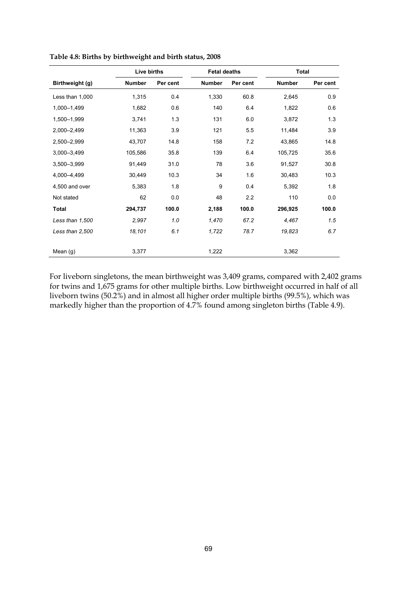|                 | Live births   |          | <b>Fetal deaths</b> |          | Total         |          |
|-----------------|---------------|----------|---------------------|----------|---------------|----------|
| Birthweight (g) | <b>Number</b> | Per cent | <b>Number</b>       | Per cent | <b>Number</b> | Per cent |
| Less than 1,000 | 1,315         | 0.4      | 1,330               | 60.8     | 2,645         | 0.9      |
| 1,000-1,499     | 1,682         | 0.6      | 140                 | 6.4      | 1,822         | 0.6      |
| 1,500-1,999     | 3,741         | 1.3      | 131                 | 6.0      | 3,872         | 1.3      |
| 2,000-2,499     | 11,363        | 3.9      | 121                 | 5.5      | 11,484        | 3.9      |
| 2,500-2,999     | 43,707        | 14.8     | 158                 | 7.2      | 43,865        | 14.8     |
| 3,000-3,499     | 105,586       | 35.8     | 139                 | 6.4      | 105,725       | 35.6     |
| 3,500-3,999     | 91,449        | 31.0     | 78                  | 3.6      | 91,527        | 30.8     |
| 4,000-4,499     | 30,449        | 10.3     | 34                  | 1.6      | 30,483        | 10.3     |
| 4,500 and over  | 5,383         | 1.8      | 9                   | 0.4      | 5,392         | 1.8      |
| Not stated      | 62            | 0.0      | 48                  | 2.2      | 110           | 0.0      |
| <b>Total</b>    | 294,737       | 100.0    | 2,188               | 100.0    | 296,925       | 100.0    |
| Less than 1,500 | 2,997         | 1.0      | 1,470               | 67.2     | 4,467         | 1.5      |
| Less than 2,500 | 18,101        | 6.1      | 1,722               | 78.7     | 19,823        | 6.7      |
| Mean (g)        | 3,377         |          | 1,222               |          | 3,362         |          |

**Table 4.8: Births by birthweight and birth status, 2008** 

For liveborn singletons, the mean birthweight was 3,409 grams, compared with 2,402 grams for twins and 1,675 grams for other multiple births. Low birthweight occurred in half of all liveborn twins (50.2%) and in almost all higher order multiple births (99.5%), which was markedly higher than the proportion of 4.7% found among singleton births (Table 4.9).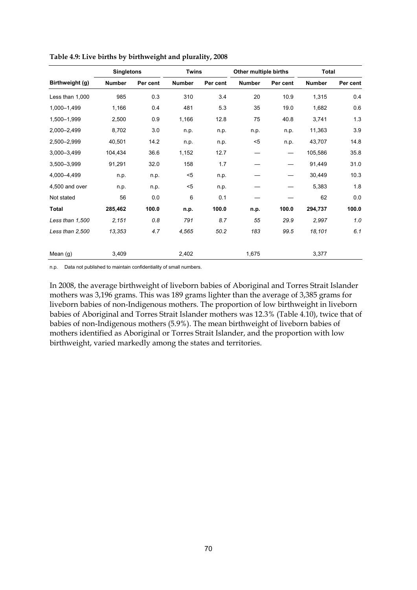|                 | <b>Singletons</b> |          | <b>Twins</b> |          | Other multiple births |          | <b>Total</b>  |          |
|-----------------|-------------------|----------|--------------|----------|-----------------------|----------|---------------|----------|
| Birthweight (g) | <b>Number</b>     | Per cent | Number       | Per cent | <b>Number</b>         | Per cent | <b>Number</b> | Per cent |
| Less than 1,000 | 985               | 0.3      | 310          | 3.4      | 20                    | 10.9     | 1,315         | 0.4      |
| 1,000-1,499     | 1,166             | 0.4      | 481          | 5.3      | 35                    | 19.0     | 1,682         | 0.6      |
| 1.500-1.999     | 2,500             | 0.9      | 1,166        | 12.8     | 75                    | 40.8     | 3,741         | 1.3      |
| 2,000-2,499     | 8,702             | 3.0      | n.p.         | n.p.     | n.p.                  | n.p.     | 11,363        | 3.9      |
| 2,500-2,999     | 40,501            | 14.2     | n.p.         | n.p.     | $5$                   | n.p.     | 43,707        | 14.8     |
| 3.000-3.499     | 104.434           | 36.6     | 1,152        | 12.7     |                       |          | 105,586       | 35.8     |
| 3.500-3.999     | 91,291            | 32.0     | 158          | 1.7      |                       |          | 91,449        | 31.0     |
| 4,000-4,499     | n.p.              | n.p.     | $5$          | n.p.     |                       |          | 30,449        | 10.3     |
| 4,500 and over  | n.p.              | n.p.     | $5$          | n.p.     |                       |          | 5,383         | 1.8      |
| Not stated      | 56                | 0.0      | 6            | 0.1      |                       |          | 62            | 0.0      |
| <b>Total</b>    | 285,462           | 100.0    | n.p.         | 100.0    | n.p.                  | 100.0    | 294,737       | 100.0    |
| Less than 1,500 | 2,151             | 0.8      | 791          | 8.7      | 55                    | 29.9     | 2,997         | 1.0      |
| Less than 2,500 | 13,353            | 4.7      | 4,565        | 50.2     | 183                   | 99.5     | 18,101        | 6.1      |
| Mean (g)        | 3,409             |          | 2,402        |          | 1,675                 |          | 3,377         |          |

**Table 4.9: Live births by birthweight and plurality, 2008** 

n.p. Data not published to maintain confidentiality of small numbers.

In 2008, the average birthweight of liveborn babies of Aboriginal and Torres Strait Islander mothers was 3,196 grams. This was 189 grams lighter than the average of 3,385 grams for liveborn babies of non-Indigenous mothers. The proportion of low birthweight in liveborn babies of Aboriginal and Torres Strait Islander mothers was 12.3% (Table 4.10), twice that of babies of non-Indigenous mothers (5.9%). The mean birthweight of liveborn babies of mothers identified as Aboriginal or Torres Strait Islander, and the proportion with low birthweight, varied markedly among the states and territories.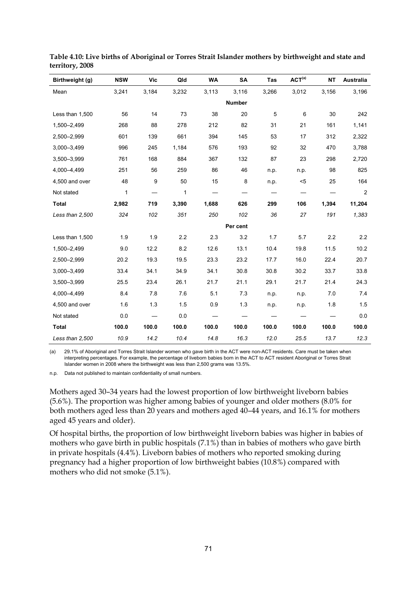| Birthweight (g) | <b>NSW</b>   | <b>Vic</b> | Qld          | <b>WA</b> | <b>SA</b>     | <b>Tas</b> | ACT <sup>(a)</sup> | <b>NT</b> | Australia      |
|-----------------|--------------|------------|--------------|-----------|---------------|------------|--------------------|-----------|----------------|
| Mean            | 3,241        | 3,184      | 3,232        | 3,113     | 3,116         | 3,266      | 3,012              | 3,156     | 3,196          |
|                 |              |            |              |           | <b>Number</b> |            |                    |           |                |
| Less than 1,500 | 56           | 14         | 73           | 38        | 20            | 5          | 6                  | 30        | 242            |
| 1,500-2,499     | 268          | 88         | 278          | 212       | 82            | 31         | 21                 | 161       | 1,141          |
| 2,500-2,999     | 601          | 139        | 661          | 394       | 145           | 53         | 17                 | 312       | 2,322          |
| 3,000-3,499     | 996          | 245        | 1,184        | 576       | 193           | 92         | 32                 | 470       | 3,788          |
| 3,500-3,999     | 761          | 168        | 884          | 367       | 132           | 87         | 23                 | 298       | 2,720          |
| 4,000-4,499     | 251          | 56         | 259          | 86        | 46            | n.p.       | n.p.               | 98        | 825            |
| 4,500 and over  | 48           | 9          | 50           | 15        | 8             | n.p.       | $5$                | 25        | 164            |
| Not stated      | $\mathbf{1}$ |            | $\mathbf{1}$ |           |               |            |                    |           | $\overline{2}$ |
| <b>Total</b>    | 2,982        | 719        | 3,390        | 1,688     | 626           | 299        | 106                | 1,394     | 11,204         |
| Less than 2,500 | 324          | 102        | 351          | 250       | 102           | 36         | 27                 | 191       | 1,383          |
|                 |              |            |              |           | Per cent      |            |                    |           |                |
| Less than 1,500 | 1.9          | 1.9        | 2.2          | 2.3       | 3.2           | 1.7        | 5.7                | 2.2       | 2.2            |
| 1,500-2,499     | 9.0          | 12.2       | 8.2          | 12.6      | 13.1          | 10.4       | 19.8               | 11.5      | 10.2           |
| 2,500-2,999     | 20.2         | 19.3       | 19.5         | 23.3      | 23.2          | 17.7       | 16.0               | 22.4      | 20.7           |
| 3,000-3,499     | 33.4         | 34.1       | 34.9         | 34.1      | 30.8          | 30.8       | 30.2               | 33.7      | 33.8           |
| 3,500-3,999     | 25.5         | 23.4       | 26.1         | 21.7      | 21.1          | 29.1       | 21.7               | 21.4      | 24.3           |
| 4,000-4,499     | 8.4          | 7.8        | 7.6          | 5.1       | 7.3           | n.p.       | n.p.               | 7.0       | 7.4            |
| 4,500 and over  | 1.6          | 1.3        | 1.5          | 0.9       | 1.3           | n.p.       | n.p.               | 1.8       | 1.5            |
| Not stated      | 0.0          |            | 0.0          |           |               |            |                    |           | 0.0            |
| <b>Total</b>    | 100.0        | 100.0      | 100.0        | 100.0     | 100.0         | 100.0      | 100.0              | 100.0     | 100.0          |
| Less than 2,500 | 10.9         | 14.2       | 10.4         | 14.8      | 16.3          | 12.0       | 25.5               | 13.7      | 12.3           |

**Table 4.10: Live births of Aboriginal or Torres Strait Islander mothers by birthweight and state and territory, 2008** 

(a) 29.1% of Aboriginal and Torres Strait Islander women who gave birth in the ACT were non-ACT residents. Care must be taken when interpreting percentages. For example, the percentage of liveborn babies born in the ACT to ACT resident Aboriginal or Torres Strait Islander women in 2008 where the birthweight was less than 2,500 grams was 13.5%.

n.p. Data not published to maintain confidentiality of small numbers.

Mothers aged 30–34 years had the lowest proportion of low birthweight liveborn babies (5.6%). The proportion was higher among babies of younger and older mothers (8.0% for both mothers aged less than 20 years and mothers aged 40–44 years, and 16.1% for mothers aged 45 years and older).

Of hospital births, the proportion of low birthweight liveborn babies was higher in babies of mothers who gave birth in public hospitals (7.1%) than in babies of mothers who gave birth in private hospitals (4.4%). Liveborn babies of mothers who reported smoking during pregnancy had a higher proportion of low birthweight babies (10.8%) compared with mothers who did not smoke (5.1%).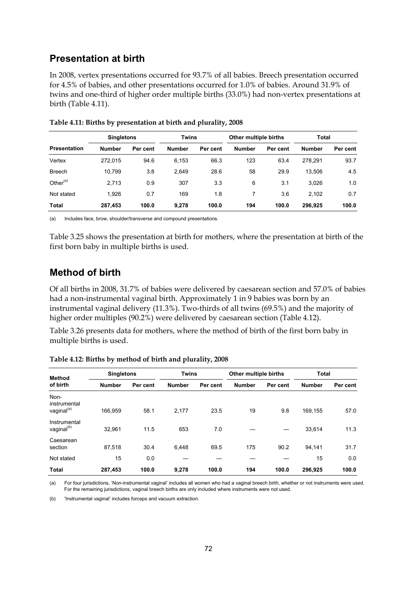### **Presentation at birth**

In 2008, vertex presentations occurred for 93.7% of all babies. Breech presentation occurred for 4.5% of babies, and other presentations occurred for 1.0% of babies. Around 31.9% of twins and one-third of higher order multiple births (33.0%) had non-vertex presentations at birth (Table 4.11).

|                     |               | <b>Singletons</b> |               | <b>Twins</b> |               | Other multiple births | <b>Total</b>  |          |
|---------------------|---------------|-------------------|---------------|--------------|---------------|-----------------------|---------------|----------|
| <b>Presentation</b> | <b>Number</b> | Per cent          | <b>Number</b> | Per cent     | <b>Number</b> | Per cent              | <b>Number</b> | Per cent |
| Vertex              | 272.015       | 94.6              | 6,153         | 66.3         | 123           | 63.4                  | 278.291       | 93.7     |
| <b>Breech</b>       | 10.799        | 3.8               | 2,649         | 28.6         | 58            | 29.9                  | 13.506        | 4.5      |
| Other $(a)$         | 2.713         | 0.9               | 307           | 3.3          | 6             | 3.1                   | 3,026         | 1.0      |
| Not stated          | 1.926         | 0.7               | 169           | 1.8          |               | 3.6                   | 2,102         | 0.7      |
| Total               | 287.453       | 100.0             | 9,278         | 100.0        | 194           | 100.0                 | 296.925       | 100.0    |

|  |  | Table 4.11: Births by presentation at birth and plurality, 2008 |  |  |  |  |
|--|--|-----------------------------------------------------------------|--|--|--|--|
|--|--|-----------------------------------------------------------------|--|--|--|--|

(a) Includes face, brow, shoulder/transverse and compound presentations.

Table 3.25 shows the presentation at birth for mothers, where the presentation at birth of the first born baby in multiple births is used.

### **Method of birth**

Of all births in 2008, 31.7% of babies were delivered by caesarean section and 57.0% of babies had a non-instrumental vaginal birth. Approximately 1 in 9 babies was born by an instrumental vaginal delivery (11.3%). Two-thirds of all twins (69.5%) and the majority of higher order multiples (90.2%) were delivered by caesarean section (Table 4.12).

Table 3.26 presents data for mothers, where the method of birth of the first born baby in multiple births is used.

| Method                                         |               | <b>Singletons</b> |               | <b>Twins</b> |               | Other multiple births | <b>Total</b>  |          |
|------------------------------------------------|---------------|-------------------|---------------|--------------|---------------|-----------------------|---------------|----------|
| of birth                                       | <b>Number</b> | Per cent          | <b>Number</b> | Per cent     | <b>Number</b> | Per cent              | <b>Number</b> | Per cent |
| Non-<br>instrumental<br>vaginal <sup>(a)</sup> | 166.959       | 58.1              | 2,177         | 23.5         | 19            | 9.8                   | 169.155       | 57.0     |
| Instrumental<br>vaginal <sup>(b)</sup>         | 32.961        | 11.5              | 653           | 7.0          |               |                       | 33,614        | 11.3     |
| Caesarean<br>section                           | 87,518        | 30.4              | 6.448         | 69.5         | 175           | 90.2                  | 94,141        | 31.7     |
| Not stated                                     | 15            | 0.0               |               |              |               |                       | 15            | 0.0      |
| <b>Total</b>                                   | 287,453       | 100.0             | 9.278         | 100.0        | 194           | 100.0                 | 296.925       | 100.0    |

**Table 4.12: Births by method of birth and plurality, 2008** 

(a) For four jurisdictions, 'Non-instrumental vaginal' includes all women who had a vaginal breech birth, whether or not instruments were used. For the remaining jurisdictions, vaginal breech births are only included where instruments were not used.

(b) 'Instrumental vaginal' includes forceps and vacuum extraction.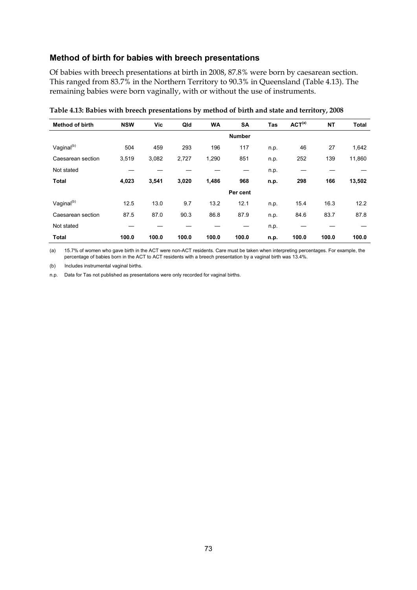#### **Method of birth for babies with breech presentations**

Of babies with breech presentations at birth in 2008, 87.8% were born by caesarean section. This ranged from 83.7% in the Northern Territory to 90.3% in Queensland (Table 4.13). The remaining babies were born vaginally, with or without the use of instruments.

| <b>Method of birth</b> | <b>NSW</b> | Vic   | Qld   | <b>WA</b> | <b>SA</b>     | Tas  | ACT <sup>(a)</sup> | <b>NT</b> | <b>Total</b> |
|------------------------|------------|-------|-------|-----------|---------------|------|--------------------|-----------|--------------|
|                        |            |       |       |           | <b>Number</b> |      |                    |           |              |
| Vaginal <sup>(b)</sup> | 504        | 459   | 293   | 196       | 117           | n.p. | 46                 | 27        | 1,642        |
| Caesarean section      | 3,519      | 3,082 | 2,727 | 1,290     | 851           | n.p. | 252                | 139       | 11,860       |
| Not stated             |            |       |       |           |               | n.p. |                    |           |              |
| <b>Total</b>           | 4,023      | 3,541 | 3,020 | 1,486     | 968           | n.p. | 298                | 166       | 13,502       |
|                        |            |       |       |           | Per cent      |      |                    |           |              |
| Vaginal <sup>(b)</sup> | 12.5       | 13.0  | 9.7   | 13.2      | 12.1          | n.p. | 15.4               | 16.3      | 12.2         |
| Caesarean section      | 87.5       | 87.0  | 90.3  | 86.8      | 87.9          | n.p. | 84.6               | 83.7      | 87.8         |
| Not stated             |            |       |       |           |               | n.p. |                    |           |              |
| <b>Total</b>           | 100.0      | 100.0 | 100.0 | 100.0     | 100.0         | n.p. | 100.0              | 100.0     | 100.0        |

**Table 4.13: Babies with breech presentations by method of birth and state and territory, 2008** 

(a) 15.7% of women who gave birth in the ACT were non-ACT residents. Care must be taken when interpreting percentages. For example, the percentage of babies born in the ACT to ACT residents with a breech presentation by a vaginal birth was 13.4%.

(b) Includes instrumental vaginal births.

n.p. Data for Tas not published as presentations were only recorded for vaginal births.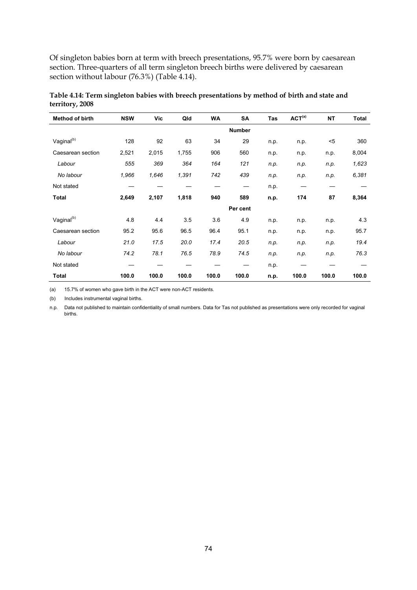Of singleton babies born at term with breech presentations, 95.7% were born by caesarean section. Three-quarters of all term singleton breech births were delivered by caesarean section without labour (76.3%) (Table 4.14).

| Method of birth        | <b>NSW</b> | Vic   | Qld   | <b>WA</b> | SA            | Tas  | ACT <sup>(a)</sup> | <b>NT</b> | <b>Total</b> |
|------------------------|------------|-------|-------|-----------|---------------|------|--------------------|-----------|--------------|
|                        |            |       |       |           | <b>Number</b> |      |                    |           |              |
| Vaginal <sup>(b)</sup> | 128        | 92    | 63    | 34        | 29            | n.p. | n.p.               | $5$       | 360          |
| Caesarean section      | 2,521      | 2,015 | 1,755 | 906       | 560           | n.p. | n.p.               | n.p.      | 8,004        |
| Labour                 | 555        | 369   | 364   | 164       | 121           | n.p. | n.p.               | n.p.      | 1,623        |
| No labour              | 1,966      | 1,646 | 1,391 | 742       | 439           | n.p. | n.p.               | n.p.      | 6,381        |
| Not stated             |            |       |       |           |               | n.p. |                    |           |              |
| Total                  | 2,649      | 2,107 | 1,818 | 940       | 589           | n.p. | 174                | 87        | 8,364        |
|                        |            |       |       |           | Per cent      |      |                    |           |              |
| Vaginal <sup>(b)</sup> | 4.8        | 4.4   | 3.5   | 3.6       | 4.9           | n.p. | n.p.               | n.p.      | 4.3          |
| Caesarean section      | 95.2       | 95.6  | 96.5  | 96.4      | 95.1          | n.p. | n.p.               | n.p.      | 95.7         |
| Labour                 | 21.0       | 17.5  | 20.0  | 17.4      | 20.5          | n.p. | n.p.               | n.p.      | 19.4         |
| No labour              | 74.2       | 78.1  | 76.5  | 78.9      | 74.5          | n.p. | n.p.               | n.p.      | 76.3         |
| Not stated             |            |       |       |           |               | n.p. |                    |           |              |
| <b>Total</b>           | 100.0      | 100.0 | 100.0 | 100.0     | 100.0         | n.p. | 100.0              | 100.0     | 100.0        |

**Table 4.14: Term singleton babies with breech presentations by method of birth and state and territory, 2008** 

(a) 15.7% of women who gave birth in the ACT were non-ACT residents.

(b) Includes instrumental vaginal births.

n.p. Data not published to maintain confidentiality of small numbers. Data for Tas not published as presentations were only recorded for vaginal births.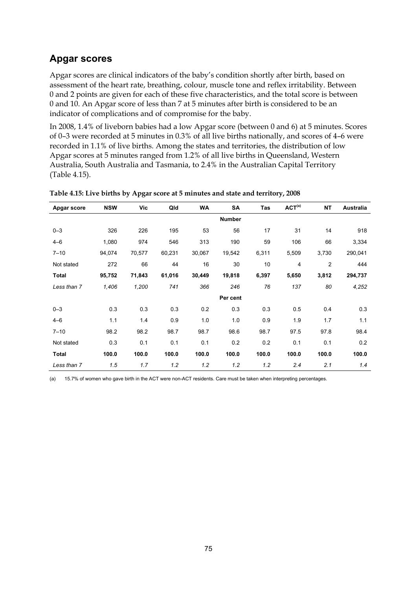## **Apgar scores**

Apgar scores are clinical indicators of the baby's condition shortly after birth, based on assessment of the heart rate, breathing, colour, muscle tone and reflex irritability. Between 0 and 2 points are given for each of these five characteristics, and the total score is between 0 and 10. An Apgar score of less than 7 at 5 minutes after birth is considered to be an indicator of complications and of compromise for the baby.

In 2008, 1.4% of liveborn babies had a low Apgar score (between 0 and 6) at 5 minutes. Scores of 0–3 were recorded at 5 minutes in 0.3% of all live births nationally, and scores of 4–6 were recorded in 1.1% of live births. Among the states and territories, the distribution of low Apgar scores at 5 minutes ranged from 1.2% of all live births in Queensland, Western Australia, South Australia and Tasmania, to 2.4% in the Australian Capital Territory (Table 4.15).

| Apgar score  | <b>NSW</b> | Vic    | Qld    | <b>WA</b> | SA            | Tas   | ACT <sup>(a)</sup> | <b>NT</b> | Australia |
|--------------|------------|--------|--------|-----------|---------------|-------|--------------------|-----------|-----------|
|              |            |        |        |           | <b>Number</b> |       |                    |           |           |
| $0 - 3$      | 326        | 226    | 195    | 53        | 56            | 17    | 31                 | 14        | 918       |
| $4 - 6$      | 1,080      | 974    | 546    | 313       | 190           | 59    | 106                | 66        | 3,334     |
| $7 - 10$     | 94,074     | 70,577 | 60,231 | 30,067    | 19,542        | 6,311 | 5,509              | 3,730     | 290,041   |
| Not stated   | 272        | 66     | 44     | 16        | 30            | 10    | 4                  | 2         | 444       |
| <b>Total</b> | 95,752     | 71,843 | 61,016 | 30,449    | 19,818        | 6,397 | 5,650              | 3,812     | 294,737   |
| Less than 7  | 1,406      | 1,200  | 741    | 366       | 246           | 76    | 137                | 80        | 4,252     |
|              |            |        |        |           | Per cent      |       |                    |           |           |
| $0 - 3$      | 0.3        | 0.3    | 0.3    | 0.2       | 0.3           | 0.3   | 0.5                | 0.4       | 0.3       |
| $4 - 6$      | 1.1        | 1.4    | 0.9    | 1.0       | 1.0           | 0.9   | 1.9                | 1.7       | 1.1       |
| $7 - 10$     | 98.2       | 98.2   | 98.7   | 98.7      | 98.6          | 98.7  | 97.5               | 97.8      | 98.4      |
| Not stated   | 0.3        | 0.1    | 0.1    | 0.1       | 0.2           | 0.2   | 0.1                | 0.1       | 0.2       |
| <b>Total</b> | 100.0      | 100.0  | 100.0  | 100.0     | 100.0         | 100.0 | 100.0              | 100.0     | 100.0     |
| Less than 7  | 1.5        | 1.7    | 1.2    | 1.2       | 1.2           | 1.2   | 2.4                | 2.1       | 1.4       |

**Table 4.15: Live births by Apgar score at 5 minutes and state and territory, 2008** 

(a) 15.7% of women who gave birth in the ACT were non-ACT residents. Care must be taken when interpreting percentages.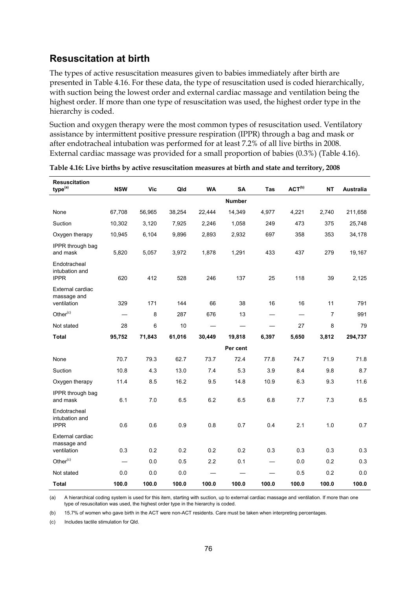### **Resuscitation at birth**

The types of active resuscitation measures given to babies immediately after birth are presented in Table 4.16. For these data, the type of resuscitation used is coded hierarchically, with suction being the lowest order and external cardiac massage and ventilation being the highest order. If more than one type of resuscitation was used, the highest order type in the hierarchy is coded.

Suction and oxygen therapy were the most common types of resuscitation used. Ventilatory assistance by intermittent positive pressure respiration (IPPR) through a bag and mask or after endotracheal intubation was performed for at least 7.2% of all live births in 2008. External cardiac massage was provided for a small proportion of babies (0.3%) (Table 4.16).

| <b>Resuscitation</b><br>type <sup>(a)</sup>    | <b>NSW</b>               | <b>Vic</b> | Qld    | <b>WA</b> | <b>SA</b>     | <b>Tas</b> | $ACT^{(b)}$ | <b>NT</b>      | Australia |
|------------------------------------------------|--------------------------|------------|--------|-----------|---------------|------------|-------------|----------------|-----------|
|                                                |                          |            |        |           | <b>Number</b> |            |             |                |           |
| None                                           | 67,708                   | 56,965     | 38,254 | 22.444    | 14,349        | 4,977      | 4,221       | 2,740          | 211,658   |
| Suction                                        | 10,302                   | 3,120      | 7,925  | 2,246     | 1,058         | 249        | 473         | 375            | 25,748    |
| Oxygen therapy                                 | 10,945                   | 6,104      | 9,896  | 2,893     | 2,932         | 697        | 358         | 353            | 34,178    |
| IPPR through bag<br>and mask                   | 5,820                    | 5,057      | 3,972  | 1,878     | 1,291         | 433        | 437         | 279            | 19,167    |
| Endotracheal<br>intubation and<br><b>IPPR</b>  | 620                      | 412        | 528    | 246       | 137           | 25         | 118         | 39             | 2,125     |
| External cardiac<br>massage and<br>ventilation | 329                      | 171        | 144    | 66        | 38            | 16         | 16          | 11             | 791       |
| Other $(c)$                                    |                          | 8          | 287    | 676       | 13            |            |             | $\overline{7}$ | 991       |
| Not stated                                     | 28                       | 6          | 10     |           |               |            | 27          | 8              | 79        |
| <b>Total</b>                                   | 95,752                   | 71,843     | 61,016 | 30,449    | 19,818        | 6,397      | 5,650       | 3,812          | 294,737   |
|                                                |                          |            |        |           | Per cent      |            |             |                |           |
| None                                           | 70.7                     | 79.3       | 62.7   | 73.7      | 72.4          | 77.8       | 74.7        | 71.9           | 71.8      |
| Suction                                        | 10.8                     | 4.3        | 13.0   | 7.4       | 5.3           | 3.9        | 8.4         | 9.8            | 8.7       |
| Oxygen therapy                                 | 11.4                     | 8.5        | 16.2   | 9.5       | 14.8          | 10.9       | 6.3         | 9.3            | 11.6      |
| IPPR through bag<br>and mask                   | 6.1                      | 7.0        | 6.5    | 6.2       | 6.5           | 6.8        | 7.7         | 7.3            | 6.5       |
| Endotracheal<br>intubation and<br><b>IPPR</b>  | 0.6                      | 0.6        | 0.9    | 0.8       | 0.7           | 0.4        | 2.1         | 1.0            | 0.7       |
| External cardiac<br>massage and<br>ventilation | 0.3                      | 0.2        | 0.2    | 0.2       | 0.2           | 0.3        | 0.3         | 0.3            | 0.3       |
| Other $(c)$                                    | $\overline{\phantom{0}}$ | 0.0        | 0.5    | 2.2       | 0.1           |            | 0.0         | 0.2            | 0.3       |
| Not stated                                     | 0.0                      | 0.0        | 0.0    |           |               |            | 0.5         | 0.2            | 0.0       |
| <b>Total</b>                                   | 100.0                    | 100.0      | 100.0  | 100.0     | 100.0         | 100.0      | 100.0       | 100.0          | 100.0     |

**Table 4.16: Live births by active resuscitation measures at birth and state and territory, 2008** 

(a) A hierarchical coding system is used for this item, starting with suction, up to external cardiac massage and ventilation. If more than one type of resuscitation was used, the highest order type in the hierarchy is coded.

(b) 15.7% of women who gave birth in the ACT were non-ACT residents. Care must be taken when interpreting percentages.

(c) Includes tactile stimulation for Qld.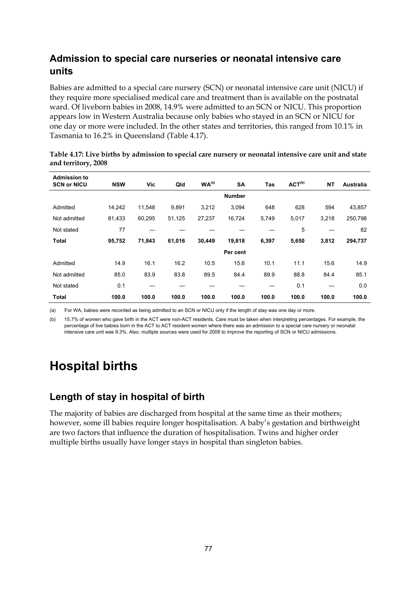## **Admission to special care nurseries or neonatal intensive care units**

Babies are admitted to a special care nursery (SCN) or neonatal intensive care unit (NICU) if they require more specialised medical care and treatment than is available on the postnatal ward. Of liveborn babies in 2008, 14.9% were admitted to an SCN or NICU. This proportion appears low in Western Australia because only babies who stayed in an SCN or NICU for one day or more were included. In the other states and territories, this ranged from 10.1% in Tasmania to 16.2% in Queensland (Table 4.17).

| <b>Admission to</b><br><b>SCN or NICU</b> | <b>NSW</b> | Vic    | Qld    | WA <sup>(a)</sup> | <b>SA</b>     | <b>Tas</b> | ACT <sup>(b)</sup> | <b>NT</b> | Australia |
|-------------------------------------------|------------|--------|--------|-------------------|---------------|------------|--------------------|-----------|-----------|
|                                           |            |        |        |                   | <b>Number</b> |            |                    |           |           |
| Admitted                                  | 14,242     | 11,548 | 9,891  | 3,212             | 3,094         | 648        | 628                | 594       | 43,857    |
| Not admitted                              | 81,433     | 60,295 | 51,125 | 27,237            | 16,724        | 5,749      | 5,017              | 3,218     | 250,798   |
| Not stated                                | 77         |        |        |                   |               |            | 5                  |           | 82        |
| <b>Total</b>                              | 95,752     | 71,843 | 61,016 | 30,449            | 19,818        | 6,397      | 5,650              | 3,812     | 294,737   |
|                                           |            |        |        |                   | Per cent      |            |                    |           |           |
| Admitted                                  | 14.9       | 16.1   | 16.2   | 10.5              | 15.6          | 10.1       | 11.1               | 15.6      | 14.9      |
| Not admitted                              | 85.0       | 83.9   | 83.8   | 89.5              | 84.4          | 89.9       | 88.8               | 84.4      | 85.1      |
| Not stated                                | 0.1        |        |        |                   |               |            | 0.1                |           | 0.0       |
| <b>Total</b>                              | 100.0      | 100.0  | 100.0  | 100.0             | 100.0         | 100.0      | 100.0              | 100.0     | 100.0     |

| Table 4.17: Live births by admission to special care nursery or neonatal intensive care unit and state |  |
|--------------------------------------------------------------------------------------------------------|--|
| and territory, 2008                                                                                    |  |

(a) For WA, babies were recorded as being admitted to an SCN or NICU only if the length of stay was one day or more.

(b) 15.7% of women who gave birth in the ACT were non-ACT residents. Care must be taken when interpreting percentages. For example, the percentage of live babies born in the ACT to ACT resident women where there was an admission to a special care nursery or neonatal intensive care unit was 9.3%. Also, multiple sources were used for 2008 to improve the reporting of SCN or NICU admissions.

## **Hospital births**

### **Length of stay in hospital of birth**

The majority of babies are discharged from hospital at the same time as their mothers; however, some ill babies require longer hospitalisation. A baby's gestation and birthweight are two factors that influence the duration of hospitalisation. Twins and higher order multiple births usually have longer stays in hospital than singleton babies.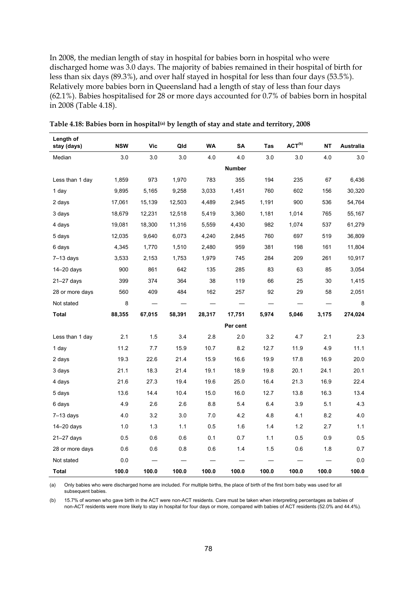In 2008, the median length of stay in hospital for babies born in hospital who were discharged home was 3.0 days. The majority of babies remained in their hospital of birth for less than six days (89.3%), and over half stayed in hospital for less than four days (53.5%). Relatively more babies born in Queensland had a length of stay of less than four days (62.1%). Babies hospitalised for 28 or more days accounted for 0.7% of babies born in hospital in 2008 (Table 4.18).

| Length of<br>stay (days) | <b>NSW</b> | Vic    | Qld    | <b>WA</b> | SΑ            | Tas   | ACT <sup>(b)</sup> | <b>NT</b> | <b>Australia</b> |
|--------------------------|------------|--------|--------|-----------|---------------|-------|--------------------|-----------|------------------|
| Median                   | 3.0        | 3.0    | 3.0    | 4.0       | 4.0           | 3.0   | 3.0                | 4.0       | 3.0              |
|                          |            |        |        |           | <b>Number</b> |       |                    |           |                  |
| Less than 1 day          | 1,859      | 973    | 1,970  | 783       | 355           | 194   | 235                | 67        | 6,436            |
| 1 day                    | 9,895      | 5,165  | 9,258  | 3,033     | 1,451         | 760   | 602                | 156       | 30,320           |
| 2 days                   | 17,061     | 15,139 | 12,503 | 4,489     | 2,945         | 1,191 | 900                | 536       | 54,764           |
| 3 days                   | 18,679     | 12,231 | 12,518 | 5,419     | 3,360         | 1,181 | 1,014              | 765       | 55,167           |
| 4 days                   | 19,081     | 18,300 | 11,316 | 5,559     | 4,430         | 982   | 1,074              | 537       | 61,279           |
| 5 days                   | 12,035     | 9,640  | 6,073  | 4,240     | 2,845         | 760   | 697                | 519       | 36,809           |
| 6 days                   | 4,345      | 1,770  | 1,510  | 2,480     | 959           | 381   | 198                | 161       | 11,804           |
| $7-13$ days              | 3,533      | 2,153  | 1,753  | 1,979     | 745           | 284   | 209                | 261       | 10,917           |
| $14 - 20$ days           | 900        | 861    | 642    | 135       | 285           | 83    | 63                 | 85        | 3,054            |
| 21-27 days               | 399        | 374    | 364    | 38        | 119           | 66    | 25                 | 30        | 1,415            |
| 28 or more days          | 560        | 409    | 484    | 162       | 257           | 92    | 29                 | 58        | 2,051            |
| Not stated               | 8          |        |        |           |               |       |                    |           | 8                |
| Total                    | 88,355     | 67,015 | 58,391 | 28,317    | 17,751        | 5,974 | 5,046              | 3,175     | 274,024          |
|                          |            |        |        |           | Per cent      |       |                    |           |                  |
| Less than 1 day          | 2.1        | 1.5    | 3.4    | 2.8       | 2.0           | 3.2   | 4.7                | 2.1       | 2.3              |
| 1 day                    | 11.2       | 7.7    | 15.9   | 10.7      | 8.2           | 12.7  | 11.9               | 4.9       | 11.1             |
| 2 days                   | 19.3       | 22.6   | 21.4   | 15.9      | 16.6          | 19.9  | 17.8               | 16.9      | 20.0             |
| 3 days                   | 21.1       | 18.3   | 21.4   | 19.1      | 18.9          | 19.8  | 20.1               | 24.1      | 20.1             |
| 4 days                   | 21.6       | 27.3   | 19.4   | 19.6      | 25.0          | 16.4  | 21.3               | 16.9      | 22.4             |
| 5 days                   | 13.6       | 14.4   | 10.4   | 15.0      | 16.0          | 12.7  | 13.8               | 16.3      | 13.4             |
| 6 days                   | 4.9        | 2.6    | 2.6    | 8.8       | 5.4           | 6.4   | 3.9                | 5.1       | 4.3              |
| $7-13$ days              | 4.0        | 3.2    | 3.0    | 7.0       | 4.2           | 4.8   | 4.1                | 8.2       | 4.0              |
| $14 - 20$ days           | 1.0        | 1.3    | 1.1    | 0.5       | 1.6           | 1.4   | 1.2                | 2.7       | 1.1              |
| $21 - 27$ days           | 0.5        | 0.6    | 0.6    | 0.1       | 0.7           | 1.1   | 0.5                | 0.9       | 0.5              |
| 28 or more days          | 0.6        | 0.6    | 0.8    | 0.6       | 1.4           | 1.5   | 0.6                | 1.8       | 0.7              |
| Not stated               | 0.0        |        |        |           |               |       |                    |           | 0.0              |
| Total                    | 100.0      | 100.0  | 100.0  | 100.0     | 100.0         | 100.0 | 100.0              | 100.0     | 100.0            |

Table 4.18: Babies born in hospital<sup>(a)</sup> by length of stay and state and territory, 2008

(a) Only babies who were discharged home are included. For multiple births, the place of birth of the first born baby was used for all subsequent babies.

(b) 15.7% of women who gave birth in the ACT were non-ACT residents. Care must be taken when interpreting percentages as babies of non-ACT residents were more likely to stay in hospital for four days or more, compared with babies of ACT residents (52.0% and 44.4%).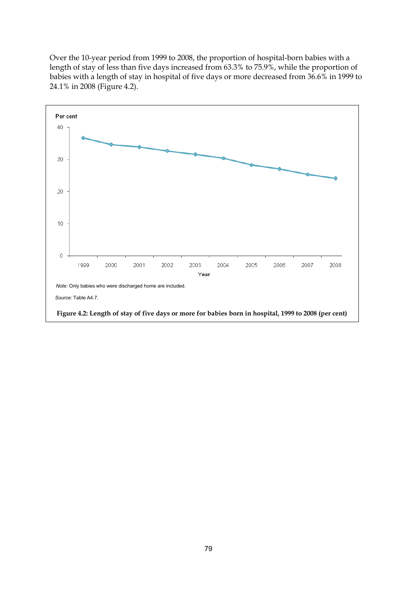Over the 10-year period from 1999 to 2008, the proportion of hospital-born babies with a length of stay of less than five days increased from 63.3% to 75.9%, while the proportion of babies with a length of stay in hospital of five days or more decreased from 36.6% in 1999 to 24.1% in 2008 (Figure 4.2).

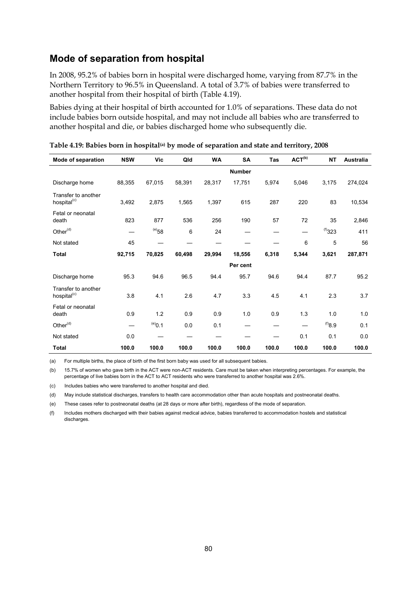### **Mode of separation from hospital**

In 2008, 95.2% of babies born in hospital were discharged home, varying from 87.7% in the Northern Territory to 96.5% in Queensland. A total of 3.7% of babies were transferred to another hospital from their hospital of birth (Table 4.19).

Babies dying at their hospital of birth accounted for 1.0% of separations. These data do not include babies born outside hospital, and may not include all babies who are transferred to another hospital and die, or babies discharged home who subsequently die.

| Mode of separation                             | <b>NSW</b> | Vic         | Qld    | <b>WA</b> | <b>SA</b>     | Tas   | ACT <sup>(b)</sup> | <b>NT</b>    | Australia |
|------------------------------------------------|------------|-------------|--------|-----------|---------------|-------|--------------------|--------------|-----------|
|                                                |            |             |        |           | <b>Number</b> |       |                    |              |           |
| Discharge home                                 | 88,355     | 67,015      | 58,391 | 28,317    | 17,751        | 5,974 | 5,046              | 3,175        | 274,024   |
| Transfer to another<br>hospital <sup>(c)</sup> | 3,492      | 2,875       | 1,565  | 1,397     | 615           | 287   | 220                | 83           | 10,534    |
| Fetal or neonatal<br>death                     | 823        | 877         | 536    | 256       | 190           | 57    | 72                 | 35           | 2,846     |
| Other <sup>(d)</sup>                           |            | $^{(e)}$ 58 | 6      | 24        |               |       |                    | (1)323       | 411       |
| Not stated                                     | 45         |             |        |           |               |       | 6                  | 5            | 56        |
| <b>Total</b>                                   | 92,715     | 70,825      | 60,498 | 29,994    | 18,556        | 6,318 | 5,344              | 3,621        | 287,871   |
|                                                |            |             |        |           | Per cent      |       |                    |              |           |
| Discharge home                                 | 95.3       | 94.6        | 96.5   | 94.4      | 95.7          | 94.6  | 94.4               | 87.7         | 95.2      |
| Transfer to another<br>hospital <sup>(c)</sup> | 3.8        | 4.1         | 2.6    | 4.7       | 3.3           | 4.5   | 4.1                | 2.3          | 3.7       |
| Fetal or neonatal<br>death                     | 0.9        | 1.2         | 0.9    | 0.9       | 1.0           | 0.9   | 1.3                | 1.0          | 1.0       |
| Other <sup>(d)</sup>                           |            | $^{(e)}0.1$ | 0.0    | 0.1       |               |       |                    | $(8.8^{(1)}$ | 0.1       |
| Not stated                                     | 0.0        |             |        |           |               |       | 0.1                | 0.1          | 0.0       |
| <b>Total</b>                                   | 100.0      | 100.0       | 100.0  | 100.0     | 100.0         | 100.0 | 100.0              | 100.0        | 100.0     |

**Table 4.19: Babies born in hospital(a) by mode of separation and state and territory, 2008** 

(a) For multiple births, the place of birth of the first born baby was used for all subsequent babies.

(b) 15.7% of women who gave birth in the ACT were non-ACT residents. Care must be taken when interpreting percentages. For example, the percentage of live babies born in the ACT to ACT residents who were transferred to another hospital was 2.6%.

(c) Includes babies who were transferred to another hospital and died.

(d) May include statistical discharges, transfers to health care accommodation other than acute hospitals and postneonatal deaths.

(e) These cases refer to postneonatal deaths (at 28 days or more after birth), regardless of the mode of separation.

(f) Includes mothers discharged with their babies against medical advice, babies transferred to accommodation hostels and statistical discharges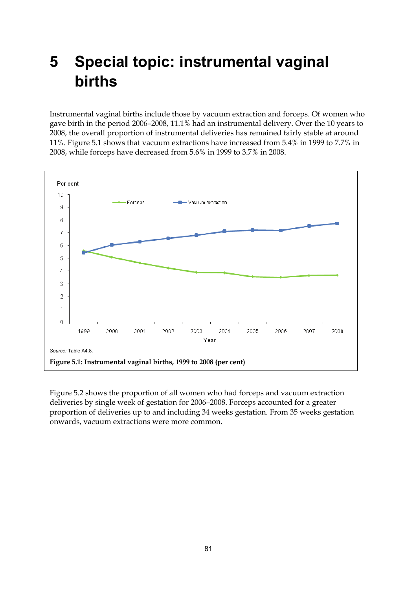# **5 Special topic: instrumental vaginal births**

Instrumental vaginal births include those by vacuum extraction and forceps. Of women who gave birth in the period 2006–2008, 11.1% had an instrumental delivery. Over the 10 years to 2008, the overall proportion of instrumental deliveries has remained fairly stable at around 11%. Figure 5.1 shows that vacuum extractions have increased from 5.4% in 1999 to 7.7% in 2008, while forceps have decreased from 5.6% in 1999 to 3.7% in 2008.



Figure 5.2 shows the proportion of all women who had forceps and vacuum extraction deliveries by single week of gestation for 2006–2008. Forceps accounted for a greater proportion of deliveries up to and including 34 weeks gestation. From 35 weeks gestation onwards, vacuum extractions were more common.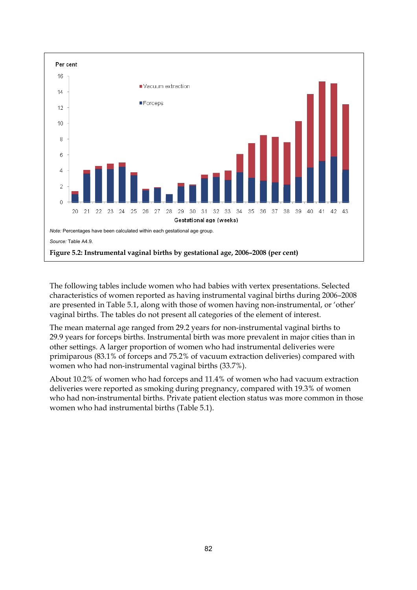

The following tables include women who had babies with vertex presentations. Selected characteristics of women reported as having instrumental vaginal births during 2006–2008 are presented in Table 5.1, along with those of women having non-instrumental, or 'other' vaginal births. The tables do not present all categories of the element of interest.

The mean maternal age ranged from 29.2 years for non-instrumental vaginal births to 29.9 years for forceps births. Instrumental birth was more prevalent in major cities than in other settings. A larger proportion of women who had instrumental deliveries were primiparous (83.1% of forceps and 75.2% of vacuum extraction deliveries) compared with women who had non-instrumental vaginal births (33.7%).

About 10.2% of women who had forceps and 11.4% of women who had vacuum extraction deliveries were reported as smoking during pregnancy, compared with 19.3% of women who had non-instrumental births. Private patient election status was more common in those women who had instrumental births (Table 5.1).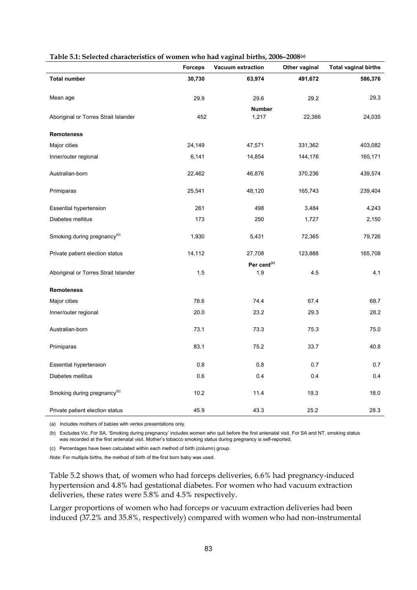| were $\sigma$ . Screeted characteristics of women who had vaginal entirely 2000 2000 | <b>Forceps</b> | Vacuum extraction       | Other vaginal | <b>Total vaginal births</b> |
|--------------------------------------------------------------------------------------|----------------|-------------------------|---------------|-----------------------------|
| <b>Total number</b>                                                                  | 30,730         | 63,974                  | 491,672       | 586,376                     |
| Mean age                                                                             | 29.9           | 29.6                    | 29.2          | 29.3                        |
| Aboriginal or Torres Strait Islander                                                 | 452            | <b>Number</b><br>1,217  | 22,366        | 24,035                      |
| <b>Remoteness</b>                                                                    |                |                         |               |                             |
| Major cities                                                                         | 24,149         | 47,571                  | 331,362       | 403,082                     |
| Inner/outer regional                                                                 | 6,141          | 14,854                  | 144,176       | 165,171                     |
| Australian-born                                                                      | 22,462         | 46,876                  | 370,236       | 439,574                     |
| Primiparas                                                                           | 25,541         | 48,120                  | 165,743       | 239,404                     |
| <b>Essential hypertension</b>                                                        | 261            | 498                     | 3,484         | 4,243                       |
| Diabetes mellitus                                                                    | 173            | 250                     | 1,727         | 2,150                       |
| Smoking during pregnancy <sup>(b)</sup>                                              | 1,930          | 5,431                   | 72,365        | 79,726                      |
| Private patient election status                                                      | 14,112         | 27,708                  | 123,888       | 165,708                     |
|                                                                                      |                | Per cent <sup>(c)</sup> |               |                             |
| Aboriginal or Torres Strait Islander                                                 | 1.5            | 1.9                     | 4.5           | 4.1                         |
| <b>Remoteness</b>                                                                    |                |                         |               |                             |
| Major cities                                                                         | 78.6           | 74.4                    | 67.4          | 68.7                        |
| Inner/outer regional                                                                 | 20.0           | 23.2                    | 29.3          | 28.2                        |
| Australian-born                                                                      | 73.1           | 73.3                    | 75.3          | 75.0                        |
| Primiparas                                                                           | 83.1           | 75.2                    | 33.7          | 40.8                        |
| <b>Essential hypertension</b>                                                        | 0.8            | 0.8                     | 0.7           | 0.7                         |
| Diabetes mellitus                                                                    | 0.6            | 0.4                     | 0.4           | 0.4                         |
| Smoking during pregnancy <sup>(b)</sup>                                              | 10.2           | 11.4                    | 19.3          | 18.0                        |
| Private patient election status                                                      | 45.9           | 43.3                    | 25.2          | 28.3                        |

#### **Table 5.1: Selected characteristics of women who had vaginal births, 2006–2008(a)**

(a) Includes mothers of babies with vertex presentations only.

(b) Excludes Vic. For SA, 'Smoking during pregnancy' includes women who quit before the first antenatal visit. For SA and NT, smoking status was recorded at the first antenatal visit. Mother's tobacco smoking status during pregnancy is self-reported.

(c) Percentages have been calculated within each method of birth (column) group.

*Note:* For multiple births, the method of birth of the first born baby was used.

Table 5.2 shows that, of women who had forceps deliveries, 6.6% had pregnancy-induced hypertension and 4.8% had gestational diabetes. For women who had vacuum extraction deliveries, these rates were 5.8% and 4.5% respectively.

Larger proportions of women who had forceps or vacuum extraction deliveries had been induced (37.2% and 35.8%, respectively) compared with women who had non-instrumental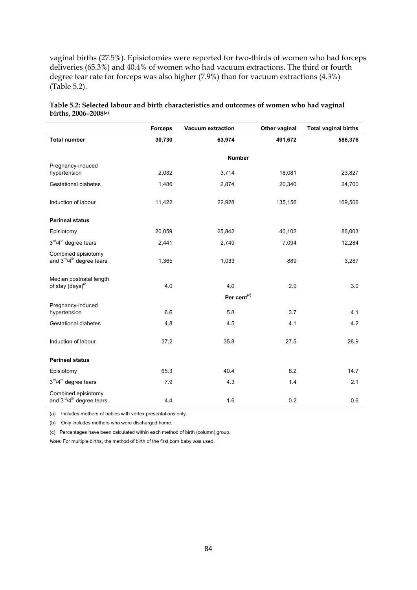vaginal births (27.5%). Episiotomies were reported for two-thirds of women who had forceps deliveries (65.3%) and 40.4% of women who had vacuum extractions. The third or fourth degree tear rate for forceps was also higher (7.9%) than for vacuum extractions (4.3%) (Table 5.2).

| Table 5.2: Selected labour and birth characteristics and outcomes of women who had vaginal |  |
|--------------------------------------------------------------------------------------------|--|
| births, $2006 - 2008$ <sup>(a)</sup>                                                       |  |

|                                                                          | <b>Forceps</b> | <b>Vacuum extraction</b> | Other vaginal | <b>Total vaginal births</b> |
|--------------------------------------------------------------------------|----------------|--------------------------|---------------|-----------------------------|
| <b>Total number</b>                                                      | 30,730         | 63,974                   | 491,672       | 586,376                     |
|                                                                          |                | <b>Number</b>            |               |                             |
| Pregnancy-induced                                                        |                |                          |               |                             |
| hypertension                                                             | 2,032          | 3,714                    | 18,081        | 23,827                      |
| <b>Gestational diabetes</b>                                              | 1,486          | 2,874                    | 20,340        | 24,700                      |
| Induction of labour                                                      | 11,422         | 22,928                   | 135,156       | 169,506                     |
| <b>Perineal status</b>                                                   |                |                          |               |                             |
| Episiotomy                                                               | 20,059         | 25,842                   | 40,102        | 86,003                      |
| 3rd/4 <sup>th</sup> degree tears                                         | 2,441          | 2,749                    | 7,094         | 12,284                      |
| Combined episiotomy<br>and 3rd/4 <sup>th</sup> degree tears              | 1,365          | 1,033                    | 889           | 3,287                       |
| Median postnatal length                                                  |                |                          |               |                             |
| of stay (days) <sup>(b)</sup>                                            | 4.0            | 4.0                      | 2.0           | 3.0                         |
|                                                                          |                | Per cent <sup>(c)</sup>  |               |                             |
| Pregnancy-induced<br>hypertension                                        | 6.6            | 5.8                      | 3.7           | 4.1                         |
| Gestational diabetes                                                     | 4.8            | 4.5                      | 4.1           | 4.2                         |
| Induction of labour                                                      | 37.2           | 35.8                     | 27.5          | 28.9                        |
| <b>Perineal status</b>                                                   |                |                          |               |                             |
| Episiotomy                                                               | 65.3           | 40.4                     | 8.2           | 14.7                        |
| $3rd/4th$ degree tears                                                   | 7.9            | 4.3                      | 1.4           | 2.1                         |
| Combined episiotomy<br>and 3 <sup>rd</sup> /4 <sup>th</sup> degree tears | 4.4            | 1.6                      | 0.2           | 0.6                         |

(a) Includes mothers of babies with vertex presentations only.

(b) Only includes mothers who were discharged home.

(c) Percentages have been calculated within each method of birth (column) group.

*Note:* For multiple births, the method of birth of the first born baby was used.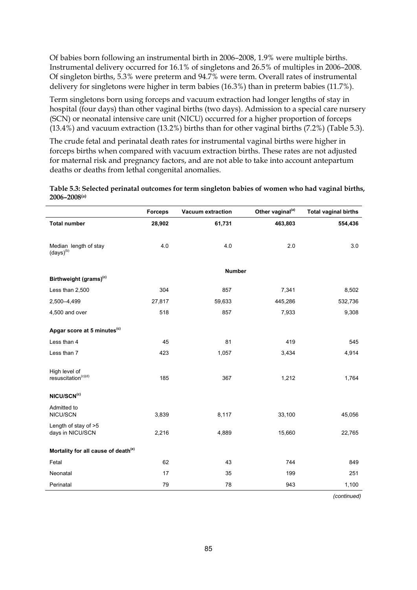Of babies born following an instrumental birth in 2006–2008, 1.9% were multiple births. Instrumental delivery occurred for 16.1% of singletons and 26.5% of multiples in 2006–2008. Of singleton births, 5.3% were preterm and 94.7% were term. Overall rates of instrumental delivery for singletons were higher in term babies (16.3%) than in preterm babies (11.7%).

Term singletons born using forceps and vacuum extraction had longer lengths of stay in hospital (four days) than other vaginal births (two days). Admission to a special care nursery (SCN) or neonatal intensive care unit (NICU) occurred for a higher proportion of forceps (13.4%) and vacuum extraction (13.2%) births than for other vaginal births (7.2%) (Table 5.3).

The crude fetal and perinatal death rates for instrumental vaginal births were higher in forceps births when compared with vacuum extraction births. These rates are not adjusted for maternal risk and pregnancy factors, and are not able to take into account antepartum deaths or deaths from lethal congenital anomalies.

**Table 5.3: Selected perinatal outcomes for term singleton babies of women who had vaginal births, 2006–2008(a)**

|                                                           | <b>Forceps</b> | <b>Vacuum extraction</b> | Other vaginal <sup>(a)</sup> | <b>Total vaginal births</b> |
|-----------------------------------------------------------|----------------|--------------------------|------------------------------|-----------------------------|
| <b>Total number</b>                                       | 28,902         | 61,731                   | 463,803                      | 554,436                     |
|                                                           |                |                          |                              |                             |
| Median length of stay<br>$\left(\text{days}\right)^{(b)}$ | 4.0            | 4.0                      | 2.0                          | 3.0                         |
|                                                           |                | <b>Number</b>            |                              |                             |
| Birthweight (grams) <sup>(c)</sup>                        |                |                          |                              |                             |
| Less than 2,500                                           | 304            | 857                      | 7,341                        | 8,502                       |
| 2,500-4,499                                               | 27,817         | 59,633                   | 445,286                      | 532,736                     |
| 4,500 and over                                            | 518            | 857                      | 7,933                        | 9,308                       |
| Apgar score at 5 minutes <sup>(c)</sup>                   |                |                          |                              |                             |
| Less than 4                                               | 45             | 81                       | 419                          | 545                         |
| Less than 7                                               | 423            | 1,057                    | 3,434                        | 4,914                       |
| High level of<br>resuscitation <sup>(c)(d)</sup>          | 185            | 367                      | 1,212                        | 1,764                       |
|                                                           |                |                          |                              |                             |
| NICU/SCN <sup>(c)</sup>                                   |                |                          |                              |                             |
| Admitted to<br>NICU/SCN                                   | 3,839          | 8,117                    | 33,100                       | 45,056                      |
| Length of stay of >5<br>days in NICU/SCN                  | 2,216          | 4,889                    | 15,660                       | 22,765                      |
| Mortality for all cause of death <sup>(e)</sup>           |                |                          |                              |                             |
| Fetal                                                     | 62             | 43                       | 744                          | 849                         |
| Neonatal                                                  | 17             | 35                       | 199                          | 251                         |
| Perinatal                                                 | 79             | 78                       | 943                          | 1,100                       |

 *(continued)*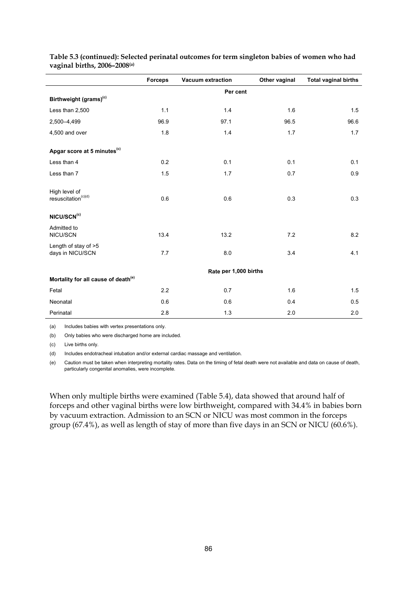|                                                  | <b>Forceps</b> | <b>Vacuum extraction</b> | Other vaginal | <b>Total vaginal births</b> |
|--------------------------------------------------|----------------|--------------------------|---------------|-----------------------------|
|                                                  |                | Per cent                 |               |                             |
| Birthweight (grams) <sup>(c)</sup>               |                |                          |               |                             |
| Less than 2,500                                  | 1.1            | 1.4                      | 1.6           | 1.5                         |
| 2,500-4,499                                      | 96.9           | 97.1                     | 96.5          | 96.6                        |
| 4,500 and over                                   | 1.8            | 1.4                      | 1.7           | 1.7                         |
| Apgar score at 5 minutes <sup>(c)</sup>          |                |                          |               |                             |
| Less than 4                                      | 0.2            | 0.1                      | 0.1           | 0.1                         |
| Less than 7                                      | 1.5            | 1.7                      | 0.7           | 0.9                         |
| High level of<br>resuscitation <sup>(c)(d)</sup> | 0.6            | 0.6                      | 0.3           | 0.3                         |
| NICU/SCN <sup>(c)</sup>                          |                |                          |               |                             |
| Admitted to<br>NICU/SCN                          | 13.4           | 13.2                     | 7.2           | 8.2                         |
| Length of stay of >5<br>days in NICU/SCN         | 7.7            | 8.0                      | 3.4           | 4.1                         |
|                                                  |                | Rate per 1,000 births    |               |                             |
| Mortality for all cause of death <sup>(e)</sup>  |                |                          |               |                             |
| Fetal                                            | 2.2            | 0.7                      | 1.6           | 1.5                         |
| Neonatal                                         | 0.6            | 0.6                      | 0.4           | 0.5                         |
| Perinatal                                        | 2.8            | 1.3                      | 2.0           | 2.0                         |

**Table 5.3 (continued): Selected perinatal outcomes for term singleton babies of women who had vaginal births, 2006–2008(a)**

(a) Includes babies with vertex presentations only.

(b) Only babies who were discharged home are included.

(c) Live births only.

(d) Includes endotracheal intubation and/or external cardiac massage and ventilation.

(e) Caution must be taken when interpreting mortality rates. Data on the timing of fetal death were not available and data on cause of death, particularly congenital anomalies, were incomplete.

When only multiple births were examined (Table 5.4), data showed that around half of forceps and other vaginal births were low birthweight, compared with 34.4% in babies born by vacuum extraction. Admission to an SCN or NICU was most common in the forceps group (67.4%), as well as length of stay of more than five days in an SCN or NICU (60.6%).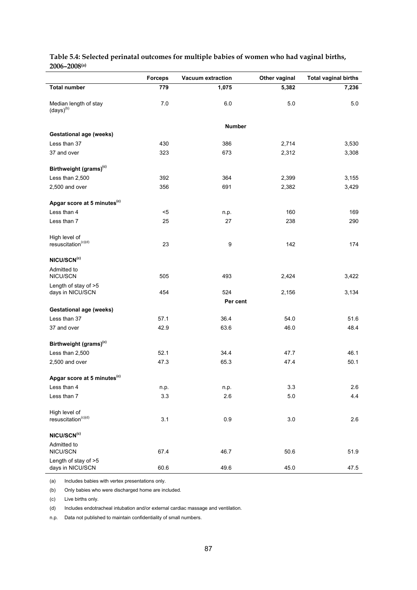|                                                           | <b>Forceps</b> | <b>Vacuum extraction</b> | Other vaginal | <b>Total vaginal births</b> |
|-----------------------------------------------------------|----------------|--------------------------|---------------|-----------------------------|
| <b>Total number</b>                                       | 779            | 1,075                    | 5,382         | 7,236                       |
|                                                           |                |                          |               |                             |
| Median length of stay<br>$\left(\text{days}\right)^{(b)}$ | 7.0            | 6.0                      | 5.0           | 5.0                         |
|                                                           |                | <b>Number</b>            |               |                             |
| <b>Gestational age (weeks)</b>                            |                |                          |               |                             |
| Less than 37                                              | 430            | 386                      | 2,714         | 3,530                       |
| 37 and over                                               | 323            | 673                      | 2,312         | 3,308                       |
|                                                           |                |                          |               |                             |
| Birthweight (grams) <sup>(c)</sup>                        |                |                          |               |                             |
| Less than 2,500                                           | 392            | 364                      | 2,399         | 3,155                       |
| 2,500 and over                                            | 356            | 691                      | 2,382         | 3,429                       |
| Apgar score at 5 minutes <sup>(c)</sup>                   |                |                          |               |                             |
| Less than 4                                               | $5$            | n.p.                     | 160           | 169                         |
| Less than 7                                               | 25             | 27                       | 238           | 290                         |
|                                                           |                |                          |               |                             |
| High level of                                             |                |                          |               |                             |
| resuscitation <sup>(c)(d)</sup>                           | 23             | 9                        | 142           | 174                         |
| NICU/SCN <sup>(c)</sup>                                   |                |                          |               |                             |
| Admitted to                                               |                |                          |               |                             |
| NICU/SCN                                                  | 505            | 493                      | 2,424         | 3,422                       |
| Length of stay of >5                                      |                |                          |               |                             |
| days in NICU/SCN                                          | 454            | 524                      | 2,156         | 3,134                       |
| <b>Gestational age (weeks)</b>                            |                | Per cent                 |               |                             |
| Less than 37                                              | 57.1           | 36.4                     | 54.0          | 51.6                        |
| 37 and over                                               | 42.9           | 63.6                     | 46.0          | 48.4                        |
|                                                           |                |                          |               |                             |
| Birthweight (grams) <sup>(c)</sup>                        |                |                          |               |                             |
| Less than 2,500                                           | 52.1           | 34.4                     | 47.7          | 46.1                        |
| 2,500 and over                                            | 47.3           | 65.3                     | 47.4          | 50.1                        |
| Apgar score at 5 minutes <sup>(c)</sup>                   |                |                          |               |                             |
| Less than 4                                               | n.p.           | n.p.                     | 3.3           | 2.6                         |
| Less than 7                                               | 3.3            | 2.6                      | 5.0           | 4.4                         |
|                                                           |                |                          |               |                             |
| High level of                                             |                |                          |               |                             |
| resuscitation <sup>(c)(d)</sup>                           | 3.1            | $0.9\,$                  | 3.0           | 2.6                         |
| NICU/SCN(c)                                               |                |                          |               |                             |
| Admitted to                                               |                |                          |               |                             |
| NICU/SCN                                                  | 67.4           | 46.7                     | 50.6          | 51.9                        |
| Length of stay of >5                                      |                |                          |               |                             |
| days in NICU/SCN                                          | 60.6           | 49.6                     | 45.0          | 47.5                        |

**Table 5.4: Selected perinatal outcomes for multiple babies of women who had vaginal births, 2006–2008(a)**

(a) Includes babies with vertex presentations only.

(b) Only babies who were discharged home are included.

(c) Live births only.

l,

(d) Includes endotracheal intubation and/or external cardiac massage and ventilation.

n.p. Data not published to maintain confidentiality of small numbers.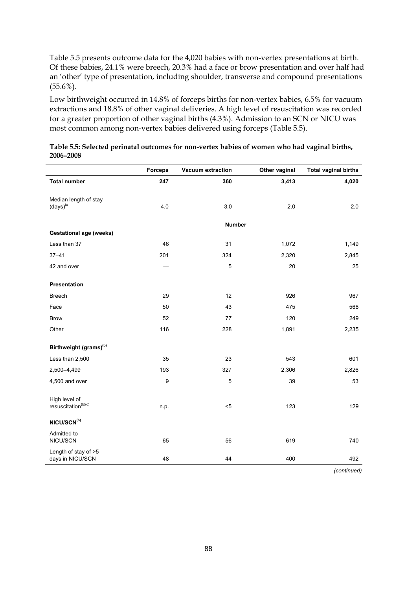Table 5.5 presents outcome data for the 4,020 babies with non-vertex presentations at birth. Of these babies, 24.1% were breech, 20.3% had a face or brow presentation and over half had an 'other' type of presentation, including shoulder, transverse and compound presentations (55.6%).

Low birthweight occurred in 14.8% of forceps births for non-vertex babies, 6.5% for vacuum extractions and 18.8% of other vaginal deliveries. A high level of resuscitation was recorded for a greater proportion of other vaginal births (4.3%). Admission to an SCN or NICU was most common among non-vertex babies delivered using forceps (Table 5.5).

|                                                                  | <b>Forceps</b> | Vacuum extraction | Other vaginal | <b>Total vaginal births</b> |
|------------------------------------------------------------------|----------------|-------------------|---------------|-----------------------------|
| <b>Total number</b>                                              | 247            | 360               | 3,413         | 4,020                       |
| Median length of stay<br>$\left(\text{days}\right)^{\text{(a)}}$ | 4.0            | 3.0               | 2.0           | 2.0                         |
|                                                                  |                | <b>Number</b>     |               |                             |
| <b>Gestational age (weeks)</b>                                   |                |                   |               |                             |
| Less than 37                                                     | 46             | 31                | 1,072         | 1,149                       |
| $37 - 41$                                                        | 201            | 324               | 2,320         | 2,845                       |
| 42 and over                                                      |                | 5                 | 20            | 25                          |
| Presentation                                                     |                |                   |               |                             |
| <b>Breech</b>                                                    | 29             | 12                | 926           | 967                         |
| Face                                                             | 50             | 43                | 475           | 568                         |
| <b>Brow</b>                                                      | 52             | 77                | 120           | 249                         |
| Other                                                            | 116            | 228               | 1,891         | 2,235                       |
| Birthweight (grams) <sup>(b)</sup>                               |                |                   |               |                             |
| Less than 2,500                                                  | 35             | 23                | 543           | 601                         |
| 2,500-4,499                                                      | 193            | 327               | 2,306         | 2,826                       |
| 4,500 and over                                                   | 9              | $\mathbf 5$       | 39            | 53                          |
| High level of<br>resuscitation <sup>(b)(c)</sup>                 | n.p.           | $5$               | 123           | 129                         |
| NICU/SCN(b)                                                      |                |                   |               |                             |
| Admitted to<br>NICU/SCN                                          | 65             | 56                | 619           | 740                         |
| Length of stay of >5<br>days in NICU/SCN                         | 48             | 44                | 400           | 492                         |

| Table 5.5: Selected perinatal outcomes for non-vertex babies of women who had vaginal births, |  |
|-----------------------------------------------------------------------------------------------|--|
| 2006-2008                                                                                     |  |

 *(continued)*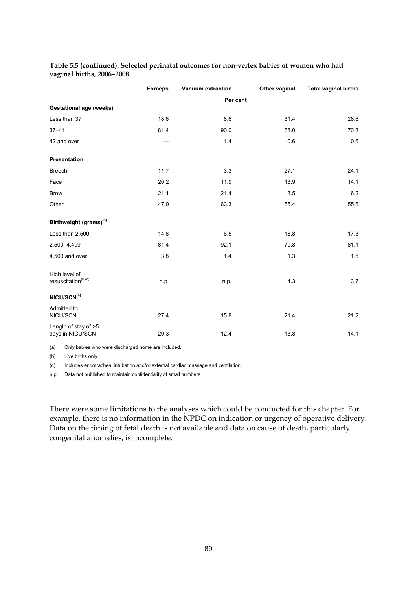|                                                  | <b>Forceps</b> | <b>Vacuum extraction</b> | Other vaginal | <b>Total vaginal births</b> |
|--------------------------------------------------|----------------|--------------------------|---------------|-----------------------------|
|                                                  |                | Per cent                 |               |                             |
| <b>Gestational age (weeks)</b>                   |                |                          |               |                             |
| Less than 37                                     | 18.6           | 8.6                      | 31.4          | 28.6                        |
| $37 - 41$                                        | 81.4           | 90.0                     | 68.0          | 70.8                        |
| 42 and over                                      |                | 1.4                      | 0.6           | 0.6                         |
| Presentation                                     |                |                          |               |                             |
| <b>Breech</b>                                    | 11.7           | 3.3                      | 27.1          | 24.1                        |
| Face                                             | 20.2           | 11.9                     | 13.9          | 14.1                        |
| <b>Brow</b>                                      | 21.1           | 21.4                     | 3.5           | 6.2                         |
| Other                                            | 47.0           | 63.3                     | 55.4          | 55.6                        |
| Birthweight (grams) <sup>(b)</sup>               |                |                          |               |                             |
| Less than 2,500                                  | 14.8           | 6.5                      | 18.8          | 17.3                        |
| 2,500-4,499                                      | 81.4           | 92.1                     | 79.8          | 81.1                        |
| 4,500 and over                                   | 3.8            | 1.4                      | 1.3           | 1.5                         |
| High level of<br>resuscitation <sup>(b)(c)</sup> | n.p.           | n.p.                     | 4.3           | 3.7                         |
| NICU/SCN <sup>(b)</sup>                          |                |                          |               |                             |
| Admitted to<br>NICU/SCN                          | 27.4           | 15.8                     | 21.4          | 21.2                        |
| Length of stay of >5<br>days in NICU/SCN         | 20.3           | 12.4                     | 13.8          | 14.1                        |

**Table 5.5 (continued): Selected perinatal outcomes for non-vertex babies of women who had vaginal births, 2006–2008** 

(a) Only babies who were discharged home are included.

(b) Live births only.

(c) Includes endotracheal intubation and/or external cardiac massage and ventilation.

n.p. Data not published to maintain confidentiality of small numbers.

There were some limitations to the analyses which could be conducted for this chapter. For example, there is no information in the NPDC on indication or urgency of operative delivery. Data on the timing of fetal death is not available and data on cause of death, particularly congenital anomalies, is incomplete.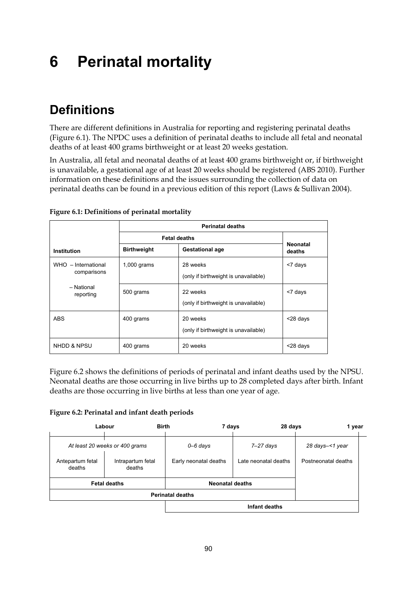# **6 Perinatal mortality**

## **Definitions**

There are different definitions in Australia for reporting and registering perinatal deaths (Figure 6.1). The NPDC uses a definition of perinatal deaths to include all fetal and neonatal deaths of at least 400 grams birthweight or at least 20 weeks gestation.

In Australia, all fetal and neonatal deaths of at least 400 grams birthweight or, if birthweight is unavailable, a gestational age of at least 20 weeks should be registered (ABS 2010). Further information on these definitions and the issues surrounding the collection of data on perinatal deaths can be found in a previous edition of this report (Laws & Sullivan 2004).

|                                    | <b>Perinatal deaths</b>                      |                                                  |                           |  |  |  |  |
|------------------------------------|----------------------------------------------|--------------------------------------------------|---------------------------|--|--|--|--|
|                                    | <b>Fetal deaths</b>                          |                                                  |                           |  |  |  |  |
| <b>Institution</b>                 | <b>Birthweight</b><br><b>Gestational age</b> |                                                  | <b>Neonatal</b><br>deaths |  |  |  |  |
| WHO - International<br>comparisons | $1,000$ grams                                | 28 weeks<br>(only if birthweight is unavailable) | <7 days                   |  |  |  |  |
| - National<br>reporting            | 500 grams                                    | 22 weeks<br>(only if birthweight is unavailable) | <7 days                   |  |  |  |  |
| ABS                                | 400 grams                                    | 20 weeks<br>(only if birthweight is unavailable) | <28 days                  |  |  |  |  |
| NHDD & NPSU                        | 400 grams                                    | 20 weeks                                         | <28 days                  |  |  |  |  |

**Figure 6.1: Definitions of perinatal mortality** 

Figure 6.2 shows the definitions of periods of perinatal and infant deaths used by the NPSU. Neonatal deaths are those occurring in live births up to 28 completed days after birth. Infant deaths are those occurring in live births at less than one year of age.

**Figure 6.2: Perinatal and infant death periods** 

|                            | <b>Birth</b><br>Labour         | 7 days                 | 28 days              | 1 year              |  |  |
|----------------------------|--------------------------------|------------------------|----------------------|---------------------|--|--|
|                            | At least 20 weeks or 400 grams | $0 - 6$ days           | $7-27$ days          | 28 days-<1 year     |  |  |
| Antepartum fetal<br>deaths | Intrapartum fetal<br>deaths    | Early neonatal deaths  | Late neonatal deaths | Postneonatal deaths |  |  |
|                            | <b>Fetal deaths</b>            | <b>Neonatal deaths</b> |                      |                     |  |  |
| <b>Perinatal deaths</b>    |                                |                        |                      |                     |  |  |
|                            |                                | Infant deaths          |                      |                     |  |  |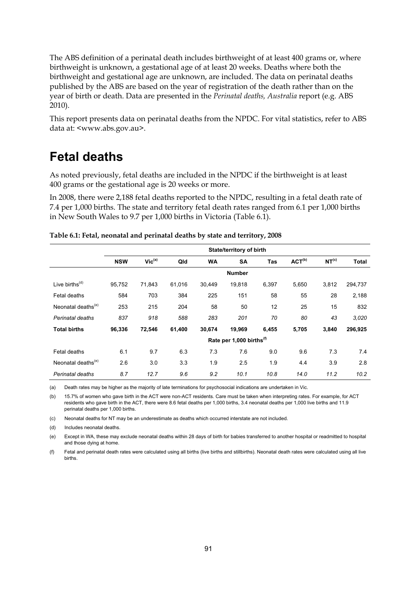The ABS definition of a perinatal death includes birthweight of at least 400 grams or, where birthweight is unknown, a gestational age of at least 20 weeks. Deaths where both the birthweight and gestational age are unknown, are included. The data on perinatal deaths published by the ABS are based on the year of registration of the death rather than on the year of birth or death. Data are presented in the *Perinatal deaths, Australia* report (e.g. ABS 2010).

This report presents data on perinatal deaths from the NPDC. For vital statistics, refer to ABS data at: <www.abs.gov.au>.

## **Fetal deaths**

As noted previously, fetal deaths are included in the NPDC if the birthweight is at least 400 grams or the gestational age is 20 weeks or more.

In 2008, there were 2,188 fetal deaths reported to the NPDC, resulting in a fetal death rate of 7.4 per 1,000 births. The state and territory fetal death rates ranged from 6.1 per 1,000 births in New South Wales to 9.7 per 1,000 births in Victoria (Table 6.1).

|                                | State/territory of birth |             |        |           |                                      |       |             |                   |              |
|--------------------------------|--------------------------|-------------|--------|-----------|--------------------------------------|-------|-------------|-------------------|--------------|
|                                | <b>NSW</b>               | $Vic^{(a)}$ | Qld    | <b>WA</b> | <b>SA</b>                            | Tas   | $ACT^{(b)}$ | NT <sup>(c)</sup> | <b>Total</b> |
|                                |                          |             |        |           | <b>Number</b>                        |       |             |                   |              |
| Live births $(d)$              | 95,752                   | 71,843      | 61,016 | 30,449    | 19,818                               | 6,397 | 5,650       | 3,812             | 294,737      |
| Fetal deaths                   | 584                      | 703         | 384    | 225       | 151                                  | 58    | 55          | 28                | 2,188        |
| Neonatal deaths <sup>(e)</sup> | 253                      | 215         | 204    | 58        | 50                                   | 12    | 25          | 15                | 832          |
| Perinatal deaths               | 837                      | 918         | 588    | 283       | 201                                  | 70    | 80          | 43                | 3.020        |
| <b>Total births</b>            | 96,336                   | 72,546      | 61,400 | 30,674    | 19,969                               | 6,455 | 5,705       | 3,840             | 296,925      |
|                                |                          |             |        |           | Rate per 1,000 births <sup>(f)</sup> |       |             |                   |              |
| Fetal deaths                   | 6.1                      | 9.7         | 6.3    | 7.3       | 7.6                                  | 9.0   | 9.6         | 7.3               | 7.4          |
| Neonatal deaths <sup>(e)</sup> | 2.6                      | 3.0         | 3.3    | 1.9       | 2.5                                  | 1.9   | 4.4         | 3.9               | 2.8          |
| Perinatal deaths               | 8.7                      | 12.7        | 9.6    | 9.2       | 10.1                                 | 10.8  | 14.0        | 11.2              | 10.2         |

(a) Death rates may be higher as the majority of late terminations for psychosocial indications are undertaken in Vic.

(b) 15.7% of women who gave birth in the ACT were non-ACT residents. Care must be taken when interpreting rates. For example, for ACT residents who gave birth in the ACT, there were 8.6 fetal deaths per 1,000 births, 3.4 neonatal deaths per 1,000 live births and 11.9 perinatal deaths per 1,000 births.

(c) Neonatal deaths for NT may be an underestimate as deaths which occurred interstate are not included.

(d) Includes neonatal deaths.

(e) Except in WA, these may exclude neonatal deaths within 28 days of birth for babies transferred to another hospital or readmitted to hospital and those dying at home.

(f) Fetal and perinatal death rates were calculated using all births (live births and stillbirths). Neonatal death rates were calculated using all live births.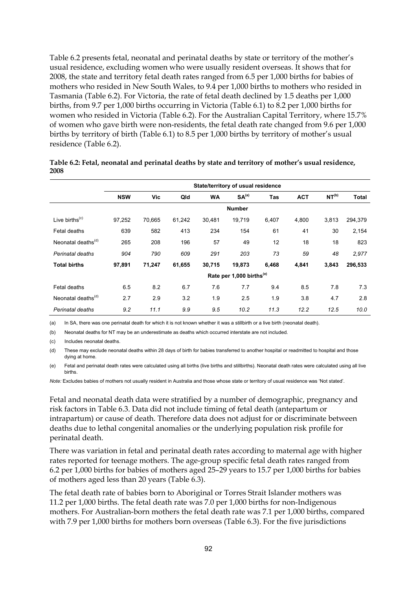Table 6.2 presents fetal, neonatal and perinatal deaths by state or territory of the mother's usual residence, excluding women who were usually resident overseas. It shows that for 2008, the state and territory fetal death rates ranged from 6.5 per 1,000 births for babies of mothers who resided in New South Wales, to 9.4 per 1,000 births to mothers who resided in Tasmania (Table 6.2). For Victoria, the rate of fetal death declined by 1.5 deaths per 1,000 births, from 9.7 per 1,000 births occurring in Victoria (Table 6.1) to 8.2 per 1,000 births for women who resided in Victoria (Table 6.2). For the Australian Capital Territory, where 15.7% of women who gave birth were non-residents, the fetal death rate changed from 9.6 per 1,000 births by territory of birth (Table 6.1) to 8.5 per 1,000 births by territory of mother's usual residence (Table 6.2).

|                                         | State/territory of usual residence |        |        |           |                                      |       |            |                   |         |
|-----------------------------------------|------------------------------------|--------|--------|-----------|--------------------------------------|-------|------------|-------------------|---------|
|                                         | <b>NSW</b>                         | Vic    | Qld    | <b>WA</b> | SA <sup>(a)</sup>                    | Tas   | <b>ACT</b> | NT <sup>(b)</sup> | Total   |
|                                         |                                    |        |        |           | <b>Number</b>                        |       |            |                   |         |
| Live births <sup><math>(c)</math></sup> | 97,252                             | 70,665 | 61,242 | 30,481    | 19,719                               | 6,407 | 4,800      | 3,813             | 294,379 |
| Fetal deaths                            | 639                                | 582    | 413    | 234       | 154                                  | 61    | 41         | 30                | 2,154   |
| Neonatal deaths <sup>(d)</sup>          | 265                                | 208    | 196    | 57        | 49                                   | 12    | 18         | 18                | 823     |
| Perinatal deaths                        | 904                                | 790    | 609    | 291       | 203                                  | 73    | 59         | 48                | 2,977   |
| <b>Total births</b>                     | 97,891                             | 71,247 | 61,655 | 30,715    | 19,873                               | 6,468 | 4,841      | 3,843             | 296,533 |
|                                         |                                    |        |        |           | Rate per 1,000 births <sup>(e)</sup> |       |            |                   |         |
| Fetal deaths                            | 6.5                                | 8.2    | 6.7    | 7.6       | 7.7                                  | 9.4   | 8.5        | 7.8               | 7.3     |
| Neonatal deaths <sup>(d)</sup>          | 2.7                                | 2.9    | 3.2    | 1.9       | 2.5                                  | 1.9   | 3.8        | 4.7               | 2.8     |
| Perinatal deaths                        | 9.2                                | 11.1   | 9.9    | 9.5       | 10.2                                 | 11.3  | 12.2       | 12.5              | 10.0    |

| Table 6.2: Fetal, neonatal and perinatal deaths by state and territory of mother's usual residence, |  |
|-----------------------------------------------------------------------------------------------------|--|
| 2008                                                                                                |  |

(a) In SA, there was one perinatal death for which it is not known whether it was a stillbirth or a live birth (neonatal death).

(b) Neonatal deaths for NT may be an underestimate as deaths which occurred interstate are not included.

(c) Includes neonatal deaths.

(d) These may exclude neonatal deaths within 28 days of birth for babies transferred to another hospital or readmitted to hospital and those dying at home.

(e) Fetal and perinatal death rates were calculated using all births (live births and stillbirths). Neonatal death rates were calculated using all live births.

*Note:* Excludes babies of mothers not usually resident in Australia and those whose state or territory of usual residence was 'Not stated'.

Fetal and neonatal death data were stratified by a number of demographic, pregnancy and risk factors in Table 6.3. Data did not include timing of fetal death (antepartum or intrapartum) or cause of death. Therefore data does not adjust for or discriminate between deaths due to lethal congenital anomalies or the underlying population risk profile for perinatal death.

There was variation in fetal and perinatal death rates according to maternal age with higher rates reported for teenage mothers. The age-group specific fetal death rates ranged from 6.2 per 1,000 births for babies of mothers aged 25–29 years to 15.7 per 1,000 births for babies of mothers aged less than 20 years (Table 6.3).

The fetal death rate of babies born to Aboriginal or Torres Strait Islander mothers was 11.2 per 1,000 births. The fetal death rate was 7.0 per 1,000 births for non-Indigenous mothers. For Australian-born mothers the fetal death rate was 7.1 per 1,000 births, compared with 7.9 per 1,000 births for mothers born overseas (Table 6.3). For the five jurisdictions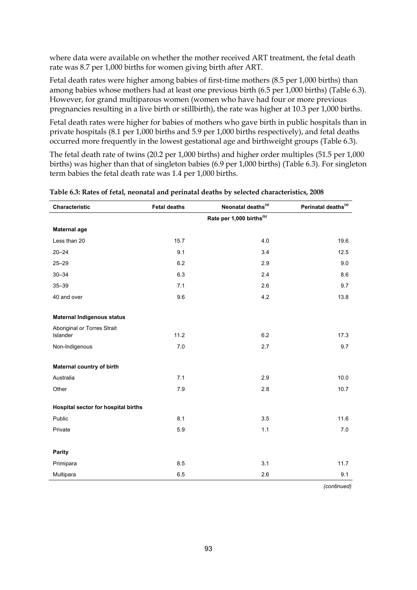where data were available on whether the mother received ART treatment, the fetal death rate was 8.7 per 1,000 births for women giving birth after ART.

Fetal death rates were higher among babies of first-time mothers (8.5 per 1,000 births) than among babies whose mothers had at least one previous birth (6.5 per 1,000 births) (Table 6.3). However, for grand multiparous women (women who have had four or more previous pregnancies resulting in a live birth or stillbirth), the rate was higher at 10.3 per 1,000 births.

Fetal death rates were higher for babies of mothers who gave birth in public hospitals than in private hospitals (8.1 per 1,000 births and 5.9 per 1,000 births respectively), and fetal deaths occurred more frequently in the lowest gestational age and birthweight groups (Table 6.3).

The fetal death rate of twins (20.2 per 1,000 births) and higher order multiples (51.5 per 1,000 births) was higher than that of singleton babies (6.9 per 1,000 births) (Table 6.3). For singleton term babies the fetal death rate was 1.4 per 1,000 births.

| Characteristic                          | <b>Fetal deaths</b> | Neonatal deaths <sup>(a)</sup>       | Perinatal deaths <sup>(a)</sup> |
|-----------------------------------------|---------------------|--------------------------------------|---------------------------------|
|                                         |                     | Rate per 1,000 births <sup>(b)</sup> |                                 |
| <b>Maternal age</b>                     |                     |                                      |                                 |
| Less than 20                            | 15.7                | 4.0                                  | 19.6                            |
| $20 - 24$                               | 9.1                 | 3.4                                  | 12.5                            |
| $25 - 29$                               | 6.2                 | 2.9                                  | 9.0                             |
| $30 - 34$                               | 6.3                 | 2.4                                  | 8.6                             |
| $35 - 39$                               | 7.1                 | 2.6                                  | 9.7                             |
| 40 and over                             | 9.6                 | 4.2                                  | 13.8                            |
|                                         |                     |                                      |                                 |
| <b>Maternal Indigenous status</b>       |                     |                                      |                                 |
| Aboriginal or Torres Strait<br>Islander | 11.2                | 6.2                                  | 17.3                            |
| Non-Indigenous                          | 7.0                 | 2.7                                  | 9.7                             |
|                                         |                     |                                      |                                 |
| Maternal country of birth               |                     |                                      |                                 |
| Australia                               | 7.1                 | 2.9                                  | 10.0                            |
| Other                                   | 7.9                 | 2.8                                  | 10.7                            |
| Hospital sector for hospital births     |                     |                                      |                                 |
| Public                                  | 8.1                 | 3.5                                  | 11.6                            |
| Private                                 | 5.9                 | 1.1                                  | 7.0                             |
|                                         |                     |                                      |                                 |
| <b>Parity</b>                           |                     |                                      |                                 |
| Primipara                               | 8.5                 | 3.1                                  | 11.7                            |
| Multipara                               | 6.5                 | 2.6                                  | 9.1                             |

| Table 6.3: Rates of fetal, neonatal and perinatal deaths by selected characteristics, 2008 |  |  |
|--------------------------------------------------------------------------------------------|--|--|
|                                                                                            |  |  |

 *(continued)*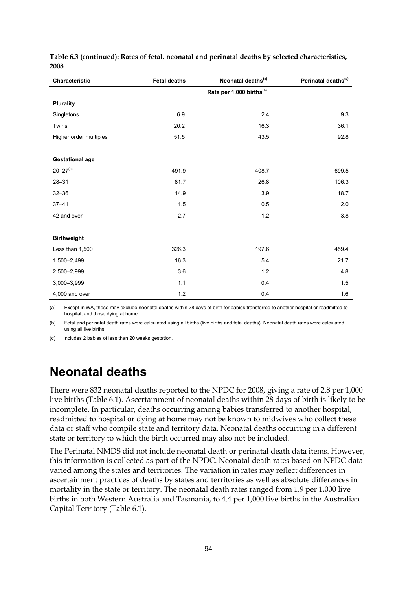| Characteristic           | <b>Fetal deaths</b> | Neonatal deaths <sup>(a)</sup>       | Perinatal deaths <sup>(a)</sup> |
|--------------------------|---------------------|--------------------------------------|---------------------------------|
|                          |                     | Rate per 1,000 births <sup>(b)</sup> |                                 |
| <b>Plurality</b>         |                     |                                      |                                 |
| Singletons               | 6.9                 | 2.4                                  | 9.3                             |
| Twins                    | 20.2                | 16.3                                 | 36.1                            |
| Higher order multiples   | 51.5                | 43.5                                 | 92.8                            |
|                          |                     |                                      |                                 |
| <b>Gestational age</b>   |                     |                                      |                                 |
| $20 - 27$ <sup>(c)</sup> | 491.9               | 408.7                                | 699.5                           |
| $28 - 31$                | 81.7                | 26.8                                 | 106.3                           |
| $32 - 36$                | 14.9                | 3.9                                  | 18.7                            |
| $37 - 41$                | 1.5                 | 0.5                                  | 2.0                             |
| 42 and over              | 2.7                 | 1.2                                  | 3.8                             |
|                          |                     |                                      |                                 |
| <b>Birthweight</b>       |                     |                                      |                                 |
| Less than 1,500          | 326.3               | 197.6                                | 459.4                           |
| 1,500-2,499              | 16.3                | 5.4                                  | 21.7                            |
| 2,500-2,999              | 3.6                 | $1.2$                                | 4.8                             |
| 3,000-3,999              | $1.1$               | 0.4                                  | 1.5                             |
| 4,000 and over           | 1.2                 | 0.4                                  | 1.6                             |

**Table 6.3 (continued): Rates of fetal, neonatal and perinatal deaths by selected characteristics, 2008** 

(a) Except in WA, these may exclude neonatal deaths within 28 days of birth for babies transferred to another hospital or readmitted to hospital, and those dying at home.

(b) Fetal and perinatal death rates were calculated using all births (live births and fetal deaths). Neonatal death rates were calculated using all live births.

(c) Includes 2 babies of less than 20 weeks gestation.

## **Neonatal deaths**

There were 832 neonatal deaths reported to the NPDC for 2008, giving a rate of 2.8 per 1,000 live births (Table 6.1). Ascertainment of neonatal deaths within 28 days of birth is likely to be incomplete. In particular, deaths occurring among babies transferred to another hospital, readmitted to hospital or dying at home may not be known to midwives who collect these data or staff who compile state and territory data. Neonatal deaths occurring in a different state or territory to which the birth occurred may also not be included.

The Perinatal NMDS did not include neonatal death or perinatal death data items. However, this information is collected as part of the NPDC. Neonatal death rates based on NPDC data varied among the states and territories. The variation in rates may reflect differences in ascertainment practices of deaths by states and territories as well as absolute differences in mortality in the state or territory. The neonatal death rates ranged from 1.9 per 1,000 live births in both Western Australia and Tasmania, to 4.4 per 1,000 live births in the Australian Capital Territory (Table 6.1).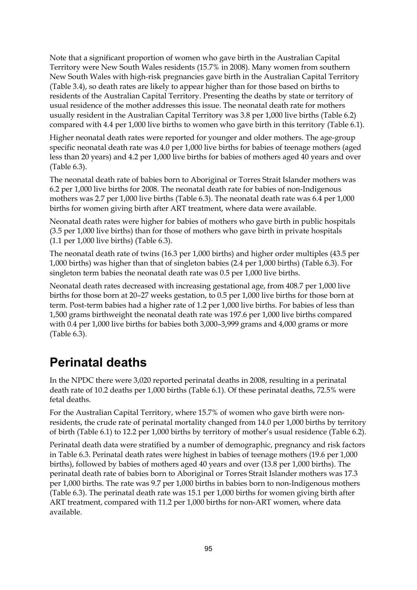Note that a significant proportion of women who gave birth in the Australian Capital Territory were New South Wales residents (15.7% in 2008). Many women from southern New South Wales with high-risk pregnancies gave birth in the Australian Capital Territory (Table 3.4), so death rates are likely to appear higher than for those based on births to residents of the Australian Capital Territory. Presenting the deaths by state or territory of usual residence of the mother addresses this issue. The neonatal death rate for mothers usually resident in the Australian Capital Territory was 3.8 per 1,000 live births (Table 6.2) compared with 4.4 per 1,000 live births to women who gave birth in this territory (Table 6.1).

Higher neonatal death rates were reported for younger and older mothers. The age-group specific neonatal death rate was 4.0 per 1,000 live births for babies of teenage mothers (aged less than 20 years) and 4.2 per 1,000 live births for babies of mothers aged 40 years and over (Table 6.3).

The neonatal death rate of babies born to Aboriginal or Torres Strait Islander mothers was 6.2 per 1,000 live births for 2008. The neonatal death rate for babies of non-Indigenous mothers was 2.7 per 1,000 live births (Table 6.3). The neonatal death rate was 6.4 per 1,000 births for women giving birth after ART treatment, where data were available.

Neonatal death rates were higher for babies of mothers who gave birth in public hospitals (3.5 per 1,000 live births) than for those of mothers who gave birth in private hospitals (1.1 per 1,000 live births) (Table 6.3).

The neonatal death rate of twins (16.3 per 1,000 births) and higher order multiples (43.5 per 1,000 births) was higher than that of singleton babies (2.4 per 1,000 births) (Table 6.3). For singleton term babies the neonatal death rate was 0.5 per 1,000 live births.

Neonatal death rates decreased with increasing gestational age, from 408.7 per 1,000 live births for those born at 20–27 weeks gestation, to 0.5 per 1,000 live births for those born at term. Post-term babies had a higher rate of 1.2 per 1,000 live births. For babies of less than 1,500 grams birthweight the neonatal death rate was 197.6 per 1,000 live births compared with 0.4 per 1,000 live births for babies both 3,000–3,999 grams and 4,000 grams or more (Table 6.3).

## **Perinatal deaths**

In the NPDC there were 3,020 reported perinatal deaths in 2008, resulting in a perinatal death rate of 10.2 deaths per 1,000 births (Table 6.1). Of these perinatal deaths, 72.5% were fetal deaths.

For the Australian Capital Territory, where 15.7% of women who gave birth were nonresidents, the crude rate of perinatal mortality changed from 14.0 per 1,000 births by territory of birth (Table 6.1) to 12.2 per 1,000 births by territory of mother's usual residence (Table 6.2).

Perinatal death data were stratified by a number of demographic, pregnancy and risk factors in Table 6.3. Perinatal death rates were highest in babies of teenage mothers (19.6 per 1,000 births), followed by babies of mothers aged 40 years and over (13.8 per 1,000 births). The perinatal death rate of babies born to Aboriginal or Torres Strait Islander mothers was 17.3 per 1,000 births. The rate was 9.7 per 1,000 births in babies born to non-Indigenous mothers (Table 6.3). The perinatal death rate was 15.1 per 1,000 births for women giving birth after ART treatment, compared with 11.2 per 1,000 births for non-ART women, where data available.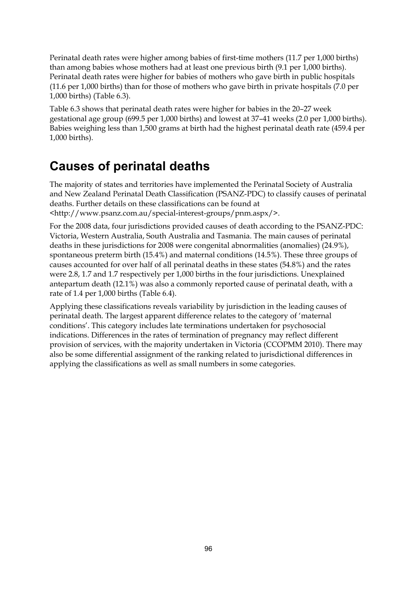Perinatal death rates were higher among babies of first-time mothers (11.7 per 1,000 births) than among babies whose mothers had at least one previous birth (9.1 per 1,000 births). Perinatal death rates were higher for babies of mothers who gave birth in public hospitals (11.6 per 1,000 births) than for those of mothers who gave birth in private hospitals (7.0 per 1,000 births) (Table 6.3).

Table 6.3 shows that perinatal death rates were higher for babies in the 20–27 week gestational age group (699.5 per 1,000 births) and lowest at 37–41 weeks (2.0 per 1,000 births). Babies weighing less than 1,500 grams at birth had the highest perinatal death rate (459.4 per 1,000 births).

## **Causes of perinatal deaths**

The majority of states and territories have implemented the Perinatal Society of Australia and New Zealand Perinatal Death Classification (PSANZ-PDC) to classify causes of perinatal deaths. Further details on these classifications can be found at <http://www.psanz.com.au/special-interest-groups/pnm.aspx/>.

For the 2008 data, four jurisdictions provided causes of death according to the PSANZ-PDC: Victoria, Western Australia, South Australia and Tasmania. The main causes of perinatal deaths in these jurisdictions for 2008 were congenital abnormalities (anomalies) (24.9%), spontaneous preterm birth (15.4%) and maternal conditions (14.5%). These three groups of causes accounted for over half of all perinatal deaths in these states (54.8%) and the rates were 2.8, 1.7 and 1.7 respectively per 1,000 births in the four jurisdictions. Unexplained antepartum death (12.1%) was also a commonly reported cause of perinatal death, with a rate of 1.4 per 1,000 births (Table 6.4).

Applying these classifications reveals variability by jurisdiction in the leading causes of perinatal death. The largest apparent difference relates to the category of 'maternal conditions'. This category includes late terminations undertaken for psychosocial indications. Differences in the rates of termination of pregnancy may reflect different provision of services, with the majority undertaken in Victoria (CCOPMM 2010). There may also be some differential assignment of the ranking related to jurisdictional differences in applying the classifications as well as small numbers in some categories.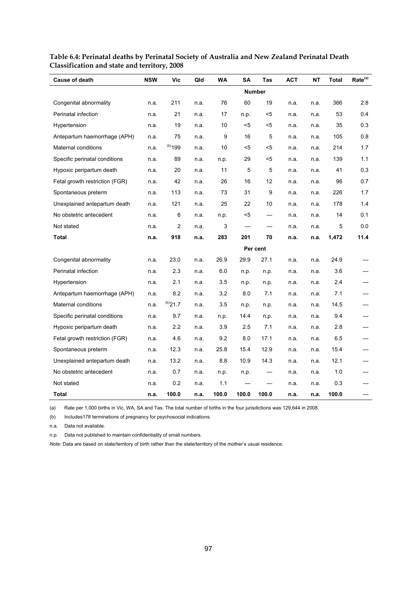| <b>Cause of death</b>          | <b>NSW</b>    | Vic          | Qld  | WA    | SΑ    | Tas      | <b>ACT</b> | NΤ   | Total | Rate <sup>(a)</sup> |
|--------------------------------|---------------|--------------|------|-------|-------|----------|------------|------|-------|---------------------|
|                                | <b>Number</b> |              |      |       |       |          |            |      |       |                     |
| Congenital abnormality         | n.a.          | 211          | n.a. | 76    | 60    | 19       | n.a.       | n.a. | 366   | 2.8                 |
| Perinatal infection            | n.a.          | 21           | n.a. | 17    | n.p.  | <5       | n.a.       | n.a. | 53    | 0.4                 |
| Hypertension                   | n.a.          | 19           | n.a. | 10    | $5$   | <5       | n.a.       | n.a. | 35    | 0.3                 |
| Antepartum haemorrhage (APH)   | n.a.          | 75           | n.a. | 9     | 16    | 5        | n.a.       | n.a. | 105   | 0.8                 |
| Maternal conditions            | n.a.          | $(b)$ 199    | n.a. | 10    | <5    | <5       | n.a.       | n.a. | 214   | 1.7                 |
| Specific perinatal conditions  | n.a.          | 89           | n.a. | n.p.  | 29    | <5       | n.a.       | n.a. | 139   | 1.1                 |
| Hypoxic peripartum death       | n.a.          | 20           | n.a. | 11    | 5     | 5        | n.a.       | n.a. | 41    | 0.3                 |
| Fetal growth restriction (FGR) | n.a.          | 42           | n.a. | 26    | 16    | 12       | n.a.       | n.a. | 96    | 0.7                 |
| Spontaneous preterm            | n.a.          | 113          | n.a. | 73    | 31    | 9        | n.a.       | n.a. | 226   | 1.7                 |
| Unexplained antepartum death   | n.a.          | 121          | n.a. | 25    | 22    | 10       | n.a.       | n.a. | 178   | 1.4                 |
| No obstetric antecedent        | n.a.          | 6            | n.a. | n.p.  | <5    |          | n.a.       | n.a. | 14    | 0.1                 |
| Not stated                     | n.a.          | 2            | n.a. | 3     |       |          | n.a.       | n.a. | 5     | 0.0                 |
| <b>Total</b>                   | n.a.          | 918          | n.a. | 283   | 201   | 70       | n.a.       | n.a. | 1,472 | 11.4                |
|                                |               |              |      |       |       | Per cent |            |      |       |                     |
| Congenital abnormality         | n.a.          | 23.0         | n.a. | 26.9  | 29.9  | 27.1     | n.a.       | n.a. | 24.9  |                     |
| Perinatal infection            | n.a.          | 2.3          | n.a. | 6.0   | n.p.  | n.p.     | n.a.       | n.a. | 3.6   |                     |
| Hypertension                   | n.a.          | 2.1          | n.a. | 3.5   | n.p.  | n.p.     | n.a.       | n.a. | 2.4   |                     |
| Antepartum haemorrhage (APH)   | n.a.          | 8.2          | n.a. | 3.2   | 8.0   | 7.1      | n.a.       | n.a. | 7.1   |                     |
| Maternal conditions            | n.a.          | $^{(b)}21.7$ | n.a. | 3.5   | n.p.  | n.p.     | n.a.       | n.a. | 14.5  |                     |
| Specific perinatal conditions  | n.a.          | 9.7          | n.a. | n.p.  | 14.4  | n.p.     | n.a.       | n.a. | 9.4   |                     |
| Hypoxic peripartum death       | n.a.          | 2.2          | n.a. | 3.9   | 2.5   | 7.1      | n.a.       | n.a. | 2.8   |                     |
| Fetal growth restriction (FGR) | n.a.          | 4.6          | n.a. | 9.2   | 8.0   | 17.1     | n.a.       | n.a. | 6.5   |                     |
| Spontaneous preterm            | n.a.          | 12.3         | n.a. | 25.8  | 15.4  | 12.9     | n.a.       | n.a. | 15.4  |                     |
| Unexplained antepartum death   | n.a.          | 13.2         | n.a. | 8.8   | 10.9  | 14.3     | n.a.       | n.a. | 12.1  |                     |
| No obstetric antecedent        | n.a.          | 0.7          | n.a. | n.p.  | n.p.  |          | n.a.       | n.a. | 1.0   |                     |
| Not stated                     | n.a.          | 0.2          | n.a. | 1.1   |       |          | n.a.       | n.a. | 0.3   |                     |
| Total                          | n.a.          | 100.0        | n.a. | 100.0 | 100.0 | 100.0    | n.a.       | n.a. | 100.0 |                     |

#### **Table 6.4: Perinatal deaths by Perinatal Society of Australia and New Zealand Perinatal Death Classification and state and territory, 2008**

(a) Rate per 1,000 births in Vic, WA, SA and Tas. The total number of births in the four jurisdictions was 129,644 in 2008.

(b) Includes178 terminations of pregnancy for psychosocial indications.

n.a. Data not available.

n.p. Data not published to maintain confidentiality of small numbers.

*Note:* Data are based on state/territory of birth rather than the state/territory of the mother's usual residence.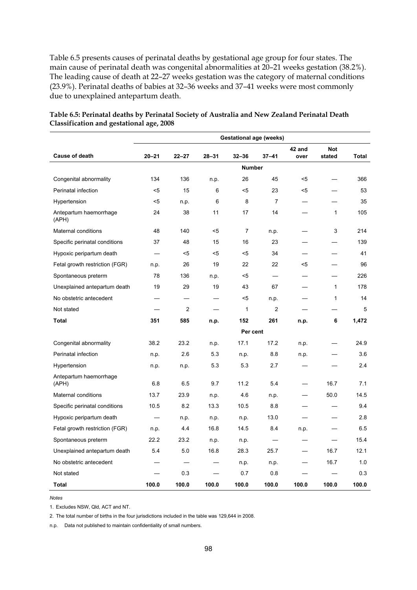Table 6.5 presents causes of perinatal deaths by gestational age group for four states. The main cause of perinatal death was congenital abnormalities at 20–21 weeks gestation (38.2%). The leading cause of death at 22–27 weeks gestation was the category of maternal conditions (23.9%). Perinatal deaths of babies at 32–36 weeks and 37–41 weeks were most commonly due to unexplained antepartum death.

|                                 | <b>Gestational age (weeks)</b> |                |           |                |                |                |                      |       |  |
|---------------------------------|--------------------------------|----------------|-----------|----------------|----------------|----------------|----------------------|-------|--|
| <b>Cause of death</b>           | $20 - 21$                      | $22 - 27$      | $28 - 31$ | $32 - 36$      | $37 - 41$      | 42 and<br>over | <b>Not</b><br>stated | Total |  |
|                                 | <b>Number</b>                  |                |           |                |                |                |                      |       |  |
| Congenital abnormality          | 134                            | 136            | n.p.      | 26             | 45             | <5             |                      | 366   |  |
| Perinatal infection             | $5$                            | 15             | 6         | $5$            | 23             | $5$            |                      | 53    |  |
| Hypertension                    | $5$                            | n.p.           | 6         | 8              | $\overline{7}$ |                |                      | 35    |  |
| Antepartum haemorrhage<br>(APH) | 24                             | 38             | 11        | 17             | 14             |                | $\mathbf{1}$         | 105   |  |
| <b>Maternal conditions</b>      | 48                             | 140            | $5$       | $\overline{7}$ | n.p.           |                | 3                    | 214   |  |
| Specific perinatal conditions   | 37                             | 48             | 15        | 16             | 23             |                |                      | 139   |  |
| Hypoxic peripartum death        |                                | $5$            | $5$       | $5$            | 34             |                |                      | 41    |  |
| Fetal growth restriction (FGR)  | n.p.                           | 26             | 19        | 22             | 22             | $5$            |                      | 96    |  |
| Spontaneous preterm             | 78                             | 136            | n.p.      | $5$            |                |                |                      | 226   |  |
| Unexplained antepartum death    | 19                             | 29             | 19        | 43             | 67             |                | $\mathbf{1}$         | 178   |  |
| No obstetric antecedent         |                                |                |           | <5             | n.p.           |                | 1                    | 14    |  |
| Not stated                      |                                | $\overline{c}$ |           | $\mathbf 1$    | 2              |                | ╾                    | 5     |  |
| <b>Total</b>                    | 351                            | 585            | n.p.      | 152            | 261            | n.p.           | 6                    | 1,472 |  |
|                                 |                                |                |           | Per cent       |                |                |                      |       |  |
| Congenital abnormality          | 38.2                           | 23.2           | n.p.      | 17.1           | 17.2           | n.p.           |                      | 24.9  |  |
| Perinatal infection             | n.p.                           | 2.6            | 5.3       | n.p.           | 8.8            | n.p.           |                      | 3.6   |  |
| Hypertension                    | n p.                           | n.p.           | 5.3       | 5.3            | 2.7            |                |                      | 2.4   |  |
| Antepartum haemorrhage<br>(APH) | 6.8                            | 6.5            | 9.7       | 11.2           | 5.4            |                | 16.7                 | 7.1   |  |
| Maternal conditions             | 13.7                           | 23.9           | n.p.      | 4.6            | n.p.           |                | 50.0                 | 14.5  |  |
| Specific perinatal conditions   | 10.5                           | 8.2            | 13.3      | 10.5           | 8.8            |                |                      | 9.4   |  |
| Hypoxic peripartum death        |                                | n.p.           | n.p.      | n.p.           | 13.0           |                |                      | 2.8   |  |
| Fetal growth restriction (FGR)  | n.p.                           | 4.4            | 16.8      | 14.5           | 8.4            | n.p.           |                      | 6.5   |  |
| Spontaneous preterm             | 22.2                           | 23.2           | n.p.      | n p.           |                |                |                      | 15.4  |  |
| Unexplained antepartum death    | 5.4                            | 5.0            | 16.8      | 28.3           | 25.7           |                | 16.7                 | 12.1  |  |
| No obstetric antecedent         |                                |                |           | n.p.           | n.p.           |                | 16.7                 | 1.0   |  |
| Not stated                      |                                | 0.3            |           | 0.7            | 0.8            |                |                      | 0.3   |  |
| <b>Total</b>                    | 100.0                          | 100.0          | 100.0     | 100.0          | 100.0          | 100.0          | 100.0                | 100.0 |  |

#### **Table 6.5: Perinatal deaths by Perinatal Society of Australia and New Zealand Perinatal Death Classification and gestational age, 2008**

*Notes* 

1. Excludes NSW, Qld, ACT and NT.

2. The total number of births in the four jurisdictions included in the table was 129,644 in 2008.

n.p. Data not published to maintain confidentiality of small numbers.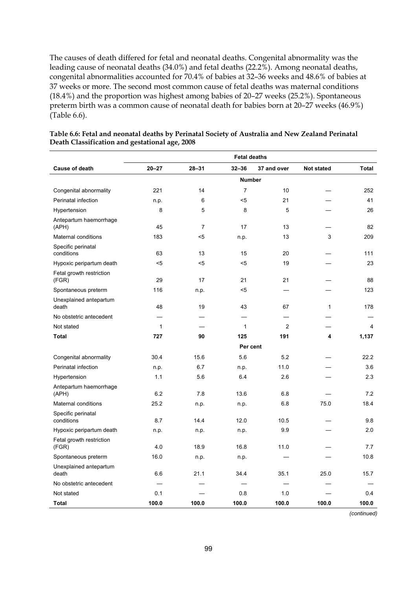The causes of death differed for fetal and neonatal deaths. Congenital abnormality was the leading cause of neonatal deaths (34.0%) and fetal deaths (22.2%). Among neonatal deaths, congenital abnormalities accounted for 70.4% of babies at 32–36 weeks and 48.6% of babies at 37 weeks or more. The second most common cause of fetal deaths was maternal conditions (18.4%) and the proportion was highest among babies of 20–27 weeks (25.2%). Spontaneous preterm birth was a common cause of neonatal death for babies born at 20–27 weeks (46.9%) (Table 6.6).

|                                   | <b>Fetal deaths</b> |                |                |                |                   |              |  |  |
|-----------------------------------|---------------------|----------------|----------------|----------------|-------------------|--------------|--|--|
| Cause of death                    | $20 - 27$           | $28 - 31$      | $32 - 36$      | 37 and over    | <b>Not stated</b> | <b>Total</b> |  |  |
|                                   | <b>Number</b>       |                |                |                |                   |              |  |  |
| Congenital abnormality            | 221                 | 14             | $\overline{7}$ | 10             |                   | 252          |  |  |
| Perinatal infection               | n.p.                | 6              | $5$            | 21             |                   | 41           |  |  |
| Hypertension                      | 8                   | 5              | 8              | 5              |                   | 26           |  |  |
| Antepartum haemorrhage<br>(APH)   | 45                  | $\overline{7}$ | 17             | 13             |                   | 82           |  |  |
| Maternal conditions               | 183                 | $5$            | n.p.           | 13             | 3                 | 209          |  |  |
| Specific perinatal<br>conditions  | 63                  | 13             | 15             | 20             |                   | 111          |  |  |
| Hypoxic peripartum death          | $5$                 | $5$            | $5$            | 19             |                   | 23           |  |  |
| Fetal growth restriction<br>(FGR) | 29                  | 17             | 21             | 21             |                   | 88           |  |  |
| Spontaneous preterm               | 116                 | n.p.           | $5$            |                |                   | 123          |  |  |
| Unexplained antepartum<br>death   | 48                  | 19             | 43             | 67             | $\mathbf{1}$      | 178          |  |  |
| No obstetric antecedent           |                     |                |                |                |                   |              |  |  |
| Not stated                        | 1                   |                | 1              | $\overline{c}$ |                   | 4            |  |  |
| <b>Total</b>                      | 727                 | 90             | 125            | 191            | 4                 | 1,137        |  |  |
|                                   |                     |                | Per cent       |                |                   |              |  |  |
| Congenital abnormality            | 30.4                | 15.6           | 5.6            | 5.2            |                   | 22.2         |  |  |
| Perinatal infection               | n.p.                | 6.7            | n.p.           | 11.0           |                   | 3.6          |  |  |
| Hypertension                      | 1.1                 | 5.6            | 6.4            | 2.6            |                   | 2.3          |  |  |
| Antepartum haemorrhage<br>(APH)   | 6.2                 | 7.8            | 13.6           | 6.8            |                   | 7.2          |  |  |
| Maternal conditions               | 25.2                | n.p.           | n.p.           | 6.8            | 75.0              | 18.4         |  |  |
| Specific perinatal<br>conditions  | 8.7                 | 14.4           | 12.0           | 10.5           |                   | 9.8          |  |  |
| Hypoxic peripartum death          | n p.                | n.p.           | n.p.           | 9.9            |                   | 2.0          |  |  |
| Fetal growth restriction<br>(FGR) | 4.0                 | 18.9           | 16.8           | 11.0           |                   | 7.7          |  |  |
| Spontaneous preterm               | 16.0                | n.p.           | n.p.           |                |                   | 10.8         |  |  |
| Unexplained antepartum<br>death   | 6.6                 | 21.1           | 34.4           | 35.1           | 25.0              | 15.7         |  |  |
| No obstetric antecedent           |                     |                |                |                |                   |              |  |  |
| Not stated                        | 0.1                 |                | 0.8            | 1.0            |                   | 0.4          |  |  |
| <b>Total</b>                      | 100.0               | 100.0          | 100.0          | 100.0          | 100.0             | 100.0        |  |  |

#### **Table 6.6: Fetal and neonatal deaths by Perinatal Society of Australia and New Zealand Perinatal Death Classification and gestational age, 2008**

 *(continued)*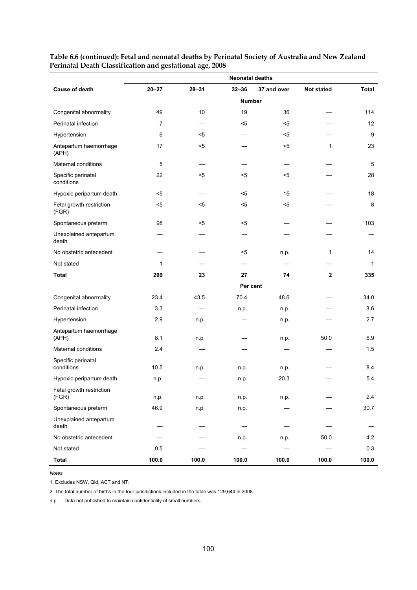|                                   | <b>Neonatal deaths</b> |           |           |             |                   |              |  |  |  |
|-----------------------------------|------------------------|-----------|-----------|-------------|-------------------|--------------|--|--|--|
| Cause of death                    | $20 - 27$              | $28 - 31$ | $32 - 36$ | 37 and over | <b>Not stated</b> | Total        |  |  |  |
|                                   | <b>Number</b>          |           |           |             |                   |              |  |  |  |
| Congenital abnormality            | 49                     | 10        | 19        | 36          |                   | 114          |  |  |  |
| Perinatal infection               | 7                      |           | <5        | <5          |                   | 12           |  |  |  |
| Hypertension                      | 6                      | $5$       |           | <5          |                   | 9            |  |  |  |
| Antepartum haemorrhage<br>(APH)   | 17                     | $5$       |           | $5$         | 1                 | 23           |  |  |  |
| Maternal conditions               | $\sqrt{5}$             |           |           |             |                   | 5            |  |  |  |
| Specific perinatal<br>conditions  | 22                     | $5$       | <5        | <5          |                   | 28           |  |  |  |
| Hypoxic peripartum death          | $5$                    |           | <5        | 15          |                   | 18           |  |  |  |
| Fetal growth restriction<br>(FGR) | $5$                    | $5$       | $5$       | $5$         |                   | 8            |  |  |  |
| Spontaneous preterm               | 98                     | $5$       | $5$       |             |                   | 103          |  |  |  |
| Unexplained antepartum<br>death   |                        |           |           |             |                   |              |  |  |  |
| No obstetric antecedent           |                        |           | <5        | n.p.        | 1                 | 14           |  |  |  |
| Not stated                        | $\mathbf{1}$           |           |           |             |                   | $\mathbf{1}$ |  |  |  |
| <b>Total</b>                      | 209                    | 23        | 27        | 74          | $\mathbf{2}$      | 335          |  |  |  |
|                                   |                        |           | Per cent  |             |                   |              |  |  |  |
| Congenital abnormality            | 23.4                   | 43.5      | 70.4      | 48.6        |                   | 34.0         |  |  |  |
| Perinatal infection               | 3.3                    |           | n.p.      | n.p.        |                   | 3.6          |  |  |  |
| Hypertension                      | 2.9                    | n.p.      |           | n.p.        |                   | 2.7          |  |  |  |
| Antepartum haemorrhage<br>(APH)   | 8.1                    | n.p.      |           | n.p.        | 50.0              | 6.9          |  |  |  |
| Maternal conditions               | 2.4                    |           |           |             |                   | 1.5          |  |  |  |
| Specific perinatal<br>conditions  | 10.5                   | n.p.      | n.p.      | n.p.        |                   | 8.4          |  |  |  |
| Hypoxic peripartum death          | n.p.                   |           | n.p.      | 20.3        |                   | 5.4          |  |  |  |
| Fetal growth restriction<br>(FGR) | n.p.                   | n.p.      | n.p.      | n.p.        |                   | 2.4          |  |  |  |
| Spontaneous preterm               | 46.9                   | n.p.      | n.p.      |             |                   | 30.7         |  |  |  |
| Unexplained antepartum<br>death   |                        |           |           |             |                   |              |  |  |  |
| No obstetric antecedent           |                        |           | n.p.      | n.p.        | 50.0              | 4.2          |  |  |  |
| Not stated                        | 0.5                    |           |           |             |                   | 0.3          |  |  |  |
| <b>Total</b>                      | 100.0                  | 100.0     | 100.0     | 100.0       | 100.0             | 100.0        |  |  |  |

**Table 6.6 (continued): Fetal and neonatal deaths by Perinatal Society of Australia and New Zealand Perinatal Death Classification and gestational age, 2008** 

*Notes* 

1. Excludes NSW, Qld, ACT and NT.

2. The total number of births in the four jurisdictions included in the table was 129,644 in 2008.

n.p. Data not published to maintain confidentiality of small numbers.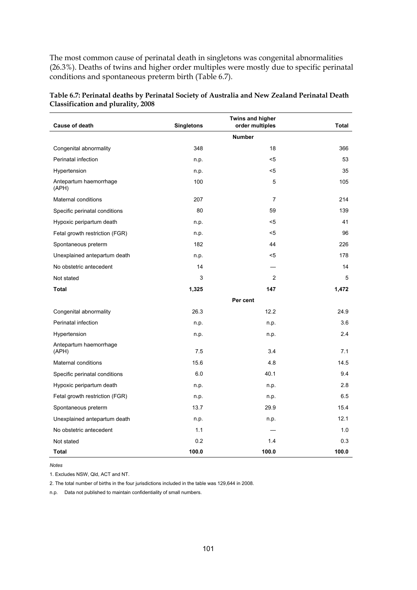The most common cause of perinatal death in singletons was congenital abnormalities (26.3%). Deaths of twins and higher order multiples were mostly due to specific perinatal conditions and spontaneous preterm birth (Table 6.7).

| <b>Cause of death</b>           | <b>Singletons</b> | Twins and higher<br>order multiples | Total |
|---------------------------------|-------------------|-------------------------------------|-------|
|                                 |                   | <b>Number</b>                       |       |
| Congenital abnormality          | 348               | 18                                  | 366   |
| Perinatal infection             | n.p.              | $5$                                 | 53    |
| Hypertension                    | n.p.              | $5$                                 | 35    |
| Antepartum haemorrhage<br>(APH) | 100               | 5                                   | 105   |
| Maternal conditions             | 207               | $\overline{7}$                      | 214   |
| Specific perinatal conditions   | 80                | 59                                  | 139   |
| Hypoxic peripartum death        | n.p.              | $5$                                 | 41    |
| Fetal growth restriction (FGR)  | n.p.              | <5                                  | 96    |
| Spontaneous preterm             | 182               | 44                                  | 226   |
| Unexplained antepartum death    | n.p.              | $<$ 5                               | 178   |
| No obstetric antecedent         | 14                |                                     | 14    |
| Not stated                      | 3                 | 2                                   | 5     |
| <b>Total</b>                    | 1,325             | 147                                 | 1,472 |
|                                 |                   | Per cent                            |       |
| Congenital abnormality          | 26.3              | 12.2                                | 24.9  |
| Perinatal infection             | n.p.              | n.p.                                | 3.6   |
| Hypertension                    | n.p.              | n.p.                                | 2.4   |
| Antepartum haemorrhage<br>(APH) | 7.5               | 3.4                                 | 7.1   |
| Maternal conditions             | 15.6              | 4.8                                 | 14.5  |
| Specific perinatal conditions   | 6.0               | 40.1                                | 9.4   |
| Hypoxic peripartum death        | n p.              | n.p.                                | 2.8   |
| Fetal growth restriction (FGR)  | n.p.              | n.p.                                | 6.5   |
| Spontaneous preterm             | 13.7              | 29.9                                | 15.4  |
| Unexplained antepartum death    | n.p.              | n.p.                                | 12.1  |
| No obstetric antecedent         | 1.1               |                                     | 1.0   |
| Not stated                      | 0.2               | 1.4                                 | 0.3   |
| Total                           | 100.0             | 100.0                               | 100.0 |

<span id="page-108-0"></span>**Table 6.7: Perinatal deaths by Perinatal Society of Australia and New Zealand Perinatal Death Classification and plurality, 2008** 

*Notes* 

1. Excludes NSW, Qld, ACT and NT.

2. The total number of births in the four jurisdictions included in the table was 129,644 in 2008.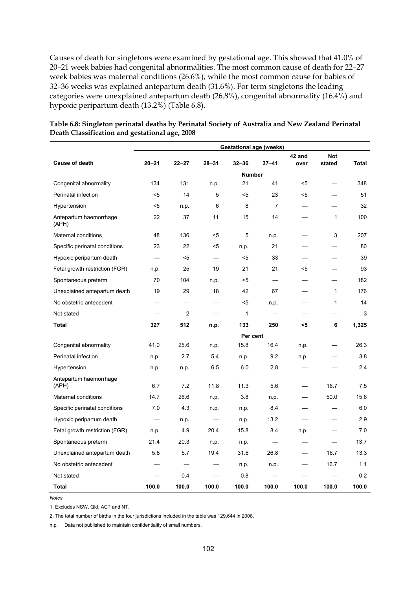Causes of death for singletons were examined by gestational age. This showed that 41.0% of 20–21 week babies had congenital abnormalities. The most common cause of death for 22–27 week babies was maternal conditions (26.6%), while the most common cause for babies of 32–36 weeks was explained antepartum death (31.6%). For term singletons the leading categories were unexplained antepartum death (26.8%), congenital abnormality (16.4%) and hypoxic peripartum death (13.2%) (Table 6.8).

|                                 | <b>Gestational age (weeks)</b> |           |                          |               |                          |                |                          |       |  |
|---------------------------------|--------------------------------|-----------|--------------------------|---------------|--------------------------|----------------|--------------------------|-------|--|
| <b>Cause of death</b>           | $20 - 21$                      | $22 - 27$ | $28 - 31$                | $32 - 36$     | $37 - 41$                | 42 and<br>over | <b>Not</b><br>stated     | Total |  |
|                                 |                                |           |                          | <b>Number</b> |                          |                |                          |       |  |
| Congenital abnormality          | 134                            | 131       | n.p.                     | 21            | 41                       | <5             | $\overline{\phantom{0}}$ | 348   |  |
| Perinatal infection             | $5$                            | 14        | 5                        | $5$           | 23                       | <5             |                          | 51    |  |
| Hypertension                    | <5                             | n.p.      | 6                        | 8             | $\overline{7}$           |                |                          | 32    |  |
| Antepartum haemorrhage<br>(APH) | 22                             | 37        | 11                       | 15            | 14                       |                | $\mathbf{1}$             | 100   |  |
| Maternal conditions             | 48                             | 136       | $5$                      | 5             | n.p.                     |                | 3                        | 207   |  |
| Specific perinatal conditions   | 23                             | 22        | <5                       | n.p.          | 21                       |                |                          | 80    |  |
| Hypoxic peripartum death        |                                | $5$       | $\overline{\phantom{0}}$ | $5$           | 33                       | —              |                          | 39    |  |
| Fetal growth restriction (FGR)  | n.p.                           | 25        | 19                       | 21            | 21                       | $5$            |                          | 93    |  |
| Spontaneous preterm             | 70                             | 104       | n.p.                     | <5            |                          |                |                          | 182   |  |
| Unexplained antepartum death    | 19                             | 29        | 18                       | 42            | 67                       |                | $\mathbf{1}$             | 176   |  |
| No obstetric antecedent         |                                |           |                          | $5$           | n.p.                     |                | $\mathbf{1}$             | 14    |  |
| Not stated                      |                                | 2         | —                        | 1             | $\overline{\phantom{0}}$ | —              | $\overline{\phantom{0}}$ | 3     |  |
| <b>Total</b>                    | 327                            | 512       | n.p.                     | 133           | 250                      | <5             | 6                        | 1,325 |  |
|                                 |                                |           |                          | Per cent      |                          |                |                          |       |  |
| Congenital abnormality          | 41.0                           | 25.6      | n.p.                     | 15.8          | 16.4                     | n.p.           |                          | 26.3  |  |
| Perinatal infection             | n.p.                           | 2.7       | 5.4                      | n.p.          | 9.2                      | n.p.           |                          | 3.8   |  |
| Hypertension                    | n.p.                           | n.p.      | 6.5                      | 6.0           | 2.8                      |                |                          | 2.4   |  |
| Antepartum haemorrhage<br>(APH) | 6.7                            | 7.2       | 11.8                     | 11.3          | 5.6                      |                | 16.7                     | 7.5   |  |
| Maternal conditions             | 14.7                           | 26.6      | n.p.                     | 3.8           | n.p.                     |                | 50.0                     | 15.6  |  |
| Specific perinatal conditions   | 7.0                            | 4.3       | n.p.                     | n.p.          | 8.4                      |                |                          | 6.0   |  |
| Hypoxic peripartum death        |                                | n.p.      |                          | n.p.          | 13.2                     |                |                          | 2.9   |  |
| Fetal growth restriction (FGR)  | n.p.                           | 4.9       | 20.4                     | 15.8          | 8.4                      | n.p.           |                          | 7.0   |  |
| Spontaneous preterm             | 21.4                           | 20.3      | n.p.                     | n.p.          | $\overline{\phantom{0}}$ |                |                          | 13.7  |  |
| Unexplained antepartum death    | 5.8                            | 5.7       | 19.4                     | 31.6          | 26.8                     |                | 16.7                     | 13.3  |  |
| No obstetric antecedent         |                                |           |                          | n.p.          | n.p.                     |                | 16.7                     | 1.1   |  |
| Not stated                      |                                | 0.4       |                          | 0.8           |                          |                |                          | 0.2   |  |
| Total                           | 100.0                          | 100.0     | 100.0                    | 100.0         | 100.0                    | 100.0          | 100.0                    | 100.0 |  |

#### <span id="page-109-0"></span>**Table 6.8: Singleton perinatal deaths by Perinatal Society of Australia and New Zealand Perinatal Death Classification and gestational age, 2008**

*Notes* 

1. Excludes NSW, Qld, ACT and NT.

2. The total number of births in the four jurisdictions included in the table was 129,644 in 2008.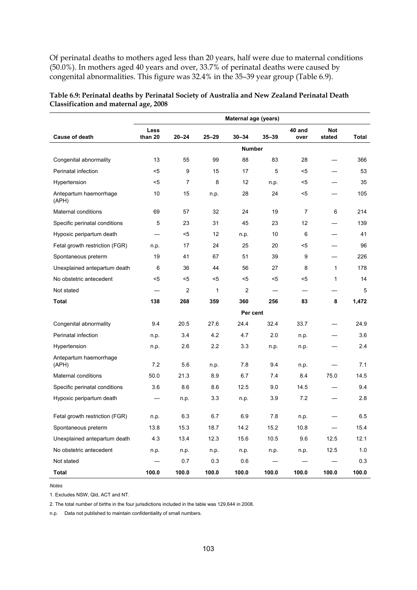Of perinatal deaths to mothers aged less than 20 years, half were due to maternal conditions (50.0%). In mothers aged 40 years and over, 33.7% of perinatal deaths were caused by congenital abnormalities. This figure was 32.4% in the 35–39 year group (Table 6.9).

|                                 | Maternal age (years) |                |              |                |           |                |                          |       |
|---------------------------------|----------------------|----------------|--------------|----------------|-----------|----------------|--------------------------|-------|
| <b>Cause of death</b>           | Less<br>than 20      | $20 - 24$      | $25 - 29$    | $30 - 34$      | $35 - 39$ | 40 and<br>over | <b>Not</b><br>stated     | Total |
|                                 |                      |                |              |                |           |                |                          |       |
|                                 |                      |                |              | <b>Number</b>  |           |                |                          |       |
| Congenital abnormality          | 13                   | 55             | 99           | 88             | 83        | 28             | $\overline{\phantom{0}}$ | 366   |
| Perinatal infection             | $5$                  | 9              | 15           | 17             | 5         | $5$            |                          | 53    |
| Hypertension                    | <5                   | 7              | 8            | 12             | n.p.      | <5             |                          | 35    |
| Antepartum haemorrhage<br>(APH) | 10                   | 15             | n.p.         | 28             | 24        | $5$            |                          | 105   |
| Maternal conditions             | 69                   | 57             | 32           | 24             | 19        | 7              | 6                        | 214   |
| Specific perinatal conditions   | 5                    | 23             | 31           | 45             | 23        | 12             |                          | 139   |
| Hypoxic peripartum death        |                      | $5$            | 12           | n.p.           | 10        | 6              | $\overline{\phantom{0}}$ | 41    |
| Fetal growth restriction (FGR)  | n.p.                 | 17             | 24           | 25             | 20        | <5             |                          | 96    |
| Spontaneous preterm             | 19                   | 41             | 67           | 51             | 39        | 9              |                          | 226   |
| Unexplained antepartum death    | 6                    | 36             | 44           | 56             | 27        | 8              | $\mathbf{1}$             | 178   |
| No obstetric antecedent         | $5$                  | $<$ 5          | $5$          | $5$            | $5$       | $5$            | $\mathbf{1}$             | 14    |
| Not stated                      |                      | $\overline{2}$ | $\mathbf{1}$ | $\overline{2}$ |           |                |                          | 5     |
| Total                           | 138                  | 268            | 359          | 360            | 256       | 83             | 8                        | 1,472 |
|                                 |                      |                |              | Per cent       |           |                |                          |       |
| Congenital abnormality          | 9.4                  | 20.5           | 27.6         | 24.4           | 32.4      | 33.7           |                          | 24.9  |
| Perinatal infection             | n.p.                 | 3.4            | 4.2          | 4.7            | 2.0       | n.p.           |                          | 3.6   |
| Hypertension                    | n.p.                 | 2.6            | 2.2          | 3.3            | n.p.      | n.p.           |                          | 2.4   |
| Antepartum haemorrhage<br>(APH) | 7.2                  | 5.6            | n.p.         | 7.8            | 9.4       | n.p.           | ╾                        | 7.1   |
| Maternal conditions             | 50.0                 | 21.3           | 8.9          | 6.7            | 7.4       | 8.4            | 75.0                     | 14.5  |
| Specific perinatal conditions   | 3.6                  | 8.6            | 8.6          | 12.5           | 9.0       | 14.5           |                          | 9.4   |
| Hypoxic peripartum death        |                      | n.p.           | 3.3          | n.p.           | 3.9       | 7.2            |                          | 2.8   |
| Fetal growth restriction (FGR)  | n.p.                 | 6.3            | 6.7          | 6.9            | 7.8       | n.p.           |                          | 6.5   |
| Spontaneous preterm             | 13.8                 | 15.3           | 18.7         | 14.2           | 15.2      | 10.8           | $\overline{\phantom{0}}$ | 15.4  |
| Unexplained antepartum death    | 4.3                  | 13.4           | 12.3         | 15.6           | 10.5      | 9.6            | 12.5                     | 12.1  |
| No obstetric antecedent         | n.p.                 | n.p.           | n.p.         | n.p.           | n.p.      | n.p.           | 12.5                     | 1.0   |
| Not stated                      |                      | 0.7            | 0.3          | 0.6            |           |                |                          | 0.3   |
| Total                           | 100.0                | 100.0          | 100.0        | 100.0          | 100.0     | 100.0          | 100.0                    | 100.0 |

<span id="page-110-0"></span>**Table 6.9: Perinatal deaths by Perinatal Society of Australia and New Zealand Perinatal Death Classification and maternal age, 2008** 

*Notes* 

1. Excludes NSW, Qld, ACT and NT.

2. The total number of births in the four jurisdictions included in the table was 129,644 in 2008.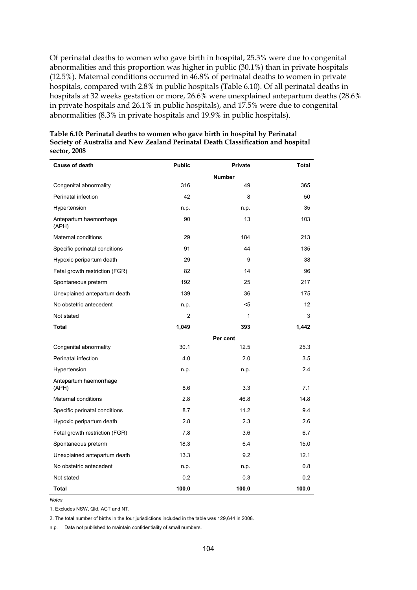Of perinatal deaths to women who gave birth in hospital, 25.3% were due to congenital abnormalities and this proportion was higher in public (30.1%) than in private hospitals (12.5%). Maternal conditions occurred in 46.8% of perinatal deaths to women in private hospitals, compared with 2.8% in public hospitals (Table 6.10). Of all perinatal deaths in hospitals at 32 weeks gestation or more, 26.6% were unexplained antepartum deaths (28.6% in private hospitals and 26.1% in public hospitals), and 17.5% were due to congenital abnormalities (8.3% in private hospitals and 19.9% in public hospitals).

| <b>Cause of death</b>           | <b>Public</b> | Private       | <b>Total</b>      |
|---------------------------------|---------------|---------------|-------------------|
|                                 |               | <b>Number</b> |                   |
| Congenital abnormality          | 316           | 49            | 365               |
| Perinatal infection             | 42            | 8             | 50                |
| Hypertension                    | n.p.          | n.p.          | 35                |
| Antepartum haemorrhage<br>(APH) | 90            | 13            | 103               |
| Maternal conditions             | 29            | 184           | 213               |
| Specific perinatal conditions   | 91            | 44            | 135               |
| Hypoxic peripartum death        | 29            | 9             | 38                |
| Fetal growth restriction (FGR)  | 82            | 14            | 96                |
| Spontaneous preterm             | 192           | 25            | 217               |
| Unexplained antepartum death    | 139           | 36            | 175               |
| No obstetric antecedent         | n.p.          | <5            | $12 \overline{ }$ |
| Not stated                      | 2             | 1             | 3                 |
| <b>Total</b>                    | 1,049         | 393           | 1,442             |
|                                 |               | Per cent      |                   |
| Congenital abnormality          | 30.1          | 12.5          | 25.3              |
| Perinatal infection             | 4.0           | 2.0           | 3.5               |
| Hypertension                    | n.p.          | n.p.          | 2.4               |
| Antepartum haemorrhage<br>(APH) | 8.6           | 3.3           | 7.1               |
| Maternal conditions             | 2.8           | 46.8          | 14.8              |
| Specific perinatal conditions   | 8.7           | 11.2          | 9.4               |
| Hypoxic peripartum death        | 2.8           | 2.3           | 2.6               |
| Fetal growth restriction (FGR)  | 7.8           | 3.6           | 6.7               |
| Spontaneous preterm             | 18.3          | 6.4           | 15.0              |
| Unexplained antepartum death    | 13.3          | 9.2           | 12.1              |
| No obstetric antecedent         | n.p.          | n.p.          | 0.8               |
| Not stated                      | 0.2           | 0.3           | 0.2               |
| Total                           | 100.0         | 100.0         | 100.0             |

<span id="page-111-0"></span>**Table 6.10: Perinatal deaths to women who gave birth in hospital by Perinatal Society of Australia and New Zealand Perinatal Death Classification and hospital sector, 2008** 

*Notes* 

1. Excludes NSW, Qld, ACT and NT.

2. The total number of births in the four jurisdictions included in the table was 129,644 in 2008.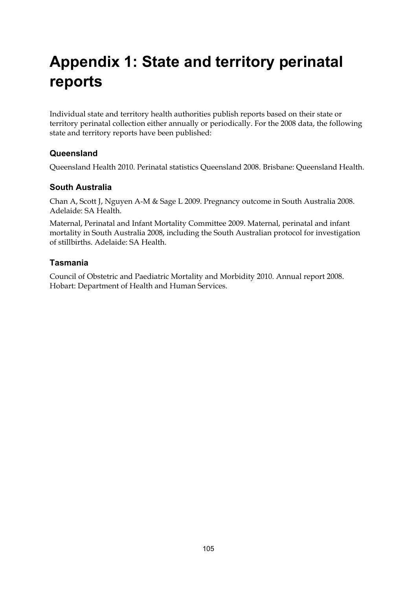# **Appendix 1: State and territory perinatal reports**

Individual state and territory health authorities publish reports based on their state or territory perinatal collection either annually or periodically. For the 2008 data, the following state and territory reports have been published:

### **Queensland**

Queensland Health 2010. Perinatal statistics Queensland 2008. Brisbane: Queensland Health.

### **South Australia**

Chan A, Scott J, Nguyen A-M & Sage L 2009. Pregnancy outcome in South Australia 2008. Adelaide: SA Health.

Maternal, Perinatal and Infant Mortality Committee 2009. Maternal, perinatal and infant mortality in South Australia 2008, including the South Australian protocol for investigation of stillbirths. Adelaide: SA Health.

### **Tasmania**

Council of Obstetric and Paediatric Mortality and Morbidity 2010. Annual report 2008. Hobart: Department of Health and Human Services.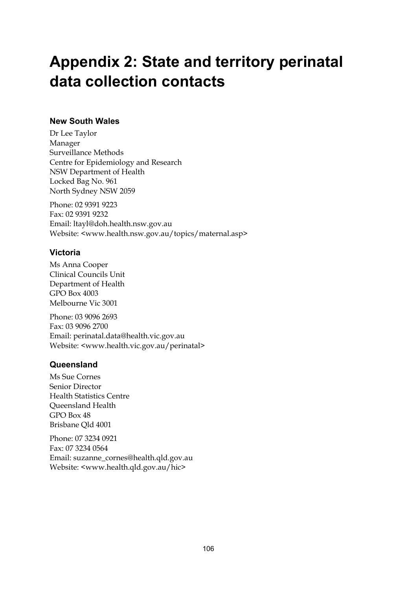## **Appendix 2: State and territory perinatal data collection contacts**

### **New South Wales**

Dr Lee Taylor Manager Surveillance Methods Centre for Epidemiology and Research NSW Department of Health Locked Bag No. 961 North Sydney NSW 2059

Phone: 02 9391 9223 Fax: 02 9391 9232 Email: ltayl@doh.health.nsw.gov.au Website: <www.health.nsw.gov.au/topics/maternal.asp>

## **Victoria**

Ms Anna Cooper Clinical Councils Unit Department of Health GPO Box 4003 Melbourne Vic 3001

Phone: 03 9096 2693 Fax: 03 9096 2700 Email: perinatal.data@health.vic.gov.au Website: <www.health.vic.gov.au/perinatal>

## **Queensland**

Ms Sue Cornes Senior Director Health Statistics Centre Queensland Health GPO Box 48 Brisbane Qld 4001

Phone: 07 3234 0921 Fax: 07 3234 0564 Email: suzanne\_cornes@health.qld.gov.au Website: <www.health.qld.gov.au/hic>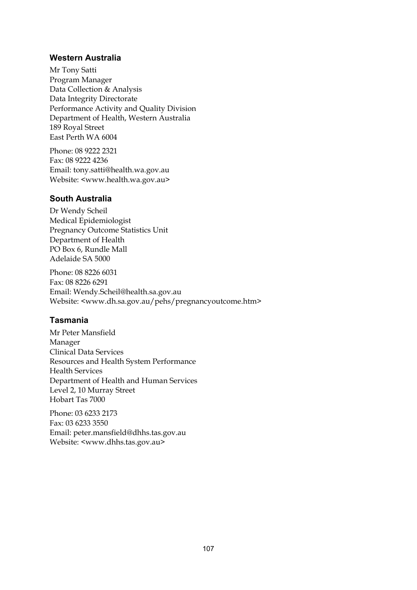### **Western Australia**

Mr Tony Satti Program Manager Data Collection & Analysis Data Integrity Directorate Performance Activity and Quality Division Department of Health, Western Australia 189 Royal Street East Perth WA 6004

Phone: 08 9222 2321 Fax: 08 9222 4236 Email: tony.satti@health.wa.gov.au Website: <www.health.wa.gov.au>

### **South Australia**

Dr Wendy Scheil Medical Epidemiologist Pregnancy Outcome Statistics Unit Department of Health PO Box 6, Rundle Mall Adelaide SA 5000

Phone: 08 8226 6031 Fax: 08 8226 6291 Email: Wendy.Scheil@health.sa.gov.au Website: <www.dh.sa.gov.au/pehs/pregnancyoutcome.htm>

### **Tasmania**

Mr Peter Mansfield Manager Clinical Data Services Resources and Health System Performance Health Services Department of Health and Human Services Level 2, 10 Murray Street Hobart Tas 7000

Phone: 03 6233 2173 Fax: 03 6233 3550 Email: peter.mansfield@dhhs.tas.gov.au Website: <www.dhhs.tas.gov.au>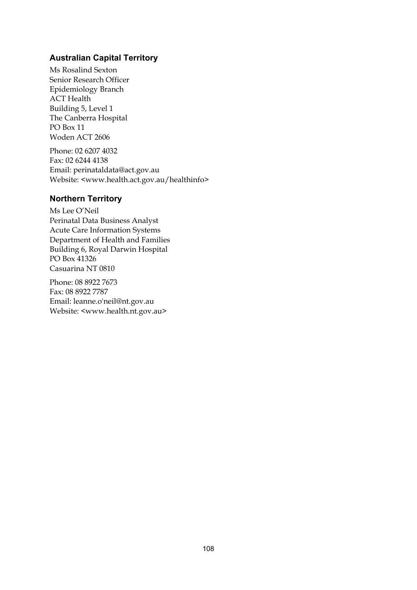### **Australian Capital Territory**

Ms Rosalind Sexton Senior Research Officer Epidemiology Branch ACT Health Building 5, Level 1 The Canberra Hospital PO Box 11 Woden ACT 2606

Phone: 02 6207 4032 Fax: 02 6244 4138 Email: perinataldata@act.gov.au Website: <www.health.act.gov.au/healthinfo>

### **Northern Territory**

Ms Lee O'Neil Perinatal Data Business Analyst Acute Care Information Systems Department of Health and Families Building 6, Royal Darwin Hospital PO Box 41326 Casuarina NT 0810

Phone: 08 8922 7673 Fax: 08 8922 7787 Email: leanne.o'neil@nt.gov.au Website: <www.health.nt.gov.au>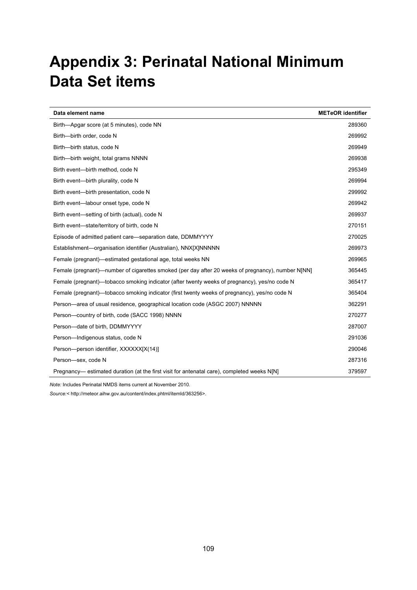## **Appendix 3: Perinatal National Minimum Data Set items**

| Data element name                                                                                 | <b>METeOR</b> identifier |
|---------------------------------------------------------------------------------------------------|--------------------------|
| Birth-Apgar score (at 5 minutes), code NN                                                         | 289360                   |
| Birth-birth order, code N                                                                         | 269992                   |
| Birth-birth status, code N                                                                        | 269949                   |
| Birth--birth weight, total grams NNNN                                                             | 269938                   |
| Birth event--birth method, code N                                                                 | 295349                   |
| Birth event-birth plurality, code N                                                               | 269994                   |
| Birth event-birth presentation, code N                                                            | 299992                   |
| Birth event-labour onset type, code N                                                             | 269942                   |
| Birth event—setting of birth (actual), code N                                                     | 269937                   |
| Birth event-state/territory of birth, code N                                                      | 270151                   |
| Episode of admitted patient care—separation date, DDMMYYYY                                        | 270025                   |
| Establishment-organisation identifier (Australian), NNX[X]NNNNN                                   | 269973                   |
| Female (pregnant)—estimated gestational age, total weeks NN                                       | 269965                   |
| Female (pregnant)—number of cigarettes smoked (per day after 20 weeks of pregnancy), number N[NN] | 365445                   |
| Female (pregnant)—tobacco smoking indicator (after twenty weeks of pregnancy), yes/no code N      | 365417                   |
| Female (pregnant)—tobacco smoking indicator (first twenty weeks of pregnancy), yes/no code N      | 365404                   |
| Person—area of usual residence, geographical location code (ASGC 2007) NNNNN                      | 362291                   |
| Person-country of birth, code (SACC 1998) NNNN                                                    | 270277                   |
| Person-date of birth, DDMMYYYY                                                                    | 287007                   |
| Person-Indigenous status, code N                                                                  | 291036                   |
| Person-person identifier, XXXXXX[X(14)]                                                           | 290046                   |
| Person-sex, code N                                                                                | 287316                   |
| Pregnancy— estimated duration (at the first visit for antenatal care), completed weeks N[N]       | 379597                   |

*Note:* Includes Perinatal NMDS items current at November 2010.

*Source:<* [http://meteor.aihw.gov.au/content/index.phtml/itemId/363256>](http://meteor.aihw.gov.au/content/index.phtml/itemId/363256).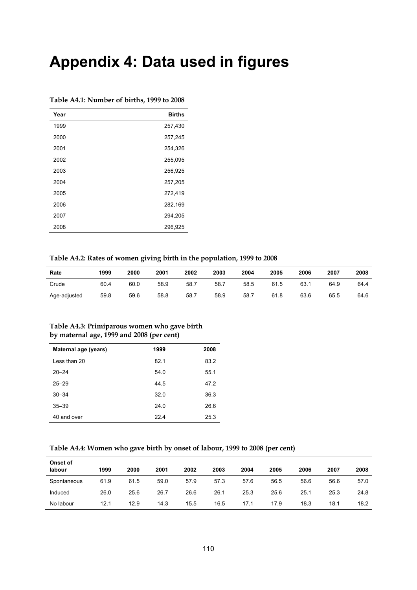## **Appendix 4: Data used in figures**

| Year | <b>Births</b> |
|------|---------------|
| 1999 | 257,430       |
| 2000 | 257,245       |
| 2001 | 254,326       |
| 2002 | 255,095       |
| 2003 | 256,925       |
| 2004 | 257,205       |
| 2005 | 272,419       |
| 2006 | 282,169       |
| 2007 | 294,205       |
| 2008 | 296,925       |

#### <span id="page-117-0"></span>**Table A4.1: Number of births, 1999 to 2008**

#### <span id="page-117-1"></span>**Table A4.2: Rates of women giving birth in the population, 1999 to 2008**

| Rate         | 1999 | 2000 | 2001 | 2002 | 2003 | 2004 | 2005 | 2006 | 2007 | 2008 |
|--------------|------|------|------|------|------|------|------|------|------|------|
| Crude        | 60.4 | 60.0 | 58.9 | 58.7 | 58.7 | 58.5 | 61.5 | 63.1 | 64.9 | 64.4 |
| Age-adjusted | 59.8 | 59.6 | 58.8 | 58.7 | 58.9 | 58.7 | 61.8 | 63.6 | 65.5 | 64.6 |

#### <span id="page-117-2"></span>**Table A4.3: Primiparous women who gave birth by maternal age, 1999 and 2008 (per cent)**

| Maternal age (years) | 1999 | 2008 |
|----------------------|------|------|
| Less than 20         | 82.1 | 83.2 |
| $20 - 24$            | 54.0 | 55.1 |
| $25 - 29$            | 44.5 | 47.2 |
| $30 - 34$            | 32.0 | 36.3 |
| $35 - 39$            | 24.0 | 26.6 |
| 40 and over          | 22.4 | 25.3 |

#### <span id="page-117-3"></span>**Table A4.4: Women who gave birth by onset of labour, 1999 to 2008 (per cent)**

| Onset of<br>labour | 1999 | 2000 | 2001 | 2002 | 2003 | 2004 | 2005 | 2006 | 2007 | 2008 |
|--------------------|------|------|------|------|------|------|------|------|------|------|
| Spontaneous        | 61.9 | 61.5 | 59.0 | 57.9 | 57.3 | 57.6 | 56.5 | 56.6 | 56.6 | 57.0 |
| Induced            | 26.0 | 25.6 | 26.7 | 26.6 | 26.1 | 25.3 | 25.6 | 25.1 | 25.3 | 24.8 |
| No labour          | 12.1 | 12.9 | 14.3 | 15.5 | 16.5 | 17.1 | 17.9 | 18.3 | 18.1 | 18.2 |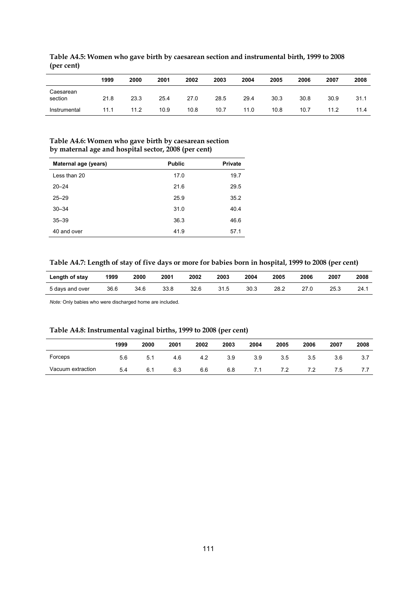|                      | 1999 | 2000 | 2001 | 2002 | 2003 | 2004 | 2005 | 2006 | 2007 | 2008 |
|----------------------|------|------|------|------|------|------|------|------|------|------|
| Caesarean<br>section | 21.8 | 23.3 | 25.4 | 27.0 | 28.5 | 29.4 | 30.3 | 30.8 | 30.9 | 31.1 |
| Instrumental         | 11.1 | 11.2 | 10.9 | 10.8 | 10.7 | 11.0 | 10.8 | 10.7 | 11.2 | 11.4 |

<span id="page-118-0"></span>**Table A4.5: Women who gave birth by caesarean section and instrumental birth, 1999 to 2008 (per cent)** 

### <span id="page-118-1"></span>**Table A4.6: Women who gave birth by caesarean section by maternal age and hospital sector, 2008 (per cent)**

| Maternal age (years) | <b>Public</b> | <b>Private</b> |
|----------------------|---------------|----------------|
| Less than 20         | 17.0          | 19.7           |
| $20 - 24$            | 21.6          | 29.5           |
| $25 - 29$            | 25.9          | 35.2           |
| $30 - 34$            | 31.0          | 40.4           |
| $35 - 39$            | 36.3          | 46.6           |
| 40 and over          | 41.9          | 57.1           |

#### <span id="page-118-2"></span>**Table A4.7: Length of stay of five days or more for babies born in hospital, 1999 to 2008 (per cent)**

| Length of stay  | 1999 | 2000 | 2001 | 2002 | 2003 | 2004 | 2005 | 2006 | 2007 | 2008 |
|-----------------|------|------|------|------|------|------|------|------|------|------|
| 5 days and over | 36.6 | 34.6 | 33.8 | 32.6 | 31.5 | 30.3 | 28.2 | 27.C | 25.3 | 24.1 |

*Note:* Only babies who were discharged home are included.

### **Table A4.8: Instrumental vaginal births, 1999 to 2008 (per cent)**

<span id="page-118-3"></span>

|                   | 1999 | 2000 | 2001 | 2002 | 2003 | 2004 | 2005 | 2006 | 2007 | 2008 |
|-------------------|------|------|------|------|------|------|------|------|------|------|
| Forceps           | 5.6  | 5.1  | 4.6  | 4.2  | 3.9  | 3.9  | 3.5  | 3.5  | 3.6  |      |
| Vacuum extraction | 5.4  | 6.1  | 6.3  | 6.6  | 6.8  | 7.1  | 7.2  |      | 7.5  |      |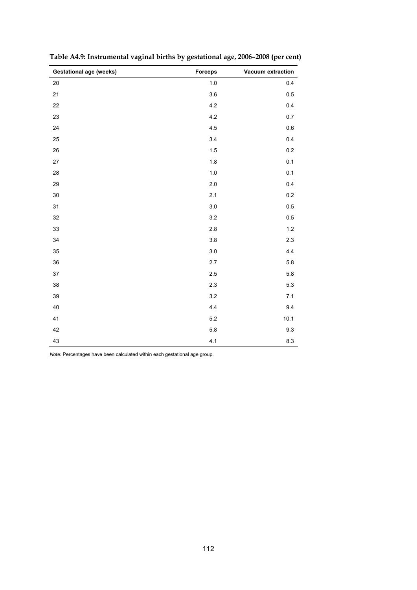| <b>Gestational age (weeks)</b> | <b>Forceps</b> | Vacuum extraction |
|--------------------------------|----------------|-------------------|
| 20                             | 1.0            | 0.4               |
| 21                             | 3.6            | 0.5               |
| 22                             | $4.2\,$        | 0.4               |
| 23                             | $4.2\,$        | 0.7               |
| 24                             | 4.5            | $0.6\,$           |
| 25                             | 3.4            | 0.4               |
| 26                             | 1.5            | $0.2\,$           |
| $27\,$                         | 1.8            | 0.1               |
| 28                             | 1.0            | 0.1               |
| 29                             | $2.0\,$        | 0.4               |
| $30\,$                         | 2.1            | $0.2\,$           |
| 31                             | $3.0\,$        | 0.5               |
| 32                             | 3.2            | 0.5               |
| 33                             | $2.8\,$        | $1.2\,$           |
| 34                             | $3.8\,$        | 2.3               |
| 35                             | $3.0\,$        | 4.4               |
| 36                             | 2.7            | 5.8               |
| $37\,$                         | 2.5            | 5.8               |
| 38                             | $2.3\,$        | 5.3               |
| 39                             | 3.2            | 7.1               |
| 40                             | 4.4            | 9.4               |
| 41                             | 5.2            | 10.1              |
| 42                             | $5.8\,$        | 9.3               |
| 43                             | 4.1            | 8.3               |

<span id="page-119-0"></span>**Table A4.9: Instrumental vaginal births by gestational age, 2006–2008 (per cent)** 

*Note:* Percentages have been calculated within each gestational age group.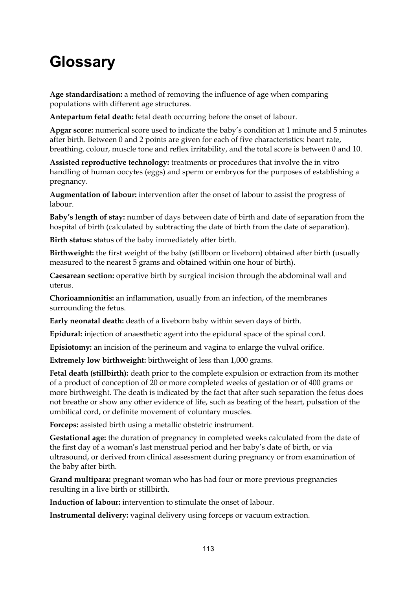## **Glossary**

**Age standardisation:** a method of removing the influence of age when comparing populations with different age structures.

**Antepartum fetal death:** fetal death occurring before the onset of labour.

**Apgar score:** numerical score used to indicate the baby's condition at 1 minute and 5 minutes after birth. Between 0 and 2 points are given for each of five characteristics: heart rate, breathing, colour, muscle tone and reflex irritability, and the total score is between 0 and 10.

**Assisted reproductive technology:** treatments or procedures that involve the in vitro handling of human oocytes (eggs) and sperm or embryos for the purposes of establishing a pregnancy.

**Augmentation of labour:** intervention after the onset of labour to assist the progress of labour.

**Baby's length of stay:** number of days between date of birth and date of separation from the hospital of birth (calculated by subtracting the date of birth from the date of separation).

**Birth status:** status of the baby immediately after birth.

**Birthweight:** the first weight of the baby (stillborn or liveborn) obtained after birth (usually measured to the nearest 5 grams and obtained within one hour of birth).

**Caesarean section:** operative birth by surgical incision through the abdominal wall and uterus.

**Chorioamnionitis:** an inflammation, usually from an infection, of the membranes surrounding the fetus.

**Early neonatal death:** death of a liveborn baby within seven days of birth.

**Epidural:** injection of anaesthetic agent into the epidural space of the spinal cord.

**Episiotomy:** an incision of the perineum and vagina to enlarge the vulval orifice.

**Extremely low birthweight:** birthweight of less than 1,000 grams.

**Fetal death (stillbirth):** death prior to the complete expulsion or extraction from its mother of a product of conception of 20 or more completed weeks of gestation or of 400 grams or more birthweight. The death is indicated by the fact that after such separation the fetus does not breathe or show any other evidence of life, such as beating of the heart, pulsation of the umbilical cord, or definite movement of voluntary muscles.

**Forceps:** assisted birth using a metallic obstetric instrument.

**Gestational age:** the duration of pregnancy in completed weeks calculated from the date of the first day of a woman's last menstrual period and her baby's date of birth, or via ultrasound, or derived from clinical assessment during pregnancy or from examination of the baby after birth.

**Grand multipara:** pregnant woman who has had four or more previous pregnancies resulting in a live birth or stillbirth.

**Induction of labour:** intervention to stimulate the onset of labour.

**Instrumental delivery:** vaginal delivery using forceps or vacuum extraction.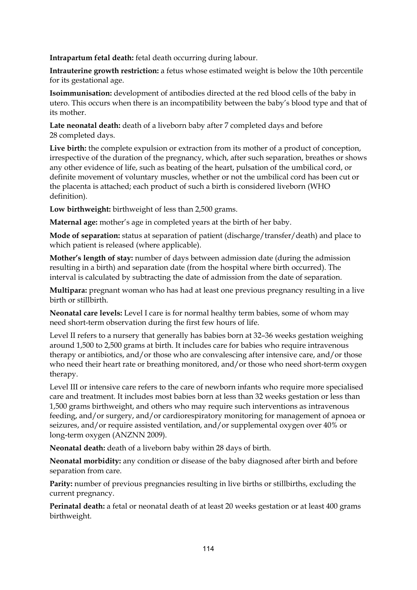**Intrapartum fetal death:** fetal death occurring during labour.

**Intrauterine growth restriction:** a fetus whose estimated weight is below the 10th percentile for its gestational age.

**Isoimmunisation:** development of antibodies directed at the red blood cells of the baby in utero. This occurs when there is an incompatibility between the baby's blood type and that of its mother.

**Late neonatal death:** death of a liveborn baby after 7 completed days and before 28 completed days.

**Live birth:** the complete expulsion or extraction from its mother of a product of conception, irrespective of the duration of the pregnancy, which, after such separation, breathes or shows any other evidence of life, such as beating of the heart, pulsation of the umbilical cord, or definite movement of voluntary muscles, whether or not the umbilical cord has been cut or the placenta is attached; each product of such a birth is considered liveborn (WHO definition).

**Low birthweight:** birthweight of less than 2,500 grams.

**Maternal age:** mother's age in completed years at the birth of her baby.

**Mode of separation:** status at separation of patient (discharge/transfer/death) and place to which patient is released (where applicable).

**Mother's length of stay:** number of days between admission date (during the admission resulting in a birth) and separation date (from the hospital where birth occurred). The interval is calculated by subtracting the date of admission from the date of separation.

**Multipara:** pregnant woman who has had at least one previous pregnancy resulting in a live birth or stillbirth.

**Neonatal care levels:** Level I care is for normal healthy term babies, some of whom may need short-term observation during the first few hours of life.

Level II refers to a nursery that generally has babies born at 32–36 weeks gestation weighing around 1,500 to 2,500 grams at birth. It includes care for babies who require intravenous therapy or antibiotics, and/or those who are convalescing after intensive care, and/or those who need their heart rate or breathing monitored, and/or those who need short-term oxygen therapy.

Level III or intensive care refers to the care of newborn infants who require more specialised care and treatment. It includes most babies born at less than 32 weeks gestation or less than 1,500 grams birthweight, and others who may require such interventions as intravenous feeding, and/or surgery, and/or cardiorespiratory monitoring for management of apnoea or seizures, and/or require assisted ventilation, and/or supplemental oxygen over 40% or long-term oxygen (ANZNN 2009).

**Neonatal death:** death of a liveborn baby within 28 days of birth.

**Neonatal morbidity:** any condition or disease of the baby diagnosed after birth and before separation from care.

**Parity:** number of previous pregnancies resulting in live births or stillbirths, excluding the current pregnancy.

**Perinatal death:** a fetal or neonatal death of at least 20 weeks gestation or at least 400 grams birthweight.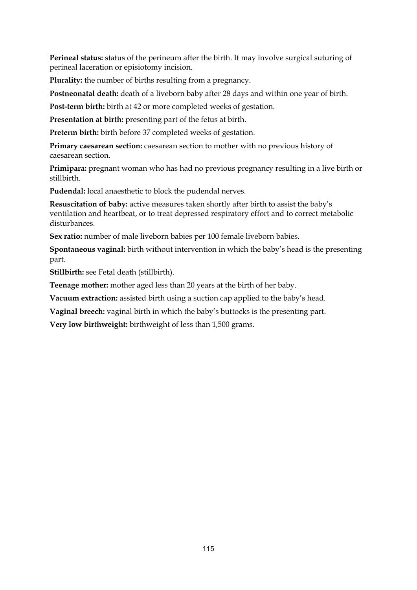**Perineal status:** status of the perineum after the birth. It may involve surgical suturing of perineal laceration or episiotomy incision.

**Plurality:** the number of births resulting from a pregnancy.

**Postneonatal death:** death of a liveborn baby after 28 days and within one year of birth.

**Post-term birth:** birth at 42 or more completed weeks of gestation.

**Presentation at birth:** presenting part of the fetus at birth.

**Preterm birth:** birth before 37 completed weeks of gestation.

**Primary caesarean section:** caesarean section to mother with no previous history of caesarean section.

**Primipara:** pregnant woman who has had no previous pregnancy resulting in a live birth or stillbirth.

**Pudendal:** local anaesthetic to block the pudendal nerves.

**Resuscitation of baby:** active measures taken shortly after birth to assist the baby's ventilation and heartbeat, or to treat depressed respiratory effort and to correct metabolic disturbances.

Sex ratio: number of male liveborn babies per 100 female liveborn babies.

**Spontaneous vaginal:** birth without intervention in which the baby's head is the presenting part.

**Stillbirth:** see Fetal death (stillbirth).

**Teenage mother:** mother aged less than 20 years at the birth of her baby.

**Vacuum extraction:** assisted birth using a suction cap applied to the baby's head.

**Vaginal breech:** vaginal birth in which the baby's buttocks is the presenting part.

**Very low birthweight:** birthweight of less than 1,500 grams.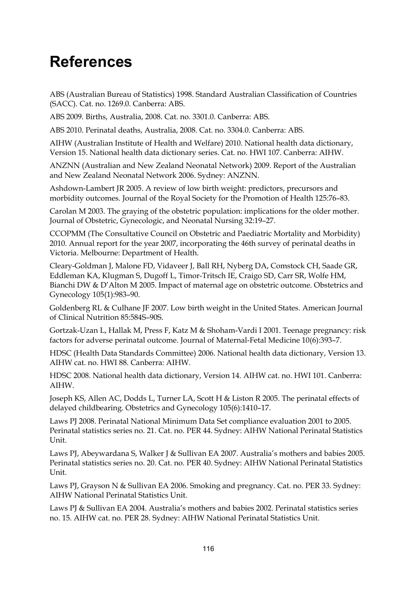## **References**

ABS (Australian Bureau of Statistics) 1998. Standard Australian Classification of Countries (SACC). Cat. no. 1269.0. Canberra: ABS.

ABS 2009. Births, Australia, 2008. Cat. no. 3301.0. Canberra: ABS.

ABS 2010. Perinatal deaths, Australia, 2008. Cat. no. 3304.0. Canberra: ABS.

AIHW (Australian Institute of Health and Welfare) 2010. National health data dictionary, Version 15. National health data dictionary series. Cat. no. HWI 107. Canberra: AIHW.

ANZNN (Australian and New Zealand Neonatal Network) 2009. Report of the Australian and New Zealand Neonatal Network 2006. Sydney: ANZNN.

Ashdown-Lambert JR 2005. A review of low birth weight: predictors, precursors and morbidity outcomes. Journal of the Royal Society for the Promotion of Health 125:76–83.

Carolan M 2003. The graying of the obstetric population: implications for the older mother. Journal of Obstetric, Gynecologic, and Neonatal Nursing 32:19–27.

CCOPMM (The Consultative Council on Obstetric and Paediatric Mortality and Morbidity) 2010. Annual report for the year 2007, incorporating the 46th survey of perinatal deaths in Victoria. Melbourne: Department of Health.

Cleary-Goldman J, Malone FD, Vidaveer J, Ball RH, Nyberg DA, Comstock CH, Saade GR, Eddleman KA, Klugman S, Dugoff L, Timor-Tritsch IE, Craigo SD, Carr SR, Wolfe HM, Bianchi DW & D'Alton M 2005. Impact of maternal age on obstetric outcome. Obstetrics and Gynecology 105(1):983–90.

Goldenberg RL & Culhane JF 2007. Low birth weight in the United States. American Journal of Clinical Nutrition 85:584S–90S.

Gortzak-Uzan L, Hallak M, Press F, Katz M & Shoham-Vardi I 2001. Teenage pregnancy: risk factors for adverse perinatal outcome. Journal of Maternal-Fetal Medicine 10(6):393–7.

HDSC (Health Data Standards Committee) 2006. National health data dictionary, Version 13. AIHW cat. no. HWI 88. Canberra: AIHW.

HDSC 2008. National health data dictionary, Version 14. AIHW cat. no. HWI 101. Canberra: AIHW.

Joseph KS, Allen AC, Dodds L, Turner LA, Scott H & Liston R 2005. The perinatal effects of delayed childbearing. Obstetrics and Gynecology 105(6):1410–17.

Laws PJ 2008. Perinatal National Minimum Data Set compliance evaluation 2001 to 2005. Perinatal statistics series no. 21. Cat. no. PER 44. Sydney: AIHW National Perinatal Statistics Unit.

Laws PJ, Abeywardana S, Walker J & Sullivan EA 2007. Australia's mothers and babies 2005. Perinatal statistics series no. 20. Cat. no. PER 40. Sydney: AIHW National Perinatal Statistics Unit.

Laws PJ, Grayson N & Sullivan EA 2006. Smoking and pregnancy. Cat. no. PER 33. Sydney: AIHW National Perinatal Statistics Unit.

Laws PJ & Sullivan EA 2004. Australia's mothers and babies 2002. Perinatal statistics series no. 15. AIHW cat. no. PER 28. Sydney: AIHW National Perinatal Statistics Unit.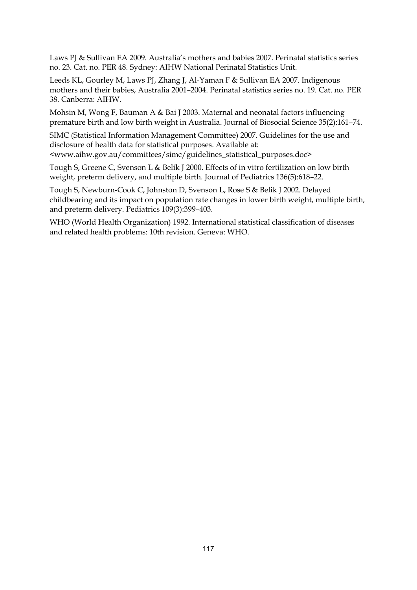Laws PJ & Sullivan EA 2009. Australia's mothers and babies 2007. Perinatal statistics series no. 23. Cat. no. PER 48. Sydney: AIHW National Perinatal Statistics Unit.

Leeds KL, Gourley M, Laws PJ, Zhang J, Al-Yaman F & Sullivan EA 2007. Indigenous mothers and their babies, Australia 2001–2004. Perinatal statistics series no. 19. Cat. no. PER 38. Canberra: AIHW.

Mohsin M, Wong F, Bauman A & Bai J 2003. Maternal and neonatal factors influencing premature birth and low birth weight in Australia. Journal of Biosocial Science 35(2):161–74.

SIMC (Statistical Information Management Committee) 2007. Guidelines for the use and disclosure of health data for statistical purposes. Available at: <www.aihw.gov.au/committees/simc/guidelines\_statistical\_purposes.doc>

Tough S, Greene C, Svenson L & Belik J 2000. Effects of in vitro fertilization on low birth weight, preterm delivery, and multiple birth. Journal of Pediatrics 136(5):618–22.

Tough S, Newburn-Cook C, Johnston D, Svenson L, Rose S & Belik J 2002. Delayed childbearing and its impact on population rate changes in lower birth weight, multiple birth, and preterm delivery. Pediatrics 109(3):399–403.

WHO (World Health Organization) 1992. International statistical classification of diseases and related health problems: 10th revision. Geneva: WHO.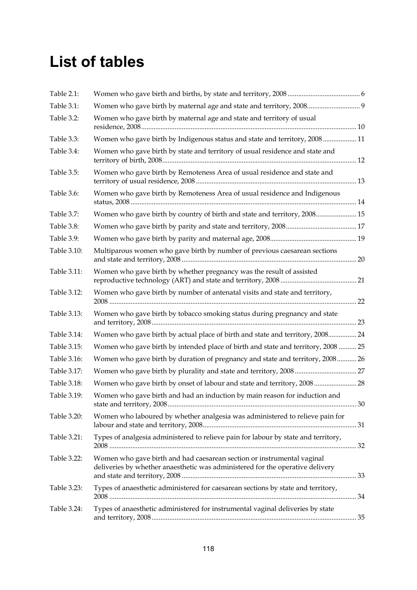## **List of tables**

| Table 2.1:  |                                                                                                                                                         |  |
|-------------|---------------------------------------------------------------------------------------------------------------------------------------------------------|--|
| Table 3.1:  | Women who gave birth by maternal age and state and territory, 2008 9                                                                                    |  |
| Table 3.2:  | Women who gave birth by maternal age and state and territory of usual                                                                                   |  |
| Table 3.3:  | Women who gave birth by Indigenous status and state and territory, 2008  11                                                                             |  |
| Table 3.4:  | Women who gave birth by state and territory of usual residence and state and                                                                            |  |
| Table 3.5:  | Women who gave birth by Remoteness Area of usual residence and state and                                                                                |  |
| Table 3.6:  | Women who gave birth by Remoteness Area of usual residence and Indigenous                                                                               |  |
| Table 3.7:  | Women who gave birth by country of birth and state and territory, 2008 15                                                                               |  |
| Table 3.8:  |                                                                                                                                                         |  |
| Table 3.9:  |                                                                                                                                                         |  |
| Table 3.10: | Multiparous women who gave birth by number of previous caesarean sections                                                                               |  |
| Table 3.11: | Women who gave birth by whether pregnancy was the result of assisted                                                                                    |  |
| Table 3.12: | Women who gave birth by number of antenatal visits and state and territory,                                                                             |  |
| Table 3.13: | Women who gave birth by tobacco smoking status during pregnancy and state                                                                               |  |
| Table 3.14: | Women who gave birth by actual place of birth and state and territory, 2008 24                                                                          |  |
| Table 3.15: | Women who gave birth by intended place of birth and state and territory, 2008  25                                                                       |  |
| Table 3.16: | Women who gave birth by duration of pregnancy and state and territory, 2008 26                                                                          |  |
| Table 3.17: |                                                                                                                                                         |  |
| Table 3.18: | Women who gave birth by onset of labour and state and territory, 2008 28                                                                                |  |
| Table 3.19: | Women who gave birth and had an induction by main reason for induction and                                                                              |  |
| Table 3.20: | Women who laboured by whether analgesia was administered to relieve pain for                                                                            |  |
| Table 3.21: | Types of analgesia administered to relieve pain for labour by state and territory,                                                                      |  |
| Table 3.22: | Women who gave birth and had caesarean section or instrumental vaginal<br>deliveries by whether anaesthetic was administered for the operative delivery |  |
| Table 3.23: | Types of anaesthetic administered for caesarean sections by state and territory,                                                                        |  |
| Table 3.24: | Types of anaesthetic administered for instrumental vaginal deliveries by state                                                                          |  |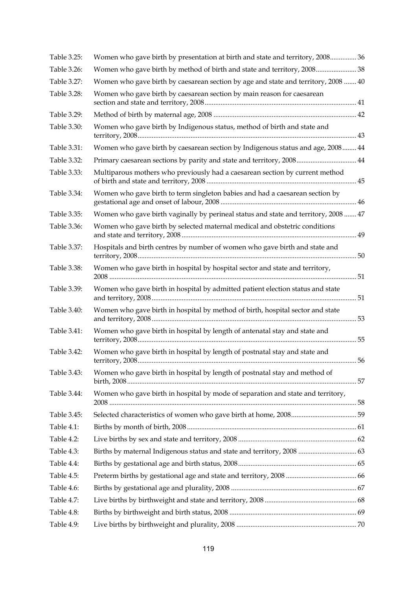| Table 3.25: | Women who gave birth by presentation at birth and state and territory, 2008 36      |  |
|-------------|-------------------------------------------------------------------------------------|--|
| Table 3.26: | Women who gave birth by method of birth and state and territory, 2008 38            |  |
| Table 3.27: | Women who gave birth by caesarean section by age and state and territory, 2008  40  |  |
| Table 3.28: | Women who gave birth by caesarean section by main reason for caesarean              |  |
| Table 3.29: |                                                                                     |  |
| Table 3.30: | Women who gave birth by Indigenous status, method of birth and state and            |  |
| Table 3.31: | Women who gave birth by caesarean section by Indigenous status and age, 2008 44     |  |
| Table 3.32: | Primary caesarean sections by parity and state and territory, 2008 44               |  |
| Table 3.33: | Multiparous mothers who previously had a caesarean section by current method        |  |
| Table 3.34: | Women who gave birth to term singleton babies and had a caesarean section by        |  |
| Table 3.35: | Women who gave birth vaginally by perineal status and state and territory, 2008  47 |  |
| Table 3.36: | Women who gave birth by selected maternal medical and obstetric conditions          |  |
| Table 3.37: | Hospitals and birth centres by number of women who gave birth and state and         |  |
| Table 3.38: | Women who gave birth in hospital by hospital sector and state and territory,        |  |
| Table 3.39: | Women who gave birth in hospital by admitted patient election status and state      |  |
| Table 3.40: | Women who gave birth in hospital by method of birth, hospital sector and state      |  |
| Table 3.41: | Women who gave birth in hospital by length of antenatal stay and state and          |  |
| Table 3.42: | Women who gave birth in hospital by length of postnatal stay and state and          |  |
| Table 3.43: | Women who gave birth in hospital by length of postnatal stay and method of          |  |
| Table 3.44: | Women who gave birth in hospital by mode of separation and state and territory,     |  |
| Table 3.45: |                                                                                     |  |
| Table 4.1:  |                                                                                     |  |
| Table 4.2:  |                                                                                     |  |
| Table 4.3:  | Births by maternal Indigenous status and state and territory, 2008  63              |  |
| Table 4.4:  |                                                                                     |  |
| Table 4.5:  |                                                                                     |  |
| Table 4.6:  |                                                                                     |  |
| Table 4.7:  |                                                                                     |  |
| Table 4.8:  |                                                                                     |  |
| Table 4.9:  |                                                                                     |  |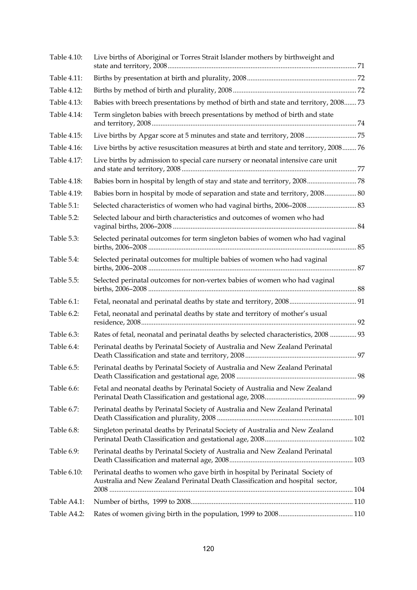| Table 4.10: | Live births of Aboriginal or Torres Strait Islander mothers by birthweight and                                                                                |  |
|-------------|---------------------------------------------------------------------------------------------------------------------------------------------------------------|--|
| Table 4.11: |                                                                                                                                                               |  |
| Table 4.12: |                                                                                                                                                               |  |
| Table 4.13: | Babies with breech presentations by method of birth and state and territory, 2008 73                                                                          |  |
| Table 4.14: | Term singleton babies with breech presentations by method of birth and state                                                                                  |  |
| Table 4.15: | Live births by Apgar score at 5 minutes and state and territory, 2008  75                                                                                     |  |
| Table 4.16: | Live births by active resuscitation measures at birth and state and territory, 2008 76                                                                        |  |
| Table 4.17: | Live births by admission to special care nursery or neonatal intensive care unit                                                                              |  |
| Table 4.18: | Babies born in hospital by length of stay and state and territory, 2008 78                                                                                    |  |
| Table 4.19: | Babies born in hospital by mode of separation and state and territory, 2008 80                                                                                |  |
| Table 5.1:  | 83. Selected characteristics of women who had vaginal births, 2006-2008 83                                                                                    |  |
| Table 5.2:  | Selected labour and birth characteristics and outcomes of women who had                                                                                       |  |
| Table 5.3:  | Selected perinatal outcomes for term singleton babies of women who had vaginal                                                                                |  |
| Table 5.4:  | Selected perinatal outcomes for multiple babies of women who had vaginal                                                                                      |  |
| Table 5.5:  | Selected perinatal outcomes for non-vertex babies of women who had vaginal                                                                                    |  |
| Table 6.1:  |                                                                                                                                                               |  |
| Table 6.2:  | Fetal, neonatal and perinatal deaths by state and territory of mother's usual                                                                                 |  |
| Table 6.3:  | Rates of fetal, neonatal and perinatal deaths by selected characteristics, 2008  93                                                                           |  |
| Table 6.4:  | Perinatal deaths by Perinatal Society of Australia and New Zealand Perinatal                                                                                  |  |
| Table 6.5:  | Perinatal deaths by Perinatal Society of Australia and New Zealand Perinatal                                                                                  |  |
| Table 6.6:  | Fetal and neonatal deaths by Perinatal Society of Australia and New Zealand                                                                                   |  |
| Table 6.7:  | Perinatal deaths by Perinatal Society of Australia and New Zealand Perinatal                                                                                  |  |
| Table 6.8:  | Singleton perinatal deaths by Perinatal Society of Australia and New Zealand                                                                                  |  |
| Table 6.9:  | Perinatal deaths by Perinatal Society of Australia and New Zealand Perinatal                                                                                  |  |
| Table 6.10: | Perinatal deaths to women who gave birth in hospital by Perinatal Society of<br>Australia and New Zealand Perinatal Death Classification and hospital sector, |  |
|             |                                                                                                                                                               |  |
| Table A4.1: |                                                                                                                                                               |  |
| Table A4.2: |                                                                                                                                                               |  |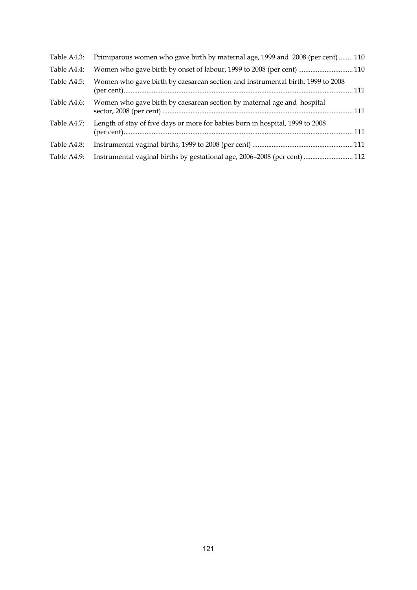| Table A4.3: | Primiparous women who gave birth by maternal age, 1999 and 2008 (per cent)  110 |  |
|-------------|---------------------------------------------------------------------------------|--|
| Table A4.4: | Women who gave birth by onset of labour, 1999 to 2008 (per cent)  110           |  |
| Table A4.5: | Women who gave birth by caesarean section and instrumental birth, 1999 to 2008  |  |
| Table A4.6: | Women who gave birth by caesarean section by maternal age and hospital          |  |
| Table A4.7: | Length of stay of five days or more for babies born in hospital, 1999 to 2008   |  |
| Table A4.8: |                                                                                 |  |
| Table A4.9: | Instrumental vaginal births by gestational age, 2006-2008 (per cent)  112       |  |